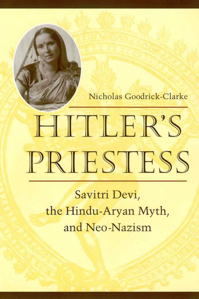# Nicholas Goodrick-Clarke

# HITLER'S PRIESTESS

# Savitri Devi, the Hindu-Aryan Myth, and Neo-Nazism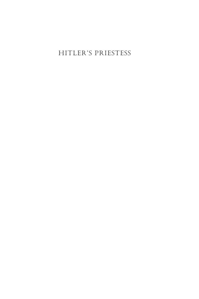# HITLER'S PRIESTESS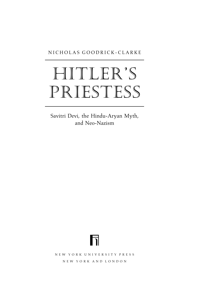## NICHOLAS GOODRICK-CLARKE

# HITLER'S PRIESTESS

Savitri Devi, the Hindu-Aryan Myth, and Neo-Nazism



NEW YORK UNIVERSITY PRESS NEW YORK AND LONDON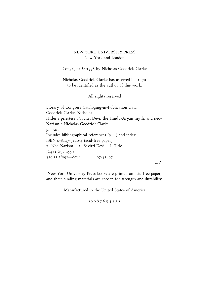### NEW YORK UNIVERSITY PRESS New York and London

Copyright © 1998 by Nicholas Goodrick-Clarke

Nicholas Goodrick-Clarke has asserted his right to be identified as the author of this work.

All rights reserved

Library of Congress Cataloging-in-Publication Data Goodrick-Clarke, Nicholas. Hitler's priestess : Savitri Devi, the Hindu-Aryan myth, and neo-Nazism / Nicholas Goodrick-Clarke. p. cm. Includes bibliographical references (p. ) and index. ISBN 0-8147-3110-4 (acid-free paper) 1. Neo-Nazism. 2. Savitri Devi. I. Title. JC481.G57 1998 320.53'3'092—dc21 97-45407 CIP

New York University Press books are printed on acid-free paper, and their binding materials are chosen for strength and durability.

Manufactured in the United States of America

10 9 8 7 6 5 4 3 2 1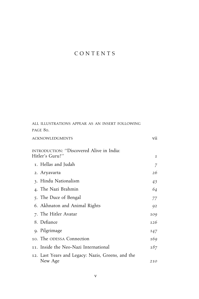# CONTENTS

| ALL ILLUSTRATIONS APPEAR AS AN INSERT FOLLOWING              |        |
|--------------------------------------------------------------|--------|
| PAGE 80.                                                     |        |
| <b>ACKNOWLEDGMENTS</b>                                       | vii    |
| INTRODUCTION: "Discovered Alive in India:<br>Hitler's Guru!" | $\tau$ |
| 1. Hellas and Judah                                          | 7      |
| 2. Aryavarta                                                 | 26     |
| 3. Hindu Nationalism                                         | 43     |
| 4. The Nazi Brahmin                                          | 64     |
| 5. The Duce of Bengal                                        | 77     |
| 6. Akhnaton and Animal Rights                                | 92     |
| 7. The Hitler Avatar                                         | 109    |
| 8. Defiance                                                  | 126    |
| 9. Pilgrimage                                                | 147    |
| 10. The ODESSA Connection                                    | 169    |
| 11. Inside the Neo-Nazi International                        | 187    |
| 12. Last Years and Legacy: Nazis, Greens, and the<br>New Age | 210    |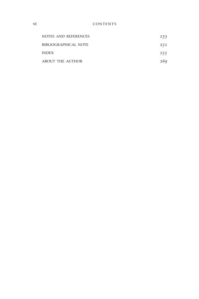| NOTES AND REFERENCES | 233 |
|----------------------|-----|
| BIBLIOGRAPHICAL NOTE | 251 |
| <b>INDEX</b>         | 255 |
| ABOUT THE AUTHOR     | 269 |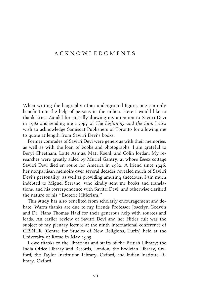## ACKNOWLEDGMENTS

When writing the biography of an underground figure, one can only benefit from the help of persons in the milieu. Here I would like to thank Ernst Zündel for initially drawing my attention to Savitri Devi in 1982 and sending me a copy of *The Lightning and the Sun.* I also wish to acknowledge Samisdat Publishers of Toronto for allowing me to quote at length from Savitri Devi's books.

Former comrades of Savitri Devi were generous with their memories, as well as with the loan of books and photographs. I am grateful to Beryl Cheetham, Lotte Asmus, Matt Koehl, and Colin Jordan. My researches were greatly aided by Muriel Gantry, at whose Essex cottage Savitri Devi died en route for America in 1982. A friend since 1946, her nonpartisan memoirs over several decades revealed much of Savitri Devi's personality, as well as providing amusing anecdotes. I am much indebted to Miguel Serrano, who kindly sent me books and translations, and his correspondence with Savitri Devi, and otherwise clarified the nature of his ''Esoteric Hitlerism.''

This study has also benefited from scholarly encouragement and debate. Warm thanks are due to my friends Professor Joscelyn Godwin and Dr. Hans Thomas Hakl for their generous help with sources and leads. An earlier review of Savitri Devi and her Hitler cult was the subject of my plenary lecture at the ninth international conference of CESNUR (Centre for Studies of New Religions, Turin) held at the University of Rome in May 1995.

I owe thanks to the librarians and staffs of the British Library; the India Office Library and Records, London; the Bodleian Library, Oxford; the Taylor Institution Library, Oxford; and Indian Institute Library, Oxford.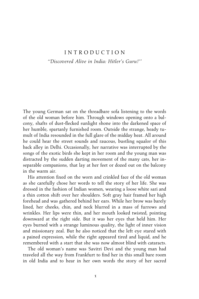# INTRODUCTION *''Discovered Alive in India: Hitler's Guru!''*

The young German sat on the threadbare sofa listening to the words of the old woman before him. Through windows opening onto a balcony, shafts of dust-flecked sunlight shone into the darkened space of her humble, spartanly furnished room. Outside the strange, heady tumult of India resounded in the full glare of the midday heat. All around he could hear the street sounds and raucous, bustling squalor of this back alley in Delhi. Occasionally, her narrative was interrupted by the songs of the exotic birds she kept in her room and the young man was distracted by the sudden darting movement of the many cats, her inseparable companions, that lay at her feet or dozed out on the balcony in the warm air.

His attention fixed on the worn and crinkled face of the old woman as she carefully chose her words to tell the story of her life. She was dressed in the fashion of Indian women, wearing a loose white sari and a thin cotton shift over her shoulders. Soft gray hair framed her high forehead and was gathered behind her ears. While her brow was barely lined, her cheeks, chin, and neck blurred in a mass of furrows and wrinkles. Her lips were thin, and her mouth looked twisted, pointing downward at the right side. But it was her eyes that held him. Her eyes burned with a strange luminous quality, the light of inner vision and missionary zeal. But he also noticed that the left eye stared with a pained expression, while the right appeared tired and liquid, and he remembered with a start that she was now almost blind with cataracts.

The old woman's name was Savitri Devi and the young man had traveled all the way from Frankfurt to find her in this small bare room in old India and to hear in her own words the story of her sacred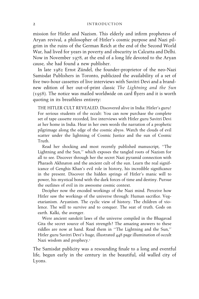#### 2 INTRODUCTION

mission for Hitler and Nazism. This elderly and infirm prophetess of Aryan revival, a philosopher of Hitler's cosmic purpose and Nazi pilgrim in the ruins of the German Reich at the end of the Second World War, had lived for years in poverty and obscurity in Calcutta and Delhi. Now in November 1978, at the end of a long life devoted to the Aryan cause, she had found a new publisher.

In late 1982 Ernst Zündel, the founder-proprietor of the neo-Nazi Samisdat Publishers in Toronto, publicized the availability of a set of five two-hour cassettes of live interviews with Savitri Devi and a brandnew edition of her out-of-print classic *The Lightning and the Sun* (1958). The notice was mailed worldwide on card flyers and it is worth quoting in its breathless entirety:

THE HITLER CULT REVEALED. Discovered alive in India: Hitler's guru! For serious students of the occult: You can now purchase the complete set of tape cassette recorded, live interviews with Hitler guru Savitri Devi at her home in India. Hear in her own words the narration of a prophetic pilgrimage along the edge of the cosmic abyss. Watch the clouds of evil scatter under the lightning of Cosmic Justice and the sun of Cosmic Truth.

Read her shocking and most recently published manuscript, ''The Lightning and the Sun,'' which exposes the tangled roots of Nazism for all to see. Discover through her the secret Nazi pyramid connection with Pharaoh Akhnaton and the ancient cult of the sun. Learn the real significance of Genghis Khan's evil role in history, his incredible significance in the present. Discover the hidden springs of Hitler's manic will to power, his mystical bond with the dark forces of time and destiny. Pursue the outlines of evil in its awesome cosmic context.

Decipher now the encoded workings of the Nazi mind. Perceive how Hitler saw the workings of the universe through: Human sacrifice. Vegetarianism. Aryanism. The cyclic view of history. The children of violence. The will to survive and to conquer. The seat of truth. Gods on earth. Kalki, the avenger.

Were ancient sanskrit laws of the universe compiled in the Bhagavad Gita the secret source of Nazi strength? The amazing answers to these riddles are now at hand. Read them in ''The Lightning and the Sun,'' Hitler guru Savitri Devi's huge, illustrated 448 page illumination of occult Nazi wisdom and prophecy.<sup>1</sup>

The Samisdat publicity was a resounding finale to a long and eventful life, begun early in the century in the beautiful, old walled city of Lyons.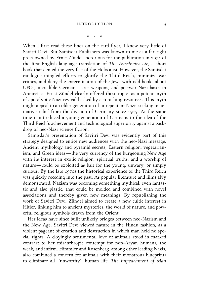\*\*\*

When I first read these lines on the card flyer, I knew very little of Savitri Devi. But Samisdat Publishers was known to me as a far-right press owned by Ernst Zündel, notorious for the publication in 1974 of the first English-language translation of *The Auschwitz Lie*, a short book that denied the very fact of the Holocaust. However, the Samisdat catalogue mingled efforts to glorify the Third Reich, minimize war crimes, and deny the extermination of the Jews with odd books about UFOs, incredible German secret weapons, and postwar Nazi bases in Antarctica. Ernst Zündel clearly offered these topics as a potent myth of apocalyptic Nazi revival backed by astonishing resources. This myth might appeal to an older generation of unrepentant Nazis seeking imaginative relief from the division of Germany since 1945. At the same time it introduced a young generation of Germans to the idea of the Third Reich's achievement and technological superiority against a backdrop of neo-Nazi science fiction.

Samisdat's presentation of Savitri Devi was evidently part of this strategy designed to entice new audiences with the neo-Nazi message. Ancient mythology and pyramid secrets, Eastern religion, vegetarianism, and Green ideas— the very currency of the burgeoning New Age with its interest in exotic religion, spiritual truths, and a worship of nature—could be exploited as bait for the young, unwary, or simply curious. By the late 1970s the historical experience of the Third Reich was quickly receding into the past. As popular literature and films ably demonstrated, Nazism was becoming something mythical, even fantastic and also plastic, that could be molded and combined with novel associations and thereby given new meanings. By republishing the work of Savitri Devi, Zündel aimed to create a new cultic interest in Hitler, linking him to ancient mysteries, the world of nature, and powerful religious symbols drawn from the Orient.

Her ideas have since built unlikely bridges between neo-Nazism and the New Age. Savitri Devi viewed nature in the Hindu fashion, as a violent pageant of creation and destruction in which man held no special rights. A cloyingly sentimental love of animals stood in marked contrast to her misanthropic contempt for non-Aryan humans, the weak, and infirm. Himmler and Rosenberg, among other leading Nazis, also combined a concern for animals with their monstrous blueprints to eliminate all ''unworthy'' human life. *The Impeachment of Man*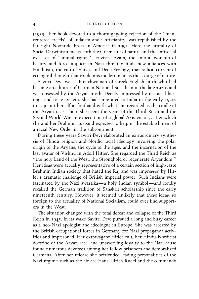(1959), her book devoted to a thoroughgoing rejection of the ''mancentered creeds'' of Judaism and Christianity, was republished by the far-right Noontide Press in America in 1991. Here the brutality of Social Darwinism meets both the Green cult of nature and the antisocial excesses of ''animal rights'' activists. Again, the amoral worship of beauty and force implicit in Nazi thinking finds new alliances with Hinduism, the cult of Shiva, and Deep Ecology, that radical current of ecological thought that condemns modern man as the scourge of nature.

Savitri Devi was a Frenchwoman of Greek-English birth who had become an admirer of German National Socialism in the late 1920s and was obsessed by the Aryan myth. Deeply impressed by its racial heritage and caste system, she had emigrated to India in the early 1930s to acquaint herself at firsthand with what she regarded as the cradle of the Aryan race. There she spent the years of the Third Reich and the Second World War in expectation of a global Axis victory, after which she and her Brahmin husband expected to help in the establishment of a racial New Order in the subcontinent.

During these years Savitri Devi elaborated an extraordinary synthesis of Hindu religion and Nordic racial ideology involving the polar origin of the Aryans, the cycle of the ages, and the incarnation of the last avatar of Vishnu in Adolf Hitler. She regarded the Third Reich as ''the holy Land of the West, the Stronghold of regenerate Aryandom.'' Her ideas were actually representative of a certain section of high-caste Brahmin Indian society that hated the Raj and was impressed by Hitler's dramatic challenge of British imperial power. Such Indians were fascinated by the Nazi swastika—a holy Indian symbol—and fondly recalled the German tradition of Sanskrit scholarship since the early nineteenth century. However, it seemed unlikely that these ideas, so foreign to the actuality of National Socialism, could ever find supporters in the West.

The situation changed with the total defeat and collapse of the Third Reich in 1945. In its wake Savitri Devi pursued a long and busy career as a neo-Nazi apologist and ideologue in Europe. She was arrested by the British occupational forces in Germany for Nazi propaganda activities and imprisoned. Her extravagant Hitler cult, her Hindu-Nordicist doctrine of the Aryan race, and unswerving loyalty to the Nazi cause found numerous devotees among her fellow prisoners and demoralized Germans. After her release she befriended leading personalities of the Nazi regime such as the air ace Hans-Ulrich Rudel and the commando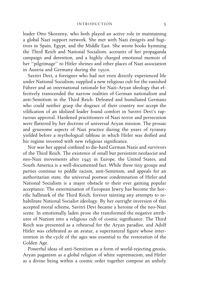leader Otto Skorzeny, who both played an active role in maintaining a global Nazi support network. She met with Nazi émigrés and fugitives in Spain, Egypt, and the Middle East. She wrote books hymning the Third Reich and National Socialism, accounts of her propaganda campaign and detention, and a highly charged emotional memoir of her ''pilgrimage'' to Hitler shrines and other places of Nazi association in Austria and Germany during the 1950s.

Savitri Devi, a foreigner who had not even directly experienced life under National Socialism, supplied a new religious cult for the vanished Führer and an international rationale for Nazi-Aryan ideology that effectively transcended the narrow realities of German nationalism and anti-Semitism in the Third Reich. Defeated and humiliated Germans who could neither grasp the disgrace of their country nor accept the vilification of an idolized leader found comfort in Savitri Devi's rapturous approval. Hardened practitioners of Nazi terror and persecution were flattered by her doctrine of universal Aryan mission. The prosaic and gruesome aspects of Nazi practice during the years of tyranny yielded before a mythological tableau in which Hitler was deified and his regime invested with new religious significance.

Nor was her appeal confined to die-hard German Nazis and survivors of the Third Reich. The existence of small but persistent neofascist and neo-Nazi movements after 1945 in Europe, the United States, and South America is a well-documented fact. While these tiny groups and parties continue to peddle racism, anti-Semitism, and appeals for an authoritarian state, the universal postwar condemnation of Hitler and National Socialism is a major obstacle to their ever gaining popular acceptance. The extermination of European Jewry has become the horrific hallmark of the Third Reich, forever tainting any attempts to rehabilitate National Socialist ideology. By her outright inversion of this accepted moral scheme, Savitri Devi became a heroine of the neo-Nazi scene. In emotionally laden prose she transformed the negative attributes of Nazism into a religious cult of cosmic significance. The Third Reich was presented as a rehearsal for the Aryan paradise, and Adolf Hitler was celebrated as an avatar, a supernatural figure whose intervention in the cycle of the ages was essential to the restoration of the Golden Age.

Powerful ideas of anti-Semitism as a form of world-rejecting gnosis, Aryan paganism as a global religion of white supremacism, and Hitler as a divine being within a cosmic order together compose an unholy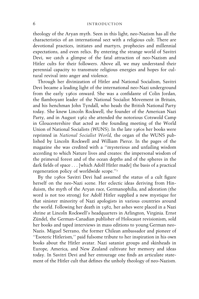#### 6 INTRODUCTION

theology of the Aryan myth. Seen in this light, neo-Nazism has all the characteristics of an international sect with a religious cult. There are devotional practices, initiates and martyrs, prophecies and millennial expectations, and even relics. By entering the strange world of Savitri Devi, we catch a glimpse of the fatal attraction of neo-Nazism and Hitler cults for their followers. Above all, we may understand their perennial capacity to transmute religious energies and hopes for cultural revival into anger and violence.

Through her divinization of Hitler and National Socialism, Savitri Devi became a leading light of the international neo-Nazi underground from the early 1960s onward. She was a confidante of Colin Jordan, the flamboyant leader of the National Socialist Movement in Britain, and his henchman John Tyndall, who heads the British National Party today. She knew Lincoln Rockwell, the founder of the American Nazi Party, and in August 1962 she attended the notorious Cotswold Camp in Gloucestershire that acted as the founding meeting of the World Union of National Socialists (WUNS). In the late 1960s her books were reprinted in *National Socialist World*, the organ of the WUNS published by Lincoln Rockwell and William Pierce. In the pages of the magazine she was credited with a ''mysterious and unfailing wisdom according to which Nature lives and creates: the impersonal wisdom of the primeval forest and of the ocean depths and of the spheres in the dark fields of space... [which Adolf Hitler made] the basis of a practical regeneration policy of worldwide scope.''2

By the 1980s Savitri Devi had assumed the status of a cult figure herself on the neo-Nazi scene. Her eclectic ideas deriving from Hinduism, the myth of the Aryan race, Germanophilia, and adoration (the word is not too strong) for Adolf Hitler supplied a new mystique for that sinister minority of Nazi apologists in various countries around the world. Following her death in 1982, her ashes were placed in a Nazi shrine at Lincoln Rockwell's headquarters in Arlington, Virginia. Ernst Zündel, the German-Canadian publisher of Holocaust revisionism, sold her books and taped interviews in mass editions to young German neo-Nazis. Miguel Serrano, the former Chilean ambassador and pioneer of ''Esoteric Hitlerism,'' paid fulsome tribute to her inspiration in his own books about the Hitler avatar. Nazi satanist groups and skinheads in Europe, America, and New Zealand cultivate her memory and ideas today. In Savitri Devi and her entourage one finds an articulate statement of the Hitler cult that defines the unholy theology of neo-Nazism.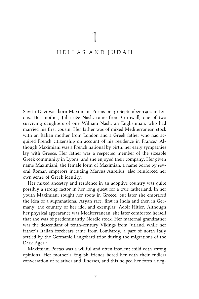1

# HELLAS AND JUDAH

Savitri Devi was born Maximiani Portas on 30 September 1905 in Lyons. Her mother, Julia née Nash, came from Cornwall, one of two surviving daughters of one William Nash, an Englishman, who had married his first cousin. Her father was of mixed Mediterranean stock with an Italian mother from London and a Greek father who had acquired French citizenship on account of his residence in France.<sup>1</sup> Although Maximiani was a French national by birth, her early sympathies lay with Greece. Her father was a respected member of the sizeable Greek community in Lyons, and she enjoyed their company. Her given name Maximiani, the female form of Maximian, a name borne by several Roman emperors including Marcus Aurelius, also reinforced her own sense of Greek identity.

Her mixed ancestry and residence in an adoptive country was quite possibly a strong factor in her long quest for a true fatherland. In her youth Maximiani sought her roots in Greece, but later she embraced the idea of a supranational Aryan race, first in India and then in Germany, the country of her idol and exemplar, Adolf Hitler. Although her physical appearance was Mediterranean, she later comforted herself that she was of predominantly Nordic stock. Her maternal grandfather was the descendant of tenth-century Vikings from Jutland, while her father's Italian forebears came from Lombardy, a part of north Italy settled by the Germanic Langobard tribe during the migrations of the Dark Ages.<sup>2</sup>

Maximiani Portas was a willful and often insolent child with strong opinions. Her mother's English friends bored her with their endless conversation of relatives and illnesses, and this helped her form a neg-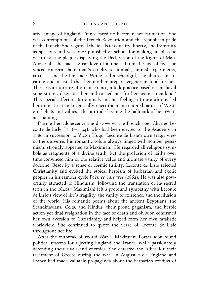ative image of England. France fared no better in her estimation. She was contemptuous of the French Revolution and the republican pride of the French. She regarded the ideals of equality, liberty, and fraternity as specious and was once punished at school for making an obscene gesture at the plaque displaying the Declaration of the Rights of Man. Above all, she had a great love of animals. From the age of five she voiced concern about man's cruelty to animals, animal experiments, circuses, and the fur trade. While still a schoolgirl, she abjured meateating and insisted that her mother prepare vegetarian food for her. The peasant torture of cats in France, a folk practice based on medieval superstition, disgusted her and turned her further against mankind.<sup>3</sup> This special affection for animals and her feelings of misanthropy led her to mistrust and eventually reject the man-centered nature of Western beliefs and values. This attitude became the hallmark of her Weltanschauung.

During her adolescence she discovered the French poet Charles Leconte de Lisle (1818–1894), who had been elected to the Academy in 1886 in succession to Victor Hugo. Leconte de Lisle's own tragic view of the universe, his romantic colors always tinged with somber pessimism, strongly appealed to Maximiani. He regarded all religious symbols as fragments of a divine truth, but the profusion of faiths over time convinced him of the relative value and ultimate vanity of every doctrine. Beset by a sense of cosmic futility, Leconte de Lisle rejected Christianity and evoked the stoical heroism of barbarian and exotic peoples in his famous cycle *Poe`mes barbares* (1862). He was also powerfully attracted to Hinduism, following the translation of its sacred texts in the 1840s.4 Maximiani felt a profound sympathy with Leconte de Lisle's view of life's fragility, the vanity of existence, and the illusion of the world. His romantic poems about the ancient Egyptians, the Scandinavians, Celts, and Hindus, their proud paganism, and heroic action yet final resignation in the face of death and oblivion confirmed her own aversion to Christianity and helped form her own fatalistic worldview. She continued to quote the verse of Leconte de Lisle throughout her life.

After the outbreak of World War I, Maximiani Portas soon found political reasons for rejecting England and France, while passionately defending their rivals and enemies. She detested the Allies for their treatment of Greece during the war. In August 1914 England and France had made valuable propaganda about the barbarian conduct of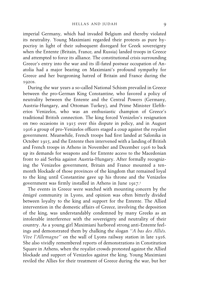imperial Germany, which had invaded Belgium and thereby violated its neutrality. Young Maximiani regarded their protests as pure hypocrisy in light of their subsequent disregard for Greek sovereignty when the Entente (Britain, France, and Russia) landed troops in Greece and attempted to force its alliance. The constitutional crisis surrounding Greece's entry into the war and its ill-fated postwar occupation of Anatolia had a major bearing on Maximiani's profound sympathy for Greece and her burgeoning hatred of Britain and France during the 1920s.

During the war years a so-called National Schism prevailed in Greece between the pro-German King Constantine, who favored a policy of neutrality between the Entente and the Central Powers (Germany, Austria-Hungary, and Ottoman Turkey), and Prime Minister Eleftherios Venizelos, who was an enthusiastic champion of Greece's traditional British connection. The king forced Venizelos's resignation on two occasions in 1915 over this dispute in policy, and in August 1916 a group of pro-Venizelos officers staged a coup against the royalist government. Meanwhile, French troops had first landed at Salonika in October 1915, and the Entente then intervened with a landing of British and French troops in Athens in November and December 1916 to back up its demands for weapons and for Entente access to the Macedonian front to aid Serbia against Austria-Hungary. After formally recognizing the Venizelos government, Britain and France mounted a tenmonth blockade of those provinces of the kingdom that remained loyal to the king until Constantine gave up his throne and the Venizelos government was firmly installed in Athens in June 1917.5

The events in Greece were watched with mounting concern by the émigré community in Lyons, and opinion was often bitterly divided between loyalty to the king and support for the Entente. The Allied intervention in the domestic affairs of Greece, involving the deposition of the king, was understandably condemned by many Greeks as an intolerable interference with the sovereignty and neutrality of their country. As a young girl Maximiani harbored strong anti-Entente feelings and demonstrated them by chalking the slogan "A bas des Alliés. *Vive l'Allemagne''* on the wall of Lyons railway station in late 1916. She also vividly remembered reports of demonstrations in Constitution Square in Athens, when the royalist crowds protested against the Allied blockade and support of Venizelos against the king. Young Maximiani reviled the Allies for their treatment of Greece during the war, but her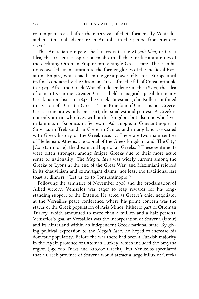contempt increased after their betrayal of their former ally Venizelos and his imperial adventure in Anatolia in the period from 1919 to 1923.6

This Anatolian campaign had its roots in the *Megali Idea*, or Great Idea, the irredentist aspiration to absorb all the Greek communities of the declining Ottoman Empire into a single Greek state. These ambitions owed their inspiration to the former glories of the medieval Byzantine Empire, which had been the great power of Eastern Europe until its final conquest by the Ottoman Turks after the fall of Constantinople in 1453. After the Greek War of Independence in the 1820s, the idea of a neo-Byzantine Greater Greece held a magical appeal for many Greek nationalists. In 1844 the Greek statesman John Kolletis outlined this vision of a Greater Greece: ''The Kingdom of Greece is not Greece. Greece constitutes only one part, the smallest and poorest. A Greek is not only a man who lives within this kingdom but also one who lives in Jannina, in Salonica, in Serres, in Adrianople, in Constantinople, in Smyrna, in Trebizond, in Crete, in Samos and in any land associated with Greek history or the Greek race.... There are two main centres of Hellenism: Athens, the capital of the Greek kingdom, and 'The City' [Constantinople], the dream and hope of all Greeks."7 These sentiments were often strongest among émigré Greeks due to their more acute sense of nationality. The *Megali Idea* was widely current among the Greeks of Lyons at the end of the Great War, and Maximiani rejoiced in its chauvinism and extravagant claims, not least the traditional last toast at dinners: ''Let us go to Constantinople!''

Following the armistice of November 1918 and the proclamation of Allied victory, Venizelos was eager to reap rewards for his longstanding support of the Entente. He acted as Greece's chief negotiator at the Versailles peace conference, where his prime concern was the status of the Greek population of Asia Minor, hitherto part of Ottoman Turkey, which amounted to more than a million and a half persons. Venizelos's goal at Versailles was the incorporation of Smyrna (İzmir) and its hinterland within an independent Greek national state. By giving political expression to the *Megali Idea*, he hoped to increase his domestic popularity. Before the war there had been a Turkish majority in the Aydin province of Ottoman Turkey, which included the Smyrna region (950,000 Turks and 620,000 Greeks), but Venizelos speculated that a Greek province of Smyrna would attract a large influx of Greeks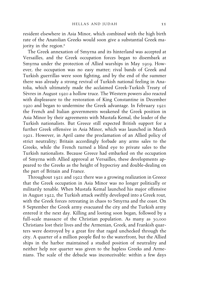resident elsewhere in Asia Minor, which combined with the high birth rate of the Anatolian Greeks would soon give a substantial Greek majority in the region.<sup>8</sup>

The Greek annexation of Smyrna and its hinterland was accepted at Versailles, and the Greek occupation forces began to disembark at Smyrna under the protection of Allied warships in May 1919. However, the occupation was no easy matter; rival bands of Greek and Turkish guerrillas were soon fighting, and by the end of the summer there was already a strong revival of Turkish national feeling in Anatolia, which ultimately made the acclaimed Greek-Turkish Treaty of Sèvres in August 1920 a hollow truce. The Western powers also reacted with displeasure to the restoration of King Constantine in December 1920 and began to undermine the Greek advantage. In February 1921 the French and Italian governments weakened the Greek position in Asia Minor by their agreements with Mustafa Kemal, the leader of the Turkish nationalists. But Greece still expected British support for a further Greek offensive in Asia Minor, which was launched in March 1921. However, in April came the proclamation of an Allied policy of strict neutrality; Britain accordingly forbade any arms sales to the Greeks, while the French turned a blind eye to private sales to the Turkish nationalists. Because Greece had embarked on the occupation of Smyrna with Allied approval at Versailles, these developments appeared to the Greeks as the height of hypocrisy and double-dealing on the part of Britain and France.

Throughout 1921 and 1922 there was a growing realization in Greece that the Greek occupation in Asia Minor was no longer politically or militarily tenable. When Mustafa Kemal launched his major offensive in August 1922, the Turkish attack swiftly developed into a Greek rout, with the Greek forces retreating in chaos to Smyrna and the coast. On 8 September the Greek army evacuated the city and the Turkish army entered it the next day. Killing and looting soon began, followed by a full-scale massacre of the Christian population. As many as 30,000 Christians lost their lives and the Armenian, Greek, and Frankish quarters were destroyed by a great fire that raged unchecked through the city. A quarter of a million people fled to the waterfront, but the Allied ships in the harbor maintained a studied position of neutrality and neither help nor quarter was given to the hapless Greeks and Armenians. The scale of the debacle was inconceivable: within a few days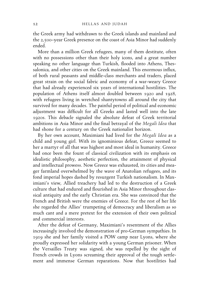the Greek army had withdrawn to the Greek islands and mainland and the 2,500–year Greek presence on the coast of Asia Minor had suddenly ended.

More than a million Greek refugees, many of them destitute, often with no possessions other than their holy icons, and a great number speaking no other language than Turkish, flooded into Athens, Thessalonica, and other cities on the Greek mainland. This enormous influx, of both rural peasants and middle-class merchants and traders, placed great strain on the social fabric and economy of a war-weary Greece that had already experienced six years of international hostilities. The population of Athens itself almost doubled between 1920 and 1928, with refugees living in wretched shantytowns all around the city that survived for many decades. The painful period of political and economic adjustment was difficult for all Greeks and lasted well into the late 1920s. This debacle signaled the absolute defeat of Greek territorial ambitions in Asia Minor and the final betrayal of the *Megali Idea* that had shone for a century on the Greek nationalist horizon.

By her own account, Maximiani had lived for the *Megali Idea* as a child and young girl. With its ignominious defeat, Greece seemed to her a martyr of all that was highest and most ideal in humanity. Greece had once been the fount of classical civilization with its emphasis on idealistic philosophy, aesthetic perfection, the attainment of physical and intellectual prowess. Now Greece was exhausted, its cities and meager farmland overwhelmed by the wave of Anatolian refugees, and its fond imperial hopes dashed by resurgent Turkish nationalism. In Maximiani's view, Allied treachery had led to the destruction of a Greek culture that had endured and flourished in Asia Minor throughout classical antiquity and the early Christian era. She was convinced that the French and British were the enemies of Greece. For the rest of her life she regarded the Allies' trumpeting of democracy and liberalism as so much cant and a mere pretext for the extension of their own political and commercial interests.

After the defeat of Germany, Maximiani's resentment of the Allies increasingly involved the demonstration of pro-German sympathies. In 1919 she and her family visited a POW camp near Lyons, where she proudly expressed her solidarity with a young German prisoner. When the Versailles Treaty was signed, she was repelled by the sight of French crowds in Lyons screaming their approval of the tough settlement and immense German reparations. Now that hostilities had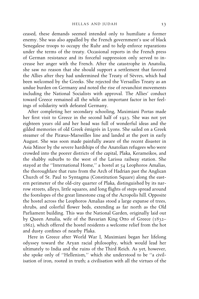ceased, these demands seemed intended only to humiliate a former enemy. She was also appalled by the French government's use of black Senegalese troops to occupy the Ruhr and to help enforce reparations under the terms of the treaty. Occasional reports in the French press of German resistance and its forceful suppression only served to increase her anger with the French. After the catastrophe in Anatolia, she saw no reason that she should support a settlement that favored the Allies after they had undermined the Treaty of Sèvres, which had been welcomed by the Greeks. She rejected the Versailles Treaty as an undue burden on Germany and noted the rise of revanchist movements including the National Socialists with approval. The Allies' conduct toward Greece remained all the while an important factor in her feelings of solidarity with defeated Germany.

After completing her secondary schooling, Maximiani Portas made her first visit to Greece in the second half of 1923. She was not yet eighteen years old and her head was full of wonderful ideas and the gilded memories of old Greek émigrés in Lyons. She sailed on a Greek steamer of the Piræus-Marseilles line and landed at the port in early August. She was soon made painfully aware of the recent disaster in Asia Minor by the severe hardships of the Anatolian refugees who were crowded into the poorer districts of the capital, Plaka, Kerameikos, and the shabby suburbs to the west of the Larissa railway station. She stayed at the ''International Home,'' a hostel at 54 Leophoros Amalias, the thoroughfare that runs from the Arch of Hadrian past the Anglican Church of St. Paul to Syntagma (Constitution Square) along the eastern perimeter of the old-city quarter of Plaka, distinguished by its narrow streets, alleys, little squares, and long flights of steps spread around the footslopes of the great limestone crag of the Acropolis hill. Opposite the hostel across the Leophoros Amalias stood a large expanse of trees, shrubs, and colorful flower beds, extending as far north as the Old Parliament building. This was the National Garden, originally laid out by Queen Amalia, wife of the Bavarian King Otto of Greece (1832– 1862), which offered the hostel residents a welcome relief from the hot and dusty confines of nearby Plaka.

Here in Greece after World War I, Maximiani began her lifelong odyssey toward the Aryan racial philosophy, which would lead her ultimately to India and the ruins of the Third Reich. As yet, however, she spoke only of ''Hellenism,'' which she understood to be ''a civilisation of iron, rooted in truth; a civilisation with all the virtues of the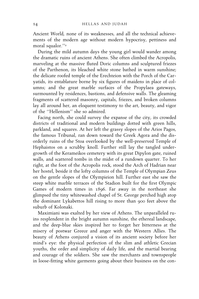Ancient World, none of its weaknesses, and all the technical achievements of the modern age without modern hypocrisy, pettiness and moral squalor.''9

During the mild autumn days the young girl would wander among the dramatic ruins of ancient Athens. She often climbed the Acropolis, marveling at the massive fluted Doric columns and sculptured friezes of the Parthenon, its bleached white stone bathed in warm sunshine; the delicate roofed temple of the Erechteion with the Porch of the Caryatids, its entablature borne by six figures of maidens in place of columns; and the great marble surfaces of the Propylaea gateways, surmounted by residences, bastions, and defensive walls. The gleaming fragments of scattered masonry, capitals, friezes, and broken columns lay all around her, an eloquent testimony to the art, beauty, and vigor of the ''Hellenism'' she so admired.

Facing north, she could survey the expanse of the city, its crowded districts of traditional and modern buildings dotted with green hills, parkland, and squares. At her left the grassy slopes of the Arios Pagos, the famous Tribunal, ran down toward the Greek Agora and the disorderly ruins of the Stoa overlooked by the well-preserved Temple of Hephaistos on a scrubby knoll. Further still lay the tangled undergrowth of the Kerameikos cemetery with its great Dipylon gate, ruined walls, and scattered tombs in the midst of a rundown quarter. To her right, at the foot of the Acropolis rock, stood the Arch of Hadrian near her hostel, beside it the lofty columns of the Temple of Olympian Zeus on the gentle slopes of the Olympieion hill. Further east she saw the steep white marble terraces of the Stadion built for the first Olympic Games of modern times in 1896. Far away in the northeast she glimpsed the tiny whitewashed chapel of St. George perched high atop the dominant Lykabettos hill rising to more than 900 feet above the suburb of Kolonaki.

Maximiani was exalted by her view of Athens. The unparalleled ruins resplendent in the bright autumn sunshine, the ethereal landscape, and the deep-blue skies inspired her to forget her bitterness at the misery of postwar Greece and anger with the Western Allies. The beauty of Athens conjured a vision of its ancient society before her mind's eye: the physical perfection of the slim and athletic Grecian youths, the order and simplicity of daily life, and the martial bearing and courage of the soldiers. She saw the merchants and townspeople in loose-fitting white garments going about their business on the con-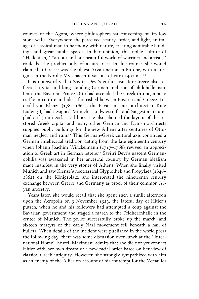courses of the Agora, where philosophers sat conversing on its low stone walls. Everywhere she perceived beauty, order, and light, an image of classical man in harmony with nature, creating admirable buildings and great public spaces. In her opinion, this noble culture of ''Hellenism,'' ''an out and out beautiful world of warriors and artists,'' could be the product only of a pure race. In due course, she would claim that Greece was the oldest Aryan nation in Europe, with its origins in the Nordic Mycenaean invasions of circa 1400 B.C.10

It is noteworthy that Savitri Devi's enthusiasm for Greece also reflected a vital and long-standing German tradition of philohellenism. Once the Bavarian Prince Otto had ascended the Greek throne, a busy traffic in culture and ideas flourished between Bavaria and Greece. Leopold von Klenze (1784–1864), the Bavarian court architect to King Ludwig I, had designed Munich's Ludwigstraße and Siegestor (triumphal arch) on neoclassical lines. He also planned the layout of the restored Greek capital and many other German and Danish architects supplied public buildings for the new Athens after centuries of Ottoman neglect and ruin.11 This German-Greek cultural axis continued a German intellectual tradition dating from the late eighteenth century when Johann Joachim Winckelmann (1717–1768) revived an appreciation of Greek art in German letters.12 Savitri Devi's nascent Germanophilia was awakened in her ancestral country by German idealism made manifest in the very stones of Athens. When she finally visited Munich and saw Klenze's neoclassical Glyptothek and Propylaea (1846– 1862) on the Königsplatz, she interpreted the nineteenth century exchange between Greece and Germany as proof of their common Aryan ancestry.

Years later, she would recall that she spent such a sunlit afternoon upon the Acropolis on 9 November 1923, the fateful day of Hitler's putsch, when he and his followers had attempted a coup against the Bavarian government and staged a march to the Feldherrnhalle in the center of Munich. The police successfully broke up the march, and sixteen martyrs of the early Nazi movement fell beneath a hail of bullets. When details of the incident were published in the world press the following day, there was some discussion over lunch at the ''International Home'' hostel. Maximiani admits that she did not yet connect Hitler with her own dream of a new racial order based on her view of classical Greek antiquity. However, she strongly sympathized with him as an enemy of the Allies on account of his contempt for the Versailles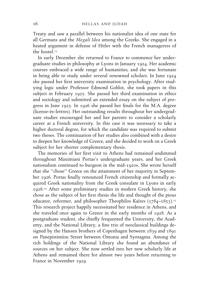Treaty and saw a parallel between his nationalist idea of one state for all Germans and the *Megali Idea* among the Greeks. She engaged in a heated argument in defense of Hitler with the French manageress of the hostel.<sup>13</sup>

In early December she returned to France to commence her undergraduate studies in philosophy at Lyons in January 1924. Her academic courses embraced a wide range of humanities, and she was fortunate in being able to study under several renowned scholars. In June 1924 she passed her first university examination in psychology. After studying logic under Professor Edmond Goblot, she took papers in this subject in February 1925. She passed her third examination in ethics and sociology and submitted an extended essay on the subject of progress in June 1925. In 1926 she passed her finals for the M.A. degree (license-ès-lettres). Her outstanding results throughout her undergraduate studies encouraged her and her parents to consider a scholarly career at a French university. In this case it was necessary to take a higher doctoral degree, for which the candidate was required to submit two theses. The continuation of her studies also combined with a desire to deepen her knowledge of Greece, and she decided to work on a Greek subject for her shorter complementary thesis.

The memories of her first visit to Athens had remained undimmed throughout Maximiani Portas's undergraduate years, and her Greek nationalism continued to burgeon in the mid-1920s. She wrote herself that she ''chose'' Greece on the attainment of her majority in September 1926. Portas finally renounced French citizenship and formally acquired Greek nationality from the Greek consulate in Lyons in early 1928.14 After some preliminary studies in modern Greek history, she chose as the subject of her first thesis the life and thought of the pious educator, reformer, and philosopher Theophilos Kaïres  $(1784-1853).$ <sup>15</sup> This research project happily necessitated her residence in Athens, and she traveled once again to Greece in the early months of 1928. As a postgraduate student, she chiefly frequented the University, the Academy, and the National Library, a fine trio of neoclassical buildings designed by the Hansen brothers of Copenhagen between 1839 and 1891 on Panepistimíou Street between Omonia and Syntagma. Among the rich holdings of the National Library she found an abundance of sources on her subject. She now settled into her new scholarly life at Athens and remained there for almost two years before returning to France in November 1929.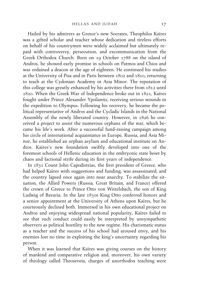Hailed by his admirers as Greece's new Socrates, Theophilos Kaïres was a gifted scholar and teacher whose dedication and tireless efforts on behalf of his countrymen were widely acclaimed but ultimately repaid with controversy, persecution, and excommunication from the Greek Orthodox Church. Born on 19 October 1788 on the island of Andros, he showed early promise in schools on Patmos and Chios and was ordained a deacon at the age of eighteen. He continued his studies at the University of Pisa and in Paris between 1802 and 1810, returning to teach at the Cydonian Academy in Asia Minor. The reputation of this college was greatly enhanced by his activities there from 1812 until 1820. When the Greek War of Independence broke out in 1821, Kaïres fought under Prince Alexander Ypsilantis, receiving serious wounds in the expedition to Olympus. Following his recovery, he became the political representative of Andros and the Cycladic Islands in the National Assembly of the newly liberated country. However, in 1826 he conceived a project to assist the numerous orphans of the war, which became his life's work. After a successful fund-raising campaign among his circle of international acquaintance in Europe, Russia, and Asia Minor, he established an orphan asylum and educational institute on Andros. Kaïres's new foundation swiftly developed into one of the foremost schools of Hellenic education in the embryonic state beset by chaos and factional strife during its first years of independence.

In 1831 Count John Capodistrias, the first president of Greece, who had helped Kaïres with suggestions and funding, was assassinated, and the country lapsed once again into near anarchy. To stabilize the situation, the Allied Powers (Russia, Great Britain, and France) offered the crown of Greece to Prince Otto von Wittelsbach, the son of King Ludwig of Bavaria. In the late 1830s King Otto conferred honors and a senior appointment at the University of Athens upon Kaïres, but he courteously declined both. Immersed in his own educational project on Andros and enjoying widespread national popularity, Kaïres failed to see that such conduct could easily be interpreted by unsympathetic observers as political hostility to the new regime. His charismatic status as a teacher and the success of his school had aroused envy, and his enemies lost no time in exploiting the king's uncertainty regarding his person.

When it was learned that Kaïres was giving courses on the history of mankind and comparative religion and, moreover, his own variety of theology called Theoseveia, charges of unorthodox teaching were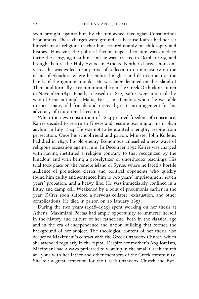soon brought against him by the renowned theologian Constantinos Economous. These charges were groundless because Kaïres had not set himself up as religious teacher but lectured mainly on philosophy and history. However, the political faction opposed to him was quick to incite the clergy against him, and he was arrested in October 1839 and brought before the Holy Synod in Athens. Neither charged nor convicted, he was exiled for a period of reflection to a monastery on the island of Skiathos, where he endured neglect and ill-treatment at the hands of the ignorant monks. He was later detained on the island of Thera and formally excommunicated from the Greek Orthodox Church in November 1841. Finally released in 1842, Kaïres went into exile by way of Constantinople, Malta, Paris, and London, where he was able to meet many old friends and received great encouragement for his advocacy of educational freedom.

When the new constitution of 1844 granted freedom of conscience, Kaïres decided to return to Greece and resume teaching at his orphan asylum in July 1844. He was not to be granted a lengthy respite from persecution. Once his schoolfriend and patron, Minister John Kolletis, had died in 1847, his old enemy Economous unleashed a new wave of religious accusation against him. In December 1852 Kaïres was charged with having instituted a religion contrary to that recognized by the kingdom and with being a proselytizer of unorthodox teachings. His trial took place on the remote island of Syros, where he faced a hostile audience of prejudiced clerics and political opponents who quickly found him guilty and sentenced him to two years' imprisonment, seven years' probation, and a heavy fine. He was immediately confined in a filthy and damp cell. Weakened by a bout of pneumonia earlier in the year, Kaïres soon suffered a nervous collapse, exhaustion, and other complications. He died in prison on 10 January 1853.

During the two years (1928–1929) spent working on her thesis at Athens, Maximiani Portas had ample opportunity to immerse herself in the history and culture of her fatherland, both in the classical age and in the era of independence and nation building that formed the background of her subject. The theological content of her thesis also deepened Maximiani's contact with the Greek Orthodox Church, which she attended regularly in the capital. Despite her mother's Anglicanism, Maximiani had always preferred to worship in the small Greek church at Lyons with her father and other members of the Greek community. She felt a great attraction for the Greek Orthodox Church and Byz-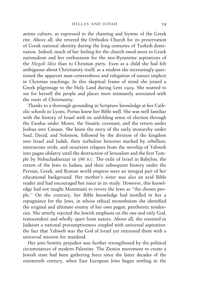antine culture, as expressed in the chanting and hymns of the Greek rite. Above all, she revered the Orthodox Church for its preservation of Greek national identity during the long centuries of Turkish domination. Indeed, much of her feeling for the church owed more to Greek nationalism and her enthusiasm for the neo-Byzantine aspirations of the *Megali Idea* than to Christian piety. Even as a child she had felt ambiguous about Christianity itself; as a student she increasingly questioned the apparent man-centeredness and relegation of nature implicit in Christian teachings. In this skeptical frame of mind she joined a Greek pilgrimage to the Holy Land during Lent 1929. She wanted to see for herself the people and places most intimately associated with the roots of Christianity.

Thanks to a thorough grounding in Scripture knowledge at her Catholic schools in Lyons, Portas knew her Bible well. She was well familiar with the history of Israel with its unfolding sense of election through the Exodus under Moses, the Sinaitic covenant, and the return under Joshua into Canaan. She knew the story of the early monarchy under Saul, David, and Solomon, followed by the division of the kingdom into Israel and Judah, their turbulent histories marked by rebellion, internecine strife, and recurrent relapses from the worship of Yahweh into pagan idolatry until the destruction of Jerusalem and the first Temple by Nebuchadnezzar in 586 B.C. The exile of Israel in Babylon, the return of the Jews to Judaea, and their subsequent history under the Persian, Greek, and Roman world empires were an integral part of her educational background. Her mother's sister was also an avid Bible reader and had encouraged her niece in its study. However, this knowledge had not taught Maximiani to revere the Jews as ''the chosen people.'' On the contrary, her Bible knowledge had instilled in her a repugnance for the Jews, in whose ethical monotheism she identified the original and ultimate enemy of her own pagan, pantheistic tendencies. She utterly rejected the Jewish emphasis on the one and only God, transcendent and wholly apart from nature. Above all, she resented in Judaism a national presumptiveness coupled with universal aspiration: the fact that Yahweh was the God of Israel yet entrusted them with a universal mission for mankind.

Her anti-Semitic prejudice was further strengthened by the political circumstances of modern Palestine. The Zionist movement to create a Jewish state had been gathering force since the latter decades of the nineteenth century, when East European Jews began settling in the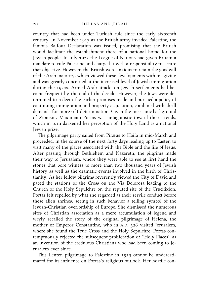country that had been under Turkish rule since the early sixteenth century. In November 1917 as the British army invaded Palestine, the famous Balfour Declaration was issued, promising that the British would facilitate the establishment there of a national home for the Jewish people. In July 1922 the League of Nations had given Britain a mandate to rule Palestine and charged it with a responsibility to secure that objective. However, the British were anxious to retain the goodwill of the Arab majority, which viewed these developments with misgiving and was greatly concerned at the increased level of Jewish immigration during the 1920s. Armed Arab attacks on Jewish settlements had become frequent by the end of the decade. However, the Jews were determined to redeem the earlier promises made and pursued a policy of continuing immigration and property acquisition, combined with shrill demands for more self-determination. Given the messianic background of Zionism, Maximiani Portas was antagonistic toward these trends, which in turn darkened her perception of the Holy Land as a national Jewish prize.

The pilgrimage party sailed from Piræus to Haifa in mid-March and proceeded, in the course of the next forty days leading up to Easter, to visit many of the places associated with the Bible and the life of Jesus. After passing through Bethlehem and Nazareth, the pilgrims made their way to Jerusalem, where they were able to see at first hand the stones that bore witness to more than two thousand years of Jewish history as well as the dramatic events involved in the birth of Christianity. As her fellow pilgrims reverently viewed the City of David and paced the stations of the Cross on the Via Dolorosa leading to the Church of the Holy Sepulchre on the reputed site of the Crucifixion, Portas felt repelled by what she regarded as their servile conduct before these alien shrines, seeing in such behavior a telling symbol of the Jewish-Christian overlordship of Europe. She dismissed the numerous sites of Christian association as a mere accumulation of legend and wryly recalled the story of the original pilgrimage of Helena, the mother of Emperor Constantine, who in A.D. 326 visited Jerusalem, where she found the True Cross and the Holy Sepulchre. Portas contemptuously rejected the subsequent proliferation of ''Holy Places'' as an invention of the credulous Christians who had been coming to Jerusalem ever since.

This Lenten pilgrimage to Palestine in 1929 cannot be underestimated for its influence on Portas's religious outlook. Her hostile con-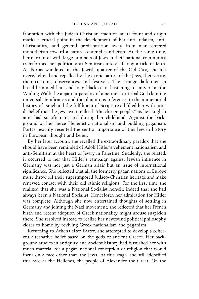frontation with the Judaeo-Christian tradition at its fount and origin marks a crucial point in the development of her anti-Judaism, anti-Christianity, and general predisposition away from man-centered monotheism toward a nature-centered pantheism. At the same time, her encounter with large numbers of Jews in their national community transformed her political anti-Semitism into a lifelong article of faith. As Portas wandered in the Jewish quarter of the Old City, she felt overwhelmed and repelled by the exotic nature of the Jews, their attire, their customs, observances, and festivals. The strange dark men in broad-brimmed hats and long black coats hastening to prayers at the Wailing Wall; the apparent paradox of a national or tribal God claiming universal significance; and the ubiquitous references to the immemorial history of Israel and the fulfilment of Scripture all filled her with utter disbelief that the Jews were indeed ''the chosen people,'' as her English aunt had so often insisted during her childhood. Against the background of her fierce Hellenistic nationalism and budding paganism, Portas heartily resented the central importance of this Jewish history in European thought and belief.

By her later account, she recalled the extraordinary paradox that she should have been reminded of Adolf Hitler's vehement nationalism and anti-Semitism at the heart of Jewry in Palestine. Suddenly, she related, it occurred to her that Hitler's campaign against Jewish influence in Germany was not just a German affair but an issue of international significance. She reflected that all the formerly pagan nations of Europe must throw off their superimposed Judaeo-Christian heritage and make renewed contact with their old ethnic religions. For the first time she realized that she was a National Socialist herself, indeed that she had always been a National Socialist. Henceforth her admiration for Hitler was complete. Although she now entertained thoughts of settling in Germany and joining the Nazi movement, she reflected that her French birth and recent adoption of Greek nationality might arouse suspicion there. She resolved instead to realize her newfound political philosophy closer to home by reviving Greek nationalism and paganism.

Returning to Athens after Easter, she attempted to develop a coherent alternative belief based on the gods of ancient Greece. Her background studies in antiquity and ancient history had furnished her with much material for a pagan-national conception of religion that would focus on a race other than the Jews. At this stage, she still identified this race as the Hellenes, the people of Alexander the Great. On the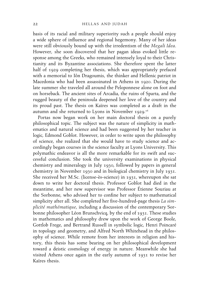basis of its racial and military superiority such a people should enjoy a wide sphere of influence and regional hegemony. Many of her ideas were still obviously bound up with the irredentism of the *Megali Idea*. However, she soon discovered that her pagan ideas evoked little response among the Greeks, who remained intensely loyal to their Christianity and its Byzantine associations. She therefore spent the latter half of 1929 completing her thesis, which was appropriately prefaced with a memorial to Iôn Dragoumis, the thinker and Hellenic patriot in Macedonia who had been assassinated in Athens in 1920. During the late summer she traveled all around the Peloponnese alone on foot and on horseback. The ancient sites of Arcadia, the ruins of Sparta, and the rugged beauty of the peninsula deepened her love of the country and its proud past. The thesis on Kaïres was completed as a draft in the autumn and she returned to Lyons in November 1929.16

Portas now began work on her main doctoral thesis on a purely philosophical topic. The subject was the nature of simplicity in mathematics and natural science and had been suggested by her teacher in logic, Edmond Goblot. However, in order to write upon the philosophy of science, she realized that she would have to study science and accordingly began courses in the science faculty at Lyons University. This polymathic endeavor is all the more remarkable for its swift and successful conclusion. She took the university examinations in physical chemistry and mineralogy in July 1930, followed by papers in general chemistry in November 1930 and in biological chemistry in July 1931. She received her M.Sc. (license-ès-science) in 1931, whereupon she sat down to write her doctoral thesis. Professor Goblot had died in the meantime, and her new supervisor was Professor Étienne Souriau at the Sorbonne, who advised her to confine her subject to mathematical simplicity after all. She completed her five-hundred-page thesis *La simplicité mathématique*, including a discussion of the contemporary Sorbonne philosopher Léon Brunschvicq, by the end of 1931. These studies in mathematics and philosophy drew upon the work of George Boole, Gottlob Frege, and Bertrand Russell in symbolic logic, Henri Poincaré in topology and geometry, and Alfred North Whitehead in the philosophy of science. While remote from her interests in religion and history, this thesis has some bearing on her philosophical development toward a deistic cosmology of energy in nature. Meanwhile she had visited Athens once again in the early autumn of 1931 to revise her Kaïres thesis.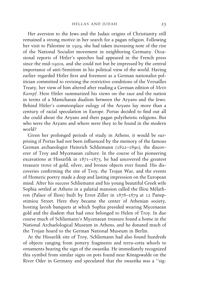Her aversion to the Jews and the Judaic origins of Christianity still remained a strong motive in her search for a pagan religion. Following her visit to Palestine in 1929, she had taken increasing note of the rise of the National Socialist movement in neighboring Germany. Occasional reports of Hitler's speeches had appeared in the French press since the mid-1920s, and she could not but be impressed by the central importance of anti-Semitism in his political view of the world. Having earlier regarded Hitler first and foremost as a German nationalist politician committed to revising the restrictive conditions of the Versailles Treaty, her view of him altered after reading a German edition of *Mein Kampf*. Here Hitler summarized his views on the race and the nation in terms of a Manichaean dualism between the Aryans and the Jews. Behind Hitler's commonplace eulogy of the Aryans lay more than a century of racial speculation in Europe. Portas decided to find out all she could about the Aryans and their pagan polytheistic religions. But who were the Aryans and where were they to be found in the modern world?

Given her prolonged periods of study in Athens, it would be surprising if Portas had not been influenced by the memory of the famous German archaeologist Heinrich Schliemann (1822–1890), the discoverer of Troy and Mycenaean culture. In the course of his pioneering excavations at Hissarlik in  $1871-1875$ , he had uncovered the greatest treasure trove of gold, silver, and bronze objects ever found. His discoveries confirming the site of Troy, the Trojan War, and the events of Homeric poetry made a deep and lasting impression on the European mind. After his success Schliemann and his young beautiful Greek wife Sophia settled at Athens in a palatial mansion called the Ilíou Mélathron (Palace of Ilion) built by Ernst Ziller in 1878–1879 at 12 Panepstimiou Street. Here they became the center of Athenian society, hosting lavish banquets at which Sophia presided wearing Mycenaean gold and the diadem that had once belonged to Helen of Troy. In due course much of Schliemann's Mycenaean treasure found a home in the National Archaelological Museum in Athens, and he donated much of the Trojan hoard to the German National Museum in Berlin.

At the Hissarlik site of Troy, Schliemann had also found hundreds of objects ranging from pottery fragments and terra-cotta whorls to ornaments bearing the sign of the swastika. He immediately recognized this symbol from similar signs on pots found near Königswalde on the River Oder in Germany and speculated that the swastika was a ''sig-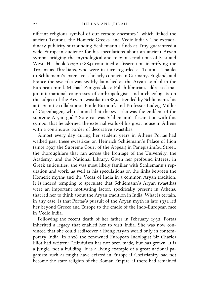nificant religious symbol of our remote ancestors,'' which linked the ancient Teutons, the Homeric Greeks, and Vedic India.<sup>17</sup> The extraordinary publicity surrounding Schliemann's finds at Troy guaranteed a wide European audience for his speculations about an ancient Aryan symbol bridging the mythological and religious traditions of East and West. His book *Troja* (1884) contained a dissertation identifying the Trojans as Thrakians, who were in turn regarded as Teutons. Thanks to Schliemann's extensive scholarly contacts in Germany, England, and France the swastika was swiftly launched as the Aryan symbol in the European mind. Michael Zmigrodzki, a Polish librarian, addressed major international congresses of anthropologists and archaeologists on the subject of the Aryan swastika in 1889, attended by Schliemann, his anti-Semitic collaborator Emile Burnouf, and Professor Ludvig Müller of Copenhagen, who claimed that the swastika was the emblem of the supreme Aryan god.<sup>18</sup> So great was Schliemann's fascination with this symbol that he adorned the external walls of his great house in Athens with a continuous border of decorative swastikas.

Almost every day during her student years in Athens Portas had walked past these swastikas on Heinrich Schliemann's Palace of Ilion (since 1927 the Supreme Court of the Appeal) in Panepistimiou Street, the thoroughfare that ran across the frontage of the University, the Academy, and the National Library. Given her profound interest in Greek antiquities, she was most likely familiar with Schliemann's reputation and work, as well as his speculations on the links between the Homeric myths and the Vedas of India in a common Aryan tradition. It is indeed tempting to speculate that Schliemann's Aryan swastikas were an important motivating factor, specifically present in Athens, that led her to think about the Aryan tradition in India. What is certain, in any case, is that Portas's pursuit of the Aryan myth in late 1931 led her beyond Greece and Europe to the cradle of the Indo-European race in Vedic India.

Following the recent death of her father in February 1932, Portas inherited a legacy that enabled her to visit India. She was now convinced that she could rediscover a living Aryan world only in contemporary India. In 1926 the renowned European Indologist Sir Charles Eliot had written: ''Hinduism has not been made, but has grown. It is a jungle, not a building. It is a living example of a great national paganism such as might have existed in Europe if Christianity had not become the state religion of the Roman Empire, if there had remained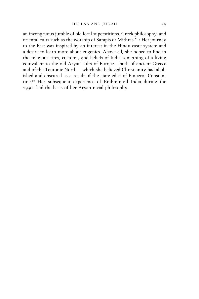an incongruous jumble of old local superstitions, Greek philosophy, and oriental cults such as the worship of Sarapis or Mithras.''19 Her journey to the East was inspired by an interest in the Hindu caste system and a desire to learn more about eugenics. Above all, she hoped to find in the religious rites, customs, and beliefs of India something of a living equivalent to the old Aryan cults of Europe—both of ancient Greece and of the Teutonic North—which she believed Christianity had abolished and obscured as a result of the state edict of Emperor Constantine.20 Her subsequent experience of Brahminical India during the 1930s laid the basis of her Aryan racial philosophy.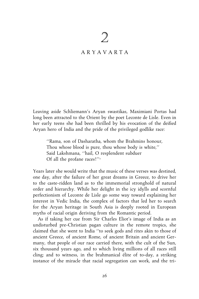# ARYAVARTA

Leaving aside Schliemann's Aryan swastikas, Maximiani Portas had long been attracted to the Orient by the poet Leconte de Lisle. Even in her early teens she had been thrilled by his evocation of the deified Aryan hero of India and the pride of the privileged godlike race:

''Rama, son of Dasharatha, whom the Brahmins honour, Thou whose blood is pure, thou whose body is white,'' Said Lakshmana, ''hail, O resplendent subduer Of all the profane races!"<sup>1</sup>

Years later she would write that the music of these verses was destined, one day, after the failure of her great dreams in Greece, to drive her to the caste-ridden land as to the immemorial stronghold of natural order and hierarchy. While her delight in the icy idylls and scornful perfectionism of Leconte de Lisle go some way toward explaining her interest in Vedic India, the complex of factors that led her to search for the Aryan heritage in South Asia is deeply rooted in European myths of racial origin deriving from the Romantic period.

As if taking her cue from Sir Charles Eliot's image of India as an undisturbed pre-Christian pagan culture in the remote tropics, she claimed that she went to India ''to seek gods and rites akin to those of ancient Greece, of ancient Rome, of ancient Britain and ancient Germany, that people of our race carried there, with the cult of the Sun, six thousand years ago, and to which living millions of all races still cling; and to witness, in the brahmanical élite of to-day, a striking instance of the miracle that racial segregation can work, and the tri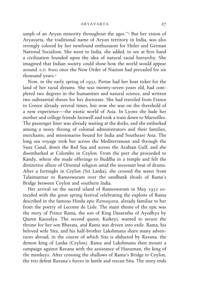umph of an Aryan minority throughout the ages."<sup>2</sup> But her vision of Aryavarta, the traditional name of Aryan territory in India, was also strongly colored by her newfound enthusiasm for Hitler and German National Socialism. She went to India, she added, to see at first hand a civilization founded upon the idea of natural racial hierarchy. She imagined that Indian society could show how the world would appear around A.D. 8000 once the New Order of Nazism had prevailed for six thousand years.3

Now, in the early spring of 1932, Portas had her boat ticket for the land of her racial dreams. She was twenty-seven years old, had completed two degrees in the humanities and natural science, and written two substantial theses for her doctorate. She had traveled from France to Greece already several times, but now she was on the threshold of a new experience— the exotic world of Asia. In Lyons she bade her mother and college friends farewell and took a train down to Marseilles. The passenger liner was already waiting at the docks, and she embarked among a noisy throng of colonial administrators and their families, merchants, and missionaries bound for India and Southeast Asia. The long sea voyage took her across the Mediterranean and through the Suez Canal, down the Red Sea and across the Arabian Gulf, and she disembarked at Colombo in Ceylon. From the port she proceeded to Kandy, where she made offerings to Buddha in a temple and felt the distinctive allure of Oriental religion amid the incessant beat of drums. After a fortnight in Ceylon (Sri Lanka), she crossed the water from Talaimannar to Rameswaram over the sandbank shoals of Rama's Bridge between Ceylon and southern India.

Her arrival on the sacred island of Rameswaram in May 1932 coincided with the great spring festival celebrating the exploits of Rama described in the famous Hindu epic *Ramayana*, already familiar to her from the poetry of Leconte de Lisle. The main theme of the epic was the story of Prince Rama, the son of King Dasaratha of Ayodhya by Queen Kausalya. The second queen, Kaikeyi, wanted to secure the throne for her son Bharata, and Rama was driven into exile. Rama, his beloved wife Sita, and his half-brother Lakshmana share many adventures abroad, in the course of which Sita is abducted by Ravana, the demon king of Lanka (Ceylon). Rama and Lakshmana then mount a campaign against Ravana with the assistance of Hanuman, the king of the monkeys. After crossing the shallows of Rama's Bridge to Ceylon, the trio defeat Ravana's forces in battle and rescue Sita. The story ends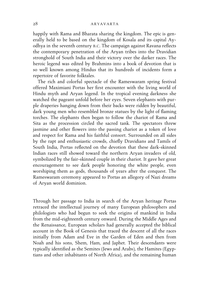happily with Rama and Bharata sharing the kingdom. The epic is generally held to be based on the kingdom of Kosala and its capital Ayodhya in the seventh century B.C. The campaign against Ravana reflects the contemporary penetration of the Aryan tribes into the Dravidian stronghold of South India and their victory over the darker races. The heroic legend was edited by Brahmins into a book of devotion that is so well known among Hindus that its hundreds of incidents form a repertoire of favorite folktales.

The rich and colorful spectacle of the Rameswaram spring festival offered Maximiani Portas her first encounter with the living world of Hindu myth and Aryan legend. In the tropical evening darkness she watched the pageant unfold before her eyes. Seven elephants with purple draperies hanging down from their backs were ridden by beautiful, dark young men who resembled bronze statues by the light of flaming torches. The elephants then began to follow the chariot of Rama and Sita as the procession circled the sacred tank. The spectators threw jasmine and other flowers into the passing chariot as a token of love and respect for Rama and his faithful consort. Surrounded on all sides by the rapt and enthusiastic crowds, chiefly Dravidians and Tamils of South India, Portas reflected on the devotion that these dark-skinned Indian races still showed toward the northern Aryan invaders of old, symbolized by the fair-skinned couple in their chariot. It gave her great encouragement to see dark people honoring the white people, even worshiping them as gods, thousands of years after the conquest. The Rameswaram ceremony appeared to Portas an allegory of Nazi dreams of Aryan world dominion.

Through her passage to India in search of the Aryan heritage Portas retraced the intellectual journey of many European philosophers and philologists who had begun to seek the origins of mankind in India from the mid-eighteenth century onward. During the Middle Ages and the Renaissance, European scholars had generally accepted the biblical account in the Book of Genesis that traced the descent of all the races initially from Adam and Eve in the Garden of Eden and then from Noah and his sons, Shem, Ham, and Japhet. Their descendants were typically identified as the Semites (Jews and Arabs), the Hamites (Egyptians and other inhabitants of North Africa), and the remaining human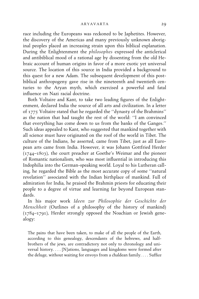race including the Europeans was reckoned to be Japhetites. However, the discovery of the Americas and many previously unknown aboriginal peoples placed an increasing strain upon this biblical explanation. During the Enlightenment the *philosophes* expressed the anticlerical and antibiblical mood of a rational age by dissenting from the old Hebraic account of human origins in favor of a more exotic yet universal source. The location of this source in India provided a background to this quest for a new Adam. The subsequent development of this postbiblical anthropogeny gave rise in the nineteenth and twentieth centuries to the Aryan myth, which exercised a powerful and fatal influence on Nazi racial doctrine.

Both Voltaire and Kant, to take two leading figures of the Enlightenment, declared India the source of all arts and civilization. In a letter of 1775 Voltaire stated that he regarded the ''dynasty of the Brahmins'' as the nation that had taught the rest of the world: ''I am convinced that everything has come down to us from the banks of the Ganges.'' Such ideas appealed to Kant, who suggested that mankind together with all science must have originated on the roof of the world in Tibet. The culture of the Indians, he asserted, came from Tibet, just as all European arts came from India. However, it was Johann Gottfried Herder (1744–1803), the court preacher at Goethe's Weimar and the pioneer of Romantic nationalism, who was most influential in introducing this Indophilia into the German-speaking world. Loyal to his Lutheran calling, he regarded the Bible as the most accurate copy of some ''natural revelation'' associated with the Indian birthplace of mankind. Full of admiration for India, he praised the Brahmin priests for educating their people to a degree of virtue and learning far beyond European standards.

In his major work *Ideen zur Philosophie der Geschichte der Menschheit* (Outlines of a philosophy of the history of mankind) (1784–1791), Herder strongly opposed the Noachian or Jewish genealogy:

The pains that have been taken, to make of all the people of the Earth, according to this genealogy, descendants of the hebrews, and halfbrothers of the jews, are contradictory not only to chronology and universal history. . . . [N]ations, languages and kingdoms were formed after the deluge, without waiting for envoys from a chaldean family. . . . Suffice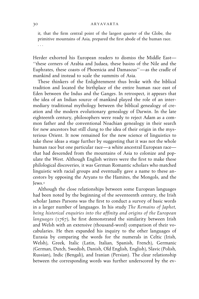## 30 ARYAVARTA

it, that the firm central point of the largest quarter of the Globe, the primitive mountains of Asia, prepared the first abode of the human race. ...

Herder exhorted his European readers to dismiss the Middle East— ''these corners of Arabia and Judaea, these basins of the Nile and the Euphrates, these coasts of Phoenicia and Damascus''—as the cradle of mankind and instead to scale the summits of Asia.

These thinkers of the Enlightenment thus broke with the biblical tradition and located the birthplace of the entire human race east of Eden between the Indus and the Ganges. In retrospect, it appears that the idea of an Indian source of mankind played the role of an intermediary traditional mythology between the biblical genealogy of creation and the modern evolutionary genealogy of Darwin. In the late eighteenth century, philosophers were ready to reject Adam as a common father and the conventional Noachian genealogy in their search for new ancestors but still clung to the idea of their origin in the mysterious Orient. It now remained for the new science of linguistics to take these ideas a stage further by suggesting that it was not the whole human race but one particular race—a white ancestral European race that had descended from the mountains of Asia to colonize and populate the West. Although English writers were the first to make these philological discoveries, it was German Romantic scholars who matched linguistic with racial groups and eventually gave a name to these ancestors by opposing the Aryans to the Hamites, the Mongols, and the Jews.4

Although the close relationships between some European languages had been noted by the beginning of the seventeenth century, the Irish scholar James Parsons was the first to conduct a survey of basic words in a larger number of languages. In his study *The Remains of Japhet, being historical enquiries into the affinity and origins of the European languages* (1767), he first demonstrated the similarity between Irish and Welsh with an extensive (thousand-word) comparison of their vocabularies. He then expanded his inquiry to the other languages of Eurasia by comparing the words for the numerals in Celtic (Irish, Welsh), Greek, Italic (Latin, Italian, Spanish, French), Germanic (German, Dutch, Swedish, Danish, Old English, English), Slavic (Polish, Russian), Indic (Bengali), and Iranian (Persian). The clear relationship between the corresponding words was further underscored by the ev-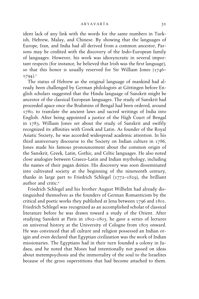ident lack of any link with the words for the same numbers in Turkish, Hebrew, Malay, and Chinese. By showing that the languages of Europe, Iran, and India had all derived from a common ancestor, Parsons may be credited with the discovery of the Indo-European family of languages. However, his work was idiosyncratic in several important respects (for instance, he believed that Irish was the first language), so that this honor is usually reserved for Sir William Jones (1746– 1794).5

The status of Hebrew as the original language of mankind had already been challenged by German philologists at Göttingen before English scholars suggested that the Hindu language of Sanskrit might be ancestor of the classical European languages. The study of Sanskrit had proceeded apace once the Brahmins of Bengal had been ordered, around 1780, to translate the ancient laws and sacred writings of India into English. After being appointed a justice of the High Court of Bengal in 1783, William Jones set about the study of Sanskrit and swiftly recognized its affinities with Greek and Latin. As founder of the Royal Asiatic Society, he was accorded widespread academic attention. In his third anniversary discourse to the Society on Indian culture in 1786, Jones made his famous pronouncement about the common origin of the Sanskrit, Greek, Latin, Gothic, and Celtic languages. He also noted close analogies between Graeco-Latin and Indian mythology, including the names of their pagan deities. His discovery was soon disseminated into cultivated society at the beginning of the nineteenth century, thanks in large part to Friedrich Schlegel (1772–1829), the brilliant author and critic.<sup>6</sup>

Friedrich Schlegel and his brother August Wilhelm had already distinguished themselves as the founders of German Romanticism by the critical and poetic works they published at Jena between 1796 and 1801. Friedrich Schlegel was recognized as an accomplished scholar of classical literature before he was drawn toward a study of the Orient. After studying Sanskrit at Paris in 1802–1803, he gave a series of lectures on universal history at the University of Cologne from 1805 onward. He was convinced that all culture and religion possessed an Indian origin and even declared that Egyptian civilization was the work of Indian missionaries. The Egyptians had in their turn founded a colony in Judaea, and he noted that Moses had intentionally not passed on ideas about metempsychosis and the immortality of the soul to the Israelites because of the gross superstitions that had become attached to them.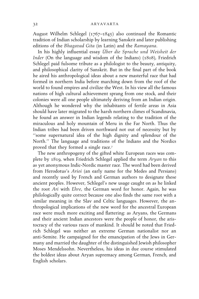August Wilhelm Schlegel (1767–1845) also continued the Romantic tradition of Indian scholarship by learning Sanskrit and later publishing editions of the *Bhagavad Gita* (in Latin) and the *Ramayana*.

In his highly influential essay *Über die Sprache und Weisheit der Inder* (On the language and wisdom of the Indians) (1808), Friedrich Schlegel paid fulsome tribute as a philologist to the beauty, antiquity, and philosophical clarity of Sanskrit. But in the final part of the book he aired his anthropological ideas about a new masterful race that had formed in northern India before marching down from the roof of the world to found empires and civilize the West. In his view all the famous nations of high cultural achievement sprang from one stock, and their colonies were all one people ultimately deriving from an Indian origin. Although he wondered why the inhabitants of fertile areas in Asia should have later migrated to the harsh northern climes of Scandinavia, he found an answer in Indian legends relating to the tradition of the miraculous and holy mountain of Meru in the Far North. Thus the Indian tribes had been driven northward not out of necessity but by ''some supernatural idea of the high dignity and splendour of the North.'' The language and traditions of the Indians and the Nordics proved that they formed a single race.7

The new anthropogeny of the gifted white European races was complete by 1819, when Friedrich Schlegel applied the term *Aryan* to this as yet anonymous Indic-Nordic master race. The word had been derived from Herodotus's *Arioi* (an early name for the Medes and Persians) and recently used by French and German authors to designate these ancient peoples. However, Schlegel's new usage caught on as he linked the root *Ari* with *Ehre*, the German word for honor. Again, he was philologically quite correct because one also finds the same root with a similar meaning in the Slav and Celtic languages. However, the anthropological implications of the new word for the ancestral European race were much more exciting and flattering: as Aryans, the Germans and their ancient Indian ancestors were the people of honor, the aristocracy of the various races of mankind. It should be noted that Friedrich Schlegel was neither an extreme German nationalist nor an anti-Semite. He campaigned for the emancipation of the Jews in Germany and married the daughter of the distinguished Jewish philosopher Moses Mendelssohn. Nevertheless, his ideas in due course stimulated the boldest ideas about Aryan supremacy among German, French, and English scholars.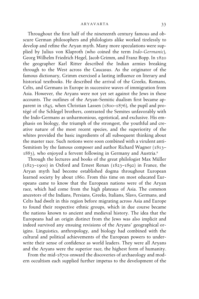Throughout the first half of the nineteenth century famous and obscure German philosophers and philologists alike worked tirelessly to develop and refine the Aryan myth. Many more speculations were supplied by Julius von Klaproth (who coined the term *Indo-Germanic*), Georg Wilhelm Friedrich Hegel, Jacob Grimm, and Franz Bopp. In 1820 the geographer Karl Ritter described the Indian armies breaking through to the West across the Caucasus. As the originator of the famous dictionary, Grimm exercised a lasting influence on literary and historical textbooks. He described the arrival of the Greeks, Romans, Celts, and Germans in Europe in successive waves of immigration from Asia. However, the Aryans were not yet set against the Jews in these accounts. The outlines of the Aryan-Semitic dualism first became apparent in 1845, when Christian Lassen (1800–1876), the pupil and protégé of the Schlegel brothers, contrasted the Semites unfavorably with the Indo-Germans as unharmonious, egotistical, and exclusive. His emphasis on biology, the triumph of the strongest, the youthful and creative nature of the most recent species, and the superiority of the whites provided the basic ingredients of all subsequent thinking about the master race. Such notions were soon combined with a virulent anti-Semitism by the famous composer and author Richard Wagner (1813-1883), who enjoyed a fervent following in Germany and Austria.<sup>8</sup>

Through the lectures and books of the great philologist Max Müller (1823–1900) in Oxford and Ernest Renan (1823–1892) in France, the Aryan myth had become established dogma throughout European learned society by about 1860. From this time on most educated Europeans came to know that the European nations were of the Aryan race, which had come from the high plateaus of Asia. The common ancestors of the Indians, Persians, Greeks, Italians, Slavs, Germans, and Celts had dwelt in this region before migrating across Asia and Europe to found their respective ethnic groups, which in due course became the nations known to ancient and medieval history. The idea that the Europeans had an origin distinct from the Jews was also implicit and indeed survived any ensuing revisions of the Aryans' geographical origins. Linguistics, anthropology, and biology had combined with the cultural and political achievements of the European powers to underwrite their sense of confidence as world leaders. They were all Aryans and the Aryans were the superior race, the highest form of humanity.

From the mid-1870s onward the discoveries of archaeology and modern occultism each supplied further impetus to the development of the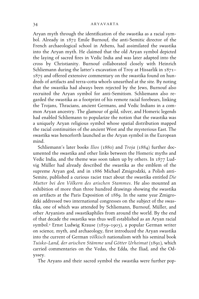Aryan myth through the identification of the swastika as a racial symbol. Already in 1872 Emile Burnouf, the anti-Semitic director of the French archaeological school in Athens, had assimilated the swastika into the Aryan myth. He claimed that the old Aryan symbol depicted the laying of sacred fires in Vedic India and was later adapted into the cross by Christianity. Burnouf collaborated closely with Heinrich Schliemann during the latter's excavation of Troy at Hissarlik in 1871– 1875 and offered extensive commentary on the swastika found on hundreds of artifacts and terra-cotta whorls unearthed at the site. By noting that the swastika had always been rejected by the Jews, Burnouf also recruited the Aryan symbol for anti-Semitism. Schliemann also regarded the swastika as a footprint of his remote racial forebears, linking the Trojans, Thracians, ancient Germans, and Vedic Indians in a common Aryan ancestry. The glamour of gold, silver, and Homeric legends had enabled Schliemann to popularize the notion that the swastika was a uniquely Aryan religious symbol whose spatial distribution mapped the racial continuities of the ancient West and the mysterious East. The swastika was henceforth launched as the Aryan symbol in the European mind.

Schliemann's later books *Ilios* (1880) and *Troja* (1884) further documented the swastika and other links between the Homeric myths and Vedic India, and the theme was soon taken up by others. In 1877 Ludvig Müller had already described the swastika as the emblem of the supreme Aryan god, and in 1886 Michael Zmigrodzki, a Polish anti-Semite, published a curious racist tract about the swastika entitled *Die Mutter bei den Vo¨lkern des arischen Stammes*. He also mounted an exhibition of more than three hundred drawings showing the swastika on artifacts at the Paris Exposition of 1889. In the same year Zmigrodzki addressed two international congresses on the subject of the swastika, one of which was attended by Schliemann, Burnouf, Müller, and other Aryanists and swastikaphiles from around the world. By the end of that decade the swastika was thus well established as an Aryan racial symbol.9 Ernst Ludwig Krause (1839–1903), a popular German writer on science, myth, and archaeology, first introduced the Aryan swastika into the current of German *völkisch* nationalism with his seminal book *Tuisko-Land, der arischen Sta¨mme und Go¨ tter Urheimat* (1891), which carried commentaries on the Vedas, the Edda, the Iliad, and the Odyssey.

The Aryans and their sacred symbol the swastika were further pop-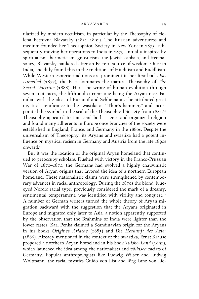ularized by modern occultism, in particular by the Theosophy of Helena Petrovna Blavatsky (1831–1891). The Russian adventuress and medium founded her Theosophical Society in New York in 1875, subsequently moving her operations to India in 1879. Initially inspired by spiritualism, hermeticism, gnosticism, the Jewish cabbala, and freemasonry, Blavatsky hankered after an Eastern source of wisdom. Once in India, she duly found this in the traditions of Hinduism and Buddhism. While Western esoteric traditions are prominent in her first book, *Isis Unveiled* (1877), the East dominates the mature Theosophy of *The Secret Doctrine* (1888). Here she wrote of human evolution through seven root races, the fifth and current one being the Aryan race. Familiar with the ideas of Burnouf and Schliemann, she attributed great mystical significance to the swastika as ''Thor's hammer,'' and incorporated the symbol in the seal of the Theosophical Society from 1881.<sup>10</sup> Theosophy appeared to transcend both science and organized religion and found many adherents in Europe once branches of the society were established in England, France, and Germany in the 1880s. Despite the universalism of Theosophy, its Aryans and swastika had a potent influence on mystical racism in Germany and Austria from the late 1890s onward.11

But it was the location of the original Aryan homeland that continued to preoccupy scholars. Flushed with victory in the Franco-Prussian War of 1870–1871, the Germans had evolved a highly chauvinistic version of Aryan origins that favored the idea of a northern European homeland. These nationalistic claims were strengthened by contemporary advances in racial anthropology. During the 1870s the blond, blueeyed Nordic racial type, previously considered the mark of a dreamy, sentimental temperament, was identified with virility and conquest.<sup>12</sup> A number of German writers turned the whole theory of Aryan migration backward with the suggestion that the Aryans originated in Europe and migrated only later to Asia, a notion apparently supported by the observation that the Brahmins of India were lighter than the lower castes. Karl Penka claimed a Scandinavian origin for the Aryans in his books *Origines Ariacae* (1883) and *Die Herkunft der Arier* (1886). Already mentioned in the context of the swastika, Ernst Krause proposed a northern Aryan homeland in his book *Tuisko-Land* (1891), which launched the idea among the nationalists and *völkisch* racists of Germany. Popular anthropologists like Ludwig Wilser and Ludwig Woltmann, the racial mystics Guido von List and Jörg Lanz von Lie-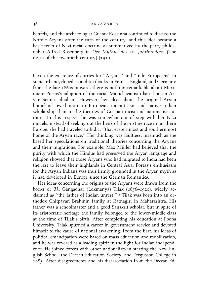# 36 ARYAVARTA

benfels, and the archaeologist Gustav Kossinna continued to discuss the Nordic Aryans after the turn of the century, and this idea became a basic tenet of Nazi racial doctrine as summarized by the party philosopher Alfred Rosenberg in *Der Mythus des 20. Jahrhunderts* (The myth of the twentieth century) (1930).

Given the existence of entries for ''Aryans'' and ''Indo-Europeans'' in standard encyclopedias and textbooks in France, England, and Germany from the late 1860s onward, there is nothing remarkable about Maximiani Portas's adoption of the racial Manichaeanism based on an Aryan-Semitic dualism. However, her ideas about the original Aryan homeland owed more to European romanticism and native Indian scholarship than to the theories of German racist and nationalist authors. In this respect she was somewhat out of step with her Nazi models; instead of seeking out the heirs of the pristine race in northern Europe, she had traveled to India, ''that easternmost and southernmost home of the Aryan race.'' Her thinking was faultless, inasmuch as she based her speculations on traditional theories concerning the Aryans and their migrations. For example, Max Müller had believed that the purity with which the Hindus had preserved the Aryan language and religion showed that those Aryans who had migrated to India had been the last to leave their highlands in Central Asia. Portas's enthusiasm for the Aryan Indians was thus firmly grounded in the Aryan myth as it had developed in Europe since the German Romantics.

Her ideas concerning the origins of the Aryans were drawn from the books of Baˆl Gangadhar (Lokmanya) Tilak (1856–1920), widely acclaimed as "the father of Indian unrest."<sup>13</sup> Tilak was born into an orthodox Chitpavan Brahmin family at Ratnagiri in Maharashtra. His father was a schoolmaster and a good Sanskrit scholar, but in spite of its aristocratic heritage the family belonged to the lower-middle class at the time of Tilak's birth. After completing his education at Poona University, Tilak spurned a career in government service and devoted himself to the cause of national awakening. From the first, his ideas of political emancipation were based on mass education and mobilization, and he was revered as a leading spirit in the fight for Indian independence. He joined forces with other nationalists in starting the New English School, the Deccan Education Society, and Fergusson College in 1885. After disagreements and his disassociation from the Deccan Ed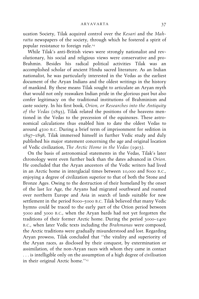ucation Society, Tilak acquired control over the *Kesari* and the *Mahratta* newspapers of the society, through which he fostered a spirit of popular resistance to foreign rule.14

While Tilak's anti-British views were strongly nationalist and revolutionary, his social and religious views were conservative and pro-Brahmin. Besides his radical political activities Tilak was an accomplished scholar of ancient Hindu sacred literature. As an Indian nationalist, he was particularly interested in the Vedas as the earliest document of the Aryan Indians and the oldest writings in the history of mankind. By these means Tilak sought to articulate an Aryan myth that would not only reawaken Indian pride in the glorious past but also confer legitimacy on the traditional institutions of Brahminism and caste society. In his first book, *Orion, or Researches into the Antiquity of the Vedas* (1893), Tilak related the positions of the heavens mentioned in the Vedas to the precession of the equinoxes. These astronomical calculations thus enabled him to date the oldest Vedas to around 4500 B.C. During a brief term of imprisonment for sedition in 1897–1898, Tilak immersed himself in further Vedic study and duly published his major statement concerning the age and original location of Vedic civilization, *The Arctic Home in the Vedas* (1903).

On the basis of astronomical statements in the Vedas, Tilak's later chronology went even further back than the dates advanced in *Orion*. He concluded that the Aryan ancestors of the Vedic writers had lived in an Arctic home in interglacial times between 10,000 and 8000 B.C., enjoying a degree of civilization superior to that of both the Stone and Bronze Ages. Owing to the destruction of their homeland by the onset of the last Ice Age, the Aryans had migrated southward and roamed over northern Europe and Asia in search of lands suitable for new settlement in the period 8000–5000 B.C. Tilak believed that many Vedic hymns could be traced to the early part of the Orion period between 5000 and 3000 B.C., when the Aryan bards had not yet forgotten the traditions of their former Arctic home. During the period 3000–1400 B.C., when later Vedic texts including the *Brahmanas* were composed, the Arctic traditions were gradually misunderstood and lost. Regarding Aryan prowess, Tilak concluded that ''the vitality and superiority of the Aryan races, as disclosed by their conquest, by extermination or assimilation, of the non-Aryan races with whom they came in contact . . . is intelligible only on the assumption of a high degree of civilisation in their original Arctic home."<sup>15</sup>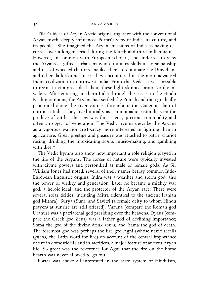#### 38 ARYAVARTA

Tilak's ideas of Aryan Arctic origins, together with the conventional Aryan myth, deeply influenced Portas's view of India, its culture, and its peoples. She imagined the Aryan invasions of India as having occurred over a longer period during the fourth and third millennia B.C. However, in common with European scholars, she preferred to view the Aryans as gifted barbarians whose military skills in horsemanship and use of wheeled chariots enabled them to dominate the Dravidians and other dark-skinned races they encountered in the more advanced Indus civilization in northwest India. From the Vedas it was possible to reconstruct a great deal about these light-skinned proto-Nordic invaders. After entering northern India through the passes in the Hindu Kush mountains, the Aryans had settled the Punjab and then gradually penetrated along the river courses throughout the Gangetic plain of northern India. They lived initially as seminomadic pastoralists on the produce of cattle. The cow was thus a very precious commodity and often an object of veneration. The Vedic hymns describe the Aryans as a vigorous warrior aristocracy more interested in fighting than in agriculture. Great prestige and pleasure was attached to battle, chariot racing, drinking the intoxicating *soma*, music-making, and gambling with dice.<sup>16</sup>

The Vedic hymns also show how important a role religion played in the life of the Aryans. The forces of nature were typically invested with divine powers and personified as male or female gods. As Sir William Jones had noted, several of their names betray common Indo-European linguistic origins. Indra was a weather and storm god, also the power of virility and generation. Later he became a mighty war god, a heroic ideal, and the protector of the Aryan race. There were several solar deities, including Mitra (identical to the ancient Iranian god Mithra), Surya (Sun), and Savitri (a female deity to whom Hindu prayers at sunrise are still offered). Varuna (compare the Roman god Uranus) was a patriarchal god presiding over the heavens. Dyaus (compare the Greek god Zeus) was a father god of declining importance; Soma the god of the divine drink *soma*; and Yama the god of death. The foremost god was perhaps the fire god Agni (whose name recalls *igneus*, the Latin word for fire) on account of the central importance of fire in domestic life and in sacrifices, a major feature of ancient Aryan life. So great was the reverence for Agni that the fire on the home hearth was never allowed to go out.

Portas was above all interested in the caste system of Hinduism,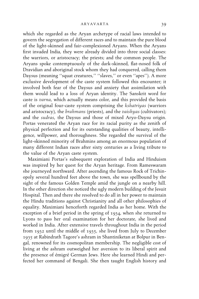which she regarded as the Aryan archetype of racial laws intended to govern the segregation of different races and to maintain the pure blood of the light-skinned and fair-complexioned Aryans. When the Aryans first invaded India, they were already divided into three social classes: the warriors, or aristocracy; the priests; and the common people. The Aryans spoke contemptuously of the dark-skinned, flat-nosed folk of Dravidian and aboriginal stock whom they had conquered, calling them Daysus (meaning ''squat creatures,'' ''slaves,'' or even ''apes''). A more exclusive development of the caste system followed this encounter; it involved both fear of the Daysus and anxiety that assimilation with them would lead to a loss of Aryan identity. The Sanskrit word for caste is *varna*, which actually means color, and this provided the basis of the original four-caste system comprising the *kshatriyas* (warriors and aristocracy), the *brahmans* (priests), and the *vaishyas* (cultivators); and the *sudras*, the Daysus and those of mixed Aryo-Daysu origin. Portas venerated the Aryan race for its racial purity as the zenith of physical perfection and for its outstanding qualities of beauty, intelligence, willpower, and thoroughness. She regarded the survival of the light-skinned minority of Brahmins among an enormous population of many different Indian races after sixty centuries as a living tribute to the value of the Aryan caste system.

Maximiani Portas's subsequent exploration of India and Hinduism was inspired by her quest for the Aryan heritage. From Rameswaram she journeyed northward. After ascending the famous Rock of Trichinopoly several hundred feet above the town, she was spellbound by the sight of the famous Golden Temple amid the jungle on a nearby hill. In the other direction she noticed the ugly modern building of the Jesuit Hospital. Then and there she resolved to do all in her power to maintain the Hindu traditions against Christianity and all other philosophies of equality. Maximiani henceforth regarded India as her home. With the exception of a brief period in the spring of 1934, when she returned to Lyons to pass her oral examination for her doctorate, she lived and worked in India. After extensive travels throughout India in the period from 1932 until the middle of 1935, she lived from July to December 1935 at Rabindrath Tagore's ashram in Shantiniketan at Bolpur in Bengal, renowned for its cosmopolitan membership. The negligible cost of living at the ashram outweighed her aversion to its liberal spirit and the presence of émigré German Jews. Here she learned Hindi and perfected her command of Bengali. She then taught English history and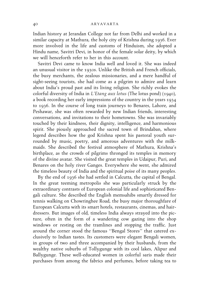## 40 ARYAVARTA

Indian history at Jerandan College not far from Delhi and worked in a similar capacity at Mathura, the holy city of Krishna during 1936. Ever more involved in the life and customs of Hinduism, she adopted a Hindu name, Savitri Devi, in honor of the female solar deity, by which we will henceforth refer to her in this account.

Savitri Devi came to know India well and loved it. She was indeed an unusual visitor in the 1930s. Unlike the British and French officials, the busy merchants, the zealous missionaries, and a mere handful of sight-seeing tourists, she had come as a pilgrim to admire and learn about India's proud past and its living religion. She richly evokes the colorful diversity of India in *L'Etang aux lotus* (The lotus pond) (1940), a book recording her early impressions of the country in the years 1934 to 1936. In the course of long train journeys to Benares, Lahore, and Peshawar, she was often rewarded by new Indian friends, interesting conversations, and invitations to their hometowns. She was invariably touched by their kindness, their dignity, intelligence, and harmonious spirit. She piously approached the sacred town of Brindaban, where legend describes how the god Krishna spent his pastoral youth surrounded by music, poetry, and amorous adventures with the milkmaids. She described the festival atmosphere of Mathura, Krishna's birthplace, as the crowds of pilgrims thronged its temples in memory of the divine avatar. She visited the great temples in Udaipur, Puri, and Benares on the holy river Ganges. Everywhere she went, she admired the timeless beauty of India and the spiritual poise of its many peoples.

By the end of 1936 she had settled in Calcutta, the capital of Bengal. In the great teeming metropolis she was particularly struck by the extraordinary contrasts of European colonial life and sophisticated Bengali culture. She described the English memsahibs smartly dressed for tennis walking on Chowringhee Road, the busy major thoroughfare of European Calcutta with its smart hotels, restaurants, cinemas, and hairdressers. But images of old, timeless India always strayed into the picture, often in the form of a wandering cow gazing into the shop windows or resting on the tramlines and stopping the traffic. Just around the corner stood the famous ''Bengal Stores'' that catered exclusively to Indian tastes. Its customers were elegant Bengali women, in groups of two and three accompanied by their husbands, from the wealthy native suburbs of Tollygunge with its cool lakes, Alipur and Ballygunge. These well-educated women in colorful saris made their purchases from among the fabrics and perfumes, before taking tea to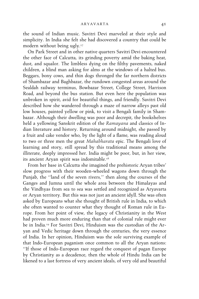the sound of Indian music. Savitri Devi marveled at their style and simplicity. In India she felt she had discovered a country that could be modern without being ugly.<sup>17</sup>

On Park Street and in other native quarters Savitri Devi encountered the other face of Calcutta, its grinding poverty amid the baking heat, dust, and squalor. The limbless dying on the filthy pavements, naked children, a blind man asking for alms at the windows of a halted bus. Beggars, bony cows, and thin dogs thronged the far northern districts of Shambazar and Baghbazar, the rundown congested areas around the Sealdah railway terminus, Bowbazar Street, College Street, Harrison Road, and beyond the bus station. But even here the population was unbroken in spirit, avid for beautiful things, and friendly. Savitri Devi described how she wandered through a maze of narrow alleys past old low houses, painted yellow or pink, to visit a Bengali family in Shambazar. Although their dwelling was poor and decrepit, the bookshelves held a yellowing Sanskrit edition of the *Ramayana* and classics of Indian literature and history. Returning around midnight, she passed by a fruit and cake vendor who, by the light of a flame, was reading aloud to two or three men the great *Mahabharata* epic. The Bengali love of learning and story, still spread by this traditional means among the illiterate, deeply impressed her. India might be poor, but, in her view, its ancient Aryan spirit was indomitable.<sup>18</sup>

From her base in Calcutta she imagined the prehistoric Aryan tribes' slow progress with their wooden-wheeled wagons down through the Punjab, the ''land of the seven rivers,'' then along the courses of the Ganges and Jumna until the whole area between the Himalayas and the Vindhyas from sea to sea was settled and recognized as Aryavarta or Aryan territory. But this was not just an ancient idyll. She was often asked by Europeans what she thought of British rule in India, to which she often wanted to counter what they thought of Roman rule in Europe. From her point of view, the legacy of Christianity in the West had proven much more enduring than that of colonial rule might ever be in India.19 For Savitri Devi, Hinduism was the custodian of the Aryan and Vedic heritage down through the centuries, the very essence of India. In her opinion, Hinduism was the sole surviving example of that Indo-European paganism once common to all the Aryan nations: ''If those of Indo-European race regard the conquest of pagan Europe by Christianity as a decadence, then the whole of Hindu India can be likened to a last fortress of very ancient ideals, of very old and beautiful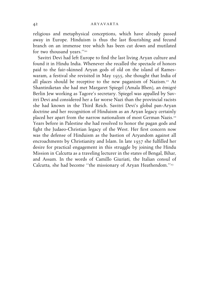religious and metaphysical conceptions, which have already passed away in Europe. Hinduism is thus the last flourishing and fecund branch on an immense tree which has been cut down and mutilated for two thousand years.<sup>"20</sup>

Savitri Devi had left Europe to find the last living Aryan culture and found it in Hindu India. Whenever she recalled the spectacle of honors paid to the fair-skinned Aryan gods of old on the island of Rameswaram, a festival she revisited in May 1935, she thought that India of all places should be receptive to the new paganism of Nazism.<sup>21</sup> At Shantiniketan she had met Margaret Spiegel (Amala Bhen), an émigré Berlin Jew working as Tagore's secretary. Spiegel was appalled by Savitri Devi and considered her a far worse Nazi than the provincial racists she had known in the Third Reich. Savitri Devi's global pan-Aryan doctrine and her recognition of Hinduism as an Aryan legacy certainly placed her apart from the narrow nationalism of most German Nazis.<sup>22</sup> Years before in Palestine she had resolved to honor the pagan gods and fight the Judaeo-Christian legacy of the West. Her first concern now was the defense of Hinduism as the bastion of Aryandom against all encroachments by Christianity and Islam. In late 1937 she fulfilled her desire for practical engagement in this struggle by joining the Hindu Mission in Calcutta as a traveling lecturer in the states of Bengal, Bihar, and Assam. In the words of Camillo Giuriati, the Italian consul of Calcutta, she had become ''the missionary of Aryan Heathendom.''23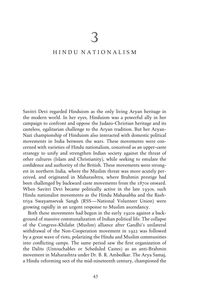# HINDU NATIONALISM

Savitri Devi regarded Hinduism as the only living Aryan heritage in the modern world. In her eyes, Hinduism was a powerful ally in her campaign to confront and oppose the Judaeo-Christian heritage and its casteless, egalitarian challenge to the Aryan tradition. But her Aryan-Nazi championship of Hinduism also interacted with domestic political movements in India between the wars. These movements were concerned with varieties of Hindu nationalism, conceived as an upper-caste strategy to unify and strengthen Indian society against the threat of other cultures (Islam and Christianity), while seeking to emulate the confidence and authority of the British. These movements were strongest in northern India, where the Muslim threat was more acutely perceived, and originated in Maharashtra, where Brahmin prestige had been challenged by backward caste movements from the 1870s onward. When Savitri Devi became politically active in the late 1930s, such Hindu nationalist movements as the Hindu Mahasabha and the Rashtriya Swayamsevak Sangh (RSS—National Volunteer Union) were growing rapidly in an urgent response to Muslim ascendancy.

Both these movements had begun in the early 1920s against a background of massive communalization of Indian political life. The collapse of the Congress-Khilafat (Muslim) alliance after Gandhi's unilateral withdrawal of the Non-Cooperation movement in 1922 was followed by a great wave of riots, polarizing the Hindu and Muslim communities into conflicting camps. The same period saw the first organization of the Dalits (Untouchables or Scheduled Castes) as an anti-Brahmin movement in Maharashtra under Dr. B. R. Ambedkar. The Arya Samaj, a Hindu reforming sect of the mid-nineteenth century, championed the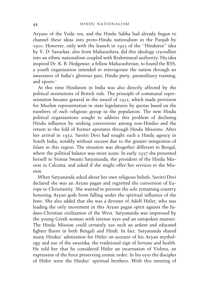Aryans of the Vedic era, and the Hindu Sabha had already begun to channel these ideas into proto-Hindu nationalism in the Punjab by 1910. However, only with the launch in 1923 of the ''Hindutva'' idea by V. D. Savarkar, also from Maharashtra, did this ideology crystallize into an ethnic nationalism coupled with Brahminical authority. His idea inspired Dr. K. B. Hedgewar, a fellow Maharashtrian, to found the RSS, a youth organization intended to reinvigorate the nation through an awareness of India's glorious past, Hindu piety, paramilitary training, and sports.<sup>1</sup>

At this time Hinduism in India was also directly affected by the political institutions of British rule. The principle of communal representation became general in the award of 1932, which made provision for Muslim representation in state legislatures by quotas based on the numbers of each religious group in the population. The new Hindu political organizations sought to address this problem of declining Hindu influence by seeking conversions among non-Hindus and the return to the fold of former apostates through Hindu Missions. After her arrival in 1932, Savitri Devi had sought such a Hindu agency in South India, notably without success due to the greater integration of Islam in this region. The situation was altogether different in Bengal, where the political balance was more acute. In early 1937 she presented herself to Srimat Swami Satyananda, the president of the Hindu Mission in Calcutta, and asked if she might offer her services to the Mission.

When Satyananda asked about her own religious beliefs, Savitri Devi declared she was an Aryan pagan and regretted the conversion of Europe to Christianity. She wanted to prevent the sole remaining country honoring Aryan gods from falling under the spiritual influence of the Jews. She also added that she was a devotee of Adolf Hitler, who was leading the only movement in this Aryan pagan spirit against the Judaeo-Christian civilization of the West. Satyananda was impressed by the young Greek woman with intense eyes and an outspoken manner. The Hindu Mission could certainly use such an ardent and educated fighter fluent in both Bengali and Hindi. In fact, Satyananda shared many Hindus' admiration for Hitler on account of his Aryan mythology and use of the swastika, the traditional sign of fortune and health. He told her that he considered Hitler an incarnation of Vishnu, an expression of the force preserving cosmic order. In his eyes the disciples of Hitler were the Hindus' spiritual brothers. With this meeting of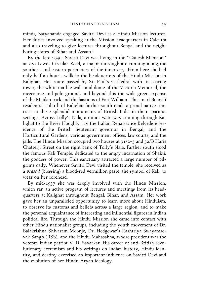minds, Satyananda engaged Savitri Devi as a Hindu Mission lecturer. Her duties involved speaking at the Mission headquarters in Calcutta and also traveling to give lectures throughout Bengal and the neighboring states of Bihar and Assam.<sup>2</sup>

By the late 1930s Savitri Devi was living in the ''Ganesh Mansion'' at 220 Lower Circular Road, a major thoroughfare running along the southern and eastern perimeters of the inner city. From here she had only half an hour's walk to the headquarters of the Hindu Mission in Kalighat. Her route passed by St. Paul's Cathedral with its soaring tower, the white marble walls and dome of the Victoria Memorial, the racecourse and polo ground, and beyond this the wide green expanse of the Maidan park and the bastions of Fort William. The smart Bengali residential suburb of Kalighat farther south made a proud native contrast to these splendid monuments of British India in their spacious settings. Across Tolly's Nala, a minor waterway running through Kalighat to the River Hooghly, lay the Italian Renaissance Belvedere residence of the British lieutenant governor in Bengal, and the Horticultural Gardens, various government offices, law courts, and the jails. The Hindu Mission occupied two houses at  $31/2$ –3 and  $32/B$  Haris Chatterji Street on the right bank of Tolly's Nala. Farther south stood the famous Kali Temple, dedicated to the angry incarnation of Shakti, the goddess of power. This sanctuary attracted a large number of pilgrims daily. Whenever Savitri Devi visited the temple, she received as a *prasad* (blessing) a blood-red vermillion paste, the symbol of Kali, to wear on her forehead.

By mid-1937 she was deeply involved with the Hindu Mission, which ran an active program of lectures and meetings from its headquarters at Kalighat throughout Bengal, Bihar, and Assam. Her work gave her an unparalleled opportunity to learn more about Hinduism, to observe its customs and beliefs across a large region, and to make the personal acquaintance of interesting and influential figures in Indian political life. Through the Hindu Mission she came into contact with other Hindu nationalist groups, including the youth movement of Dr. Balakrishna Shivaram Moonje, Dr. Hedgewar's Rashtriya Swayamsevak Sangh (RSS), and the Hindu Mahasabha, whose president was the veteran Indian patriot V. D. Savarkar. His career of anti-British revolutionary extremism and his writings on Indian history, Hindu identity, and destiny exercised an important influence on Savitri Devi and the evolution of her Hindu-Aryan ideology.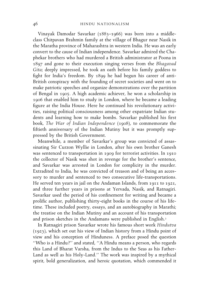Vinayak Damodar Savarkar (1883–1966) was born into a middleclass Chitpavan Brahmin family at the village of Bhagur near Nasik in the Maratha province of Maharashtra in western India. He was an early convert to the cause of Indian independence. Savarkar admired the Chaphekar brothers who had murdered a British administrator at Poona in 1897 and gone to their execution singing verses from the *Bhagavad Gita*; deeply impressed, he took an oath before his family goddess to fight for India's freedom. By 1899 he had begun his career of anti-British conspiracy with the founding of secret societies and went on to make patriotic speeches and organize demonstrations over the partition of Bengal in 1905. A high academic achiever, he won a scholarship in 1906 that enabled him to study in London, where he became a leading figure at the India House. Here he continued his revolutionary activities, raising political consciousness among other expatriate Indian students and learning how to make bombs. Savarkar published his first book, *The War of Indian Independence* (1908), to commemorate the fiftieth anniversary of the Indian Mutiny but it was promptly suppressed by the British Government.

Meanwhile, a member of Savarkar's group was convicted of assassinating Sir Curzon Wyllie in London, after his own brother Ganesh was sentenced to transportation in 1909 for terrorist activities. In 1910 the collector of Nasik was shot in revenge for the brother's sentence, and Savarkar was arrested in London for complicity in the murder. Extradited to India, he was convicted of treason and of being an accessory to murder and sentenced to two consecutive life-transportations. He served ten years in jail on the Andaman Islands, from 1911 to 1921, and three further years in prisons at Yervada, Nasik, and Ratnagiri. Savarkar used the period of his confinement for writing and became a prolific author, publishing thirty-eight books in the course of his lifetime. These included poetry, essays, and an autobiography in Marathi; the treatise on the Indian Mutiny and an account of his transportation and prison sketches in the Andamans were published in English.<sup>3</sup>

In Ratnagiri prison Savarkar wrote his famous short work *Hindutva* (1923), which set out his view of Indian history from a Hindu point of view and his conception of Hinduness. A preface posed the question ''Who is a Hindu?'' and stated, ''A Hindu means a person, who regards this Land of Bharat Varsha, from the Indus to the Seas as his Father-Land as well as his Holy-Land.'' The work was inspired by a mythical spirit, bold generalization, and heroic quotation, which commended it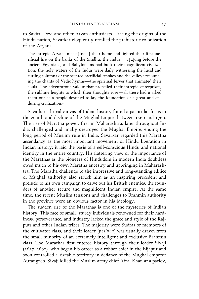to Savitri Devi and other Aryan enthusiasts. Tracing the origins of the Hindu nation, Savarkar eloquently recalled the prehistoric colonization of the Aryans:

The intrepid Aryans made [India] their home and lighted their first sacrificial fire on the banks of the Sindhu, the Indus. . . . [L]ong before the ancient Egyptians, and Babylonians had built their magnificent civilization, the holy waters of the Indus were daily witnessing the lucid and curling columns of the scented sacrificial smokes and the valleys resounding the chants of Vedic hymns— the spiritual ferver that animated their souls. The adventurous valour that propelled their intrepid enterprizes, the sublime heights to which their thoughts rose—all these had marked them out as a people destined to lay the foundation of a great and enduring civilization.4

Savarkar's broad canvas of Indian history found a particular focus in the zenith and decline of the Mughal Empire between 1560 and 1760. The rise of Maratha power, first in Maharashtra, later throughout India, challenged and finally destroyed the Mughal Empire, ending the long period of Muslim rule in India. Savarkar regarded this Maratha ascendancy as the most important movement of Hindu liberation in Indian history: it laid the basis of a self-conscious Hindu and national identity in the entire country. His flattering view of the importance of the Marathas as the pioneers of Hindudom in modern India doubtless owed much to his own Maratha ancestry and upbringing in Maharashtra. The Maratha challenge to the impressive and long-standing edifice of Mughal authority also struck him as an inspiring precedent and prelude to his own campaign to drive out his British enemies, the founders of another secure and magnificent Indian empire. At the same time, the recent Muslim tensions and challenges to Brahmin authority in the province were an obvious factor in his ideology.

The sudden rise of the Marathas is one of the mysteries of Indian history. This race of small, sturdy individuals renowned for their hardiness, perseverance, and industry lacked the grace and style of the Rajputs and other Indian tribes. The majority were Sudras or members of the cultivator class, and their leader (*peshwa*) was usually drawn from the small minority of an extremely intelligent and exclusive Brahmin class. The Marathas first entered history through their leader Sivaji (1627–1680), who began his career as a robber chief in the Bijapur and soon controlled a sizeable territory in defiance of the Mughal emperor Aurangzeb. Sivaji killed the Muslim army chief Afzal Khan at a parley,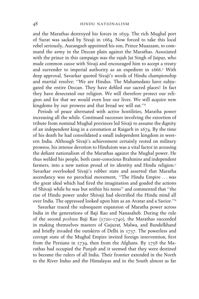and the Marathas destroyed his forces in 1659. The rich Mughal port of Surat was sacked by Sivaji in 1664. Now forced to take this local rebel seriously, Aurangzeb appointed his son, Prince Muazzam, to command the army in the Deccan plain against the Marathas. Associated with the prince in this campaign was the rajah Jai Singh of Jaipur, who made common cause with Sivaji and encouraged him to accept a treaty and surrender to imperial authority as an expedient in 1666.<sup>5</sup> With deep approval, Savarkar quoted Sivaji's words of Hindu championship and martial resolve: ''We are Hindus. The Mahamedans have subjugated the entire Deccan. They have defiled our sacred places! In fact they have desecrated our religion. We will therefore protect our religion and for that we would even lose our lives. We will acquire new kingdoms by our prowess and that bread we will eat.''6

Periods of peace alternated with active hostilities, Maratha power increasing all the while. Continued successes involving the extortion of tribute from nominal Mughal provinces led Sivaji to assume the dignity of an independent king in a coronation at Raigarh in 1674. By the time of his death he had consolidated a small independent kingdom in western India. Although Sivaji's achievement certainly rested on military prowess, his intense devotion to Hinduism was a vital factor in arousing the defiant nationalism of the Marathas against the Mughal power. He thus welded his people, both caste-conscious Brahmins and independent farmers, into a new nation proud of its identity and Hindu religion.7 Savarkar overlooked Sivaji's robber state and asserted that Maratha ascendancy was no parochial movement, ''The Hindu Empire . . . was the great ideal which had fired the imagination and goaded the actions of Shivaji while he was but within his teens'' and commented that ''the rise of Hindu power under Shivaji had electrified the Hindu mind all over India. The oppressed looked upon him as an Avatar and a Savior.''8

Savarkar traced the subsequent expansion of Maratha power across India in the generations of Baji Rao and Nanasaheb. During the rule of the second *peshwa* Baji Rao (1720–1740), the Marathas succeeded in making themselves masters of Gujurat, Malwa, and Bundelkhand and briefly invaded the outskirts of Delhi in 1737. The powerless and corrupt state of the Mughal Empire invited foreign intervention, first from the Persians in 1739, then from the Afghans. By 1758 the Marathas had occupied the Punjab and it seemed that they were destined to become the rulers of all India. Their frontier extended in the North to the River Indus and the Himalayas and in the South almost as far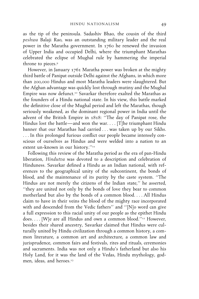as the tip of the peninsula. Sadashiv Bhao, the cousin of the third *peshwa* Balaji Rao, was an outstanding military leader and the real power in the Maratha government. In 1760 he renewed the invasion of Upper India and occupied Delhi, where the triumphant Marathas celebrated the eclipse of Mughal rule by hammering the imperial throne to pieces.9

However, in January 1761 Maratha power was broken at the mighty third battle of Panipat outside Delhi against the Afghans, in which more than 200,000 Hindus and most Maratha leaders were slaughtered. But the Afghan advantage was quickly lost through mutiny and the Mughal Empire was now defunct.10 Savarkar therefore exalted the Marathas as the founders of a Hindu national state. In his view, this battle marked the definitive close of the Mughal period and left the Marathas, though seriously weakened, as the dominant regional power in India until the advent of the British Empire in 1818: ''The day of Panipat rose, the Hindus lost the battle—and won the war.... [T]he triumphant Hindu banner that our Marathas had carried . . . was taken up by our Sikhs. ... In this prolonged furious conflict our people became intensely conscious of ourselves as Hindus and were welded into a nation to an extent un-known in our history."<sup>11</sup>

Following this review of the Maratha period as the era of pan-Hindu liberation, *Hindutva* was devoted to a description and celebration of Hinduness. Savarkar defined a Hindu as an Indian national, with references to the geographical unity of the subcontinent, the bonds of blood, and the maintenance of its purity by the caste system. ''The Hindus are not merely the citizens of the Indian state,'' he asserted, ''they are united not only by the bonds of love they bear to common motherland but also by the bonds of a common blood. . . . All Hindus claim to have in their veins the blood of the mighty race incorporated with and descended from the Vedic fathers'' and ''[N]o word can give a full expression to this racial unity of our people as the epithet Hindu does. . . . [W]e are all Hindus and own a common blood.''12 However, besides their shared ancestry, Savarkar claimed that Hindus were culturally united by Hindu civilization through a common history, a common literature, a common art and architecture, a common law and jurisprudence, common fairs and festivals, rites and rituals, ceremonies and sacraments. India was not only a Hindu's fatherland but also his Holy Land, for it was the land of the Vedas, Hindu mythology, godmen, ideas, and heroes.<sup>13</sup>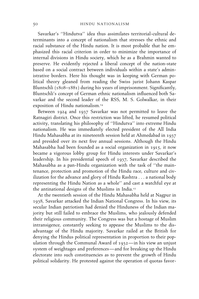Savarkar's ''Hindutva'' idea thus assimilates territorial-cultural determinants into a concept of nationalism that stresses the ethnic and racial substance of the Hindu nation. It is most probable that he emphasized this racial criterion in order to minimize the importance of internal divisions in Hindu society, which he as a Brahmin wanted to preserve. He evidently rejected a liberal concept of the nation-state based on a social contract between individuals within a state's administrative borders. Here his thought was in keeping with German political theory gleaned from reading the Swiss jurist Johann Kaspar Bluntschli (1808–1881) during his years of imprisonment. Significantly, Bluntschli's concept of German ethnic nationalism influenced both Savarkar and the second leader of the RSS, M. S. Golwalkar, in their exposition of Hindu nationalism.<sup>14</sup>

Between 1924 and 1937 Savarkar was not permitted to leave the Ratnagiri district. Once this restriction was lifted, he resumed political activity, translating his philosophy of ''Hindutva'' into extreme Hindu nationalism. He was immediately elected president of the All India Hindu Mahasabha at its nineteenth session held at Ahmedabad in 1937 and presided over its next five annual sessions. Although the Hindu Mahasabha had been founded as a social organization in 1915, it now became a vigorous lobby group for Hindu interests under Savarkar's leadership. In his presidential speech of 1937, Savarkar described the Mahasabha as a pan-Hindu organization with the task of ''the maintenance, protection and promotion of the Hindu race, culture and civilization for the advance and glory of Hindu Rashtra . . . a national body representing the Hindu Nation as a whole'' and cast a watchful eye at the antinational designs of the Muslims in India.15

At the twentieth session of the Hindu Mahasabha held at Nagpur in 1938, Savarkar attacked the Indian National Congress. In his view, its secular Indian patriotism had denied the Hinduness of the Indian majority but still failed to embrace the Muslims, who jealously defended their religious community. The Congress was but a hostage of Muslim intransigence, constantly seeking to appease the Muslims to the disadvantage of the Hindu majority. Savarkar railed at the British for denying the Hindus political representation in proportion to their population through the Communal Award of 1932—in his view an unjust system of weightages and preferences—and for breaking up the Hindu electorate into such constituencies as to prevent the growth of Hindu political solidarity. He protested against the operation of quotas favor-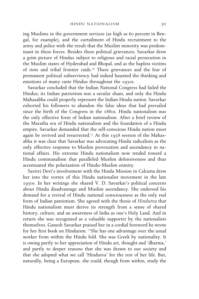ing Muslims in the government services (as high as 60 percent in Bengal, for example), and the curtailment of Hindu recruitment to the army and police with the result that the Muslim minority was predominant in these forces. Besides these political grievances, Savarkar drew a grim picture of Hindus subject to religious and racial persecution in the Muslim states of Hyderabad and Bhopal, and as the hapless victims of riots and tribal frontier raids.16 These grievances and the fear of permanent political subserviency had indeed haunted the thinking and emotions of many caste Hindus throughout the 1930s.

Savarkar concluded that the Indian National Congress had failed the Hindus; its Indian patriotism was a secular sham, and only the Hindu Mahasabha could properly represent the Indian Hindu nation. Savarkar exhorted his followers to abandon the false ideas that had prevailed since the birth of the Congress in the 1880s. Hindu nationalism was the only effective form of Indian nationalism. After a brief review of the Maratha era of Hindu nationalism and the foundation of a Hindu empire, Savarkar demanded that the self-conscious Hindu nation must again be revived and resurrected.<sup>17</sup> At this 1938 session of the Mahasabha it was clear that Savarkar was advocating Hindu radicalism as the only effective response to Muslim provocation and ascendancy in national affairs. His extreme Hindu nationalism now tended toward a Hindu communalism that paralleled Muslim defensiveness and thus accentuated the polarization of Hindu-Muslim enmity.

Savitri Devi's involvement with the Hindu Mission in Calcutta drew her into the vortex of this Hindu nationalist movement in the late 1930s. In her writings she shared V. D. Savarkar's political concerns about Hindu disadvantage and Muslim ascendancy. She endorsed his demand for a revival of Hindu national consciousness as the only real form of Indian patriotism. She agreed with the thesis of *Hindutva* that Hindu nationalism must derive its strength from a sense of shared history, culture, and an awareness of India as one's Holy Land. And in return she was recognized as a valuable supporter by the nationalists themselves. Ganesh Savarkar praised her in a cordial foreword he wrote for her first book on Hinduism: ''She has one advantage over the usual worker from within the Hindu fold. She was Greek by nationality. It is owing partly to her appreciation of Hindu art, thought and 'dharma,' and partly to deeper reasons that she was drawn to our society and that she adopted what we call 'Hindutva' for the rest of her life. But, naturally, being a European, she could, though from within, study the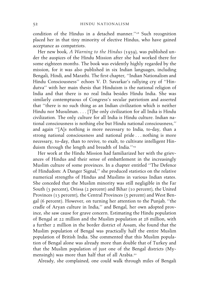condition of the Hindus in a detached manner.''18 Such recognition placed her in that tiny minority of elective Hindus, who have gained acceptance as compatriots.

Her new book, *A Warning to the Hindus* (1939), was published under the auspices of the Hindu Mission after she had worked there for some eighteen months. The book was evidently highly regarded by the mission, for it was also published in six Indian languages, including Bengali, Hindi, and Marathi. The first chapter, ''Indian Nationalism and Hindu Consciousness'' echoes V. D. Savarkar's rallying cry of ''Hindutva'' with her main thesis that Hinduism is the national religion of India and that there is no real India besides Hindu India. She was similarly contemptuous of Congress's secular patriotism and asserted that ''there is no such thing as an Indian civilization which is neither Hindu nor Musulman.... [T]he only civilization for all India is Hindu civilization. The only culture for all India is Hindu culture. Indian national consciousness is nothing else but Hindu national consciousness,'' and again ''[A]s nothing is more necessary to India, to-day, than a strong national consciousness and national pride... nothing is more necessary, to-day, than to revive, to exalt, to cultivate intelligent Hinduism through the length and breadth of India."<sup>19</sup>

Her work at the Hindu Mission had familiarized her with the grievances of Hindus and their sense of embattlement in the increasingly Muslim culture of some provinces. In a chapter entitled ''The Defence of Hindudom: A Danger Signal,'' she produced statistics on the relative numerical strengths of Hindus and Muslims in various Indian states. She conceded that the Muslim minority was still negligible in the Far South (3 percent), Orissa (2 percent) and Bihar (10 percent), the United Provinces (13 percent), the Central Provinces (5 percent) and West Bengal (6 percent). However, on turning her attention to the Punjab, ''the cradle of Aryan culture in India,'' and Bengal, her own adopted province, she saw cause for grave concern. Estimating the Hindu population of Bengal at 22 million and the Muslim population at 28 million, with a further 2 million in the border district of Assam, she found that the Muslim population of Bengal was practically half the entire Muslim population of British India. She commented that this Muslim population of Bengal alone was already more than double that of Turkey and that the Muslim population of just one of the Bengal districts (Mymensingh) was more than half that of all Arabia.20

Already, she complained, one could walk through miles of Bengali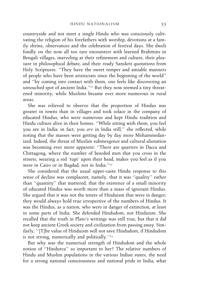countryside and not meet a single Hindu who was consciously cultivating the religion of his forefathers with worship, devotions at a family shrine, observances and the celebration of festival days. She dwelt fondly on the now all too rare encounters with learned Brahmins in Bengali villages, marveling at their refinement and culture, their pleasure in philosophical debate, and their ready Sanskrit quotations from Holy Scriptures. ''They have the sweet temper and amiable manners of people who have been aristocrats since the beginning of the world'' and ''by coming into contact with them, one feels like discovering an untouched spot of ancient India."<sup>21</sup> But they now seemed a tiny threatened minority, while Muslims became ever more numerous in rural areas.

She was relieved to observe that the proportion of Hindus was greater in towns than in villages and took solace in the company of educated Hindus, who were numerous and kept Hindu tradition and Hindu culture alive in their homes. ''While sitting with them, you feel you are in India; in fact, you *are* in India still,'' she reflected, while noting that the masses were getting day by day more Mohammedanized. Indeed, the threat of Muslim submergence and cultural alienation was becoming ever more apparent: ''There are quarters in Dacca and Chittagong, where the number of bearded men that you cross in the streets, wearing a red 'tupi' upon their head, makes you feel as if you were in Cairo or in Bagdad, not in India."<sup>22</sup>

She considered that the usual upper-caste Hindu response to this sense of decline was complacent, namely, that it was ''quality'' rather than ''quantity'' that mattered, that the existence of a small minority of educated Hindus was worth more than a mass of ignorant Hindus. She argued that it was not the tenets of Hinduism that were in danger; they would always hold true irrespective of the numbers of Hindus. It was the Hindus, as a nation, who were in danger of extinction, at least in some parts of India. She defended Hindudom, not Hinduism. She recalled that the truth in Plato's writings was still true, but that it did not keep ancient Greek society and civilization from passing away. Similarly, ''[T]he value of Hinduism will not save Hindudom, if Hindudom is not strong, numerically and politically.<sup>"23</sup>

But why was the numerical strength of Hindudom and the whole notion of ''Hindutva'' so important to her? The relative numbers of Hindu and Muslim populations in the various Indian states, the need for a strong national consciousness and national pride in India, what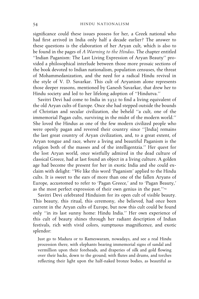significance could these issues possess for her, a Greek national who had first arrived in India only half a decade earlier? The answer to these questions is the elaboration of her Aryan cult, which is also to be found in the pages of *A Warning to the Hindus*. The chapter entitled ''Indian Paganism: The Last Living Expression of Aryan Beauty'' provided a philosophical interlude between those more prosaic sections of the book devoted to Indian nationalism, population censuses, the threat of Mohammedanization, and the need for a radical Hindu revival in the style of V. D. Savarkar. This cult of Aryanism alone represents those deeper reasons, mentioned by Ganesh Savarkar, that drew her to Hindu society and led to her lifelong adoption of ''Hindutva.''

Savitri Devi had come to India in 1932 to find a living equivalent of the old Aryan cults of Europe. Once she had stepped outside the bounds of Christian and secular civilization, she beheld ''a cult, one of the immemorial Pagan cults, surviving in the midst of the modern world.'' She loved the Hindus as one of the few modern civilized people who were openly pagan and revered their country since ''[India] remains the last great country of Aryan civilization, and, to a great extent, of Aryan tongue and race, where a living and beautiful Paganism is the religion both of the masses and of the intelligentzia.'' Her quest for the lost Aryan world, once wistfully admired in the dead culture of classical Greece, had at last found an object in a living culture. A golden age had become the present for her in exotic India and she could exclaim with delight: ''We like this word 'Paganism' applied to the Hindu cults. It is sweet to the ears of more than one of the fallen Aryans of Europe, accustomed to refer to 'Pagan Greece,' and to 'Pagan Beauty,' as the most perfect expression of their own genius in the past.<sup>''24</sup>

Savitri Devi celebrated Hinduism for its open cult of visible beauty. This beauty, this ritual, this ceremony, she believed, had once been current in the Aryan cults of Europe, but now this cult could be found only ''in its last sunny home: Hindu India.'' Her own experience of this cult of beauty shines through her radiant description of Indian festivals, rich with vivid colors, sumptuous magnificence, and exotic splendor:

Just go to Madura or to Rameswaram, nowadays, and see a real Hindu procession there, with elephants bearing immemorial signs of sandal and vermillion upon their foreheads, and draperies of silk and gold flowing over their backs, down to the ground; with flutes and drums, and torches reflecting their light upon the half-naked bronze bodies, as beautiful as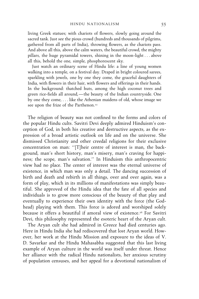living Greek statues; with chariots of flowers, slowly going around the sacred tank. Just see the pious crowd (hundreds and thousands of pilgrims, gathered from all parts of India), throwing flowers, as the chariots pass. And above all this, above the calm waters, the beautiful crowd, the mighty pillars, the huge pyramidal towers, shining in the moon-light... above all this, behold the one, simple, phosphorescent sky.

Just watch an ordinary scene of Hindu life: a line of young women walking into a temple, on a festival day. Draped in bright coloured sarees, sparkling with jewels, one by one they come, the graceful daughters of India, with flowers in their hair, with flowers and offerings in their hands. In the background: thatched huts, among the high coconut trees and green rice-fields all around,— the beauty of the Indian countryside. One by one they come, . . . like the Athenian maidens of old, whose image we see upon the frize of the Parthenon.<sup>25</sup>

The religion of beauty was not confined to the forms and colors of the popular Hindu cults. Savitri Devi deeply admired Hinduism's conception of God, in both his creative and destructive aspects, as the expression of a broad artistic outlook on life and on the universe. She dismissed Christianity and other creedal religions for their exclusive concentration on man: ''[T]heir centre of interest is man, the background, man's short history, man's misery, man's craving for happiness; the scope, man's salvation.'' In Hinduism this anthropocentric view had no place. The center of interest was the eternal universe of existence, in which man was only a detail. The dancing succession of birth and death and rebirth in all things, over and over again, was a form of play, which in its millions of manifestations was simply beautiful. She approved of the Hindu idea that the fate of all species and individuals is to grow more conscious of the beauty of that play and eventually to experience their own identity with the force (the Godhead) playing with them. This force is adored and worshiped solely because it offers a beautiful if amoral view of existence.<sup>26</sup> For Savitri Devi, this philosophy represented the esoteric heart of the Aryan cult.

The Aryan cult she had admired in Greece had died centuries ago. Here in Hindu India she had rediscovered that lost Aryan world. However, her work at the Hindu Mission and exposure to the ideas of V. D. Savarkar and the Hindu Mahasabha suggested that this last living example of Aryan culture in the world was itself under threat. Hence her alliance with the radical Hindu nationalists, her anxious scrutiny of population censuses, and her appeal for a devotional nationalism of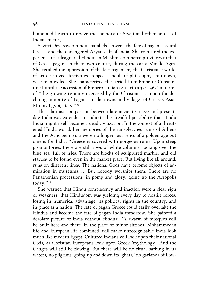home and hearth to revive the memory of Sivaji and other heroes of Indian history.

Savitri Devi saw ominous parallels between the fate of pagan classical Greece and the endangered Aryan cult of India. She compared the experience of beleaguered Hindus in Muslim-dominated provinces to that of Greek pagans in their own country during the early Middle Ages. She recalled the oppression of the last pagans by the Christians: works of art destroyed, festivities stopped, schools of philosophy shut down, wise men exiled. She characterized the period from Emperor Constantine I until the accession of Emperor Julian (A.D. circa 331–363) in terms of ''the growing tyranny exercised by the Christians... upon the declining minority of Pagans, in the towns and villages of Greece, Asia-Minor, Egypt, Italy."<sup>27</sup>

This alarmist comparison between late ancient Greece and presentday India was extended to indicate the dreadful possibility that Hindu India might itself become a dead civilization. In the context of a threatened Hindu world, her memories of the sun-bleached ruins of Athens and the Attic peninsula were no longer just relics of a golden age but omens for India: ''Greece is covered with gorgeous ruins. Upon steep promontories, there are still rows of white columns, looking over the blue sea, full of isles. There are blocks of sculptured marble, and old statues to be found even in the market place. But living life all around, runs on different lines. The national Gods have become objects of admiration in museums. . . . But nobody worships them. There are no Panathenian processions, in pomp and glory, going up the Acropolis today.''28

She warned that Hindu complacency and inaction were a clear sign of weakness, that Hindudom was yielding every day to hostile forces, losing its numerical advantage, its political rights in the country, and its place as a nation. The fate of pagan Greece could easily overtake the Hindus and become the fate of pagan India tomorrow. She painted a desolate picture of India without Hindus: ''A swarm of mosques will be built here and there, in the place of minor shrines. Mohammedan life and European life combined, will make unrecognisable India look much like modern Egypt. Cultured Indians will look upon their national Gods, as Christian Europeans look upon Greek 'mythology.' And the Ganges will still be flowing. But there will be no ritual bathing in its waters, no pilgrims, going up and down its 'ghats,' no garlands of flow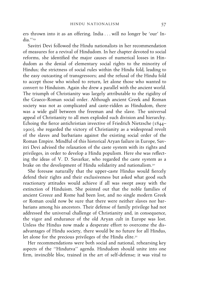ers thrown into it as an offering. India... will no longer be 'our' India.''29

Savitri Devi followed the Hindu nationalists in her recommendation of measures for a revival of Hindudom. In her chapter devoted to social reforms, she identified the major causes of numerical losses in Hindudom as the denial of elementary social rights to the minority of Hindus; the strictness of social rules within the Hindu fold, leading to the easy outcasting of transgressors; and the refusal of the Hindu fold to accept those who wished to return, let alone those who wanted to convert to Hinduism. Again she drew a parallel with the ancient world. The triumph of Christianity was largely attributable to the rigidity of the Graeco-Roman social order. Although ancient Greek and Roman society was not as complicated and caste-ridden as Hindudom, there was a wide gulf between the freeman and the slave. The universal appeal of Christianity to all men exploded such division and hierarchy. Echoing the fierce antichristian invective of Friedrich Nietzsche (1844– 1900), she regarded the victory of Christianity as a widespread revolt of the slaves and barbarians against the existing social order of the Roman Empire. Mindful of this historical Aryan failure in Europe, Savitri Devi advised the relaxation of the caste system with its rights and privileges, in order to develop a Hindu populism. Here she was reflecting the ideas of V. D. Savarkar, who regarded the caste system as a brake on the development of Hindu solidarity and nationalism.30

She foresaw naturally that the upper-caste Hindus would fiercely defend their rights and their exclusiveness but asked what good such reactionary attitudes would achieve if all was swept away with the extinction of Hinduism. She pointed out that the noble families of ancient Greece and Rome had been lost, and no single modern Greek or Roman could now be sure that there were neither slaves nor barbarians among his ancestors. Their defense of family privilege had not addressed the universal challenge of Christianity and, in consequence, the vigor and endurance of the old Aryan cult in Europe was lost. Unless the Hindus now made a desperate effort to overcome the disadvantages of Hindu society, there would be no future for all Hindus, let alone for the precious privileges of the Hindu elite. $3<sup>1</sup>$ 

Her recommendations were both social and national, rehearsing key aspects of the ''Hindutva'' agenda. Hindudom should unite into one firm, invincible bloc, trained in the art of self-defense; it was vital to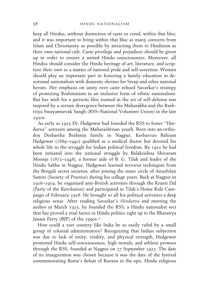keep all Hindus, without distinction of caste or creed, within that bloc; and it was important to bring within that bloc as many converts from Islam and Christianity as possible by attracting them to Hinduism as their own national cult. Caste privilege and prejudices should be given up in order to ensure a united Hindu consciousness. Moreover, all Hindus should consider the Hindu heritage of art, literature, and scripture their own as a matter of national pride and self-assertion. Women should play an important part in fostering a family education in devotional nationalism with domestic shrines for Sivaji and other national heroes. Her emphasis on unity over caste echoed Savarkar's strategy of protecting Brahminism in an inclusive form of ethnic nationalism. But her wish for a patriotic bloc trained in the art of self-defense was inspired by a certain divergence between the Mahasabha and the Rashtriya Swayamsevak Sangh (RSS–National Volunteer Union) in the late 1930s.

As early as 1925 Dr. Hedgewar had founded the RSS to foster ''Hindutva'' activism among the Maharashtrian youth. Born into an orthodox Deshastha Brahmin family in Nagpur, Keshavrao Baliram Hedgewar (1889–1940) qualified as a medical doctor but devoted his whole life to the struggle for Indian political freedom. By 1910 he had been initiated into the national struggle by Balakrishna Shivaram Moonje (1872–1948), a former aide of B. G. Tilak and leader of the Hindu Sabha in Nagpur. Hedgewar learned terrorist techniques from the Bengali secret societies, after joining the inner circle of Anushilan Samiti (Society of Practice) during his college years. Back at Nagpur in 1916–1919, he organized anti-British activities through the Kranti Dal (Party of the Revolution) and participated in Tilak's Home Rule Campaign of February 1918. He brought to all his political activities a deep religious sense. After reading Savarkar's *Hindutva* and meeting the author in March 1925, he founded the RSS, a Hindu nationalist sect that has proved a vital factor in Hindu politics right up to the Bharatiya Janata Party (BJP) of the 1990s.<sup>32</sup>

How could a vast country like India be so easily ruled by a small group of colonial administrators? Recognizing that Indian subjection was due to lack of unity, vitality, and physical strength, Hedgewar promoted Hindu self-consciousness, high morale, and athletic prowess through the RSS, founded at Nagpur on 27 September 1925. The date of its inauguration was chosen because it was the date of the festival commemorating Rama's defeat of Ravana in the epic. Hindu religious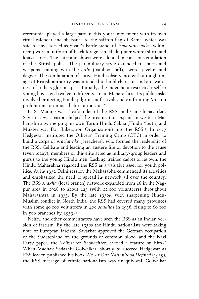ceremonial played a large part in this youth movement with its own ritual calendar and obeisance to the saffron flag of Rama, which was said to have served as Sivaji's battle standard. *Swayamsevaks* (volunteers) wore a uniform of black forage cap, khaki (later white) shirt, and khaki shorts. The shirt and shorts were adopted in conscious emulation of the British police. The paramilitary style extended to sports and weapons training with the *lathi* (bamboo staff), sword, javelin, and dagger. The combination of native Hindu observance with a tough image of British authority was intended to build character and an awareness of India's glorious past. Initially, the movement restricted itself to young boys aged twelve to fifteen years in Maharashtra. Its public tasks involved protecting Hindu pilgrims at festivals and confronting Muslim prohibitions on music before a mosque.33

B. S. Moonje was a cofounder of the RSS, and Ganesh Savarkar, Savitri Devi's patron, helped the organization expand in western Maharashtra by merging his own Tarun Hindu Sabha (Hindu Youth) and Mukteshwar Dal (Liberation Organization) into the RSS.34 In 1927 Hedgewar instituted the Officers' Training Camp (OTC) in order to build a corps of *pracharaks* (preachers), who formed the leadership of the RSS. Celibate and leading an austere life of devotion to the cause (even today), members of this elite acted as military-group leaders and gurus to the young Hindu men. Lacking trained cadres of its own, the Hindu Mahasabha regarded the RSS as a valuable asset for youth politics. At its 1932 Delhi session the Mahasabha commended its activities and emphasized the need to spread its network all over the country. The RSS *shakha* (local branch) network expanded from 18 in the Nagpur area in 1928 to about 125 (with 12,000 volunteers) throughout Maharashtra in 1933. By the late 1930s, with sharpening Hindu-Muslim conflict in North India, the RSS had covered many provinces with some 40,000 volunteers in 400 *shakhas* in 1938, rising to 60,000 in 500 branches by 1939.35

Nehru and other commentators have seen the RSS as an Indian version of fascism. By the late 1930s the Hindu nationalists were taking note of European fascism. Savarkar approved the German occupation of the Sudetenland on the grounds of common blood, and the Nazi Party paper, the *Völkischer Beobachter*, carried a feature on him.<sup>36</sup> When Madhav Sadashiv Golwalkar, shortly to succeed Hedgewar as RSS leader, published his book *We, or Our Nationhood Defined* (1939), the RSS message of ethnic nationalism was unequivocal. Golwalkar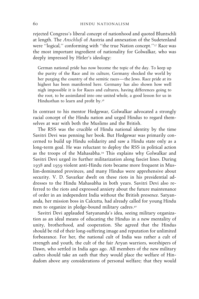rejected Congress's liberal concept of nationhood and quoted Bluntschli at length. The *Anschluß* of Austria and annexation of the Sudetenland were ''logical,'' conforming with ''the true Nation concept.''37 Race was the most important ingredient of nationality for Golwalkar, who was deeply impressed by Hitler's ideology:

German national pride has now become the topic of the day. To keep up the purity of the Race and its culture, Germany shocked the world by her purging the country of the semitic races— the Jews. Race pride at its highest has been manifested here. Germany has also shown how well nigh impossible it is for Races and cultures, having differences going to the root, to be assimilated into one united whole, a good lesson for us in Hindusthan to learn and profit by.38

In contrast to his mentor Hedgewar, Golwalkar advocated a strongly racial concept of the Hindu nation and urged Hindus to regard themselves at war with both the Muslims and the British.

The RSS was the crucible of Hindu national identity by the time Savitri Devi was penning her book. But Hedgewar was primarily concerned to build up Hindu solidarity and saw a Hindu state only as a long-term goal. He was reluctant to deploy the RSS in political action as the troops of the Mahasabha.39 This explains why Golwalkar and Savitri Devi urged its further militarization along fascist lines. During 1938 and 1939 violent anti-Hindu riots became more frequent in Muslim-dominated provinces, and many Hindus were apprehensive about security. V. D. Savarkar dwelt on these riots in his presidential addresses to the Hindu Mahasabha in both years. Savitri Devi also referred to the riots and expressed anxiety about the future maintenance of order in an independent India without the British presence. Satyananda, her mission boss in Calcutta, had already called for young Hindu men to organize in pledge-bound military cadres.40

Savitri Devi applauded Satyananda's idea, seeing military organization as an ideal means of educating the Hindus in a new mentality of unity, brotherhood, and cooperation. She agreed that the Hindus should be rid of their long-suffering image and reputation for unlimited forbearance. For her, the national cult of India was rather a cult of strength and youth, the cult of the fair Aryan warriors, worshipers of Dawn, who settled in India ages ago. All members of the new military cadres should take an oath that they would place the welfare of Hindudom above any considerations of personal welfare; that they would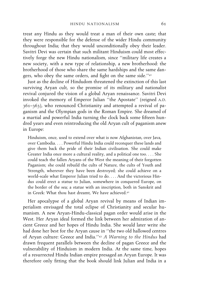treat any Hindu as they would treat a man of their own caste; that they were responsible for the defense of the wider Hindu community throughout India; that they would unconditionally obey their leader. Savitri Devi was certain that such militant Hinduism could most effectively forge the new Hindu nationalism, since ''military life creates a new society, with a new type of relationship, a new brotherhood: the brotherhood of those who share the same hardships and the same dangers, who obey the same orders, and fight on the same side.''41

Just as the decline of Hindudom threatened the extinction of this last surviving Aryan cult, so the promise of its military and nationalist revival conjured the vision of a global Aryan renaissance. Savitri Devi invoked the memory of Emperor Julian ''the Apostate'' (reigned A.D. 361–363), who renounced Christianity and attempted a revival of paganism and the Olympian gods in the Roman Empire. She dreamed of a martial and powerful India turning the clock back some fifteen hundred years and even reintroducing the old Aryan cult of paganism anew in Europe:

Hinduism, once, used to extend over what is now Afghanistan, over Java, over Cambodia. . . . Powerful Hindu India could reconquer these lands and give them back the pride of their Indian civilisation. She could make Greater India once more a cultural reality, and a political one too. . . . She could teach the fallen Aryans of the West the meaning of their forgotten Paganism; she could rebuild the cults of Nature, the cults of Youth and Strength, wherever they have been destroyed; she could achieve on a world-scale what Emperor Julian tried to do. . . . And the victorious Hindus could erect a statue to Julian, somewhere in conquered Europe, on the border of the sea; a statue with an inscription, both in Sanskrit and in Greek: What thou hast dreamt, We have achieved.42

Her apocalypse of a global Aryan revival by means of Indian imperialism envisaged the total eclipse of Christianity and secular humanism. A new Aryan-Hindu-classical pagan order would arise in the West. Her Aryan ideal formed the link between her admiration of ancient Greece and her hopes of Hindu India. She would later write she had done her best for the Aryan cause in ''the two old hallowed centres of Aryan culture: Greece and India.''43 *A Warning to the Hindus* had drawn frequent parallels between the decline of pagan Greece and the vulnerability of Hinduism in modern India. At the same time, hopes of a resurrected Hindu Indian empire presaged an Aryan Europe. It was therefore only fitting that the book should link Julian and India in a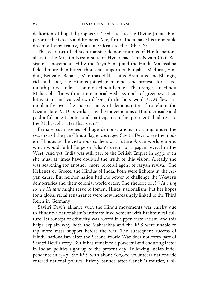dedication of hopeful prophecy: ''Dedicated to the Divine Julian, Emperor of the Greeks and Romans. May future India make his impossible dream a living reality, from one Ocean to the Other.''44

The year 1939 had seen massive demonstrations of Hindu nationalists in the Muslim Nizam state of Hyderabad. This Nizam Civil Resistance movement led by the Arya Samaj and the Hindu Mahasabha fielded more than fifteen thousand supporters. Punjabis, Madrasis, Sindhis, Bengalis, Beharis, Marathas, Sikhs, Jains, Brahmins, and Bhangis, rich and poor, the Hindus joined in marches and protests for a sixmonth period under a common Hindu banner. The orange pan-Hindu Mahasabha flag with its immemorial Vedic symbols of green swastika, lotus stem, and curved sword beneath the holy word *AUM* flew triumphantly over the massed ranks of demonstrators throughout the Nizam state. V. D. Savarkar saw the movement as a Hindu crusade and paid a fulsome tribute to all participants in his presidential address to the Mahasabha later that year.45

Perhaps such scenes of huge demonstrations marching under the swastika of the pan-Hindu flag encouraged Savitri Devi to see the modern Hindus as the victorious soldiers of a future Aryan world empire, which would fulfill Emperor Julian's dream of a pagan revival in the West. And yet, India was still part of the British Empire in 1939; even she must at times have doubted the truth of this vision. Already she was searching for another, more forceful agent of Aryan revival. The Hellenes of Greece, the Hindus of India, both were fighters in the Aryan cause. But neither nation had the power to challenge the Western democracies and their colonial world order. The rhetoric of *A Warning to the Hindus* might serve to foment Hindu nationalism, but her hopes for a global racial renaissance were now increasingly linked to the Third Reich in Germany.

Savitri Devi's alliance with the Hindu movements was chiefly due to Hindutva nationalism's intimate involvement with Brahminical culture. Its concept of ethnicity was rooted in upper-caste racism, and this helps explain why both the Mahasabha and the RSS were unable to tap more mass support before the war. The subsequent success of Hindu nationalism after the Second World War does not form part of Savitri Devi's story. But it has remained a powerful and enduring factor in Indian politics right up to the present day. Following Indian independence in 1947, the RSS with about 600,000 volunteers nationwide entered national politics. Briefly banned after Gandhi's murder, Gol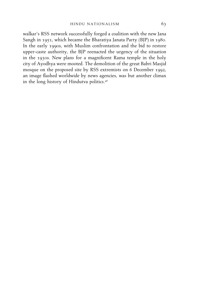walkar's RSS network successfully forged a coalition with the new Jana Sangh in 1951, which became the Bharatiya Janata Party (BJP) in 1980. In the early 1990s, with Muslim confrontation and the bid to restore upper-caste authority, the BJP reenacted the urgency of the situation in the 1930s. New plans for a magnificent Rama temple in the holy city of Ayodhya were mooted. The demolition of the great Babri Masjid mosque on the proposed site by RSS extremists on 6 December 1992, an image flashed worldwide by news agencies, was but another climax in the long history of Hindutva politics.46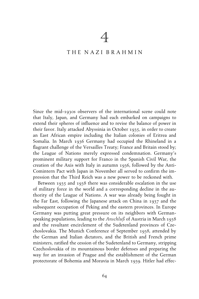## THE NAZI BRAHMIN

Since the mid-1930s observers of the international scene could note that Italy, Japan, and Germany had each embarked on campaigns to extend their spheres of influence and to revise the balance of power in their favor. Italy attacked Abyssinia in October 1935, in order to create an East African empire including the Italian colonies of Eritrea and Somalia. In March 1936 Germany had occupied the Rhineland in a flagrant challenge of the Versailles Treaty; France and Britain stood by; the League of Nations merely expressed condemnation. Germany's prominent military support for Franco in the Spanish Civil War, the creation of the Axis with Italy in autumn 1936, followed by the Anti-Comintern Pact with Japan in November all served to confirm the impression that the Third Reich was a new power to be reckoned with.

Between 1935 and 1938 there was considerable escalation in the use of military force in the world and a corresponding decline in the authority of the League of Nations. A war was already being fought in the Far East, following the Japanese attack on China in 1937 and the subsequent occupation of Peking and the eastern provinces. In Europe Germany was putting great pressure on its neighbors with Germanspeaking populations, leading to the *Anschluß* of Austria in March 1938 and the resultant encirclement of the Sudetenland provinces of Czechoslovakia. The Munich Conference of September 1938, attended by the German and Italian dictators, and the British and French prime ministers, ratified the cession of the Sudetenland to Germany, stripping Czechoslovakia of its mountainous border defenses and preparing the way for an invasion of Prague and the establishment of the German protectorate of Bohemia and Moravia in March 1939. Hitler had effec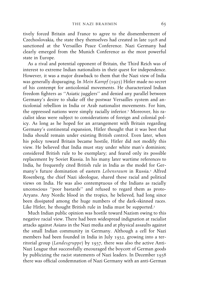tively forced Britain and France to agree to the dismemberment of Czechoslovakia, the state they themselves had created in late 1918 and sanctioned at the Versailles Peace Conference. Nazi Germany had clearly emerged from the Munich Conference as the most powerful state in Europe.

As a rival and potential opponent of Britain, the Third Reich was of interest to extreme Indian nationalists in their quest for independence. However, it was a major drawback to them that the Nazi view of India was generally disparaging. In *Mein Kampf* (1925) Hitler made no secret of his contempt for anticolonial movements. He characterized Indian freedom fighters as ''Asiatic jugglers'' and denied any parallel between Germany's desire to shake off the postwar Versailles system and anticolonial rebellion in India or Arab nationalist movements. For him, the oppressed nations were simply racially inferior.<sup>1</sup> Moreover, his racialist ideas were subject to considerations of foreign and colonial policy. As long as he hoped for an arrangement with Britain regarding Germany's continental expansion, Hitler thought that it was best that India should remain under existing British control. Even later, when his policy toward Britain became hostile, Hitler did not modify this view. He believed that India must stay under white man's dominion; considered British rule to be exemplary; and feared only its possible replacement by Soviet Russia. In his many later wartime references to India, he frequently cited British rule in India as the model for Germany's future domination of eastern *Lebensraum* in Russia.<sup>2</sup> Alfred Rosenberg, the chief Nazi ideologue, shared these racial and political views on India. He was also contemptuous of the Indians as racially unconscious ''poor bastards'' and refused to regard them as proto-Aryans. Any Nordic blood in the tropics, he believed, had long since been dissipated among the huge numbers of the dark-skinned races. Like Hitler, he thought British rule in India must be supported.<sup>3</sup>

Much Indian public opinion was hostile toward Nazism owing to this negative racial view. There had been widespread indignation at racialist attacks against Asians in the Nazi media and at physical assaults against the small Indian community in Germany. Although a cell for Nazi members had been founded in India in July 1932, growing into a territorial group (*Landesgruppe*) by 1937, there was also the active Anti-Nazi League that successfully encouraged the boycott of German goods by publicizing the racist statements of Nazi leaders. In December 1938 there was official condemnation of Nazi Germany with an anti-German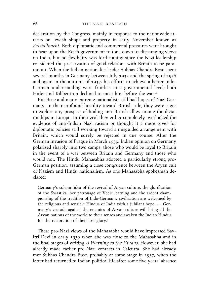declaration by the Congress, mainly in response to the nationwide attacks on Jewish shops and property in early November known as *Kristallnacht*. Both diplomatic and commercial pressures were brought to bear upon the Reich government to tone down its disparaging views on India, but no flexibility was forthcoming since the Nazi leadership considered the preservation of good relations with Britain to be paramount. When the Indian nationalist leader Subhas Chandra Bose spent several months in Germany between July 1933 and the spring of 1936 and again in the autumn of 1937, his efforts to achieve a better Indo-German understanding were fruitless at a governmental level; both Hitler and Ribbentrop declined to meet him before the war.4

But Bose and many extreme nationalists still had hopes of Nazi Germany. In their profound hostility toward British rule, they were eager to explore any prospect of finding anti-British allies among the dictatorships in Europe. In their zeal they either completely overlooked the evidence of anti-Indian Nazi racism or thought it a mere cover for diplomatic policies still working toward a misguided arrangement with Britain, which would surely be rejected in due course. After the German invasion of Prague in March 1939, Indian opinion on Germany polarized sharply into two camps: those who would be loyal to Britain in the event of a war between Britain and Germany and those who would not. The Hindu Mahasabha adopted a particularly strong pro-German position, assuming a close congruence between the Aryan cult of Nazism and Hindu nationalism. As one Mahasabha spokesman declared:

Germany's solemn idea of the revival of Aryan culture, the glorification of the Swastika, her patronage of Vedic learning and the ardent championship of the tradition of Indo-Germanic civilization are welcomed by the religious and sensible Hindus of India with a jubilant hope. . . . Germany's crusade against the enemies of Aryan culture will bring all the Aryan nations of the world to their senses and awaken the Indian Hindus for the restoration of their lost glory.<sup>5</sup>

These pro-Nazi views of the Mahasabha would have impressed Savitri Devi in early 1939 when she was close to the Mahasabha and in the final stages of writing *A Warning to the Hindus*. However, she had already made earlier pro-Nazi contacts in Calcutta. She had already met Subhas Chandra Bose, probably at some stage in 1937, when the latter had returned to Indian political life after some five years' absence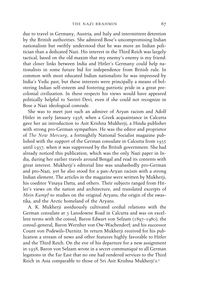due to travel in Germany, Austria, and Italy and intermittent detention by the British authorities. She admired Bose's uncompromising Indian nationalism but swiftly understood that he was more an Indian politician than a dedicated Nazi. His interest in the Third Reich was largely tactical, based on the old maxim that my enemy's enemy is my friend: that closer links between India and Hitler's Germany could help nationalists in some future bid for independence from British rule. In common with most educated Indian nationalists he was impressed by India's Vedic past, but these interests were principally a means of bolstering Indian self-esteem and fostering patriotic pride in a great precolonial civilization. In these respects his views would have appeared politically helpful to Savitri Devi, even if she could not recognize in Bose a Nazi ideological comrade.

She was to meet just such an admirer of Aryan racism and Adolf Hitler in early January 1938, when a Greek acquaintance in Calcutta gave her an introduction to Asit Krishna Mukherji, a Hindu publisher with strong pro-German sympathies. He was the editor and proprietor of *The New Mercury*, a fortnightly National Socialist magazine published with the support of the German consulate in Calcutta from 1935 until 1937, when it was suppressed by the British government. She had already noticed this publication, which was the only Nazi paper in India, during her earlier travels around Bengal and read its contents with great interest. Mukherji's editorial line was unabashedly pro-German and pro-Nazi, yet he also stood for a pan-Aryan racism with a strong Indian element. The articles in the magazine were written by Mukherji, his coeditor Vinaya Datta, and others. Their subjects ranged from Hitler's views on the nation and architecture, and translated excerpts of *Mein Kampf* to studies on the original Aryans, the origin of the swastika, and the Arctic homeland of the Aryans.

A. K. Mukherji assiduously cultivated cordial relations with the German consulate at 3 Lansdowne Road in Calcutta and was on excellent terms with the consul, Baron Edwart von Selzam (1897–1980); the consul-general, Baron Wernher von Ow-Wachendorf; and his successor Count von Podewils-Durnitz. In return Mukherji received for his publication a stream of news and other features highly favorable to Hitler and the Third Reich. On the eve of his departure for a new assignment in 1938, Baron von Selzam wrote in a secret communiqué to all German legations in the Far East that no one had rendered services to the Third Reich in Asia comparable to those of Sri Asit Krishna Mukherji's.6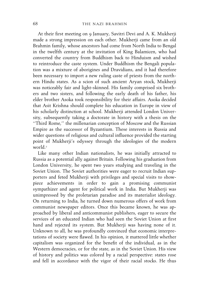At their first meeting on 9 January, Savitri Devi and A. K. Mukherji made a strong impression on each other. Mukherji came from an old Brahmin family, whose ancestors had come from North India to Bengal in the twelfth century at the invitation of King Balamicen, who had converted the country from Buddhism back to Hinduism and wished to reintroduce the caste system. Under Buddhism the Bengali population was a mixture of aborigines and Dravidians, and it had therefore been necessary to import a new ruling caste of priests from the northern Hindu states. As a scion of such ancient Aryan stock, Mukherji was noticeably fair and light-skinned. His family comprised six brothers and two sisters, and following the early death of his father, his elder brother Asoka took responsibility for their affairs. Asoka decided that Asit Krishna should complete his education in Europe in view of his scholarly distinction at school. Mukherji attended London University, subsequently taking a doctorate in history with a thesis on the ''Third Rome,'' the millenarian conception of Moscow and the Russian Empire as the successor of Byzantium. These interests in Russia and wider questions of religious and cultural influence provided the starting point of Mukherji's odyssey through the ideologies of the modern world.7

Like many other Indian nationalists, he was initially attracted to Russia as a potential ally against Britain. Following his graduation from London University, he spent two years studying and traveling in the Soviet Union. The Soviet authorities were eager to recruit Indian supporters and feted Mukherji with privileges and special visits to showpiece achievements in order to gain a promising communist sympathizer and agent for political work in India. But Mukherji was unimpressed by the proletarian paradise and its materialist ideology. On returning to India, he turned down numerous offers of work from communist newspaper editors. Once this became known, he was approached by liberal and anticommunist publishers, eager to secure the services of an educated Indian who had seen the Soviet Union at first hand and rejected its system. But Mukherji was having none of it. Unknown to all, he was profoundly convinced that economic interpretations of society were flawed. In his opinion, it mattered little whether capitalism was organized for the benefit of the individual, as in the Western democracies, or for the state, as in the Soviet Union. His view of history and politics was colored by a racial perspective: states rose and fell in accordance with the vigor of their racial stocks. He thus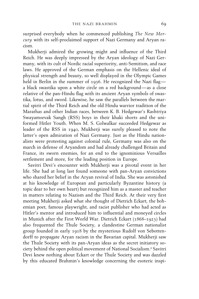surprised everybody when he commenced publishing *The New Mercury* with its self-proclaimed support of Nazi Germany and Aryan racism.

Mukherji admired the growing might and influence of the Third Reich. He was deeply impressed by the Aryan ideology of Nazi Germany, with its cult of Nordic racial superiority, anti-Semitism, and race laws. He approved of the German emphasis on the Hellenic ideal of physical strength and beauty, so well displayed in the Olympic Games held in Berlin in the summer of 1936. He recognized the Nazi flaga black swastika upon a white circle on a red background—as a close relative of the pan-Hindu flag with its ancient Aryan symbols of swastika, lotus, and sword. Likewise, he saw the parallels between the martial spirit of the Third Reich and the old Hindu warrior tradition of the Marathas and other Indian races, between K. B. Hedgewar's Rashtriya Swayamsevak Sangh (RSS) boys in their khaki shorts and the uniformed Hitler Youth. When M. S. Golwalkar succeeded Hedgewar as leader of the RSS in 1940, Mukherji was surely pleased to note the latter's open admiration of Nazi Germany. Just as the Hindu nationalists were protesting against colonial rule, Germany was also on the march in defense of Aryandom and had already challenged Britain and France, its sworn enemies, for an end to the ignominious Versailles settlement and more, for the leading position in Europe.

Savitri Devi's encounter with Mukherji was a pivotal event in her life. She had at long last found someone with pan-Aryan convictions who shared her belief in the Aryan revival of India. She was astonished at his knowledge of European and particularly Byzantine history (a topic dear to her own heart) but recognized him as a master and teacher in matters relating to Nazism and the Third Reich. At their very first meeting Mukherji asked what she thought of Dietrich Eckart, the bohemian poet, famous playwright, and racist publisher who had acted as Hitler's mentor and introduced him to influential and moneyed circles in Munich after the First World War. Dietrich Eckart (1868–1923) had also frequented the Thule Society, a clandestine German nationalist group founded in early 1918 by the mysterious Rudolf von Sebottendorff to propagate Aryan racism in the Bavarian capital. Mukherji saw the Thule Society with its pan-Aryan ideas as the secret initiatory society behind the open political movement of National Socialism.<sup>8</sup> Savitri Devi knew nothing about Eckart or the Thule Society and was dazzled by this educated Brahmin's knowledge concerning the esoteric inspi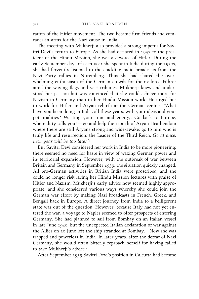ration of the Hitler movement. The two became firm friends and comrades-in-arms for the Nazi cause in India.

The meeting with Mukherji also provided a strong impetus for Savitri Devi's return to Europe. As she had declared in 1937 to the president of the Hindu Mission, she was a devotee of Hitler. During the early September days of each year she spent in India during the 1930s, she had fervently listened to the crackling radio broadcasts from the Nazi Party rallies in Nuremberg. Thus she had shared the overwhelming enthusiasm of the German crowds for their adored Führer amid the waving flags and vast tribunes. Mukherji knew and understood her passion but was convinced that she could achieve more for Nazism in Germany than in her Hindu Mission work. He urged her to work for Hitler and Aryan rebirth at the German center: ''What have you been doing in India, all these years, with your ideas and your potentialities? Wasting your time and energy. Go back to Europe, where duty calls you!—go and help the rebirth of Aryan Heathendom where there are still Aryans strong and wide-awake; go to him who is truly life and resurrection: the Leader of the Third Reich. *Go at once; next year will be too late*.''9

But Savitri Devi considered her work in India to be more pioneering; there seemed no need for haste in view of waxing German power and its territorial expansion. However, with the outbreak of war between Britain and Germany in September 1939, the situation quickly changed. All pro-German activities in British India were proscribed, and she could no longer risk lacing her Hindu Mission lectures with praise of Hitler and Nazism. Mukherji's early advice now seemed highly appropriate, and she considered various ways whereby she could join the German war effort by making Nazi broadcasts in French, Greek, and Bengali back in Europe. A direct journey from India to a belligerent state was out of the question. However, because Italy had not yet entered the war, a voyage to Naples seemed to offer prospects of entering Germany. She had planned to sail from Bombay on an Italian vessel in late June 1940, but the unexpected Italian declaration of war against the Allies on 10 June left the ship stranded at Bombay.10 Now she was trapped and powerless in India. In later years, after the defeat of Nazi Germany, she would often bitterly reproach herself for having failed to take Mukherji's advice.<sup>11</sup>

After September 1939 Savitri Devi's position in Calcutta had become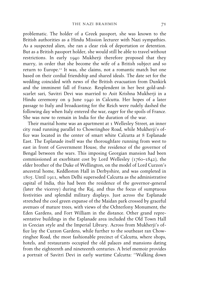problematic. The holder of a Greek passport, she was known to the British authorities as a Hindu Mission lecturer with Nazi sympathies. As a suspected alien, she ran a clear risk of deportation or detention. But as a British passport holder, she would still be able to travel without restrictions. In early 1940 Mukherji therefore proposed that they marry, in order that she become the wife of a British subject and so return to Europe.<sup>12</sup> It was, she claims, not a romantic match but one based on their cordial friendship and shared ideals. The date set for the wedding coincided with news of the British evacuation from Dunkirk and the imminent fall of France. Resplendent in her best gold-andscarlet sari, Savitri Devi was married to Asit Krishna Mukherji in a Hindu ceremony on 9 June 1940 in Calcutta. Her hopes of a later passage to Italy and broadcasting for the Reich were rudely dashed the following day when Italy entered the war, eager for the spoils of France. She was now to remain in India for the duration of the war.

Their marital home was an apartment at 1 Wellesley Street, an inner city road running parallel to Chowringhee Road, while Mukherji's office was located in the center of smart white Calcutta at 8 Esplanade East. The Esplanade itself was the thoroughfare running from west to east in front of Government House, the residence of the governor of Bengal between the wars. This imposing Georgian mansion had been commissioned at exorbitant cost by Lord Wellesley (1760–1842), the elder brother of the Duke of Wellington, on the model of Lord Curzon's ancestral home, Keddleston Hall in Derbyshire, and was completed in 1805. Until 1911, when Delhi superseded Calcutta as the administrative capital of India, this had been the residence of the governor-general (later the viceroy) during the Raj, and thus the focus of sumptuous festivities and splendid military displays. Just across the Esplanade stretched the cool green expanse of the Maidan park crossed by graceful avenues of mature trees, with views of the Ochterlony Monument, the Eden Gardens, and Fort William in the distance. Other grand representative buildings in the Esplanade area included the Old Town Hall in Grecian style and the Imperial Library. Across from Mukherji's office lay the Curzon Gardens, while further to the southeast ran Chowringhee Road, the most fashionable precinct of Calcutta, where shops, hotels, and restaurants occupied the old palaces and mansions dating from the eighteenth and nineteenth centuries. A brief memoir provides a portrait of Savitri Devi in early wartime Calcutta: ''Walking down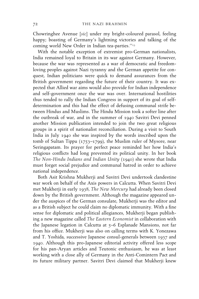Chowringhee Avenue [*sic*] under my bright-coloured parasol, feeling happy; boasting of Germany's lightning victories and talking of the coming world New Order in Indian tea-parties.''13

With the notable exception of extremist pro-German nationalists, India remained loyal to Britain in its war against Germany. However, because the war was represented as a war of democratic and freedomloving peoples against Nazi tyranny and the German appetite for conquest, Indian politicians were quick to demand assurances from the British government regarding the future of their country. It was expected that Allied war aims would also provide for Indian independence and self-government once the war was over. International hostilities thus tended to rally the Indian Congress in support of its goal of selfdetermination and this had the effect of defusing communal strife between Hindus and Muslims. The Hindu Mission took a softer line after the outbreak of war, and in the summer of 1940 Savitri Devi penned another Mission publication intended to join the two great religious groups in a spirit of nationalist reconciliation. During a visit to South India in July 1940 she was inspired by the words inscribed upon the tomb of Sultan Tippu (1753–1799), the Muslim ruler of Mysore, near Seringapatam. Its prayer for perfect peace reminded her how India's religious conflicts had long prevented its political unity. In her book *The Non-Hindu Indians and Indian Unity* (1940) she wrote that India must forget social prejudice and communal hatred in order to achieve national independence.

Both Asit Krishna Mukherji and Savitri Devi undertook clandestine war work on behalf of the Axis powers in Calcutta. When Savitri Devi met Mukherji in early 1938, *The New Mercury* had already been closed down by the British government. Although the magazine appeared under the auspices of the German consulate, Mukherji was the editor and as a British subject he could claim no diplomatic immunity. With a fine sense for diplomatic and political allegiances, Mukherji began publishing a new magazine called *The Eastern Economist* in collaboration with the Japanese legation in Calcutta at 5–6 Esplanade Mansions, not far from his office. Mukherji was also on calling terms with K. Yonezawa and T. Yoshida, successive Japanese consul-generals between 1937 and 1940. Although this pro-Japanese editorial activity offered less scope for his pan-Aryan articles and Teutonic enthusiasm, he was at least working with a close ally of Germany in the Anti-Comintern Pact and its future military partner. Savitri Devi claimed that Mukherji knew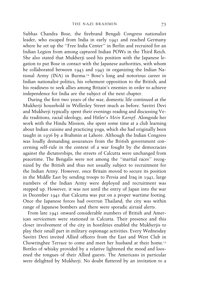Subhas Chandra Bose, the firebrand Bengali Congress nationalist leader, who escaped from India in early 1941 and reached Germany where he set up the ''Free India Center'' in Berlin and recruited for an Indian Legion from among captured Indian POWs in the Third Reich. She also stated that Mukherji used his position with the Japanese legation to put Bose in contact with the Japanese authorities, with whom he collaborated between 1943 and 1945 in organizing the Indian National Army (INA) in Burma.14 Bose's long and notorious career in Indian nationalist politics, his vehement opposition to the British, and his readiness to seek allies among Britain's enemies in order to achieve independence for India are the subject of the next chapter.

During the first two years of the war, domestic life continued at the Mukherji household in Wellesley Street much as before. Savitri Devi and Mukherji typically spent their evenings reading and discussing Vedic traditions, racial ideology, and Hitler's *Mein Kampf*. Alongside her work with the Hindu Mission, she spent some time at a club learning about Indian cuisine and practicing yoga, which she had originally been taught in 1936 by a Brahmin at Lahore. Although the Indian Congress was loudly demanding assurances from the British government concerning self-rule in the context of a war fought by the democracies against the dictatorships, the streets of Calcutta were unchanged from peacetime. The Bengalis were not among the ''martial races'' recognized by the British and thus not usually subject to recruitment for the Indian Army. However, once Britain moved to secure its position in the Middle East by sending troops to Persia and Iraq in 1941, large numbers of the Indian Army were deployed and recruitment was stepped up. However, it was not until the entry of Japan into the war in December 1941 that Calcutta was put on a proper wartime footing. Once the Japanese forces had overrun Thailand, the city was within range of Japanese bombers and there were sporadic airraid alerts.

From late 1941 onward considerable numbers of British and American servicemen were stationed in Calcutta. Their presence and this closer involvement of the city in hostilities enabled the Mukherjis to play their small part in military espionage activities. Every Wednesday Savitri Devi invited Allied officers from the East and West Club in Chowringhee Terrace to come and meet her husband at their home.15 Bottles of whisky provided by a relative lightened the mood and loosened the tongues of their Allied guests. The Americans in particular were delighted by Mukherji. No doubt flattered by an invitation to a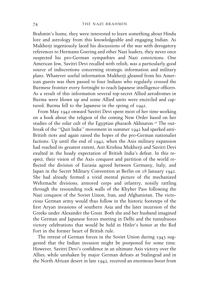Brahmin's home, they were interested to learn something about Hindu lore and astrology from this knowledgeable and engaging Indian. As Mukherji ingeniously laced his discussions of the war with derogatory references to Hermann Goering and other Nazi leaders, they never once suspected his pro-German sympathies and Nazi convictions. One American Jew, Savitri Devi recalled with relish, was a particularly good source of indiscretions concerning strategic information and military plans. Whatever useful information Mukherji gleaned from his American guests was then passed to four Indians who regularly crossed the Burmese frontier every fortnight to reach Japanese intelligence officers. As a result of this information several top-secret Allied aerodromes in Burma were blown up and some Allied units were encircled and captured. Burma fell to the Japanese in the spring of 1942.

From May 1942 onward Savitri Devi spent most of her time working on a book about the religion of the coming New Order based on her studies of the solar cult of the Egyptian pharaoh Akhnaton.<sup>16</sup> The outbreak of the ''Quit India'' movement in summer 1942 had sparked anti-British riots and again raised the hopes of the pro-German nationalist factions. Up until the end of 1942, when the Axis military expansion had reached its greatest extent, Asit Krishna Mukherji and Savitri Devi exulted in the heady expectation of British India's defeat. In this respect, their vision of the Axis conquest and partition of the world reflected the division of Eurasia agreed between Germany, Italy, and Japan in the Secret Military Convention at Berlin on 18 January 1942. She had already formed a vivid mental picture of the mechanized Wehrmacht divisions, armored corps and infantry, noisily rattling through the resounding rock walls of the Khyber Pass following the Nazi conquest of the Soviet Union, Iran, and Afghanistan. The victorious German army would thus follow in the historic footsteps of the first Aryan invasions of southern Asia and the later incursion of the Greeks under Alexander the Great. Both she and her husband imagined the German and Japanese forces meeting in Delhi and the tumultuous victory celebrations that would be held in Hitler's honor at the Red Fort in the former heart of British rule.

The retreat of German forces in the Soviet Union during 1943 suggested that the Indian invasion might be postponed for some time. However, Savitri Devi's confidence in an ultimate Axis victory over the Allies, while unshaken by major German defeats at Stalingrad and in the North African desert in late 1942, received an enormous boost from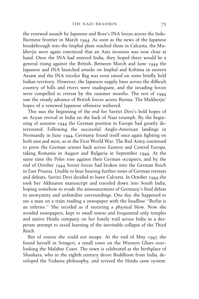the renewed assault by Japanese and Bose's INA forces across the Indo-Burmese frontier in March 1944. As soon as the news of the Japanese breakthrough into the Imphal plain reached them in Calcutta, the Mukherjis were again convinced that an Axis invasion was now close at hand. Once the INA had entered India, they hoped there would be a general rising against the British. Between March and June 1944 the Japanese and INA launched attacks on Imphal and Kohima in eastern Assam and the INA tricolor flag was even raised on some briefly held Indian territory. However, the Japanese supply lines across the difficult country of hills and rivers were inadequate, and the invading forces were compelled to retreat by the summer months. The rest of 1944 saw the steady advance of British forces across Burma. The Mukherjis' hopes of a renewed Japanese offensive withered.

This was the beginning of the end for Savitri Devi's bold hopes of an Aryan revival in India on the back of Nazi triumph. By the beginning of autumn 1944 the German position in Europe had greatly deteriorated. Following the successful Anglo-American landings in Normandy in June 1944, Germany found itself once again fighting on both east and west, as in the First World War. The Red Army continued to press the German armies back across Eastern and Central Europe, taking Romania in August and Bulgaria in September 1944. At the same time the Poles rose against their German occupiers, and by the end of October 1944 Soviet forces had broken into the German Reich in East Prussia. Unable to bear hearing further news of German retreats and defeats, Savitri Devi decided to leave Calcutta. In October 1944 she took her Akhnaton manuscript and traveled down into South India, hoping somehow to evade the announcement of Germany's final defeat in anonymity and unfamiliar surroundings. One day she happened to see a man on a train reading a newspaper with the headline ''Berlin is an inferno.'' She recoiled as if receiving a physical blow. Now she avoided newspapers, kept to small towns and frequented only temples and native Hindu company on her lonely trail across India in a desperate attempt to avoid learning of the inevitable collapse of the Third Reich.

But of course she could not escape. At the end of May 1945 she found herself in Sringeri, a small town on the Western Ghats overlooking the Malabar Coast. The town is celebrated as the birthplace of Shankara, who in the eighth century drove Buddhism from India, developed the Vedanta philosophy, and revived the Hindu caste system.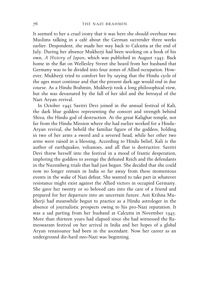It seemed to her a cruel irony that it was here she should overhear two Muslims talking in a café about the German surrender three weeks earlier. Despondent, she made her way back to Calcutta at the end of July. During her absence Mukherji had been working on a book of his own, *A History of Japan*, which was published in August 1945. Back home in the flat on Wellesley Street she heard from her husband that Germany was to be divided into four zones of Allied occupation. However, Mukherji tried to comfort her by saying that the Hindu cycle of the ages must continue and that the present dark age would end in due course. As a Hindu Brahmin, Mukherji took a long philosophical view, but she was devastated by the fall of her idol and the betrayal of the Nazi Aryan revival.

In October 1945 Savitri Devi joined in the annual festival of Kali, the dark blue goddess representing the consort and strength behind Shiva, the Hindu god of destruction. At the great Kalighat temple, not far from the Hindu Mission where she had earlier worked for a Hindu-Aryan revival, she beheld the familiar figure of the goddess, holding in two of her arms a sword and a severed head, while her other two arms were raised in a blessing. According to Hindu belief, Kali is the author of earthquakes, volcanoes, and all that is destructive. Savitri Devi threw herself into the festival in a mood of frantic desperation, imploring the goddess to avenge the defeated Reich and the defendants in the Nuremberg trials that had just begun. She decided that she could now no longer remain in India so far away from these momentous events in the wake of Nazi defeat. She wanted to take part in whatever resistance might exist against the Allied victors in occupied Germany. She gave her twenty or so beloved cats into the care of a friend and prepared for her departure into an uncertain future. Asit Krihna Mukherji had meanwhile begun to practice as a Hindu astrologer in the absence of journalistic prospects owing to his pro-Nazi reputation. It was a sad parting from her husband at Calcutta in November 1945. More than thirteen years had elapsed since she had witnessed the Rameswaram festival on her arrival in India and her hopes of a global Aryan renaissance had been in the ascendant. Now her career as an underground die-hard neo-Nazi was beginning.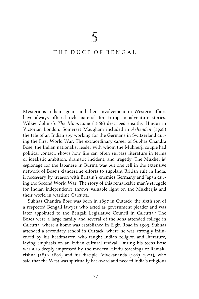## THE DUCE OF BENGAL

Mysterious Indian agents and their involvement in Western affairs have always offered rich material for European adventure stories. Wilkie Collins's *The Moonstone* (1868) described stealthy Hindus in Victorian London; Somerset Maugham included in *Ashenden* (1928) the tale of an Indian spy working for the Germans in Switzerland during the First World War. The extraordinary career of Subhas Chandra Bose, the Indian nationalist leader with whom the Mukherji couple had political contact, shows how life can often surpass literature in terms of idealistic ambition, dramatic incident, and tragedy. The Mukherjis' espionage for the Japanese in Burma was but one cell in the extensive network of Bose's clandestine efforts to supplant British rule in India, if necessary by treason with Britain's enemies Germany and Japan during the Second World War. The story of this remarkable man's struggle for Indian independence throws valuable light on the Mukherjis and their world in wartime Calcutta.

Subhas Chandra Bose was born in 1897 in Cuttack, the sixth son of a respected Bengali lawyer who acted as government pleader and was later appointed to the Bengali Legislative Council in Calcutta.<sup>1</sup> The Boses were a large family and several of the sons attended college in Calcutta, where a home was established in Elgin Road in 1909. Subhas attended a secondary school in Cuttack, where he was strongly influenced by his headmaster, who taught Indian religion and literature, laying emphasis on an Indian cultural revival. During his teens Bose was also deeply impressed by the modern Hindu teachings of Ramakrishna (1836–1886) and his disciple, Vivekananda (1863–1902), who said that the West was spiritually backward and needed India's religious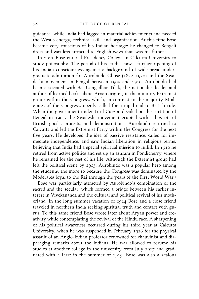guidance, while India had lagged in material achievements and needed the West's energy, technical skill, and organization. At this time Bose became very conscious of his Indian heritage; he changed to Bengali dress and was less attracted to English ways than was his father.<sup>2</sup>

In 1913 Bose entered Presidency College in Calcutta University to study philosophy. The period of his studies saw a further ripening of his Indian consciousness against a background of widespread undergraduate admiration for Aurobindo Ghose (1872–1950) and the Swadeshi movement in Bengal between 1905 and 1910. Aurobindo had been associated with Bâl Gangadhar Tilak, the nationalist leader and author of learned books about Aryan origins, in the minority Extremist group within the Congress, which, in contrast to the majority Moderates of the Congress, openly called for a rapid end to British rule. When the government under Lord Curzon decided on the partition of Bengal in 1905, the Swadeshi movement erupted with a boycott of British goods, protests, and demonstrations. Aurobindo returned to Calcutta and led the Extremist Party within the Congress for the next five years. He developed the idea of passive resistance, called for immediate independence, and saw Indian liberation in religious terms, believing that India had a special spiritual mission to fulfill. In 1910 he retired from active politics and set up an ashram in Pondicherry, where he remained for the rest of his life. Although the Extremist group had left the political scene by 1913, Aurobindo was a popular hero among the students, the more so because the Congress was dominated by the Moderates loyal to the Raj through the years of the First World War.3

Bose was particularly attracted by Aurobindo's combination of the sacred and the secular, which formed a bridge between his earlier interest in Vivekananda and the cultural and political revival of his motherland. In the long summer vacation of 1914 Bose and a close friend traveled in northern India seeking spiritual truth and contact with gurus. To this same friend Bose wrote later about Aryan power and creativity while contemplating the revival of the Hindu race. A sharpening of his political awareness occurred during his third year at Calcutta University, when he was suspended in February 1916 for the physical assault of an Anglo-Indian professor renowned for chauvinist and disparaging remarks about the Indians. He was allowed to resume his studies at another college in the university from July 1917 and graduated with a First in the summer of 1919. Bose was also a zealous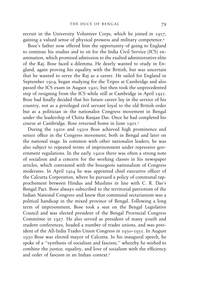recruit in the University Volunteer Corps, which he joined in 1917, gaining a valued sense of physical prowess and military competence.4

Bose's father now offered him the opportunity of going to England to continue his studies and to sit for the India Civil Service (ICS) examination, which promised admission to the exalted administrative elite of the Raj. Bose faced a dilemma. He dearly wanted to study in England, again proving his equality with the British, but was uncertain that he wanted to serve the Raj as a career. He sailed for England in September 1919, began studying for the Tripos at Cambridge and also passed the ICS exam in August 1920, but then took the unprecedented step of resigning from the ICS while still at Cambridge in April 1921. Bose had finally decided that his future career lay in the service of his country, not as a privileged civil servant loyal to the old British order but as a politician in the nationalist Congress movement in Bengal under the leadership of Chitta Ranjan Das. Once he had completed his course at Cambridge, Bose returned home in June 1921.5

During the 1920s and 1930s Bose achieved high prominence and senior office in the Congress movement, both in Bengal and later on the national stage. In common with other nationalist leaders, he was also subject to repeated terms of imprisonment under repressive government regulations. In the early 1920s there was often a strong note of socialism and a concern for the working classes in his newspaper articles, which contrasted with the bourgeois nationalism of Congress moderates. In April 1924 he was appointed chief executive officer of the Calcutta Corporation, where he pursued a policy of communal rapprochement between Hindus and Muslims in line with C. R. Das's Bengal Pact. Bose always subscribed to the territorial patriotism of the Indian National Congress and knew that communal sectarianism was a political handicap in the mixed province of Bengal. Following a long term of imprisonment, Bose took a seat on the Bengal Legislative Council and was elected president of the Bengal Provincial Congress Committee in 1927. He also served as president of many youth and student conferences, headed a number of trades unions, and was president of the All-India Trades Union Congress in 1930–1931. In August 1930 Bose was elected mayor of Calcutta. In his inaugural speech, he spoke of a ''synthesis of socialism and fascism,'' whereby he wished to combine the justice, equality, and love of socialism with the efficiency and order of fascism in an Indian context.6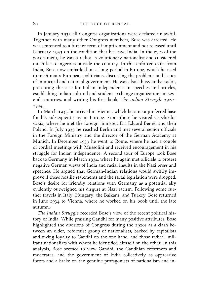In January 1932 all Congress organizations were declared unlawful. Together with many other Congress members, Bose was arrested. He was sentenced to a further term of imprisonment and not released until February 1933 on the condition that he leave India. In the eyes of the government, he was a radical revolutionary nationalist and considered much less dangerous outside the country. In this enforced exile from India, Bose now embarked on a long period in Europe, which he used to meet many European politicians, discussing the problems and issues of municipal and national government. He was also a busy ambassador, presenting the case for Indian independence in speeches and articles, establishing Indian cultural and student exchange organizations in several countries, and writing his first book, *The Indian Struggle 1920– 1934*.

In March 1933 he arrived in Vienna, which became a preferred base for his subsequent stay in Europe. From there he visited Czechoslovakia, where he met the foreign minister, Dr. Eduard Beneš, and then Poland. In July 1933 he reached Berlin and met several senior officials in the Foreign Ministry and the director of the German Academy at Munich. In December 1933 he went to Rome, where he had a couple of cordial meetings with Mussolini and received encouragement in his struggle for Indian independence. A second tour of Europe took Bose back to Germany in March 1934, where he again met officials to protest negative German views of India and racial insults in the Nazi press and speeches. He argued that German-Indian relations would swiftly improve if these hostile statements and the racial legislation were dropped. Bose's desire for friendly relations with Germany as a potential ally evidently outweighed his disgust at Nazi racism. Following some further travels in Italy, Hungary, the Balkans, and Turkey, Bose returned in June 1934 to Vienna, where he worked on his book until the late autumn.7

*The Indian Struggle* recorded Bose's view of the recent political history of India. While praising Gandhi for many positive attributes, Bose highlighted the divisions of Congress during the 1920s as a clash between an older, reformist group of nationalists, backed by capitalists and owing loyalty to Gandhi on the one hand, and those radical, militant nationalists with whom he identified himself on the other. In this analysis, Bose seemed to view Gandhi, the Gandhian reformers and moderates, and the government of India collectively as oppressive forces and a brake on the genuine protagonists of nationalism and in-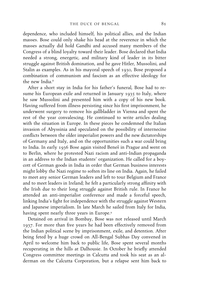dependence, who included himself, his political allies, and the Indian masses. Bose could only shake his head at the reverence in which the masses actually did hold Gandhi and accused many members of the Congress of a blind loyalty toward their leader. Bose declared that India needed a strong, energetic, and military kind of leader in its bitter struggle against British domination, and he gave Hitler, Mussolini, and Stalin as examples. As in his mayoral speech of 1930, Bose proposed a combination of communism and fascism as an effective ideology for the new India.<sup>8</sup>

After a short stay in India for his father's funeral, Bose had to resume his European exile and returned in January 1935 to Italy, where he saw Mussolini and presented him with a copy of his new book. Having suffered from illness persisting since his first imprisonment, he underwent surgery to remove his gallbladder in Vienna and spent the rest of the year convalescing. He continued to write articles dealing with the situation in Europe. In these pieces he condemned the Italian invasion of Abyssinia and speculated on the possibility of internecine conflicts between the older imperialist powers and the new dictatorships of Germany and Italy, and on the opportunities such a war could bring to India. In early 1936 Bose again visited Beneš in Prague and went on to Berlin, where he protested Nazi racism and anti-Indian propaganda in an address to the Indian students' organization. He called for a boycott of German goods in India in order that German business interests might lobby the Nazi regime to soften its line on India. Again, he failed to meet any senior German leaders and left to tour Belgium and France and to meet leaders in Ireland; he felt a particularly strong affinity with the Irish due to their long struggle against British rule. In France he attended an anti-imperialist conference and made a forceful speech, linking India's fight for independence with the struggle against Western and Japanese imperialism. In late March he sailed from Italy for India, having spent nearly three years in Europe.<sup>9</sup>

Detained on arrival in Bombay, Bose was not released until March 1937. For more than five years he had been effectively removed from the Indian political scene by imprisonment, exile, and detention. After being feted by a huge crowd on All-Bengal Subhas Day convened in April to welcome him back to public life, Bose spent several months recuperating in the hills at Dalhousie. In October he briefly attended Congress committee meetings in Calcutta and took his seat as an alderman on the Calcutta Corporation, but a relapse sent him back to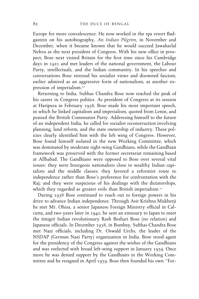Europe for more convalescence. He now worked in the spa resort Badgastein on his autobiography, *An Indian Pilgrim*, in November and December, when it became known that he would succeed Jawaharlal Nehru as the next president of Congress. With his new office in prospect, Bose next visited Britain for the first time since his Cambridge days in 1921 and met leaders of the national government, the Labour Party, intellectuals, and the Indian community. In his speeches and conversations Bose stressed his socialist views and disowned fascism, earlier admired as an aggressive form of nationalism, as another expression of imperialism.<sup>10</sup>

Returning to India, Subhas Chandra Bose now reached the peak of his career in Congress politics. As president of Congress at its session at Haripura in February 1938, Bose made his most important speech, in which he linked capitalism and imperialism, quoted from Lenin, and praised the British Communist Party. Addressing himself to the future of an independent India, he called for socialist reconstruction involving planning, land reform, and the state ownership of industry. These policies clearly identified him with the left wing of Congress. However, Bose found himself isolated in the new Working Committee, which was dominated by moderate right-wing Gandhians, while the Gandhian framework was preserved with the former secretariat remaining based at Allhabad. The Gandhians were opposed to Bose over several vital issues: they were bourgeois nationalists close to wealthy Indian capitalists and the middle classes; they favored a reformist route to independence rather than Bose's preference for confrontation with the Raj; and they were suspicious of his dealings with the dictatorships, which they regarded as greater evils than British imperialism.<sup>11</sup>

During 1938 Bose continued to reach out to foreign powers in his drive to advance Indian independence. Through Asit Krishna Mukherji he met Mr. Ohisa, a senior Japanese Foreign Ministry official in Calcutta, and two years later in 1940, he sent an emissary to Japan to meet the émigré Indian revolutionary Rash Beshari Bose (no relation) and Japanese officials. In December 1938, in Bombay, Subhas Chandra Bose met Nazi officials, including Dr. Oswald Urchs, the leader of the NSDAP (German Nazi Party) organization in India. Bose stood again for the presidency of the Congress against the wishes of the Gandhians and was reelected with broad left-wing support in January 1939. Once more he was denied support by the Gandhians in the Working Committee and he resigned in April 1939. Bose then founded his own ''For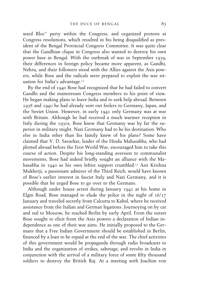ward Bloc'' party within the Congress, and organized protests at Congress resolutions, which resulted in his being disqualified as president of the Bengal Provincial Congress Committee. It was quite clear that the Gandhian clique in Congress also wanted to destroy his own power base in Bengal. With the outbreak of war in September 1939, their differences in foreign policy became more apparent, as Gandhi, Nehru, and their followers stood with the Allies against the Axis powers, while Bose and the radicals were prepared to exploit the war situation for India's advantage.<sup>12</sup>

By the end of 1940 Bose had recognized that he had failed to convert Gandhi and the mainstream Congress members to his point of view. He began making plans to leave India and to seek help abroad. Between 1938 and 1940 he had already sent out feelers to Germany, Japan, and the Soviet Union. However, in early 1941 only Germany was at war with Britain. Although he had received a much warmer reception in Italy during the 1930s, Bose knew that Germany was by far the superior in military might. Nazi Germany had to be his destination. Who else in India other than his family knew of his plans? Some have claimed that V. D. Savarkar, leader of the Hindu Mahasabha, who had plotted abroad before the First World War, encouraged him to take this course of action. Despite his long-standing aversion to communalist movements, Bose had indeed briefly sought an alliance with the Mahasabha in 1940 as his own leftist support crumbled.<sup>13</sup> Asit Krishna Mukherji, a passionate admirer of the Third Reich, would have known of Bose's earlier interest in fascist Italy and Nazi Germany, and it is possible that he urged Bose to go over to the Germans.

Although under house arrest during January 1941 at his home in Elgin Road, Bose managed to elude the police in the night of  $16/17$ January and traveled secretly from Calcutta to Kabul, where he received assistance from the Italian and German legations. Journeying on by car and rail to Moscow, he reached Berlin by early April. From the outset Bose sought to elicit from the Axis powers a declaration of Indian independence as one of their war aims. He initially proposed to the Germans that a Free Indian Government should be established in Berlin, financed by a loan to be repaid at the end of the war. The chief activities of this government would be propaganda through radio broadcasts to India and the organization of strikes, sabotage, and revolts in India in conjunction with the arrival of a military force of some fifty thousand soldiers to destroy the British Raj. At a meeting with Joachim von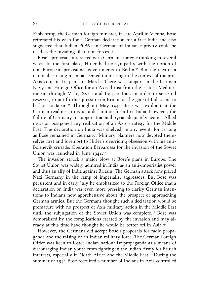Ribbentrop, the German foreign minister, in late April in Vienna, Bose reiterated his wish for a German declaration for a free India and also suggested that Indian POWs in German or Italian captivity could be used as the invading liberation forces.<sup>14</sup>

Bose's proposals interacted with German strategic thinking in several ways. In the first place, Hitler had no sympathy with the notion of non-European provisional governments in Berlin.15 But the idea of a nationalist rising in India seemed interesting in the context of the pro-Axis coup in Iraq in late March. There was support in the German Navy and Foreign Office for an Axis thrust from the eastern Mediterranean through Vichy Syria and Iraq to Iran, in order to seize oil reserves, to put further pressure on Britain at the gate of India, and to beckon to Japan.16 Throughout May 1941 Bose was exultant at the German readiness to issue a declaration for a free India. However, the failure of Germany to support Iraq and Syria adequately against Allied invasion postponed any realization of an Axis strategy for the Middle East. The declaration on India was shelved, in any event, for as long as Bose remained in Germany. Military planners now devoted themselves first and foremost to Hitler's overriding obsession with his anti-Bolshevik crusade. Operation Barbarossa for the invasion of the Soviet Union was launched in June 1941.<sup>17</sup>

The invasion struck a major blow at Bose's plans in Europe. The Soviet Union was widely admired in India as an anti-imperialist power and thus an ally of India against Britain. The German attack now placed Nazi Germany in the camp of imperialist aggressors. But Bose was persistent and in early July he emphasized to the Foreign Office that a declaration on India was even more pressing to clarify German intentions to Indians now apprehensive about the prospect of approaching German armies. But the Germans thought such a declaration would be premature with no prospect of Axis military action in the Middle East until the subjugation of the Soviet Union was complete.18 Bose was demoralized by the complications created by the invasion and may already at this time have thought he would be better off in Asia.19

However, the Germans did accept Bose's proposals for radio propaganda and the raising of an Indian military force. The German Foreign Office was keen to foster Indian nationalist propaganda as a means of discouraging Indian youth from fighting in the Indian Army for British interests, especially in North Africa and the Middle East.<sup>20</sup> During the summer of 1941 Bose recruited a number of Indians in Axis-controlled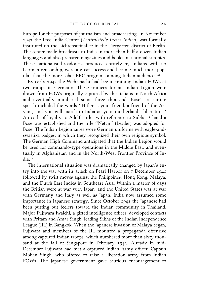Europe for the purposes of journalism and broadcasting. In November 1941 the Free India Center (*Zentralstelle Freies Indien*) was formally instituted on the Lichtensteinallee in the Tiergarten district of Berlin. The center made broadcasts to India in more than half a dozen Indian languages and also prepared magazines and books on nationalist topics. These nationalist broadcasts, produced entirely by Indians with no German censorship, were a great success and became much more popular than the more sober BBC programs among Indian audiences.<sup>21</sup>

By early 1942 the Wehrmacht had begun training Indian POWs at two camps in Germany. These trainees for an Indian Legion were drawn from POWs originally captured by the Italians in North Africa and eventually numbered some three thousand. Bose's recruiting speech included the words ''Hitler is your friend, a friend of the Aryans, and you will march to India as your motherland's liberators.'' An oath of loyalty to Adolf Hitler with reference to Subhas Chandra Bose was established and the title ''Netaji'' (Leader) was adopted for Bose. The Indian Legionnaires wore German uniforms with eagle-andswastika badges, in which they recognized their own religious symbol. The German High Command anticipated that the Indian Legion would be used for commando-type operations in the Middle East, and eventually in Afghanistan and in the North-West Frontier Province of India.22

The international situation was dramatically changed by Japan's entry into the war with its attack on Pearl Harbor on 7 December 1941 followed by swift moves against the Philippines, Hong Kong, Malaya, and the Dutch East Indies in Southeast Asia. Within a matter of days the British were at war with Japan, and the United States was at war with Germany and Italy as well as Japan. India now assumed some importance in Japanese strategy. Since October 1941 the Japanese had been putting out feelers toward the Indian community in Thailand. Major Fujiwara Iwaichi, a gifted intelligence officer, developed contacts with Pritam and Amar Singh, leading Sikhs of the Indian Independence League (IIL) in Bangkok. When the Japanese invasion of Malaya began, Fujiwara and members of the IIL mounted a propaganda offensive among captured Indian troops, which numbered more than sixty thousand at the fall of Singapore in February 1942. Already in mid-December Fujiwara had met a captured Indian Army officer, Captain Mohan Singh, who offered to raise a liberation army from Indian POWs. The Japanese government gave cautious encouragement to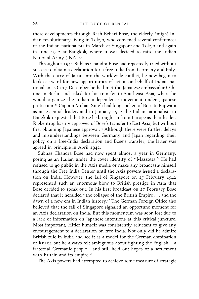these developments through Rash Behari Bose, the elderly émigré Indian revolutionary living in Tokyo, who convened several conferences of the Indian nationalists in March at Singapore and Tokyo and again in June 1942 at Bangkok, where it was decided to raise the Indian National Army (INA).<sup>23</sup>

Throughout 1941 Subhas Chandra Bose had repeatedly tried without success to obtain a declaration for a free India from Germany and Italy. With the entry of Japan into the worldwide conflict, he now began to look eastward for new opportunities of action on behalf of Indian nationalism. On 17 December he had met the Japanese ambassador Oshima in Berlin and asked for his transfer to Southeast Asia, where he would organize the Indian independence movement under Japanese protection.24 Captain Mohan Singh had long spoken of Bose to Fujiwara as an essential leader, and in January 1942 the Indian nationalists in Bangkok requested that Bose be brought in from Europe as their leader. Ribbentrop hastily approved of Bose's transfer to East Asia, but without first obtaining Japanese approval.<sup>25</sup> Although there were further delays and misunderstandings between Germany and Japan regarding their policy on a free-India declaration and Bose's transfer, the latter was agreed in principle in April 1942.

Subhas Chandra Bose had now spent almost a year in Germany, posing as an Italian under the cover identity of ''Mazzotta.'' He had refused to go public in the Axis media or make any broadcasts himself through the Free India Center until the Axis powers issued a declaration on India. However, the fall of Singapore on 15 February 1942 represented such an enormous blow to British prestige in Asia that Bose decided to speak out. In his first broadcast on 27 February Bose declared that it heralded ''the collapse of the British Empire . . . and the dawn of a new era in Indian history.'' The German Foreign Office also believed that the fall of Singapore signaled an opportune moment for an Axis declaration on India. But this momentum was soon lost due to a lack of information on Japanese intentions at this critical juncture. Most important, Hitler himself was consistently reluctant to give any encouragement to a declaration on free India. Not only did he admire British rule in India and see it as a model for the German domination of Russia but he always felt ambiguous about fighting the English—a fraternal Germanic people—and still held out hopes of a settlement with Britain and its empire.<sup>26</sup>

The Axis powers had attempted to achieve some measure of strategic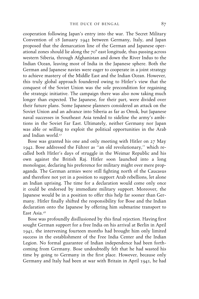cooperation following Japan's entry into the war. The Secret Military Convention of 18 January 1942 between Germany, Italy, and Japan proposed that the demarcation line of the German and Japanese operational zones should lie along the 70° east longitude, thus passing across western Siberia, through Afghanistan and down the River Indus to the Indian Ocean, leaving most of India in the Japanese sphere. Both the German and Japanese navies were eager to cooperate in a joint strategy to achieve mastery of the Middle East and the Indian Ocean. However, this truly global approach foundered owing to Hitler's view that the conquest of the Soviet Union was the sole precondition for regaining the strategic initiative. The campaign there was also now taking much longer than expected. The Japanese, for their part, were divided over their future plans. Some Japanese planners considered an attack on the Soviet Union and an advance into Siberia as far as Omsk, but Japanese naval successes in Southeast Asia tended to sideline the army's ambitions in the Soviet Far East. Ultimately, neither Germany nor Japan was able or willing to exploit the political opportunities in the Arab and Indian world.27

Bose was granted his one and only meeting with Hitler on 27 May 1942. Bose addressed the Führer as "an old revolutionary," which recalled both Hitler's days of struggle in the Weimar Republic and his own against the British Raj. Hitler soon launched into a long monologue, declaring his preference for military might over mere propaganda. The German armies were still fighting north of the Caucasus and therefore not yet in a position to support Arab rebellions, let alone an Indian uprising. The time for a declaration would come only once it could be endorsed by immediate military support. Moreover, the Japanese would be in a position to offer this help far sooner than Germany. Hitler finally shifted the responsibility for Bose and the Indian declaration onto the Japanese by offering him submarine transport to East Asia.28

Bose was profoundly disillusioned by this final rejection. Having first sought German support for a free India on his arrival at Berlin in April 1941, the intervening fourteen months had brought him only limited success in the establishment of the Free India Center and the Indian Legion. No formal guarantee of Indian independence had been forthcoming from Germany. Bose undoubtedly felt that he had wasted his time by going to Germany in the first place. However, because only Germany and Italy had been at war with Britain in April 1941, he had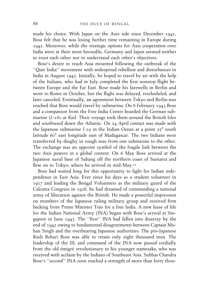made his choice. With Japan on the Axis side since December 1941, Bose felt that he was losing further time remaining in Europe during 1942. Moreover, while the strategic options for Axis cooperation over India were at their most favorable, Germany and Japan seemed neither to trust each other nor to understand each other's objectives.

Bose's desire to reach Asia mounted following the outbreak of the ''Quit India'' movement with widespread rebellion and disturbances in India in August 1942. Initially, he hoped to travel by air with the help of the Italians, who had in July completed the first nonstop flight between Europe and the Far East. Bose made his farewells in Berlin and went to Rome in October, but the flight was delayed, rescheduled, and later canceled. Eventually, an agreement between Tokyo and Berlin was reached that Bose would travel by submarine. On 8 February 1943 Bose and a companion from the Free India Center boarded the German submarine *U-180* at Kiel. Their voyage took them around the British Isles and southward down the Atlantic. On 24 April contact was made with the Japanese submarine *I-29* in the Indian Ocean at a point 25° south latitude 60° east longitude east of Madagascar. The two Indians were transferred by dinghy in rough seas from one submarine to the other. The exchange was an apposite symbol of the fragile link between the two Axis powers in a global context. On 6 May Bose arrived at the Japanese naval base of Sabang off the northern coast of Sumatra and flew on to Tokyo, where he arrived in mid-May.<sup>29</sup>

Bose had waited long for this opportunity to fight for Indian independence in East Asia. Ever since his days as a student volunteer in 1917 and leading the Bengal Volunteers as the military guard of the Calcutta Congress in 1928, he had dreamed of commanding a national army of liberation against the British. He made a powerful impression on members of the Japanese ruling military group and received firm backing from Prime Minister Tojo for a free India. A new lease of life for the Indian National Army (INA) began with Bose's arrival at Singapore in June 1943. The ''first'' INA had fallen into disarray by the end of 1942 owing to fundamental disagreements between Captain Mohan Singh and the overbearing Japanese authorities. The pro-Japanese Rash Behari Bose was able to retain only eight thousand men. The leadership of the IIL and command of the INA now passed cordially from the old émigré revolutionary to his younger namesake, who was received with acclaim by the Indians of Southeast Asia. Subhas Chandra Bose's ''second'' INA soon reached a strength of more than forty thou-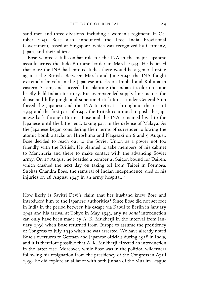sand men and three divisions, including a women's regiment. In October 1943 Bose also announced the Free India Provisional Government, based at Singapore, which was recognized by Germany, Japan, and their allies.<sup>30</sup>

Bose wanted a full combat role for the INA in the major Japanese assault across the Indo-Burmese border in March 1944. He believed that once the INA had entered India, there would be a general rising against the British. Between March and June 1944 the INA fought extremely bravely in the Japanese attacks on Imphal and Kohima in eastern Assam, and succeeded in planting the Indian tricolor on some briefly held Indian territory. But overextended supply lines across the dense and hilly jungle and superior British forces under General Slim forced the Japanese and the INA to retreat. Throughout the rest of 1944 and the first part of 1945, the British continued to push the Japanese back through Burma. Bose and the INA remained loyal to the Japanese until the bitter end, taking part in the defense of Malaya. As the Japanese began considering their terms of surrender following the atomic bomb attacks on Hiroshima and Nagasaki on 6 and 9 August, Bose decided to reach out to the Soviet Union as a power not too friendly with the British. He planned to take members of his cabinet to Manchuria and there to make contact with the advancing Soviet army. On 17 August he boarded a bomber at Saigon bound for Dairen, which crashed the next day on taking off from Taipei in Formosa. Subhas Chandra Bose, the samurai of Indian independence, died of his injuries on 18 August 1945 in an army hospital.<sup>31</sup>

How likely is Savitri Devi's claim that her husband knew Bose and introduced him to the Japanese authorities? Since Bose did not set foot in India in the period between his escape via Kabul to Berlin in January 1941 and his arrival at Tokyo in May 1943, any *personal* introduction can only have been made by A. K. Mukherji in the interval from January 1938 when Bose returned from Europe to assume the presidency of Congress to July 1940 when he was arrested. We have already noted Bose's overtures to German and Japanese officials during 1938 in India, and it is therefore possible that A. K. Mukherji effected an introduction in the latter case. Moreover, while Bose was in the political wilderness following his resignation from the presidency of the Congress in April 1939, he did explore an alliance with both Jinnah of the Muslim League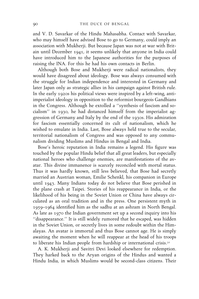and V. D. Savarkar of the Hindu Mahasabha. Contact with Savarkar, who may himself have advised Bose to go to Germany, could imply an association with Mukherji. But because Japan was not at war with Britain until December 1941, it seems unlikely that anyone in India could have introduced him to the Japanese authorities for the purposes of raising the INA. For this he had his own contacts in Berlin.

Although both Bose and Mukherji were radical nationalists, they would have disagreed about ideology. Bose was always consumed with the struggle for Indian independence and interested in Germany and later Japan only as strategic allies in his campaign against British rule. In the early 1920s his political views were inspired by a left-wing, antiimperialist ideology in opposition to the reformist bourgeois Gandhians in the Congress. Although he extolled a ''synthesis of fascism and socialism'' in 1930, he had distanced himself from the imperialist aggression of Germany and Italy by the end of the 1930s. His admiration for fascism essentially concerned its cult of nationalism, which he wished to emulate in India. Last, Bose always held true to the secular, territorial nationalism of Congress and was opposed to any communalism dividing Muslims and Hindus in Bengal and India.

Bose's heroic reputation in India remains a legend. His figure was touched by the popular Hindu belief that all great leaders, but especially national heroes who challenge enemies, are manifestations of the avatar. This divine immanence is scarcely reconciled with mortal status. Thus it was hardly known, still less believed, that Bose had secretly married an Austrian woman, Emilie Schenkl, his companion in Europe until 1943. Many Indians today do not believe that Bose perished in the plane crash at Taipei. Stories of his reappearance in India, or the likelihood of his being in the Soviet Union or China have always circulated as an oral tradition and in the press. One persistent myth in 1959–1964 identified him as the sadhu at an ashram in North Bengal. As late as 1970 the Indian government set up a second inquiry into his ''disappearance.'' It is still widely rumored that he escaped, was hidden in the Soviet Union, or secretly lives in some redoubt within the Himalayas. An avatar is immortal and thus Bose cannot age. He is simply awaiting the moment when he will reappear at the head of his troops to liberate his Indian people from hardship or international crisis.<sup>32</sup>

A. K. Mukherji and Savitri Devi looked elsewhere for redemption. They harked back to the Aryan origins of the Hindus and wanted a Hindu India, in which Muslims would be second-class citizens. Their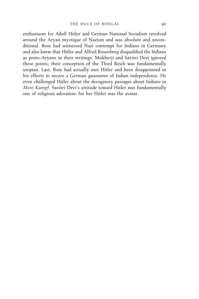enthusiasm for Adolf Hitler and German National Socialism revolved around the Aryan mystique of Nazism and was absolute and unconditional. Bose had witnessed Nazi contempt for Indians in Germany and also knew that Hitler and Alfred Rosenberg disqualified the Indians as proto-Aryans in their writings. Mukherji and Savitri Devi ignored these points; their conception of the Third Reich was fundamentally utopian. Last, Bose had actually met Hitler and been disappointed in his efforts to secure a German guarantee of Indian independence. He even challenged Hitler about the derogatory passages about Indians in *Mein Kampf*. Savitri Devi's attitude toward Hitler was fundamentally one of religious adoration: for her Hitler was the avatar.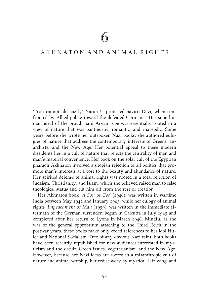## AKHNATON AND ANIMAL RIGHTS

''You cannot 'de-nazify' Nature!'' protested Savitri Devi, when confronted by Allied policy toward the defeated Germans.<sup>1</sup> Her superhuman ideal of the proud, hard Aryan type was essentially rooted in a view of nature that was pantheistic, romantic, and rhapsodic. Some years before she wrote her outspoken Nazi books, she authored eulogies of nature that address the contemporary interests of Greens, anarchists, and the New Age. Her potential appeal to these modern dissidents lies in a cult of nature that rejects the centrality of man and man's material convenience. Her book on the solar cult of the Egyptian pharaoh Akhnaton involved a utopian rejection of all politics that promote man's interests at a cost to the beauty and abundance of nature. Her spirited defense of animal rights was rooted in a total rejection of Judaism, Christianity, and Islam, which she believed raised man to false theological status and cut him off from the rest of creation.

Her Akhnaton book, *A Son of God* (1946), was written in wartime India between May 1942 and January 1945, while her eulogy of animal rights, *Impeachment of Man* (1959), was written in the immediate aftermath of the German surrender, begun in Calcutta in July 1945 and completed after her return to Lyons in March 1946. Mindful as she was of the general opprobrium attaching to the Third Reich in the postwar years, these books make only coded references to her idol Hitler and National Socialism. Free of any obvious Nazi taint, both books have been recently republished for new audiences interested in mysticism and the occult, Green issues, vegetarianism, and the New Age. However, because her Nazi ideas are rooted in a misanthropic cult of nature and animal worship, her rediscovery by mystical, left-wing, and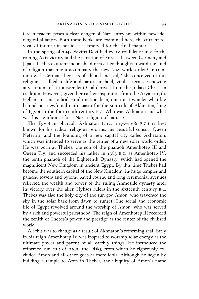Green readers poses a clear danger of Nazi entryism within new ideological alliances. Both these books are examined here; the current revival of interest in her ideas is reserved for the final chapter.

In the spring of 1942 Savitri Devi had every confidence in a forthcoming Axis victory and the partition of Eurasia between Germany and Japan. In this exultant mood she directed her thoughts toward the kind of religion that might accompany the new Nazi world order.<sup>2</sup> In common with German theorists of ''blood and soil,'' she conceived of this religion as allied to life and nature in bold, vitalist terms eschewing any notions of a transcendent God derived from the Judaeo-Christian tradition. However, given her earlier inspiration from the Aryan myth, Hellenism, and radical Hindu nationalism, one must wonder what lay behind her newfound enthusiasm for the sun cult of Akhnaton, king of Egypt in the fourteenth century B.C. Who was Akhnaton and what was his significance for a Nazi religion of nature?

The Egyptian pharaoh Akhnaton (circa 1395–1366 B.C.) is best known for his radical religious reforms, his beautiful consort Queen Nefertiti, and the founding of a new capital city called Akhetaton, which was intended to serve as the center of a new solar world order. He was born at Thebes, the son of the pharaoh Amenhotep III and Queen Tiy, and succeeded his father in 1383 B.C. as Amenhotep IV, the tenth pharaoh of the Eighteenth Dynasty, which had opened the magnificent New Kingdom in ancient Egypt. By this time Thebes had become the southern capital of the New Kingdom; its huge temples and palaces, towers and pylons, paved courts, and long ceremonial avenues reflected the wealth and power of the ruling Ahmoside dynasty after its victory over the alien Hyksos rulers in the sixteenth century B.C. Thebes was also the holy city of the sun god Amon, who traversed the sky in the solar bark from dawn to sunset. The social and economic life of Egypt revolved around the worship of Amon, who was served by a rich and powerful priesthood. The reign of Amenhotep III recorded the zenith of Thebes's power and prestige as the center of the civilized world.

All this was to change as a result of Akhnaton's reforming zeal. Early in his reign Amenhotep IV was inspired to worship solar energy as the ultimate power and parent of all earthly things. He introduced the reformed sun cult of Aton (the Disk), from which he rigorously excluded Amon and all other gods as mere idols. Although he began by building a temple to Aton in Thebes, the ubiquity of Amon's name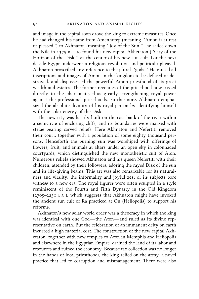and image in the capital soon drove the king to extreme measures. Once he had changed his name from Amenhotep (meaning ''Amon is at rest or pleased'') to Akhnaton (meaning ''Joy of the Sun''), he sailed down the Nile in 1375 B.C. to found his new capital Akhetaton (''City of the Horizon of the Disk'') as the center of his new sun cult. For the next decade Egypt underwent a religious revolution and political upheaval. Akhnaton proscribed any reference to the plural ''gods.'' He caused all inscriptions and images of Amon in the kingdom to be defaced or destroyed, and dispossessed the powerful Amon priesthood of its great wealth and estates. The former revenues of the priesthood now passed directly to the pharaonate, thus greatly strengthening royal power against the professional priesthoods. Furthermore, Akhnaton emphasized the absolute divinity of his royal person by identifying himself with the solar energy of the Disk.

The new city was hastily built on the east bank of the river within a semicircle of enclosing cliffs, and its boundaries were marked with stelae bearing carved reliefs. Here Akhnaton and Nefertiti removed their court, together with a population of some eighty thousand persons. Henceforth the burning sun was worshiped with offerings of flowers, fruit, and animals at altars under an open sky in colonnaded courtyards, which distinguished the new monotheistic cult of Aton. Numerous reliefs showed Akhnaton and his queen Nefertiti with their children, attended by their followers, adoring the rayed Disk of the sun and its life-giving beams. This art was also remarkable for its naturalness and vitality; the informality and joyful zest of its subjects bore witness to a new era. The royal figures were often sculpted in a style reminiscent of the Fourth and Fifth Dynasty in the Old Kingdom (2705–2230 B.C.), which suggests that Akhnaton might have invoked the ancient sun cult of Ra practiced at On (Heliopolis) to support his reforms.

Akhnaton's new solar world order was a theocracy in which the king was identical with one God— the Aton—and ruled as its divine representative on earth. But the celebration of an immanent deity on earth incurred a high material cost. The construction of the new capital Akhetaton, together with new temples to Aton in Memphis and Heliopolis and elsewhere in the Egyptian Empire, drained the land of its labor and resources and ruined the economy. Because tax collection was no longer in the hands of local priesthoods, the king relied on the army, a novel practice that led to corruption and mismanagement. There were also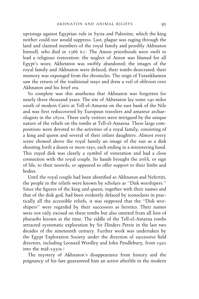uprisings against Egyptian rule in Syria and Palestine, which the king neither could nor would suppress. Last, plague was raging through the land and claimed members of the royal family and possibly Akhnaton himself, who died in 1366 B.C. The Amon priesthoods were swift to lead a religious restoration: the neglect of Amon was blamed for all Egypt's woes; Akhetaton was swiftly abandoned; the images of the royal family and Akhnaton were defaced, their tombs desecrated; their memory was expunged from the chronicles. The reign of Tutankhamen saw the return of the traditional ways and drew a veil of oblivion over Akhnaton and his brief era.

So complete was this anathema that Akhnaton was forgotten for nearly three thousand years. The site of Akhetaton lay some 190 miles south of modern Cairo at Tell-el-Amarna on the east bank of the Nile and was first rediscovered by European travelers and amateur archaeologists in the 1820s. These early visitors were intrigued by the unique nature of the reliefs on the tombs at Tell-el-Amarna. These large compositions were devoted to the activities of a royal family, consisting of a king and queen and several of their infant daughters. Almost every scene showed above the royal family an image of the sun as a disk shooting forth a dozen or more rays, each ending in a ministering hand. This rayed disk was clearly a symbol of veneration and had a close connection with the royal couple. Its hands brought the *ankh*, or sign of life, to their nostrils, or appeared to offer support to their limbs and bodies.

Until the royal couple had been identified as Akhnaton and Nefertiti, the people in the reliefs were known by scholars as ''Disk worshipers.'' Since the figures of the king and queen, together with their names and that of the disk god, had been evidently defaced by iconoclasts in practically all the accessible reliefs, it was supposed that the ''Disk worshipers'' were regarded by their successors as heretics. Their names were not only excised on these tombs but also omitted from all lists of pharaohs known at the time. The riddle of the Tell-el-Amarna tombs attracted systematic exploration by Sir Flinders Petrie in the last two decades of the nineteenth century. Further work was undertaken by the Egypt Exploration Society under the direction of successive field directors, including Leonard Woolley and John Pendlebury, from 1920 into the mid-1930s.3

The mystery of Akhnaton's disappearance from history and the poignancy of his fate guaranteed him an active afterlife in the modern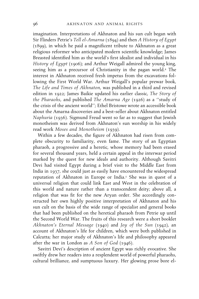imagination. Interpretations of Akhnaton and his sun cult began with Sir Flinders Petrie's *Tell el-Amarna* (1894) and then *A History of Egypt* (1899), in which he paid a magnificent tribute to Akhnaton as a great religious reformer who anticipated modern scientific knowledge; James Breasted identified him as the world's first idealist and individual in his *History of Egypt* (1906); and Arthur Weigall admired the young king, seeing him as a precursor of Christianity in the pagan world.4 The interest in Akhnaton received fresh impetus from the excavations following the First World War. Arthur Weigall's popular prewar book, *The Life and Times of Akhnaton*, was published in a third and revised edition in 1922; James Baikie updated his earlier classic, *The Story of the Pharaohs*, and published *The Amarna Age* (1926) as a ''study of the crisis of the ancient world''; Ethel Bristowe wrote an accessible book about the Amarna discoveries and a best-seller about Akhnaton entitled *Naphuria* (1936). Sigmund Freud went so far as to suggest that Jewish monotheism was derived from Akhnaton's sun worship in his widely read work *Moses and Monotheism* (1939).

Within a few decades, the figure of Akhnaton had risen from complete obscurity to familiarity, even fame. The story of an Egyptian pharaoh, a progressive and a heretic, whose memory had been erased for several thousand years, held a certain appeal in the interwar period marked by the quest for new ideals and authority. Although Savitri Devi had visited Egypt during a brief visit to the Middle East from India in 1937, she could just as easily have encountered the widespread reputation of Akhnaton in Europe or India.5 She was in quest of a universal religion that could link East and West in the celebration of this world and nature rather than a transcendent deity; above all, a religion that was fit for the new Aryan order. She accordingly constructed her own highly positive interpretation of Akhnaton and his sun cult on the basis of the wide range of specialist and general books that had been published on the heretical pharaoh from Petrie up until the Second World War. The fruits of this research were a short booklet *Akhnaton's Eternal Message* (1940) and *Joy of the Sun* (1942), an account of Akhnaton's life for children, which were both published in Calcutta; her major study of Akhnaton's life and philosophy appeared after the war in London as *A Son of God* (1946).

Savitri Devi's description of ancient Egypt was richly evocative. She swiftly drew her readers into a resplendent world of powerful pharaohs, cultural brilliance, and sumptuous luxury. Her glowing prose bore el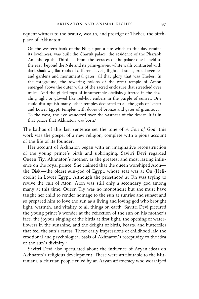oquent witness to the beauty, wealth, and prestige of Thebes, the birthplace of Akhnaton:

On the western bank of the Nile, upon a site which to this day retains its loveliness, was built the Charuk palace, the residence of the Pharaoh Amenhotep the Third.... From the terraces of the palace one beheld to the east, beyond the Nile and its palm-groves, white walls contrasted with dark shadows, flat roofs of different levels, flights of steps, broad avenues and gardens and monumental gates: all that glory that was Thebes. In the foreground, the towering pylons of the great temple of Amon emerged above the outer walls of the sacred enclosure that stretched over miles. And the gilded tops of innumerable obelisks glittered in the dazzling light or glowed like red-hot embers in the purple of sunset. One could distinguish many other temples dedicated to all the gods of Upper and Lower Egypt, temples with doors of bronze and gates of granite.... To the west, the eye wandered over the vastness of the desert. It is in that palace that Akhnaton was born.<sup>6</sup>

The bathos of this last sentence set the tone of *A Son of God*: this work was the gospel of a new religion, complete with a pious account of the life of its founder.

Her account of Akhnaton began with an imaginative reconstruction of the young prince's birth and upbringing. Savitri Devi regarded Queen Tiy, Akhnaton's mother, as the greatest and most lasting influence on the royal prince. She claimed that the queen worshiped Aton the Disk— the oldest sun-god of Egypt, whose seat was at On (Heliopolis) in Lower Egypt. Although the priesthood at On was trying to revive the cult of Aton, Aton was still only a secondary god among many at this time. Queen Tiy was no monotheist but she must have taught her child to render homage to the sun at sunrise and sunset and so prepared him to love the sun as a living and loving god who brought light, warmth, and vitality to all things on earth. Savitri Devi pictured the young prince's wonder at the reflection of the sun on his mother's face, the joyous singing of the birds at first light, the opening of waterflowers in the sunshine, and the delight of birds, beasts, and butterflies that feel the sun's caress. These early impressions of childhood laid the emotional and psychological basis of Akhnaton's receptivity to the idea of the sun's divinity.7

Savitri Devi also speculated about the influence of Aryan ideas on Akhnaton's religious development. These were attributable to the Mittanians, a Hurrian people ruled by an Aryan aristocracy who worshiped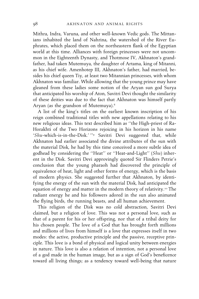Mithra, Indra, Varuna, and other well-known Vedic gods. The Mittanians inhabited the land of Nahrina, the watershed of the River Euphrates, which placed them on the northeastern flank of the Egyptian world at this time. Alliances with foreign princesses were not uncommon in the Eighteenth Dynasty, and Thotmose IV, Akhnaton's grandfather, had taken Mutemuya, the daughter of Artama, king of Mitanni, as his chief wife. Amenhotep III, Akhnaton's father, had married, besides his chief queen Tiy, at least two Mitannian princesses, with whom Akhnaton was familiar. While allowing that the young prince may have gleaned from these ladies some notion of the Aryan sun god Surya that anticipated his worship of Aton, Savitri Devi thought the similarity of these deities was due to the fact that Akhnaton was himself partly Aryan (as the grandson of Mutemuya).8

A list of the king's titles on the earliest known inscription of his reign combined traditional titles with new appellations relating to his new religious ideas. This text described him as ''the High-priest of Ra-Horakhti of the Two Horizons rejoicing in his horizon in his name '*Shu*-which-is-in-the-Disk.' ''9 Savitri Devi suggested that, while Akhnaton had earlier associated the divine attributes of the sun with the material Disk, he had by this time conceived a more subtle idea of godhead by considering the ''Heat'' or ''Heat-and-Light'' (*Shu*) inherent in the Disk. Savitri Devi approvingly quoted Sir Flinders Petrie's conclusion that the young pharaoh had discovered the principle of equivalence of heat, light and other forms of energy, which is the basis of modern physics. She suggested further that Akhnaton, by identifying the energy of the sun with the material Disk, had anticipated the equation of energy and matter in the modern theory of relativity.10 The radiant energy he and his followers adored in the sun also animated the flying birds, the running beasts, and all human achievement.

This religion of the Disk was no cold abstraction, Savitri Devi claimed, but a religion of love. This was not a personal love, such as that of a parent for his or her offspring, nor that of a tribal deity for his chosen people. The love of a God that has brought forth millions and millions of lives from himself is a love that expresses itself in two modes: the active, productive principle and the passive, receptive principle. This love is a bond of physical and logical unity between energies in nature. This love is also a relation of intention, not a personal love of a god made in the human image, but as a sign of God's beneficence toward all living things; as a tendency toward well-being that nature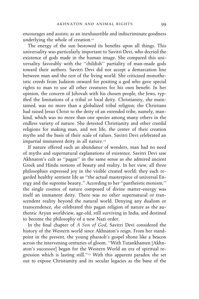encourages and assists; as an inexhaustible and indiscriminate goodness underlying the whole of creation.<sup>11</sup>

The energy of the sun bestowed its benefits upon all things. This universality was particularly important to Savitri Devi, who decried the existence of gods made in the human image. She compared this universality favorably with the ''childish'' partiality of man-made gods toward their authors. Savitri Devi did not accept a demarcation line between man and the rest of the living world. She criticized monotheistic creeds from Judaism onward for positing a god who gave special rights to man to use all other creatures for his own benefit. In her opinion, the concern of Jehovah with his chosen people, the Jews, typified the limitations of a tribal or local deity. Christianity, she maintained, was no more than a globalized tribal religion; the Christians had raised Jesus Christ to the deity of an extended tribe, namely, mankind, which was no more than one species among many others in the endless variety of nature. She detested Christianity and other creedal religions for making man, and not life, the center of their creation myths and the basis of their scale of values. Savitri Devi celebrated an impartial immanent deity in all nature.<sup>12</sup>

If nature offered such an abundance of wonders, man had no need of myths and supernatural explanations of existence. Savitri Devi saw Akhnaton's cult as ''pagan'' in the same sense as she admired ancient Greek and Hindu notions of beauty and reality. In her view, all three philosophies expressed joy in the visible created world; they each regarded healthy sentient life as ''the actual masterpiece of universal Energy and the supreme beauty.'' According to her ''pantheistic monism,'' the single cosmos of nature composed of divine matter-energy was itself an immanent deity. There was no other supernatural or transcendent reality beyond the natural world. Denying any dualism or transcendence, she celebrated this pagan religion of nature as the authentic Aryan worldview, age-old, still surviving in India, and destined to become the philosophy of a new Nazi order.

In the final chapter of *A Son of God*, Savitri Devi considered the history of the Western world since Akhnaton's reign. From her standpoint in the present, the young pharaoh's gospel shone like a beacon across the intervening centuries of gloom. ''With Tutankhamen [Akhnaton's successor] began for the Western World an era of spiritual regression which is lasting still.''13 With this apparent paradox she set out to expose Christianity and its secular legacies as the bane of the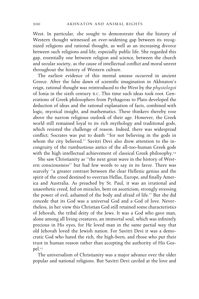West. In particular, she sought to demonstrate that the history of Western thought witnessed an ever-widening gap between its recognized religions and rational thought, as well as an increasing divorce between such religions and life, especially public life. She regarded this gap, essentially one between religion and science, between the church and secular society, as the cause of intellectual conflict and moral unrest throughout the history of Western culture.

The earliest evidence of this mental unease occurred in ancient Greece. After the false dawn of scientific imagination in Akhnaton's reign, rational thought was reintroduced to the West by the *physiologoi* of Ionia in the sixth century B.C. This time such ideas took root. Generations of Greek philosophers from Pythagoras to Plato developed the deduction of ideas and the rational explanation of facts, combined with logic, mystical insight, and mathematics. These thinkers thereby rose above the narrow religious outlook of their age. However, the Greek world still remained loyal to its rich mythology and traditional gods, which resisted the challenge of reason. Indeed, there was widespread conflict; Socrates was put to death ''for not believing in the gods in whom the city believed.'' Savitri Devi also drew attention to the incongruity of the rumbustious antics of the all-too-human Greek gods with the high intellectual achievement of classical Greek philosophy.<sup>14</sup>

She saw Christianity as ''the next great wave in the history of Western consciousness'' but had few words to say in its favor. There was scarcely ''a greater contrast between the clear Hellenic genius and the spirit of the creed destined to overrun Hellas, Europe, and finally America and Australia. As preached by St. Paul, it was an irrational and unaesthetic creed, fed on miracles, bent on asceticism, strongly stressing the power of evil, ashamed of the body and afraid of life.'' But she did concede that its God was a universal God and a God of love. Nevertheless, in her view this Christian God still retained some characteristics of Jehovah, the tribal deity of the Jews. It was a God who gave man, alone among all living creatures, an immortal soul, which was infinitely precious in His eyes, for He loved man in the same partial way that old Jehovah loved the Jewish nation. For Savitri Devi it was a democratic God who hated the rich, the high-born, and those who put their trust in human reason rather than accepting the authority of His Gospel.15

The universalism of Christianity was a major advance over the older popular and national religions. But Savitri Devi caviled at the love and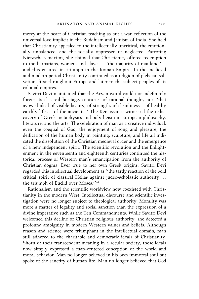mercy at the heart of Christian teaching as but a wan reflection of the universal love implicit in the Buddhism and Jainism of India. She held that Christianity appealed to the intellectually uncritical, the emotionally unbalanced, and the socially oppressed or neglected. Parroting Nietzsche's maxims, she claimed that Christianity offered redemption to the barbarians, women, and slaves—''the majority of mankind'' and this ensured its triumph in the Roman Empire. In the medieval and modern period Christianity continued as a religion of plebeian salvation, first throughout Europe and later to the subject peoples of its colonial empires.

Savitri Devi maintained that the Aryan world could not indefinitely forget its classical heritage, centuries of rational thought, nor ''that avowed ideal of visible beauty, of strength, of cleanliness—of healthy earthly life . . . of the ancients." The Renaissance witnessed the rediscovery of Greek metaphysics and polytheism in European philosophy, literature, and the arts. The celebration of man as a creative individual, even the coequal of God, the enjoyment of song and pleasure, the deification of the human body in painting, sculpture, and life all indicated the dissolution of the Christian medieval order and the emergence of a new independent spirit. The scientific revolution and the Enlightenment in the seventeenth and eighteenth centuries continued the historical process of Western man's emancipation from the authority of Christian dogma. Ever true to her own Greek origins, Savitri Devi regarded this intellectual development as ''the tardy reaction of the bold critical spirit of classical Hellas against judeo-scholastic authority... the triumph of Euclid over Moses.''16

Rationalism and the scientific worldview now coexisted with Christianity in the modern West. Intellectual discourse and scientific investigation were no longer subject to theological authority. Morality was more a matter of legality and social sanction than the expression of a divine imperative such as the Ten Commandments. While Savitri Devi welcomed this decline of Christian religious authority, she detected a profound ambiguity in modern Western values and beliefs. Although reason and science were triumphant in the intellectual domain, man still adhered to the charitable and democratic ideals of Christianity. Shorn of their transcendent meaning in a secular society, these ideals now simply expressed a man-centered conception of the world and moral behavior. Man no longer believed in his own immortal soul but spoke of the sanctity of human life. Man no longer believed that God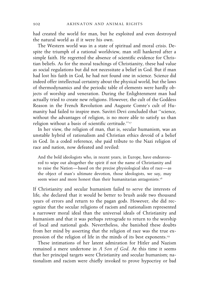had created the world for man, but he exploited and even destroyed the natural world as if it were his own.

The Western world was in a state of spiritual and moral crisis. Despite the triumph of a rational worldview, man still hankered after a simple faith. He regretted the absence of scientific evidence for Christian beliefs. As for the moral teachings of Christianity, these had value as social regulations but did not necessitate a belief in God. But if man had lost his faith in God, he had not found one in science. Science did indeed offer intellectual certainty about the physical world, but the laws of thermodynamics and the periodic table of elements were hardly objects of worship and veneration. During the Enlightenment man had actually tried to create new religions. However, the cult of the Goddess Reason in the French Revolution and Auguste Comte's cult of Humanity had failed to inspire men. Savitri Devi concluded that ''science, without the advantages of religion, is no more able to satisfy us than religion without a basis of scientific certitude.''17

In her view, the religion of man, that is, secular humanism, was an unstable hybrid of rationalism and Christian ethics devoid of a belief in God. In a coded reference, she paid tribute to the Nazi religion of race and nation, now defeated and reviled:

And the bold ideologists who, in recent years, in Europe, have endeavoured to wipe out altogether the spirit if not the name of Christianity and to raise the Nation— based on the precise physiological idea of race—as the object of man's ultimate devotion, those ideologists, we say, may seem wiser and more honest than their humanitarian antagonists.<sup>18</sup>

If Christianity and secular humanism failed to serve the interests of life, she declared that it would be better to brush aside two thousand years of errors and return to the pagan gods. However, she did recognize that the secular religions of racism and nationalism represented a narrower moral ideal than the universal ideals of Christianity and humanism and that it was perhaps retrograde to return to the worship of local and national gods. Nevertheless, she banished these doubts from her mind by asserting that the religion of race was the true expression of the religion of life in the minds of its best exponents.<sup>19</sup>

These intimations of her latent admiration for Hitler and Nazism remained a mere undertone in *A Son of God*. At this time it seems that her principal targets were Christianity and secular humanism; nationalism and racism were chiefly invoked to prove hypocrisy or bad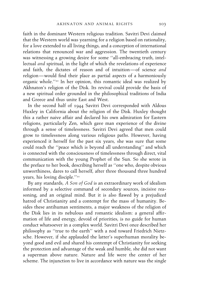faith in the dominant Western religious tradition. Savitri Devi claimed that the Western world was yearning for a religion based on rationality, for a love extended to all living things, and a conception of international relations that renounced war and aggression. The twentieth century was witnessing a growing desire for some ''all-embracing truth, intellectual *and* spiritual, in the light of which the revelations of experience and faith, the dictates of reason and of intuition—of science *and* religion—would find their place as partial aspects of a harmoniously organic whole.''20 In her opinion, this romantic ideal was realized by Akhnaton's religion of the Disk. Its revival could provide the basis of a new spiritual order grounded in the philosophical traditions of India and Greece and thus unite East and West.

In the second half of 1944 Savitri Devi corresponded with Aldous Huxley in California about the religion of the Disk. Huxley thought this a rather naive affair and declared his own admiration for Eastern religions, particularly Zen, which gave man experience of the divine through a sense of timelessness. Savitri Devi agreed that men could grow to timelessness along various religious paths. However, having experienced it herself for the past six years, she was sure that some could reach the ''peace which is beyond all understanding'' and which is connected with the consciousness of timelessness through direct, vital communication with the young Prophet of the Sun. So she wrote in the preface to her book, describing herself as ''one who, despite obvious unworthiness, dares to call herself, after three thousand three hundred years, his loving disciple.''21

By any standards, *A Son of God* is an extraordinary work of idealism informed by a selective command of secondary sources, incisive reasoning, and an original mind. But it is also flawed by a prejudiced hatred of Christianity and a contempt for the mass of humanity. Besides these antihuman sentiments, a major weakness of the religion of the Disk lies in its nebulous and romantic idealism: a general affirmation of life and energy, devoid of priorities, is no guide for human conduct whatsoever in a complex world. Savitri Devi once described her philosophy as ''true to the earth'' with a nod toward Friedrich Nietzsche. However, if she applauded the latter's superhuman morality beyond good and evil and shared his contempt of Christianity for seeking the protection and advantage of the weak and humble, she did not want a superman above nature. Nature and life were the center of her scheme. The injunction to live in accordance with nature was the single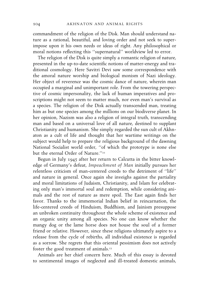commandment of the religion of the Disk. Man should understand nature as a rational, beautiful, and loving order and not seek to superimpose upon it his own needs or ideas of right. Any philosophical or moral notions reflecting this ''supernatural'' worldview led to error.

The religion of the Disk is quite simply a romantic religion of nature, presented in the up-to-date scientific notions of matter-energy and traditional cosmology. Here Savitri Devi saw some correspondence with the amoral nature worship and biological monism of Nazi ideology. Her object of reverence was the cosmic dance of nature, wherein man occupied a marginal and unimportant role. From the towering perspective of cosmic impersonality, the lack of human imperatives and proscriptions might not seem to matter much, nor even man's survival as a species. The religion of the Disk actually transcended man, treating him as but one species among the millions on our biodiverse planet. In her opinion, Nazism was also a religion of integral truth, transcending man and based on a universal love of all nature, destined to supplant Christianity and humanism. She simply regarded the sun cult of Akhnaton as a cult of life and thought that her wartime writings on the subject would help to prepare the religious background of the dawning National Socialist world order, ''of which the prototype is none else but the eternal Order of Nature.''<sup>22</sup>

Begun in July 1945 after her return to Calcutta in the bitter knowledge of Germany's defeat, *Impeachment of Man* initially pursues her relentless criticism of man-centered creeds to the detriment of ''life'' and nature in general. Once again she inveighs against the partiality and moral limitations of Judaism, Christianity, and Islam for celebrating only man's immortal soul and redemption, while considering animals and the rest of nature as mere spoil. The East again finds her favor. Thanks to the immemorial Indian belief in reincarnation, the life-centered creeds of Hinduism, Buddhism, and Jainism presuppose an unbroken continuity throughout the whole scheme of existence and an organic unity among all species. No one can know whether the mangy dog or the lame horse does not house the soul of a former friend or relative. However, since these religions ultimately aspire to a release from the cycle of rebirths, all individual existence is regarded as a sorrow. She regrets that this oriental pessimism does not actively foster the good treatment of animals.<sup>23</sup>

Animals are her chief concern here. Much of this essay is devoted to sentimental images of neglected and ill-treated domestic animals,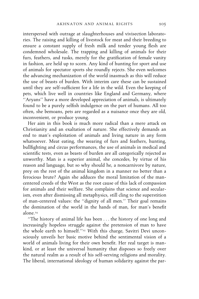interspersed with outrage at slaughterhouses and vivisection laboratories. The raising and killing of livestock for meat and their breeding to ensure a constant supply of fresh milk and tender young flesh are condemned wholesale. The trapping and killing of animals for their furs, feathers, and tusks, merely for the gratification of female vanity in fashion, are held up to scorn. Any kind of hunting for sport and use of animals for spectator sports she roundly rejects. She even welcomes the advancing mechanization of the world inasmuch as this will reduce the use of beasts of burden. With interim care these can be sustained until they are self-sufficient for a life in the wild. Even the keeping of pets, which live well in countries like England and Germany, where ''Aryans'' have a more developed appreciation of animals, is ultimately found to be a purely selfish indulgence on the part of humans. All too often, she bemoans, pets are regarded as a nuisance once they are old, inconvenient, or produce young.

Her aim in this book is much more radical than a mere attack on Christianity and an exaltation of nature. She effectively demands an end to man's exploitation of animals and living nature in any form whatsoever. Meat eating, the wearing of furs and feathers, hunting, bullfighting and circus performances, the use of animals in medical and scientific tests, even as beasts of burden are all categorically rejected as unworthy. Man is a superior animal, she concedes, by virtue of his reason and language, but so why should he, a noncarnivore by nature, prey on the rest of the animal kingdom in a manner no better than a ferocious brute? Again she adduces the moral limitation of the mancentered creeds of the West as the root cause of this lack of compassion for animals and their welfare. She complains that science and secularism, even after dismissing all metaphysics, still cling to the superstition of man-centered values: the ''dignity of all men.'' Their goal remains the domination of the world in the hands of man, for man's benefit alone.24

''The history of animal life has been . . . the history of one long and increasingly hopeless struggle against the pretension of man to have the whole earth to himself."<sup>25</sup> With this charge, Savitri Devi unconsciously unveils her basic motive behind the sentimental vision of a world of animals living for their own benefit. Her real target is mankind, or at least the universal humanity that disposes so freely over the natural realm as a result of his self-serving religions and morality. The liberal, international ideology of human solidarity against the par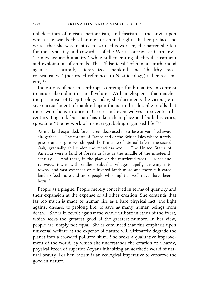tial doctrines of racism, nationalism, and fascism is the anvil upon which she wields this hammer of animal rights. In her preface she writes that she was inspired to write this work by the hatred she felt for the hypocrisy and cowardice of the West's outrage at Germany's ''crimes against humanity'' while still tolerating all this ill-treatment and exploitation of animals. This ''false ideal'' of human brotherhood against a naturally hierarchized mankind and ''healthy raceconsciousness'' (her coded references to Nazi ideology) is her real enemy.26

Indications of her misanthropic contempt for humanity in contrast to nature abound in this small volume. With an eloquence that matches the pessimism of Deep Ecology today, she documents the vicious, erosive encroachment of mankind upon the natural realm. She recalls that there were lions in ancient Greece and even wolves in seventeenthcentury England, but man has taken their place and built his cities, spreading "the network of his ever-grabbling organised life."<sup>27</sup>

As mankind expanded, forest-areas decreased in surface or vanished away altogether. . . . The forests of France and of the British Isles where stately priests and virgins worshipped the Principle of Eternal Life in the sacred Oak, gradually fell under the merciless axe. . . . The United States of America were a land of forests as late as the middle of the nineteenth century. . . . And there, in the place of the murdered trees...roads and railways, towns with endless suburbs, villages rapidly growing into towns, and vast expanses of cultivated land; more and more cultivated land to feed more and more people who might as well never have been born.28

People as a plague. People merely conceived in terms of quantity and their expansion at the expense of all other creation. She contends that far too much is made of human life as a bare physical fact: the fight against disease, to prolong life, to save as many human beings from death.29 She is in revolt against the whole utilitarian ethos of the West, which seeks the greatest good of the greatest number. In her view, people are simply not equal. She is convinced that this emphasis upon universal welfare at the expense of nature will ultimately degrade the planet into a crowded polluted slum. She seeks a qualitative improvement of the world, by which she understands the creation of a hardy, physical breed of superior Aryans inhabiting an aesthetic world of natural beauty. For her, racism is an ecological imperative to conserve the good in nature.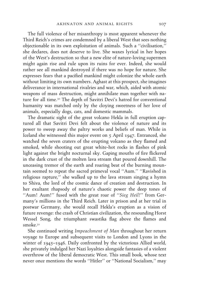The full violence of her misanthropy is most apparent whenever the Third Reich's crimes are condemned by a liberal West that sees nothing objectionable in its own exploitation of animals. Such a ''civilisation,'' she declares, does not deserve to live. She waxes lyrical in her hopes of the West's destruction so that a new elite of nature-loving supermen might again rise and rule upon its ruins for ever. Indeed, she would rather see all mankind destroyed if there was no hope for nature. She expresses fears that a pacified mankind might colonize the whole earth without limiting its own numbers. Aghast at this prospect, she imagines deliverance in international rivalries and war, which, aided with atomic weapons of mass destruction, might annihilate man together with nature for all time.30 The depth of Savitri Devi's hatred for conventional humanity was matched only by the cloying sweetness of her love of animals, especially dogs, cats, and domestic mammals.

The dramatic sight of the great volcano Hekla in full eruption captured all that Savitri Devi felt about the violence of nature and its power to sweep away the paltry works and beliefs of man. While in Iceland she witnessed this major event on 5 April 1947. Entranced, she watched the seven craters of the erupting volcano as they flamed and smoked, while shooting out great white-hot rocks in flashes of pink light against the bright nocturnal sky. Gaping mouths of fire flickered in the dark crust of the molten lava stream that poured downhill. The unceasing tremor of the earth and roaring beat of the burning mountain seemed to repeat the sacred primeval vocal ''Aum.'' ''Ravished in religious rapture,'' she walked up to the lava stream singing a hymn to Shiva, the lord of the cosmic dance of creation and destruction. In her exultant rhapsody of nature's chaotic power the deep tones of ''Aum! Aum!'' fused with the great roar of ''*Sieg Heil!*'' from Germany's millions in the Third Reich. Later in prison and at her trial in postwar Germany, she would recall Hekla's eruption as a vision of future revenge: the crash of Christian civilization, the resounding Horst Wessel Song, the triumphant swastika flag above the flames and smoke.<sup>31</sup>

She continued writing *Impeachment of Man* throughout her return voyage to Europe and subsequent visits to London and Lyons in the winter of 1945–1946. Daily confronted by the victorious Allied world, she privately indulged her Nazi loyalties alongside fantasies of a violent overthrow of the liberal democratic West. This small book, whose text never once mentions the words ''Hitler'' or ''National Socialism,'' may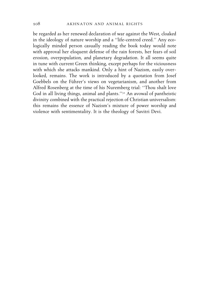be regarded as her renewed declaration of war against the West, cloaked in the ideology of nature worship and a ''life-centred creed.'' Any ecologically minded person casually reading the book today would note with approval her eloquent defense of the rain forests, her fears of soil erosion, overpopulation, and planetary degradation. It all seems quite in tune with current Green thinking, except perhaps for the viciousness with which she attacks mankind. Only a hint of Nazism, easily overlooked, remains. The work is introduced by a quotation from Josef Goebbels on the Führer's views on vegetarianism, and another from Alfred Rosenberg at the time of his Nuremberg trial: ''Thou shalt love God in all living things, animal and plants.<sup>"32</sup> An avowal of pantheistic divinity combined with the practical rejection of Christian universalism: this remains the essence of Nazism's mixture of power worship and violence with sentimentality. It is the theology of Savitri Devi.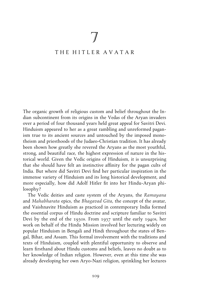## THE HITLER AVATAR

The organic growth of religious custom and belief throughout the Indian subcontinent from its origins in the Vedas of the Aryan invaders over a period of four thousand years held great appeal for Savitri Devi. Hinduism appeared to her as a great rambling and unreformed paganism true to its ancient sources and untouched by the imposed monotheism and priesthoods of the Judaeo-Christian tradition. It has already been shown how greatly she revered the Aryans as the most youthful, strong, and beautiful race, the highest expression of nature in the historical world. Given the Vedic origins of Hinduism, it is unsurprising that she should have felt an instinctive affinity for the pagan cults of India. But where did Savitri Devi find her particular inspiration in the immense variety of Hinduism and its long historical development, and more especially, how did Adolf Hitler fit into her Hindu-Aryan philosophy?

The Vedic deities and caste system of the Aryans, the *Ramayana* and *Mahabharata* epics, the *Bhagavad Gita*, the concept of the avatar, and Vaishnavite Hinduism as practiced in contemporary India formed the essential corpus of Hindu doctrine and scripture familiar to Savitri Devi by the end of the 1930s. From 1937 until the early 1940s, her work on behalf of the Hindu Mission involved her lecturing widely on popular Hinduism in Bengali and Hindi throughout the states of Bengal, Bihar, and Assam. This formal involvement with the traditions and texts of Hinduism, coupled with plentiful opportunity to observe and learn firsthand about Hindu customs and beliefs, leaves no doubt as to her knowledge of Indian religion. However, even at this time she was already developing her own Aryo-Nazi religion, sprinkling her lectures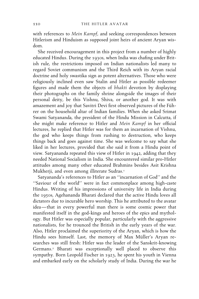with references to *Mein Kampf*, and seeking correspondences between Hitlerism and Hinduism as supposed joint heirs of ancient Aryan wisdom.

She received encouragement in this project from a number of highly educated Hindus. During the 1930s, when India was chafing under British rule, the restrictions imposed on Indian nationalists led many to regard Soviet communism and the Third Reich with its Aryan racial doctrine and holy swastika sign as potent alternatives. Those who were religiously inclined even saw Stalin and Hitler as possible redeemer figures and made them the objects of *bhakti* devotion by displaying their photographs on the family shrine alongside the images of their personal deity, be this Vishnu, Shiva, or another god. It was with amazement and joy that Savitri Devi first observed pictures of the Führer on the household altar of Indian families. When she asked Srimat Swami Satyananda, the president of the Hindu Mission in Calcutta, if she might make reference to Hitler and *Mein Kampf* in her official lectures, he replied that Hitler was for them an incarnation of Vishnu, the god who keeps things from rushing to destruction, who keeps things back and goes against time. She was welcome to say what she liked in her lectures, provided that she said it from a Hindu point of view. Satyananda repeated this view of Hitler in 1942, adding that they needed National Socialism in India. She encountered similar pro-Hitler attitudes among many other educated Brahmins besides Asit Krishna Mukherji, and even among illiterate Sudras.<sup>1</sup>

Satyananda's references to Hitler as an ''incarnation of God'' and the ''Saviour of the world'' were in fact commonplace among high-caste Hindus. Writing of his impressions of university life in India during the 1950s, Agehananda Bharati declared that the active Hindu loves all dictators due to incurable hero worship. This he attributed to the avatar idea— that in every powerful man there is some cosmic power that manifested itself in the god-kings and heroes of the epics and mythology. But Hitler was especially popular, particularly with the aggressive nationalists, for he trounced the British in the early years of the war. Also, Hitler proclaimed the superiority of the Aryan, which is how the Hindu sees himself. Last, the memory of Max Müller's Aryan researches was still fresh: Hitler was the leader of the Sanskrit-knowing Germans.<sup>2</sup> Bharati was exceptionally well placed to observe this sympathy. Born Leopold Fischer in 1923, he spent his youth in Vienna and embarked early on the scholarly study of India. During the war he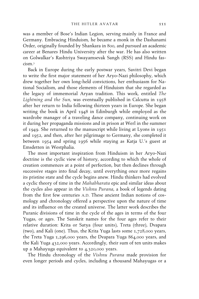was a member of Bose's Indian Legion, serving mainly in France and Germany. Embracing Hinduism, he became a monk in the Dashanami Order, originally founded by Shankara in 800, and pursued an academic career at Benares Hindu University after the war. He has also written on Golwalkar's Rashtriya Swayamsevak Sangh (RSS) and Hindu fascism.3

Back in Europe during the early postwar years, Savitri Devi began to write the first major statement of her Aryo-Nazi philosophy, which drew together her own long-held convictions, her enthusiasm for National Socialism, and those elements of Hinduism that she regarded as the legacy of immemorial Aryan tradition. This work, entitled *The Lightning and the Sun*, was eventually published in Calcutta in 1958 after her return to India following thirteen years in Europe. She began writing the book in April 1948 in Edinburgh while employed as the wardrobe manager of a traveling dance company, continuing work on it during her propaganda missions and in prison at Werl in the summer of 1949. She returned to the manuscript while living at Lyons in 1951 and 1952, and then, after her pilgrimage to Germany, she completed it between 1954 and spring 1956 while staying as Katja U.'s guest at Emsdetten in Westphalia.

The most important inspiration from Hinduism in her Aryo-Nazi doctrine is the cyclic view of history, according to which the whole of creation commences at a point of perfection, but then declines through successive stages into final decay, until everything once more regains its pristine state and the cycle begins anew. Hindu thinkers had evolved a cyclic theory of time in the *Mahabharata* epic and similar ideas about the cycles also appear in the *Vishnu Purana*, a book of legends dating from the first few centuries A.D. These ancient Indian notions of cosmology and chronology offered a perspective upon the nature of time and its influence on the created universe. The latter work describes the Puranic divisions of time in the cycle of the ages in terms of the four Yugas, or ages. The Sanskrit names for the four ages refer to their relative duration: Krita or Satya (four units), Treta (three), Dvapara (two), and Kali (one). Thus, the Krita Yuga lasts some 1,728,000 years, the Treta Yuga 1,296,000 years, the Dvapara Yuga 864,000 years, and the Kali Yuga 432,000 years. Accordingly, their sum of ten units makes up a Mahayuga equivalent to 4,320,000 years.

The Hindu chronology of the *Vishnu Purana* made provision for even longer periods and cycles, including a thousand Mahayugas or a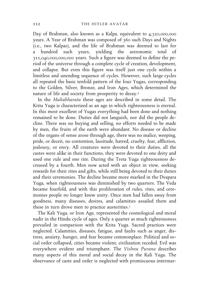Day of Brahman, also known as a Kalpa, equivalent to 4,320,000,000 years. A Year of Brahman was composed of 360 such Days and Nights (i.e., two Kalpas), and the life of Brahman was deemed to last for a hundred such years, yielding the astronomic total of 311,040,000,000,000 years. Such a figure was deemed to define the period of the universe through a complete cycle of creation, development, and collapse. But even this figure was itself just one cycle within a limitless and unending sequence of cycles. However, such large cycles all repeated the basic tenfold pattern of the four Yugas, corresponding to the Golden, Silver, Bronze, and Iron Ages, which determined the nature of life and society from prosperity to decay.4

In the *Mahabharata* these ages are described in some detail. The Krita Yuga is characterized as an age in which righteousness is eternal. In this most excellent of Yugas everything had been done and nothing remained to be done. Duties did not languish, nor did the people decline. There was no buying and selling, no efforts needed to be made by men, the fruits of the earth were abundant. No disease or decline of the organs of sense arose through age, there was no malice, weeping, pride, or deceit, no contention, lassitude, hatred, cruelty, fear, affliction, jealousy, or envy. All creatures were devoted to their duties, all the castes were alike in their functions, they were devoted to one deity and used one rule and one rite. During the Treta Yuga righteousness decreased by a fourth. Men now acted with an object in view, seeking rewards for their rites and gifts, while still being devoted to their duties and their ceremonies. The decline became more marked in the Dvapara Yuga, when righteousness was diminished by two quarters. The Veda became fourfold, and with this proliferation of rules, rites, and ceremonies people no longer knew unity. Once men had fallen away from goodness, many diseases, desires, and calamities assailed them and these in turn drove men to practice austerities.<sup>5</sup>

The Kali Yuga, or Iron Age, represented the cosmological and moral nadir in the Hindu cycle of ages. Only a quarter as much righteousness prevailed in comparison with the Krita Yuga. Sacred practices were neglected. Calamities, diseases, fatigue, and faults such as anger, distress, anxiety, hunger, and fear became commonplace. Political and social order collapsed, cities became violent, civilization receded. Evil was everywhere evident and triumphant. The *Vishnu Purana* describes many aspects of this moral and social decay in the Kali Yuga. The observance of caste and order is neglected with promiscuous intermar-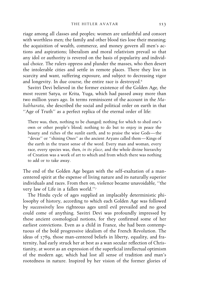riage among all classes and peoples; women are unfaithful and consort with worthless men; the family and other blood ties lose their meaning; the acquisition of wealth, commerce, and money govern all men's actions and aspirations; liberalism and moral relativism prevail so that any idol or authority is revered on the basis of popularity and individual choice. The rulers oppress and plunder the masses, who then desert the intolerable cities and settle in remote places. There they live in scarcity and want, suffering exposure, and subject to decreasing vigor and longevity. In due course, the entire race is destroyed.<sup>6</sup>

Savitri Devi believed in the former existence of the Golden Age, the most recent Satya, or Krita, Yuga, which had passed away more than two million years ago. In terms reminiscent of the account in the *Mahabharata*, she described the social and political order on earth in that ''Age of Truth'' as a perfect replica of the eternal order of life:

There was, then, nothing to be changed; nothing for which to shed one's own or other people's blood; nothing to do but to enjoy in peace the beauty and riches of the sunlit earth, and to praise the wise Gods— the ''devas'' or ''shining Ones'' as the ancient Aryans called them—Kings of the earth in the truest sense of the word. Every man and woman, every race, every species was, then, *in its place*, and the whole divine hierarchy of Creation was a work of art to which and from which there was nothing to add or to take away.

The end of the Golden Age began with the self-exaltation of a mancentered spirit at the expense of living nature and its naturally superior individuals and races. From then on, violence became unavoidable, ''the very law of Life in a fallen world.''7

The Hindu cycle of ages supplied an implacably deterministic philosophy of history, according to which each Golden Age was followed by successively less righteous ages until evil prevailed and no good could come of anything. Savitri Devi was profoundly impressed by these ancient cosmological notions, for they confirmed some of her earliest convictions. Even as a child in France, she had been contemptuous of the bold progressive idealism of the French Revolution. The ideas of 1789, those man-centered beliefs in liberty, equality, and fraternity, had early struck her at best as a wan secular reflection of Christianity, at worst as an expression of the superficial intellectual optimism of the modern age, which had lost all sense of tradition and man's rootedness in nature. Inspired by her vision of the former glories of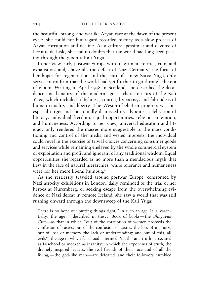the beautiful, strong, and warlike Aryan race at the dawn of the present cycle, she could not but regard recorded history as a slow process of Aryan corruption and decline. As a cultural pessimist and devotee of Leconte de Lisle, she had no doubts that the world had long been passing through the gloomy Kali Yuga.

In her view early postwar Europe with its grim austerities, ruin, and exhaustion, and, above all, the defeat of Nazi Germany, the focus of her hopes for regeneration and the start of a new Satya Yuga, only served to confirm that the world had yet further to go through the era of gloom. Writing in April 1948 in Scotland, she described the decadence and banality of the modern age as characteristics of the Kali Yuga, which included selfishness, conceit, hypocrisy, and false ideas of human equality and liberty. The Western belief in progress was her especial target and she roundly dismissed its advocates' celebration of literacy, individual freedom, equal opportunities, religious toleration, and humaneness. According to her view, universal education and literacy only rendered the masses more suggestible to the mass conditioning and control of the media and vested interests; the individual could revel in the exercise of trivial choices concerning consumer goods and services while remaining enslaved by the whole commercial system of exploitation and profit and ignorant of any traditional wisdom. Equal opportunities she regarded as no more than a mendacious myth that flew in the face of natural hierarchies, while tolerance and humaneness were for her mere liberal humbug.<sup>8</sup>

As she restlessly traveled around postwar Europe, confronted by Nazi atrocity exhibitions in London, daily reminded of the trial of her heroes at Nuremberg, or seeking escape from the overwhelming evidence of Nazi defeat in remote Iceland, she saw a world that was still rushing onward through the downsweep of the Kali Yuga:

There is no hope of ''putting things right,'' in such an age. It is, essentially, the age... described in the . . . Book of books— the *Bhagavad Gita*—as that in which ''out of the corruption of women proceeds the confusion of castes; out of the confusion of castes, the loss of memory; out of loss of memory the lack of understanding; and out of this, all evils''; the age in which falsehood is termed ''truth'' and truth persecuted as falsehood or mocked as insanity; in which the exponents of truth, the divinely inspired leaders, the real friends of their race and of all the living,— the god-like men—are defeated, and their followers humbled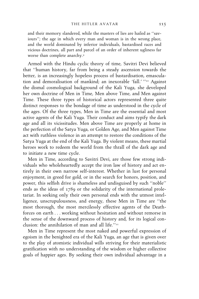and their memory slandered, while the masters of lies are hailed as ''saviours''; the age in which every man and woman is in the wrong place, and the world dominated by inferior individuals, bastardised races and vicious doctrines, all part and parcel of an order of inherent ugliness far worse than complete anarchy.9

Armed with the Hindu cyclic theory of time, Savitri Devi believed that ''human history, far from being a steady ascension towards the better, is an increasingly hopeless process of bastardisation, emasculation and demoralisation of mankind; an inexorable 'fall.' "<sup>10</sup> Against the dismal cosmological background of the Kali Yuga, she developed her own doctrine of Men in Time, Men above Time, and Men against Time. These three types of historical actors represented three quite distinct responses to the bondage of time as understood in the cycle of the ages. Of the three types, Men in Time are the essential and most active agents of the Kali Yuga. Their conduct and aims typify the dark age and all its vicissitudes. Men above Time are properly at home in the perfection of the Satya Yuga, or Golden Age, and Men against Time act with ruthless violence in an attempt to restore the conditions of the Satya Yuga at the end of the Kali Yuga. By violent means, these martial heroes work to redeem the world from the thrall of the dark age and to initiate a new time cycle.

Men in Time, according to Savitri Devi, are those few strong individuals who wholeheartedly accept the iron law of history and act entirely in their own narrow self-interest. Whether in lust for personal enjoyment, in greed for gold, or in the search for honors, position, and power, this selfish drive is shameless and undisguised by such ''noble'' ends as the ideas of 1789 or the solidarity of the international proletariat. In seeking only their own personal ends with the utmost intelligence, unscrupulousness, and energy, these Men in Time are ''the most thorough, the most mercilessly effective agents of the Deathforces on earth... working without hesitation and without remorse in the sense of the downward process of history and, for its logical conclusion: the annihilation of man and all life.<sup>"11</sup>

Men in Time represent the most naked and powerful expression of egoism in the benighted era of the Kali Yuga, an age that is given over to the play of atomistic individual wills striving for their materialistic gratification with no understanding of the wisdom or higher collective goals of happier ages. By seeking their own individual advantage in a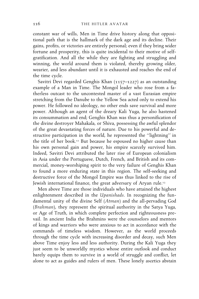constant war of wills, Men in Time drive history along that oppositional path that is the hallmark of the dark age and its decline. Their gains, profits, or victories are entirely personal; even if they bring wider fortune and prosperity, this is quite incidental to their motive of selfgratification. And all the while they are fighting and struggling and winning, the world around them is violated, thereby growing older, wearier, and less abundant until it is exhausted and reaches the end of the time cycle.

Savitri Devi regarded Genghis Khan (1157–1227) as an outstanding example of a Man in Time. The Mongol leader who rose from a fatherless outcast to the uncontested master of a vast Eurasian empire stretching from the Danube to the Yellow Sea acted only to extend his power. He followed no ideology, no other ends save survival and more power. Although an agent of the dreary Kali Yuga, he also hastened its consummation and end; Genghis Khan was thus a personification of the divine destroyer Mahakala, or Shiva, possessing the awful splendor of the great devastating forces of nature. Due to his powerful and destructive participation in the world, he represented the ''lightning'' in the title of her book.12 But because he espoused no higher cause than his own personal gain and power, his empire scarcely survived him. Indeed, Savitri Devi attributed the later rise of European colonialism in Asia under the Portuguese, Dutch, French, and British and its commercial, money-worshiping spirit to the very failure of Genghis Khan to found a more enduring state in this region. The self-seeking and destructive force of the Mongol Empire was thus linked to the rise of Jewish international finance, the great adversary of Aryan rule.<sup>13</sup>

Men above Time are those individuals who have attained the highest enlightenment described in the *Upanishads*. In recognizing the fundamental unity of the divine Self (*Atman*) and the all-pervading God (*Brahman*), they represent the spiritual authority in the Satya Yuga, or Age of Truth, in which complete perfection and righteousness prevail. In ancient India the Brahmins were the counselors and mentors of kings and warriors who were anxious to act in accordance with the commands of timeless wisdom. However, as the world proceeds through the time cycle with increasing disorder and decay, such Men above Time enjoy less and less authority. During the Kali Yuga they just seem to be unworldly mystics whose entire outlook and conduct barely equips them to survive in a world of struggle and conflict, let alone to act as guides and rulers of men. These lonely ascetics abstain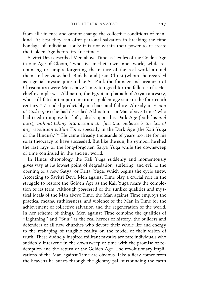from all violence and cannot change the collective conditions of mankind. At best they can offer personal salvation in breaking the time bondage of individual souls; it is not within their power to re-create the Golden Age before its due time.<sup>14</sup>

Savitri Devi described Men above Time as ''exiles of the Golden Age in our Age of Gloom,'' who live in their own inner world, while renouncing or simply forgetting the nature of the real world around them. In her view, both Buddha and Jesus Christ (whom she regarded as a genial mystic quite unlike St. Paul, the founder and organizer of Christianity) were Men above Time, too good for the fallen earth. Her chief example was Akhnaton, the Egyptian pharaoh of Aryan ancestry, whose ill-fated attempt to institute a golden-age state in the fourteenth century B.C. ended predictably in chaos and failure. Already in *A Son of God* (1946) she had described Akhnaton as a Man above Time ''who had tried to impose his lofty ideals upon this Dark Age (both his *and* ours), *without taking into account the fact that violence is the law of any revolution within Time*, specially in the Dark Age (the Kali Yuga of the Hindus).''15 He came already thousands of years too late for his solar theocracy to have succeeded. But like the sun, his symbol, he shed the last rays of the long-forgotten Satya Yuga while the downsweep of time continued in the ancient world.

In Hindu chronology the Kali Yuga suddenly and momentously gives way at its lowest point of degradation, suffering, and evil to the opening of a new Satya, or Krita, Yuga, which begins the cycle anew. According to Savitri Devi, Men against Time play a crucial role in the struggle to restore the Golden Age as the Kali Yuga nears the completion of its term. Although possessed of the sunlike qualities and mystical ideals of the Man above Time, the Man against Time employs the practical means, ruthlessness, and violence of the Man in Time for the achievement of collective salvation and the regeneration of the world. In her scheme of things, Men against Time combine the qualities of ''Lightning'' and ''Sun'' as the real heroes of history, the builders and defenders of all new churches who devote their whole life and energy to the reshaping of tangible reality on the model of their vision of truth. These divinely inspired militant mystics are rare individuals who suddenly intervene in the downsweep of time with the promise of redemption and the return of the Golden Age. The revolutionary implications of the Man against Time are obvious. Like a fiery comet from the heavens he bursts through the gloomy pall surrounding the earth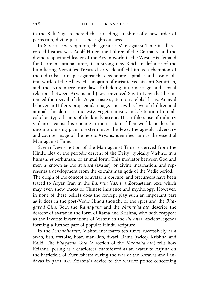in the Kali Yuga to herald the spreading sunshine of a new order of perfection, divine justice, and righteousness.

In Savitri Devi's opinion, the greatest Man against Time in all recorded history was Adolf Hitler, the Führer of the Germans, and the divinely appointed leader of the Aryan world in the West. His demand for German national unity in a strong new Reich in defiance of the humiliating Versailles Treaty clearly identified him as a champion of the old tribal principle against the degenerate capitalist and cosmopolitan world of the Allies. His adoption of racist ideas, his anti-Semitism, and the Nuremberg race laws forbidding intermarriage and sexual relations between Aryans and Jews convinced Savitri Devi that he intended the revival of the Aryan caste system on a global basis. An avid believer in Hitler's propaganda image, she saw his love of children and animals, his domestic modesty, vegetarianism, and abstention from alcohol as typical traits of the kindly ascetic. His ruthless use of military violence against his enemies in a resistant fallen world, no less his uncompromising plan to exterminate the Jews, the age-old adversary and counterimage of the heroic Aryans, identified him as the essential Man against Time.

Savitri Devi's notion of the Man against Time is derived from the Hindu idea of the periodic descent of the Deity, typically Vishnu, in a human, superhuman, or animal form. This mediator between God and men is known as the *avatara* (avatar), or divine incarnation, and represents a development from the extrahuman gods of the Vedic period.16 The origin of the concept of avatar is obscure, and precursors have been traced to Aryan Iran in the *Bahram Yasht*, a Zoroastrian text, which may even show traces of Chinese influence and mythology. However, in none of these beliefs does the concept play such an important part as it does in the post-Vedic Hindu thought of the epics and the *Bhagavad Gita*. Both the *Ramayana* and the *Mahabharata* describe the descent of avatar in the form of Rama and Krishna, who both reappear as the favorite incarnations of Vishnu in the *Puranas*, ancient legends forming a further part of popular Hindu scripture.

In the *Mahabharata*, Vishnu incarnates ten times successively as a swan, fish, tortoise, boar, man-lion, dwarf, Rama (twice), Krishna, and Kalki. The *Bhagavad Gita* (a section of the *Mahabharata*) tells how Krishna, posing as a charioteer, manifested as an avatar to Arjuna on the battlefield of Kurukshetra during the war of the Koravas and Pandavas in 3102 B.C. Krishna's advice to the warrior prince concerning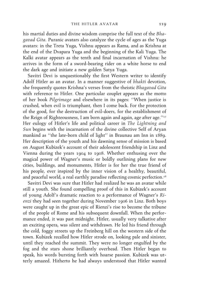his martial duties and divine wisdom comprise the full text of the *Bhagavad Gita*. Puranic avatars also catalyze the cycle of ages as the Yuga avatars: in the Treta Yuga, Vishnu appears as Rama, and as Krishna at the end of the Dvapara Yuga and the beginning of the Kali Yuga. The Kalki avatar appears as the tenth and final incarnation of Vishnu: he arrives in the form of a sword-bearing rider on a white horse to end the dark age and initiate a new golden Satya Yuga.

Savitri Devi is unquestionably the first Western writer to identify Adolf Hitler as an avatar. In a manner suggestive of *bhakti* devotion, she frequently quotes Krishna's verses from the theistic *Bhagavad Gita* with reference to Hitler. One particular couplet appears as the motto of her book *Pilgrimage* and elsewhere in its pages: ''When justice is crushed, when evil is triumphant, then I come back. For the protection of the good, for the destruction of evil-doers, for the establishment of the Reign of Righteousness, I am born again and again, age after age."<sup>17</sup> Her eulogy of Hitler's life and political career in *The Lightning and Sun* begins with the incarnation of the divine collective Self of Aryan mankind as ''the late-born child of light'' in Braunau am Inn in 1889. Her description of the youth and his dawning sense of mission is based on August Kubizek's account of their adolescent friendship in Linz and Vienna during the years 1904 to 1908. Whether enthusing over the magical power of Wagner's music or boldly outlining plans for new cities, buildings, and monuments, Hitler is for her the true friend of his people, ever inspired by the inner vision of a healthy, beautiful, and peaceful world, a real earthly paradise reflecting cosmic perfection.<sup>18</sup>

Savitri Devi was sure that Hitler had realized he was an avatar while still a youth. She found compelling proof of this in Kubizek's account of young Adolf's dramatic reaction to a performance of Wagner's *Rienzi* they had seen together during November 1906 in Linz. Both boys were caught up in the great epic of Rienzi's rise to become the tribune of the people of Rome and his subsequent downfall. When the performance ended, it was past midnight. Hitler, usually very talkative after an exciting opera, was silent and withdrawn. He led his friend through the cold, foggy streets up the Freinberg hill on the western side of the town. Kubizek recalled how Hitler strode on, looking pale and sinister, until they reached the summit. They were no longer engulfed by the fog and the stars shone brilliantly overhead. Then Hitler began to speak, his words bursting forth with hoarse passion. Kubizek was utterly amazed. Hitherto he had always understood that Hitler wanted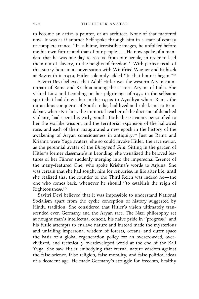to become an artist, a painter, or an architect. None of that mattered now. It was as if another Self spoke through him in a state of ecstasy or complete trance. ''In sublime, irresistible images, he unfolded before me his own future and that of our people. . . . He now spoke of a mandate that he was one day to receive from our people, in order to lead them out of slavery, to the heights of freedom.'' With perfect recall of this starry hour in a conversation with Winifried Wagner and Kubizek at Bayreuth in 1939, Hitler solemnly added ''In that hour it began.''19

Savitri Devi believed that Adolf Hitler was the western Aryan counterpart of Rama and Krishna among the eastern Aryans of India. She visited Linz and Leonding on her pilgrimage of 1953 in the selfsame spirit that had drawn her in the 1930s to Ayodhya where Rama, the miraculous conqueror of South India, had lived and ruled, and to Brindaban, where Krishna, the immortal teacher of the doctrine of detached violence, had spent his early youth. Both these avatars personified to her the warlike wisdom and the territorial expansion of the hallowed race, and each of them inaugurated a new epoch in the history of the awakening of Aryan consciousness in antiquity.<sup>20</sup> Just as Rama and Krishna were Yuga avatars, she so could invoke Hitler, the race savior, as the perennial avatar of the *Bhagavad Gita*. Sitting in the garden of Hitler's former classmate's in Leonding, she visualized the beloved features of her Führer suddenly merging into the impersonal Essence of the many-featured One, who spoke Krishna's words to Arjuna. She was certain that she had sought him for centuries, in life after life, until she realized that the founder of the Third Reich was indeed he— the one who comes back, whenever he should ''to establish the reign of Righteousness."<sup>21</sup>

Savitri Devi believed that it was impossible to understand National Socialism apart from the cyclic conception of history suggested by Hindu tradition. She considered that Hitler's vision ultimately transcended even Germany and the Aryan race. The Nazi philosophy set at nought man's intellectual conceit, his naive pride in ''progress,'' and his futile attempts to enslave nature and instead made the mysterious and unfailing impersonal wisdom of forests, oceans, and outer space the basis of a global regeneration policy for an overcrowded, overcivilized, and technically overdeveloped world at the end of the Kali Yuga. She saw Hitler embodying that eternal nature wisdom against the false science, false religion, false morality, and false political ideas of a decadent age. He made Germany's struggle for freedom, healthy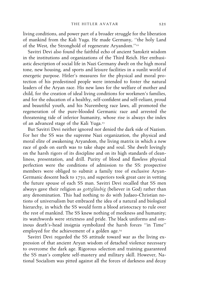living conditions, and power part of a broader struggle for the liberation of mankind from the Kali Yuga. He made Germany, ''the holy Land of the West, the Stronghold of regenerate Aryandom.<sup>''22</sup>

Savitri Devi also found the faithful echo of ancient Sanskrit wisdom in the institutions and organizations of the Third Reich. Her enthusiastic description of social life in Nazi Germany dwelt on the high moral tone, new housing, and sports and leisure facilities in a sunlit world of energetic purpose. Hitler's measures for the physical and moral protection of his predestined people were intended to foster the natural leaders of the Aryan race. His new laws for the welfare of mother and child, for the creation of ideal living conditions for workmen's families, and for the education of a healthy, self-confident and self-reliant, proud and beautiful youth, and his Nuremberg race laws, all promoted the regeneration of the pure-blooded Germanic race and arrested the threatening tide of inferior humanity, whose rise is always the index of an advanced stage of the Kali Yuga.23

But Savitri Devi neither ignored nor denied the dark side of Nazism. For her the SS was the supreme Nazi organization, the physical and moral elite of awakening Aryandom, the living matrix in which a new race of gods on earth was to take shape and soul. She dwelt lovingly on the harsh rigors of its discipline and on its high standards of cleanliness, presentation, and drill. Purity of blood and flawless physical perfection were the conditions of admission to the SS: prospective members were obliged to submit a family tree of exclusive Aryan-Germanic descent back to 1750, and superiors took great care in vetting the future spouse of each SS man. Savitri Devi recalled that SS men always gave their religion as *gottgläubig* (believer in God) rather than any denomination. This had nothing to do with Judaeo-Christian notions of universalism but embraced the idea of a natural and biological hierarchy, in which the SS would form a blood aristocracy to rule over the rest of mankind. The SS knew nothing of meekness and humanity; its watchwords were strictness and pride. The black uniforms and ominous death's-head insignia symbolized the harsh forces ''in Time'' employed for the achievement of a golden age.<sup>24</sup>

Savitri Devi regarded the SS attitude toward war as the living expression of that ancient Aryan wisdom of detached violence necessary to overcome the dark age. Rigorous selection and training guaranteed the SS man's complete self-mastery and military skill. However, National Socialism was pitted against all the forces of darkness and decay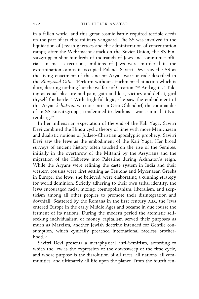in a fallen world, and this great cosmic battle required terrible deeds on the part of its elite military vanguard. The SS was involved in the liquidation of Jewish ghettoes and the administration of concentration camps; after the Wehrmacht attack on the Soviet Union, the SS Einsatzgruppen shot hundreds of thousands of Jews and communist officials in mass executions; millions of Jews were murdered in the extermination camps in occupied Poland. Savitri Devi saw the SS as the living enactment of the ancient Aryan warrior code described in the *Bhagavad Gita*: ''Perform without attachment that action which is duty, desiring nothing but the welfare of Creation.''25 And again, ''Taking as equal pleasure and pain, gain and loss, victory and defeat, gird thyself for battle.'' With frightful logic, she saw the embodiment of this Aryan *kshatriya* warrior spirit in Otto Ohlendorf, the commander of an SS Einsatzgruppe, condemned to death as a war criminal at Nuremberg.26

In her millenarian expectation of the end of the Kali Yuga, Savitri Devi combined the Hindu cyclic theory of time with more Manichaean and dualistic notions of Judaeo-Christian apocalyptic prophecy. Savitri Devi saw the Jews as the embodiment of the Kali Yuga. Her broad surveys of ancient history often touched on the rise of the Semites, initially in the overthrow of the Mitanni by the Assyrians and the migration of the Hebrews into Palestine during Akhnaton's reign. While the Aryans were refining the caste system in India and their western cousins were first settling as Teutons and Mycenaean Greeks in Europe, the Jews, she believed, were elaborating a cunning strategy for world dominion. Strictly adhering to their own tribal identity, the Jews encouraged racial mixing, cosmopolitanism, liberalism, and skepticism among all other peoples to promote their disintegration and downfall. Scattered by the Romans in the first century A.D., the Jews entered Europe in the early Middle Ages and became in due course the ferment of its nations. During the modern period the atomistic selfseeking individualism of money capitalism served their purposes as much as Marxism, another Jewish doctrine intended for Gentile consumption, which cynically preached international raceless brotherhood.<sup>27</sup>

Savitri Devi presents a metaphysical anti-Semitism, according to which the Jew is the expression of the downsweep of the time cycle, and whose purpose is the dissolution of all races, all nations, all communities, and ultimately all life upon the planet. From the fourth cen-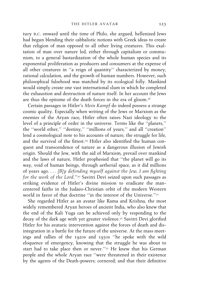tury B.C. onward until the time of Philo, she argued, hellenized Jews had begun blending their cabbalistic notions with Greek ideas to create that religion of man opposed to all other living creatures. This exaltation of man over nature led, either through capitalism or communism, to a general bastardization of the whole human species and its exponential proliferation as producers and consumers at the expense of all other creatures in ''a reign of quantity'' characterized by money, rational calculation, and the growth of human numbers. However, such philosophical falsehood was matched by its ecological folly. Mankind would simply create one vast international slum in which he completed the exhaustion and destruction of nature itself. In her account the Jews are thus the epitome of the death forces in the era of gloom.28

Certain passages in Hitler's *Mein Kampf* do indeed possess a strange cosmic quality. Especially when writing of the Jews or Marxism as the enemies of the Aryan race, Hitler often raises Nazi ideology to the level of a principle of order in the universe. Terms like the ''planets,'' the ''world ether,'' ''destiny,'' ''millions of years,'' and all ''creation'' lend a cosmological note to his accounts of nature, the struggle for life, and the survival of the fittest.<sup>29</sup> Hitler also identified the human conquest and transcendence of nature as a dangerous illusion of Jewish origin. Should the Jew, with the aid of Marxism, prevail over mankind and the laws of nature, Hitler prophesied that ''the planet will go its way, void of human beings, through aetherial space, as it did millions of years ago.... *[B]y defending myself against the Jew, I am fighting for the work of the Lord*.''30 Savitri Devi seized upon such passages as striking evidence of Hitler's divine mission to eradicate the mancentered faiths in the Judaeo-Christian orbit of the modern Western world in favor of that doctrine "in the interest of the Universe."<sup>31</sup>

She regarded Hitler as an avatar like Rama and Krishna, the most widely remembered Aryan heroes of ancient India, who also knew that the end of the Kali Yuga can be achieved only by responding to the decay of the dark age with yet greater violence.32 Savitri Devi glorified Hitler for his avataric intervention against the forces of death and disintegration in a battle for the future of the universe. At the mass meetings and rallies of the 1920s and 1930s ''he spoke with the wild eloquence of emergency, knowing that the struggle he was about to start had to take place then or never.''33 He knew that his German people and the whole Aryan race ''were threatened in their existence by the agents of the Death-powers; cornered; and that their definitive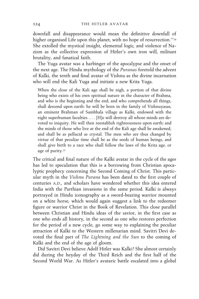downfall and disappearance would mean the definitive downfall of higher organised Life upon this planet, with no hope of resurrection.<sup>"34</sup> She extolled the mystical insight, elemental logic, and violence of Nazism as the collective expression of Hitler's own iron will, militant brutality, and fanatical faith.

The Yuga avatar was a harbinger of the apocalypse and the onset of the next age. The Hindu mythology of the *Puranas* foretold the advent of Kalki, the tenth and final avatar of Vishnu as the divine incarnation who will end the Kali Yuga and initiate a new Krita Yuga.

When the close of the Kali age shall be nigh, a portion of that divine being who exists of his own spiritual nature in the character of Brahma, and who is the beginning and the end, and who comprehends all things, shall descend upon earth: he will be born in the family of Vishnuyasas, an eminent Brahman of Sambhala village as Kalki, endowed with the eight superhuman faculties. . . . [H]e will destroy all whose minds are devoted to iniquity. He will then reestablish righteousness upon earth; and the minds of those who live at the end of the Kali age shall be awakened, and shall be as pellucid as crystal. The men who are thus changed by virtue of that peculiar time shall be as the seeds of human beings, and shall give birth to a race who shall follow the laws of the Krita age, or age of purity.35

The critical and final nature of the Kalki avatar in the cycle of the ages has led to speculation that this is a borrowing from Christian apocalyptic prophecy concerning the Second Coming of Christ. This particular myth in the *Vishnu Purana* has been dated to the first couple of centuries A.D., and scholars have wondered whether this idea entered India with the Parthian invasions in the same period. Kalki is always portrayed in Hindu iconography as a sword-bearing warrior mounted on a white horse, which would again suggest a link to the redeemer figure or warrior Christ in the Book of Revelation. This close parallel between Christian and Hindu ideas of the savior, in the first case as one who ends all history, in the second as one who restores perfection for the period of a new cycle, go some way to explaining the peculiar attraction of Kalki to the Western millenarian mind. Savitri Devi devoted the final part of *The Lightning and the Sun* to the coming of Kalki and the end of the age of gloom.

Did Savitri Devi believe Adolf Hitler was Kalki? She almost certainly did during the heyday of the Third Reich and the first half of the Second World War. As Hitler's avataric battle escalated into a global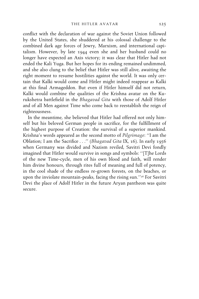conflict with the declaration of war against the Soviet Union followed by the United States, she shuddered at his colossal challenge to the combined dark age forces of Jewry, Marxism, and international capitalism. However, by late 1944 even she and her husband could no longer have expected an Axis victory; it was clear that Hitler had not ended the Kali Yuga. But her hopes for its ending remained undimmed, and she also clung to the belief that Hitler was still alive, awaiting the right moment to resume hostilities against the world. It was only certain that Kalki would come and Hitler might indeed reappear as Kalki at this final Armageddon. But even if Hitler himself did not return, Kalki would combine the qualities of the Krishna avatar on the Kurukshetra battlefield in the *Bhagavad Gita* with those of Adolf Hitler and of all Men against Time who come back to reestablish the reign of righteousness.

In the meantime, she believed that Hitler had offered not only himself but his beloved German people in sacrifice, for the fulfillment of the highest purpose of Creation: the survival of a superior mankind. Krishna's words appeared as the second motto of *Pilgrimage*: ''I am the Oblation; I am the Sacrifice . . .'' (*Bhagavad Gita* IX, 16). In early 1956 when Germany was divided and Nazism reviled, Savitri Devi fondly imagined that Hitler would survive in songs and symbols: ''[T]he Lords of the new Time-cycle, men of his own blood and faith, will render him divine honours, through rites full of meaning and full of potency, in the cool shade of the endless re-grown forests, on the beaches, or upon the inviolate mountain-peaks, facing the rising sun.''36 For Savitri Devi the place of Adolf Hitler in the future Aryan pantheon was quite secure.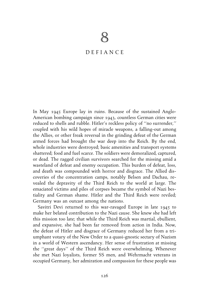# 8

## DEFIANCE

In May 1945 Europe lay in ruins. Because of the sustained Anglo-American bombing campaign since 1943, countless German cities were reduced to shells and rubble. Hitler's reckless policy of ''no surrender,'' coupled with his wild hopes of miracle weapons, a falling-out among the Allies, or other freak reversal in the grinding defeat of the German armed forces had brought the war deep into the Reich. By the end, whole industries were destroyed; basic amenities and transport systems shattered; food and fuel scarce. The soldiers were demoralized, captured, or dead. The ragged civilian survivors searched for the missing amid a wasteland of defeat and enemy occupation. This burden of defeat, loss, and death was compounded with horror and disgrace. The Allied discoveries of the concentration camps, notably Belsen and Dachau, revealed the depravity of the Third Reich to the world at large. The emaciated victims and piles of corpses became the symbol of Nazi bestiality and German shame. Hitler and the Third Reich were reviled; Germany was an outcast among the nations.

Savitri Devi returned to this war-ravaged Europe in late 1945 to make her belated contribution to the Nazi cause. She knew she had left this mission too late; that while the Third Reich was martial, ebullient, and expansive, she had been far removed from action in India. Now, the defeat of Hitler and disgrace of Germany reduced her from a triumphant votary of the New Order to a quasi-gnostic sectary of Nazism in a world of Western ascendancy. Her sense of frustration at missing the ''great days'' of the Third Reich were overwhelming. Whenever she met Nazi loyalists, former SS men, and Wehrmacht veterans in occupied Germany, her admiration and compassion for these people was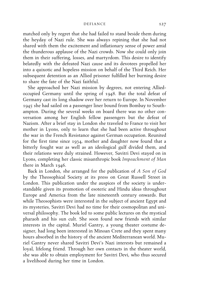#### DEFIANCE 127

matched only by regret that she had failed to stand beside them during the heyday of Nazi rule. She was always repining that she had not shared with them the excitement and inflationary sense of power amid the thunderous applause of the Nazi crowds. Now she could only join them in their suffering, losses, and martyrdom. This desire to identify belatedly with the defeated Nazi cause and its devotees propelled her into a quixotic and hopeless mission on behalf of the Third Reich. Her subsequent detention as an Allied prisoner fulfilled her burning desire to share the fate of the Nazi faithful.

She approached her Nazi mission by degrees, not entering Alliedoccupied Germany until the spring of 1948. But the total defeat of Germany cast its long shadow over her return to Europe. In November 1945 she had sailed on a passenger liner bound from Bombay to Southampton. During the several weeks on board there was no other conversation among her English fellow passengers but the defeat of Nazism. After a brief stay in London she traveled to France to visit her mother in Lyons, only to learn that she had been active throughout the war in the French Resistance against German occupation. Reunited for the first time since 1934, mother and daughter now found that a bitterly fought war as well as an ideological gulf divided them, and their relations were duly strained. However, Savitri Devi stayed on in Lyons, completing her classic misanthropic book *Impeachment of Man* there in March 1946.

Back in London, she arranged for the publication of *A Son of God* by the Theosophical Society at its press on Great Russell Street in London. This publication under the auspices of the society is understandable given its promotion of esoteric and Hindu ideas throughout Europe and America from the late nineteenth century onwards. But while Theosophists were interested in the subject of ancient Egypt and its mysteries, Savitri Devi had no time for their cosmopolitan and universal philosophy. The book led to some public lectures on the mystical pharaoh and his sun cult. She soon found new friends with similar interests in the capital. Muriel Gantry, a young theater costume designer, had long been interested in Minoan Crete and they spent many hours absorbed in the history of the ancient Mediterranean world. Muriel Gantry never shared Savitri Devi's Nazi interests but remained a loyal, lifelong friend. Through her own contacts in the theater world, she was able to obtain employment for Savitri Devi, who thus secured a livelihood during her time in London.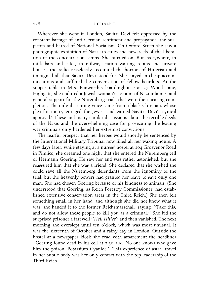#### 128 DEFIANCE

Wherever she went in London, Savitri Devi felt oppressed by the constant barrage of anti-German sentiment and propaganda, the suspicion and hatred of National Socialism. On Oxford Street she saw a photographic exhibition of Nazi atrocities and newsreels of the liberation of the concentration camps. She hurried on. But everywhere, in milk bars and cafes, in railway station waiting rooms and private houses, the radio ceaselessly recounted the horrors of Hitlerism and impugned all that Savitri Devi stood for. She stayed in cheap accommodations and suffered the conversation of fellow boarders. At the supper table in Mrs. Ponworth's boardinghouse at 37 Wood Lane, Highgate, she endured a Jewish woman's account of Nazi infamies and general support for the Nuremberg trials that were then nearing completion. The only dissenting voice came from a black Christian, whose plea for mercy enraged the Jewess and earned Savitri Devi's cynical approval.<sup>1</sup> These and many similar discussions about the terrible deeds of the Nazis and the overwhelming case for prosecuting the leading war criminals only hardened her extremist convictions.

The fearful prospect that her heroes would shortly be sentenced by the International Military Tribunal now filled all her waking hours. A few days later, while staying at a nurses' hostel at 104 Grosvenor Road in Pimlico, she dreamed one night that she entered the Nuremberg cell of Hermann Goering. He saw her and was rather astonished, but she reassured him that she was a friend. She declared that she wished she could save all the Nuremberg defendants from the ignominy of the trial, but the heavenly powers had granted her leave to save only one man. She had chosen Goering because of his kindness to animals. (She understood that Goering, as Reich Forestry Commissioner, had established extensive conservation areas in the Third Reich.) She then felt something small in her hand, and although she did not know what it was, she handed it to the former Reichsmarschall, saying, ''Take this, and do not allow these people to kill you as a criminal.'' She bid the surprised prisoner a farewell ''*Heil Hitler*'' and then vanished. The next morning she overslept until ten o'clock, which was most unusual. It was the sixteenth of October and a rainy day in London. Outside the hostel at a newspaper kiosk she read with amazement the headlines ''Goering found dead in his cell at 2.30 A.M. No one knows who gave him the poison. Potassium Cyanide.'' This experience of astral travel in her subtle body was her only contact with the top leadership of the Third Reich.<sup>2</sup>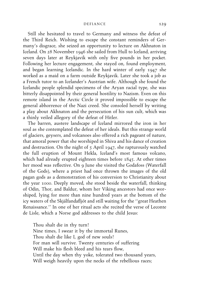Still she hesitated to travel to Germany and witness the defeat of the Third Reich. Wishing to escape the constant reminders of Germany's disgrace, she seized an opportunity to lecture on Akhnaton in Iceland. On 28 November 1946 she sailed from Hull to Iceland, arriving seven days later at Reykjavik with only five pounds in her pocket. Following her lecture engagement, she stayed on, found employment, and began learning Icelandic. In the hard winter of early 1947 she worked as a maid on a farm outside Reykjavik. Later she took a job as a French tutor to an Icelander's Austrian wife. Although she found the Icelandic people splendid specimens of the Aryan racial type, she was bitterly disappointed by their general hostility to Nazism. Even on this remote island in the Arctic Circle it proved impossible to escape the general abhorrence of the Nazi creed. She consoled herself by writing a play about Akhnaton and the persecution of his sun cult, which was a thinly veiled allegory of the defeat of Hitler.

The barren, austere landscape of Iceland mirrored the iron in her soul as she contemplated the defeat of her ideals. But this strange world of glaciers, geysers, and volcanoes also offered a rich pageant of nature, that amoral power that she worshiped in Shiva and his dance of creation and destruction. On the night of 5 April 1947, she rapturously watched the full eruption of Mount Hekla, Iceland's most famous volcano, which had already erupted eighteen times before 1845. At other times her mood was reflective. On 9 June she visited the Godafoss (Waterfall of the Gods), where a priest had once thrown the images of the old pagan gods as a demonstration of his conversion to Christianity about the year 1000. Deeply moved, she stood beside the waterfall, thinking of Odin, Thor, and Baldur, whom her Viking ancestors had once worshiped, lying for more than nine hundred years at the bottom of the icy waters of the Skjálfandafljót and still waiting for the "great Heathen Renaissance.'' In one of her ritual acts she recited the verse of Leconte de Lisle, which a Norse god addresses to the child Jesus:

Thou shalt die in thy turn! Nine times, I swear it by the immortal Runes, Thou shalt die like I, god of new souls! For man will survive. Twenty centuries of suffering Will make his flesh bleed and his tears flow, Until the day when thy yoke, tolerated two thousand years, Will weigh heavily upon the necks of the rebellious races;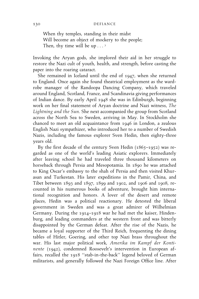#### 130 DEFIANCE

When thy temples, standing in their midst Will become an object of mockery to the people; Then, thy time will be up  $\ldots$  3

Invoking the Aryan gods, she implored their aid in her struggle to restore the Nazi cult of youth, health, and strength, before casting the paper into the roaring cataract.

She remained in Iceland until the end of 1947, when she returned to England. Once again she found theatrical employment as the wardrobe manager of the Randoopa Dancing Company, which traveled around England, Scotland, France, and Scandinavia giving performances of Indian dance. By early April 1948 she was in Edinburgh, beginning work on her final statement of Aryan doctrine and Nazi witness, *The Lightning and the Sun*. She next accompanied the group from Scotland across the North Sea to Sweden, arriving in May. In Stockholm she chanced to meet an old acquaintance from 1946 in London, a zealous English Nazi sympathizer, who introduced her to a number of Swedish Nazis, including the famous explorer Sven Hedin, then eighty-three years old.

By the first decade of the century Sven Hedin (1865–1952) was regarded as one of the world's leading Asiatic explorers. Immediately after leaving school he had traveled three thousand kilometers on horseback through Persia and Mesopotamia. In 1890 he was attached to King Oscar's embassy to the shah of Persia and then visited Khurasan and Turkestan. His later expeditions in the Pamir, China, and Tibet between 1893 and 1897, 1899 and 1902, and 1906 and 1908, recounted in his numerous books of adventure, brought him international recognition and honors. A lover of the desert and remote places, Hedin was a political reactionary. He detested the liberal government in Sweden and was a great admirer of Wilhelmian Germany. During the 1914–1918 war he had met the kaiser, Hindenburg, and leading commanders at the western front and was bitterly disappointed by the German defeat. After the rise of the Nazis, he became a loyal supporter of the Third Reich, frequenting the dining tables of Hitler, Goering, and other top Nazi brass throughout the war. His last major political work, *Amerika im Kampf der Kontinente* (1942), condemned Roosevelt's intervention in European affairs, recalled the 1918 ''stab-in-the-back'' legend beloved of German militarists, and generally followed the Nazi Foreign Office line. After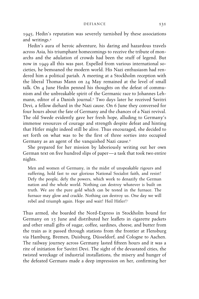1945, Hedin's reputation was severely tarnished by these associations and writings.4

Hedin's aura of heroic adventure, his daring and hazardous travels across Asia, his triumphant homecomings to receive the tribute of monarchs and the adulation of crowds had been the stuff of legend. But now in 1949 all this was past. Expelled from various international societies, he bemoaned the modern world. His Nazi enthusiasm had rendered him a political pariah. A meeting at a Stockholm reception with the liberal Thomas Mann on 24 May remained at the level of small talk. On 4 June Hedin penned his thoughts on the defeat of communism and the unbreakable spirit of the Germanic race to Johannes Lehmann, editor of a Danish journal.5 Two days later he received Savitri Devi, a fellow diehard in the Nazi cause. On 6 June they conversed for four hours about the fate of Germany and the chances of a Nazi revival. The old Swede evidently gave her fresh hope, alluding to Germany's immense resources of courage and strength despite defeat and hinting that Hitler might indeed still be alive. Thus encouraged, she decided to set forth on what was to be the first of three sorties into occupied Germany as an agent of the vanquished Nazi cause.<sup>6</sup>

She prepared for her mission by laboriously writing out her own German text on five hundred slips of paper—a task that took two entire nights.

Men and women of Germany, in the midst of unspeakable rigours and suffering, hold fast to our glorious National Socialist faith, and resist! Defy the people, defy the powers, which work to denazify the German nation and the whole world. Nothing can destroy whatever is built on truth. We are the pure gold which can be tested in the furnace. The furnace may glow and crackle. Nothing can destroy us. One day we will rebel and triumph again. Hope and wait! Heil Hitler!7

Thus armed, she boarded the Nord-Express in Stockholm bound for Germany on 15 June and distributed her leaflets in cigarette packets and other small gifts of sugar, coffee, sardines, cheese, and butter from the train as it passed through stations from the frontier at Flensburg via Hamburg, Bremen, Duisburg, Düsseldorf, and Cologne to Aachen. The railway journey across Germany lasted fifteen hours and it was a rite of initiation for Savitri Devi. The sight of the devastated cities, the twisted wreckage of industrial installations, the misery and hunger of the defeated Germans made a deep impression on her, confirming her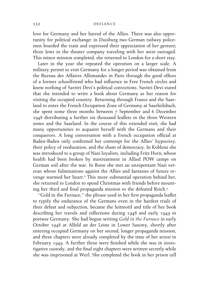love for Germany and her hatred of the Allies. There was also opportunity for political exchange: in Duisburg two German railway policemen boarded the train and expressed their appreciation of her gesture; three Jews in the theater company traveling with her were outraged. This minor mission completed, she returned to London for a short stay.

Later in the year she repeated the operation on a larger scale. A military permit to visit Germany for a longer period was obtained from the Bureau des Affaires Allemandes in Paris through the good offices of a former schoolfriend who had influence in Free French circles and knew nothing of Savitri Devi's political convictions. Savitri Devi stated that she intended to write a book about Germany as her reason for visiting the occupied country. Returning through France and the Saarland to enter the French Occupation Zone of Germany at Saarhölzbach, she spent some three months between 7 September and 6 December 1948 distributing a further six thousand leaflets in the three Western zones and the Saarland. In the course of this extended visit, she had many opportunities to acquaint herself with the Germans and their conquerors. A long conversation with a French occupation official at Baden-Baden only confirmed her contempt for the Allies' hypocrisy, their policy of reeducation, and the sham of democracy. In Koblenz she was introduced to a group of Nazi loyalists, including Fritz Horn, whose health had been broken by mistreatment in Allied POW camps on German soil after the war. In Bonn she met an unrepentant Nazi veteran whose fulminations against the Allies and fantasies of future revenge warmed her heart.<sup>8</sup> This more substantial operation behind her, she returned to London to spend Christmas with friends before mounting her third and final propaganda mission to the defeated Reich.9

''Gold in the Furnace,'' the phrase used in her first propaganda leaflet to typify the endurance of the Germans even in the hardest trials of their defeat and subjection, became the leitmotif and title of her book describing her travels and reflections during 1948 and early 1949 in postwar Germany. She had begun writing *Gold in the Furnace* in early October 1948 at Alfeld an der Leine in Lower Saxony, shortly after entering occupied Germany on her second, longer propaganda mission, and three chapters were already completed by the time of her arrest in February 1949. A further three were finished while she was in investigative custody, and the final eight chapters were written secretly while she was imprisoned at Werl. She completed the book in her prison cell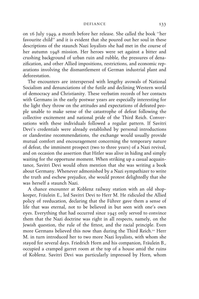### DEFIANCE 133

on 16 July 1949, a month before her release. She called the book ''her favourite child'' and it is evident that she poured out her soul in these descriptions of the staunch Nazi loyalists she had met in the course of her autumn 1948 mission. Her heroes were set against a bitter and crushing background of urban ruin and rubble, the pressures of denazification, and other Allied impositions, restrictions, and economic reparations involving the dismantlement of German industrial plant and deforestation.

The encounters are interspersed with lengthy avowals of National Socialism and denunciations of the futile and declining Western world of democracy and Christianity. These verbatim records of her contacts with Germans in the early postwar years are especially interesting for the light they throw on the attitudes and expectations of defeated people unable to make sense of the catastrophe of defeat following the collective excitement and national pride of the Third Reich. Conversations with these individuals followed a regular pattern. If Savitri Devi's credentials were already established by personal introductions or clandestine recommendations, the exchange would usually provide mutual comfort and encouragement concerning the temporary nature of defeat, the imminent prospect (two to three years) of a Nazi revival, and on occasion the assertion that Hitler was alive in hiding and simply waiting for the opportune moment. When striking up a casual acquaintance, Savitri Devi would often mention that she was writing a book about Germany. Whenever admonished by a Nazi sympathizer to write the truth and eschew prejudice, she would protest delightedly that she was herself a staunch Nazi.

A chance encounter at Koblenz railway station with an old shopkeeper, Fräulein E., led Savitri Devi to Herr M. He ridiculed the Allied policy of reeducation, declaring that the Führer gave them a sense of life that was eternal, not to be believed in but seen with one's own eyes. Everything that had occurred since 1945 only served to convince them that the Nazi doctrine was right in all respects, namely, on the Jewish question, the rule of the fittest, and the racial principle. Even more Germans believed this now than during the Third Reich.<sup>10</sup> Herr M. in turn introduced her to two more Nazi loyalists, with whom she stayed for several days. Friedrich Horn and his companion, Fräulein B., occupied a cramped garret room at the top of a house amid the ruins of Koblenz. Savitri Devi was particularly impressed by Horn, whom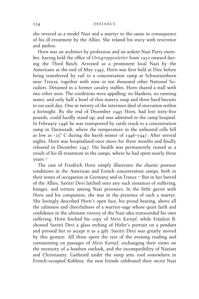#### 134 DEFIANCE

she revered as a model Nazi and a martyr to the cause in consequence of his ill-treatment by the Allies. She related his story with reverence and pathos.

Horn was an architect by profession and an ardent Nazi Party member, having held the office of *Ortsgruppenleiter* from 1932 onward during the Third Reich. Arrested as a prominent local Nazi by the Americans at the end of May 1945, Horn was first held at Diez before being transferred by rail to a concentration camp at Schwarzenborn near Treysa, together with nine or ten thousand other National Socialists. Detained in a former cavalry stables, Horn shared a stall with two other men. The conditions were appalling: no blankets, no running water, and only half a bowl of thin watery soup and three hard biscuits to eat each day. One in twenty of the internees died of starvation within a fortnight. By the end of December 1945 Horn, had lost sixty-five pounds, could hardly stand up, and was admitted to the camp hospital. In February 1946 he was transported by cattle truck to a concentration camp in Darmstadt, where the temperature in the unheated cells fell as low as -25° C during the harsh winter of 1946–1947. After several nights, Horn was hospitalized once more for three months and finally released in December 1947. His health was permanently ruined as a result of his ill-treatment in the camps, where he had spent nearly three vears.<sup>11</sup>

The case of Friedrich Horn simply illustrates the chaotic postwar conditions in the American and French concentration camps, both in their zones of occupation in Germany and in France.<sup>12</sup> But in her hatred of the Allies, Savitri Devi latched onto any such instances of suffering, hunger, and torture among Nazi prisoners. In the little garret with Horn and his companion, she was in the presence of such a martyr. She lovingly described Horn's open face, his proud bearing, above all the calmness and cheerfulness of a warrior-sage whose quiet faith and confidence in the ultimate victory of the Nazi idea transcended his own suffering. Horn fetched his copy of *Mein Kampf*, while Fräulein B. showed Savitri Devi a glass etching of Hitler's portrait on a pendant and pressed her to accept it as a gift. Savitri Devi was greatly moved by this gesture. All three spent the rest of the evening reading and commenting on passages of *Mein Kampf*, exchanging their views on the necessity of a heathen outlook, and the incompatibility of Nazism and Christianity. Gathered under the steep attic roof somewhere in French-occupied Koblenz, the new friends celebrated their secret Nazi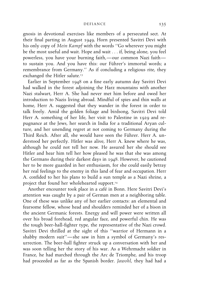gnosis in devotional exercises like members of a persecuted sect. At their final parting in August 1949, Horn presented Savitri Devi with his only copy of *Mein Kampf* with the words ''Go wherever you might be the most useful and wait. Hope and wait . . . if, being alone, you feel powerless, you have your burning faith,—our common Nazi faith to sustain you. And you have this: our Führer's immortal words; a remembrance from Germany.'' As if concluding a religious rite, they exchanged the Hitler salute.<sup>13</sup>

Earlier in September 1948 on a fine early autumn day Savitri Devi had walked in the forest adjoining the Harz mountains with another Nazi stalwart, Herr A. She had never met him before and owed her introduction to Nazis living abroad. Mindful of spies and thin walls at home, Herr A. suggested that they wander in the forest in order to talk freely. Amid the golden foliage and birdsong, Savitri Devi told Herr A. something of her life, her visit to Palestine in 1929 and repugnance at the Jews, her search in India for a traditional Aryan culture, and her unending regret at not coming to Germany during the Third Reich. After all, she would have seen the Führer. Herr A. understood her perfectly. Hitler was alive, Herr A. knew where he was, although he could not tell her now. He assured her she should see Hitler and hear him tell her how pleased he was that she was among the Germans during their darkest days in 1948. However, he cautioned her to be more guarded in her enthusiasm, for she could easily betray her real feelings to the enemy in this land of fear and occupation. Herr A. confided to her his plans to build a sun temple as a Nazi shrine, a project that found her wholehearted support.<sup>14</sup>

Another encounter took place in a café in Bonn. Here Savitri Devi's attention was caught by a pair of German men at a neighboring table. One of these was unlike any of her earlier contacts: an elemental and fearsome fellow, whose head and shoulders reminded her of a bison in the ancient Germanic forests. Energy and will power were written all over his broad forehead, red angular face, and powerful chin. He was the tough beer-hall-fighter type, the representative of the Nazi crowd. Savitri Devi thrilled at the sight of this ''warrior of Hermann in a shabby modern suit''—she saw in him a symbol of Germany's resurrection. The beer-hall fighter struck up a conversation with her and was soon telling her the story of his war. As a Wehrmacht soldier in France, he had marched through the Arc de Triomphe, and his troop had proceeded as far as the Spanish border. *Jawohl*, they had had a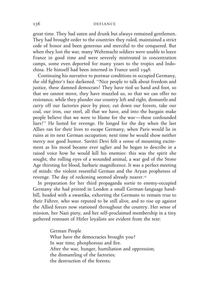#### 136 DEFIANCE

great time. They had eaten and drunk but always remained gentlemen. They had brought order to the countries they ruled, maintained a strict code of honor and been generous and merciful to the conquered. But when they lost the war, many Wehrmacht soldiers were unable to leave France in good time and were severely mistreated in concentration camps, some even deported for many years to the tropics and Indochina. He himself had been interned in France until 1948.

Continuing his narrative to postwar conditions in occupied Germany, the old fighter's face darkened. ''Nice people to talk about freedom and justice, these damned democrats! They have tied us hand and foot, so that we cannot move, they have muzzled us, so that we can offer no resistance, while they plunder our country left and right, dismantle and carry off our factories piece by piece, cut down our forests, take our coal, our iron, our steel, all that we have, and into the bargain make people believe that we were to blame for the war— these confounded liars!'' He lusted for revenge. He longed for the day when the last Allies ran for their lives to escape Germany, when Paris would lie in ruins at its next German occupation; next time he would show neither mercy nor good humor. Savitri Devi felt a sense of mounting excitement as his mood became ever uglier and he began to describe in a raised voice how he would kill his enemies: this was the spirit she sought, the rolling eyes of a wounded animal, a war god of the Stone Age thirsting for blood, barbaric magnificence. It was a perfect meeting of minds: the violent resentful German and the Aryan prophetess of revenge. The day of reckoning seemed already nearer.15

In preparation for her third propaganda sortie to enemy-occupied Germany she had printed in London a small German-language handbill, headed with a swastika, exhorting the Germans to remain true to their Führer, who was reputed to be still alive, and to rise up against the Allied forces now stationed throughout the country. Her sense of mission, her Nazi piety, and her self-proclaimed membership in a tiny gathered remnant of Hitler loyalists are evident from the text:

> German People What have the democracies brought you? In war time, phosphorous and fire. After the war, hunger, humiliation and oppression; the dismantling of the factories; the destruction of the forests;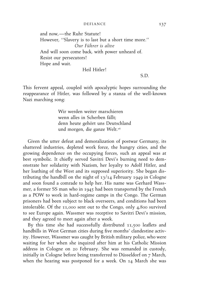and now,— the Ruhr Statute! However, ''Slavery is to last but a short time more.'' *Our Führer is alive* And will soon come back, with power unheard of. Resist our persecutors! Hope and wait.

Heil Hitler!

## S.D.

This fervent appeal, coupled with apocalyptic hopes surrounding the reappearance of Hitler, was followed by a stanza of the well-known Nazi marching song:

> Wir werden weiter marschieren wenn alles in Scherben fällt: denn heute gehört uns Deutschland und morgen, die ganze Welt.<sup>16</sup>

Given the utter defeat and demoralization of postwar Germany, its shattered industries, depleted work force, the hungry cities, and the growing dependence on the occupying forces, such an appeal was at best symbolic. It chiefly served Savitri Devi's burning need to demonstrate her solidarity with Nazism, her loyalty to Adolf Hitler, and her loathing of the West and its supposed superiority. She began distributing the handbill on the night of 13/14 February 1949 in Cologne and soon found a comrade to help her. His name was Gerhard Wassmer, a former SS man who in 1945 had been transported by the French as a POW to work in hard-regime camps in the Congo. The German prisoners had been subject to black overseers, and conditions had been intolerable. Of the 11,000 sent out to the Congo, only 4,800 survived to see Europe again. Wassmer was receptive to Savitri Devi's mission, and they agreed to meet again after a week.

By this time she had successfully distributed 11,500 leaflets and handbills in West German cities during five months' clandestine activity. However, Wassmer was caught by British military police, who were waiting for her when she inquired after him at his Catholic Mission address in Cologne on 20 February. She was remanded in custody, initially in Cologne before being transferred to Düsseldorf on 7 March, when the hearing was postponed for a week. On 14 March she was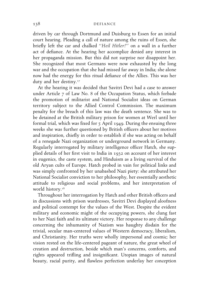driven by car through Dortmund and Duisburg to Essen for an initial court hearing. Pleading a call of nature among the ruins of Essen, she briefly left the car and chalked ''*Heil Hitler!*'' on a wall in a further act of defiance. At the hearing her accomplice denied any interest in her propaganda mission. But this did not surprise nor disappoint her. She recognized that most Germans were now exhausted by the long war and the occupation that she had missed far away in India; she alone now had the energy for this ritual defiance of the Allies. This was her duty and her destiny.<sup>17</sup>

At the hearing it was decided that Savitri Devi had a case to answer under Article 7 of Law No. 8 of the Occupation Status, which forbade the promotion of militarist and National Socialist ideas on German territory subject to the Allied Control Commission. The maximum penalty for the breach of this law was the death sentence. She was to be detained at the British military prison for women at Werl until her formal trial, which was fixed for 5 April 1949. During the ensuing three weeks she was further questioned by British officers about her motives and inspiration, chiefly in order to establish if she was acting on behalf of a renegade Nazi organization or underground network in Germany. Regularly interrogated by military intelligence officer Hatch, she supplied details of her first visit to India in 1932 on account of her interest in eugenics, the caste system, and Hinduism as a living survival of the old Aryan cults of Europe. Hatch probed in vain for political links and was simply confronted by her unabashed Nazi piety: she attributed her National Socialist conviction to her philosophy, her essentially aesthetic attitude to religious and social problems, and her interpretation of world history.<sup>18</sup>

Throughout her interrogation by Hatch and other British officers and in discussions with prison wardresses, Savitri Devi displayed aloofness and political contempt for the values of the West. Despite the evident military and economic might of the occupying powers, she clung fast to her Nazi faith and its ultimate victory. Her response to any challenge concerning the inhumanity of Nazism was haughty disdain for the trivial, secular man-centered values of Western democracy, liberalism, and Christianity. Her truths were wholly impersonal and cosmic; her vision rested on the life-centered pageant of nature, the great wheel of creation and destruction, beside which man's concerns, comforts, and rights appeared trifling and insignificant. Utopian images of natural beauty, racial purity, and flawless perfection underlay her conception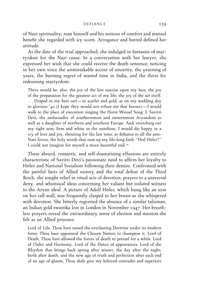### DEFIANCE 139

of Nazi spirituality; man himself and his notions of comfort and mutual benefit she regarded with icy scorn. Arrogance and hatred defined her attitude.

As the date of the trial approached, she indulged in fantasies of martyrdom for the Nazi cause. In a conversation with her lawyer, she expressed her wish that she could receive the death sentence, noticing in her own voice the unmistakable accent of sincerity, the yearning of years, the burning regret of wasted time in India, and the thirst for redeeming martyrdom:

There would be, also, the joy of the last sunrise upon my face; the joy of the preparation for the greatest act of my life; the joy of the act itself. ...Draped in my best sari—in scarlet and gold, as on my wedding day in glorious '40 (I hope they would not refuse me that favour)— I would walk to the place of execution singing the Horst Wessel Song. I, Savitri Devi, the ambassador of southernmost and easternmost Aryandom as well as a daughter of northern and southern Europe. And, stretching out my right arm, firm and white in the sunshine, I would die happy in a cry of love and joy, shouting for the last time, as defiance to all the anti-Nazi forces, the holy words that sum up my life-long faith ''Heil Hitler!'' I could not imagine for myself a more beautiful end.19

These absurd, romantic, and self-dramatizing effusions are entirely characteristic of Savitri Devi's passionate need to affirm her loyalty to Hitler and National Socialism following their demise. Confronted with the painful facts of Allied victory and the total defeat of the Third Reich, she sought relief in ritual acts of devotion, prayers to a universal deity, and whimsical ideas concerning her valiant but isolated witness to the Aryan ideal. A picture of Adolf Hitler, which hung like an icon on her cell wall, was frequently clasped to her breast as she whispered with devotion. She bitterly regretted the absence of a similar talisman, an Indian gold swastika lost in London in November 1947. Her breathless prayers reveal the extraordinary sense of election and mission she felt as an Allied prisoner:

Lord of Life, Thou hast raised the everlasting Doctrine under its modern form; Thou hast appointed the Chosen Nation to champion it. Lord of Death, Thou hast allowed the forces of death to prevail for a while. Lord of Order and Harmony, Lord of the Dance of appearances, Lord of the Rhythm that brings back spring after winter; the day after the night; birth after death; and the new age of truth and perfection after each end of an age of gloom, Thou shalt give my beloved comrades and superiors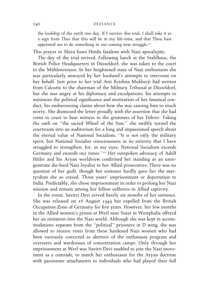#### 140 DEFIANCE

the lordship of the earth one day. If I survive this trial, I shall take it as a sign from Thee that this will be in my life-time, and that Thou hast appointed me to do something in our coming new struggle.<sup>20</sup>

This prayer to Shiva fuses Hindu fatalism with Nazi apocalyptic.

The day of the trial arrived. Following lunch at the Stahlhaus, the British Police Headquarters in Düsseldorf, she was taken to the court in the Mühlenstrasse. In her heightened state of Nazi enthusiasm she was particularly annoyed by her husband's attempts to intervene on her behalf. Just prior to her trial Asit Krishna Mukherji had written from Calcutta to the chairman of the Military Tribunal at Düsseldorf, but she was angry at his diplomacy and exculpations, his attempts to minimize the political significance and motivation of her fanatical conduct, his embarrassing claims about how she was causing him so much worry. She dismissed the letter proudly with the assertion that she had come to court to bear witness to the greatness of her Führer. Taking the oath on ''the sacred Wheel of the Sun,'' she swiftly turned the courtroom into an auditorium for a long and impassioned speech about the eternal value of National Socialism. ''It is not only the military spirit, but National Socialist consciousness in its entirety that I have struggled to strengthen, for, in my eyes, National Socialism exceeds Germany and exceeds our times."<sup>21</sup> Her outspoken advocacy of Adolf Hitler and his Aryan worldview confirmed her standing as an unregenerate die-hard Nazi loyalist to her Allied prosecutors. There was no question of her guilt, though her sentence hardly gave her the martyrdom she so craved. Three years' imprisonment or deportation to India. Predictably, she chose imprisonment in order to prolong her Nazi mission and remain among her fellow sufferers in Allied captivity.

In the event, Savitri Devi served barely six months of her sentence. She was released on 18 August 1949 but expelled from the British Occupation Zone of Germany for five years. However, her few months in the Allied women's prison at Werl near Soest in Westphalia offered her an initiation into the Nazi world. Although she was kept in accommodations separate from the ''political'' prisoners in D wing, she was allowed to receive visits from these hardened Nazi women who had been variously convicted as abettors of the euthanasia program and overseers and wardresses of concentration camps. Only through her imprisonment at Werl was Savitri Devi enabled to join the Nazi movement as a comrade, to match her enthusiasm for the Aryan doctrine with passionate attachments to individuals who had played their full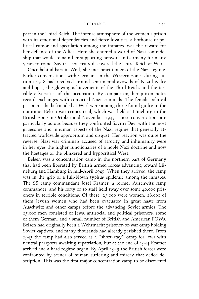part in the Third Reich. The intense atmosphere of the women's prison with its emotional dependencies and fierce loyalties, a hothouse of political rumor and speculation among the inmates, was the reward for her defiance of the Allies. Here she entered a world of Nazi comradeship that would remain her supporting network in Germany for many years to come. Savitri Devi truly discovered the Third Reich at Werl.

Once behind bars in Werl, she met practitioners of the Nazi regime. Earlier conversations with Germans in the Western zones during autumn 1948 had revolved around sentimental avowals of Nazi loyalty and hopes, the glowing achievements of the Third Reich, and the terrible adversities of the occupation. By comparison, her prison notes record exchanges with convicted Nazi criminals. The female political prisoners she befriended at Werl were among those found guilty in the notorious Belsen war crimes trial, which was held at Lüneburg in the British zone in October and November 1945. These conversations are particularly odious because they confronted Savitri Devi with the most gruesome and inhuman aspects of the Nazi regime that generally attracted worldwide opprobrium and disgust. Her reaction was quite the reverse. Nazi war criminals accused of atrocity and inhumanity were in her eyes the higher functionaries of a noble Nazi doctrine and now the hostages of the blinkered and hypocritical West.

Belsen was a concentration camp in the northern part of Germany that had been liberated by British armed forces advancing toward Lüneburg and Hamburg in mid-April 1945. When they arrived, the camp was in the grip of a full-blown typhus epidemic among the inmates. The SS camp commandant Josef Kramer, a former Auschwitz camp commander, and his forty or so staff held sway over some 40,000 prisoners in terrible conditions. Of these, 25,000 were women, 18,000 of them Jewish women who had been evacuated in great haste from Auschwitz and other camps before the advancing Soviet armies. The 15,000 men consisted of Jews, antisocial and political prisoners, some of them German, and a small number of British and American POWs. Belsen had originally been a Wehrmacht prisoner-of-war camp holding Soviet captives, and many thousands had already perished there. From 1943 the camp had also served as a ''short-stay'' camp for Jews with neutral passports awaiting repatriation, but at the end of 1944 Kramer arrived and a hard regime began. By April 1945 the British forces were confronted by scenes of human suffering and misery that defied description. This was the first major concentration camp to be discovered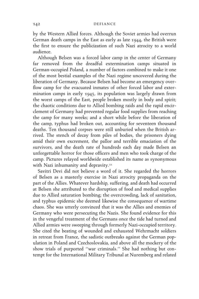by the Western Allied forces. Although the Soviet armies had overrun German death camps in the East as early as late 1944, the British were the first to ensure the publicization of such Nazi atrocity to a world audience.

Although Belsen was a forced labor camp in the center of Germany far removed from the dreadful extermination camps situated in German-occupied Poland, a number of factors combined to make it one of the most bestial examples of the Nazi regime uncovered during the liberation of Germany. Because Belsen had become an emergency overflow camp for the evacuated inmates of other forced labor and extermination camps in early 1945, its population was largely drawn from the worst camps of the East, people broken mostly in body and spirit; the chaotic conditions due to Allied bombing raids and the rapid encirclement of Germany had prevented regular food supplies from reaching the camp for many weeks; and a short while before the liberation of the camp, typhus had broken out, accounting for seventeen thousand deaths. Ten thousand corpses were still unburied when the British arrived. The stench of decay from piles of bodies, the prisoners dying amid their own excrement, the pallor and terrible emaciation of the survivors, and the death rate of hundreds each day made Belsen an unforgettable horror for those officers and men who took charge of the camp. Pictures relayed worldwide established its name as synonymous with Nazi inhumanity and depravity.<sup>22</sup>

Savitri Devi did not believe a word of it. She regarded the horrors of Belsen as a masterly exercise in Nazi atrocity propaganda on the part of the Allies. Whatever hardship, suffering, and death had occurred at Belsen she attributed to the disruption of food and medical supplies due to Allied saturation bombing; the overcrowding, lack of sanitation, and typhus epidemic she deemed likewise the consequence of wartime chaos. She was utterly convinced that it was the Allies and enemies of Germany who were persecuting the Nazis. She found evidence for this in the vengeful treatment of the Germans once the tide had turned and Allied armies were sweeping through formerly Nazi-occupied territory. She cited the beating of wounded and exhausted Wehrmacht soldiers in retreat from France, the sadistic outbreaks against the German population in Poland and Czechoslovakia, and above all the mockery of the show trials of purported ''war criminals.'' She had nothing but contempt for the International Military Tribunal at Nuremberg and related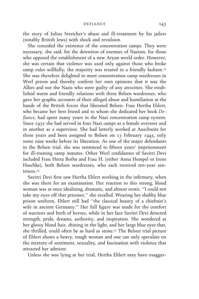the story of Julius Streicher's abuse and ill-treatment by his jailers (notably British Jews) with shock and revulsion.

She conceded the existence of the concentration camps. They were necessary, she said, for the detention of enemies of Nazism, for those who opposed the establishment of a new Aryan world order. However, she was certain that violence was used only against those who broke camp rules willfully; the majority was treated in a friendly fashion.<sup>23</sup> She was therefore delighted to meet concentration camp wardresses in Werl prison and thereby confirm her own opinions that it was the Allies and not the Nazis who were guilty of any atrocities. She established warm and friendly relations with three Belsen wardresses, who gave her graphic accounts of their alleged abuse and humiliation at the hands of the British forces that liberated Belsen. Frau Hertha Ehlert, who became her best friend and to whom she dedicated her book *Defiance*, had spent many years in the Nazi concentration camp system. Since 1935 she had served in four Nazi camps as a female overseer and in another as a supervisor. She had latterly worked at Auschwitz for three years and been assigned to Belsen on 13 February 1945, only some nine weeks before its liberation. As one of the major defendants in the Belsen trial, she was sentenced to fifteen years' imprisonment for ill-treating camp inmates. Other Werl confidantes of Savitri Devi included Frau Herta Bothe and Frau H. (either Anna Hempel or Irene Haschke), both Belsen wardresses, who each received ten-year sentences<sup>24</sup>

Savitri Devi first saw Hertha Ehlert working in the infirmary, when she was there for an examination. Her reaction to this strong, blond woman was at once idealizing, dramatic, and almost erotic. ''I could not take my eyes off that prisoner,'' she recalled. Wearing her shabby blue prison uniform, Ehlert still had ''the classical beauty of a chieftain's wife in ancient Germany.'' Her full figure was made for the comfort of warriors and birth of heroes, while in her face Savitri Devi detected strength, pride, dreams, authority, and inspiration. She wondered at her glossy blond hair, shining in the light, and her large blue eyes that, she thrilled, could often be as hard as stone.25 The Belsen trial picture of Ehlert shows a heavy, tough woman and one can only speculate on the mixture of sentiment, sexuality, and fascination with violence that attracted her admirer.

Unless she was lying at her trial, Hertha Ehlert may have exagger-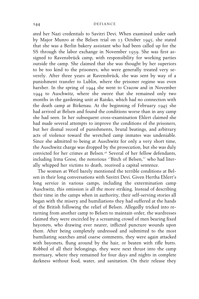ated her Nazi credentials to Savitri Devi. When examined under oath by Major Munro at the Belsen trial on 13 October 1945, she stated that she was a Berlin bakery assistant who had been called up for the SS through the labor exchange in November 1939. She was first assigned to Ravensbrück camp, with responsibility for working parties outside the camp. She claimed that she was thought by her superiors to be too kind to the prisoners, who were generally treated very severely. After three years at Ravensbrück, she was sent by way of a punishment transfer to Lublin, where the prisoner regime was even harsher. In the spring of 1944 she went to Cracow and in November 1944 to Auschwitz, where she swore that she remained only two months in the gardening unit at Raisko, which had no connection with the death camp at Birkenau. At the beginning of February 1945 she had arrived at Belsen and found the conditions worse than in any camp she had seen. In her subsequent cross-examination Ehlert claimed she had made several attempts to improve the conditions of the prisoners, but her dismal record of punishments, brutal beatings, and arbitrary acts of violence toward the wretched camp inmates was undeniable. Since she admitted to being at Auschwitz for only a very short time, the Auschwitz charge was dropped by the prosecution, but she was duly convicted for her crimes at Belsen.26 Several of her fellow defendants, including Irma Grese, the notorious ''Bitch of Belsen,'' who had literally whipped her victims to death, received a capital sentence.

The women at Werl barely mentioned the terrible conditions at Belsen in their long conversations with Savitri Devi. Given Hertha Ehlert's long service in various camps, including the extermination camp Auschwitz, this omission is all the more striking. Instead of describing their time in the camps when in authority, their self-serving stories all began with the misery and humiliations they had suffered at the hands of the British following the relief of Belsen. Allegedly tricked into returning from another camp to Belsen to maintain order, the wardresses claimed they were encircled by a screaming crowd of men bearing fixed bayonets, who drawing ever nearer, inflicted puncture wounds upon them. After being completely undressed and submitted to the most humiliating searches amid coarse comments, they were again attacked with bayonets, flung around by the hair, or beaten with rifle butts. Robbed of all their belongings, they were next thrust into the camp mortuary, where they remained for four days and nights in complete darkness without food, water, and sanitation. On their release they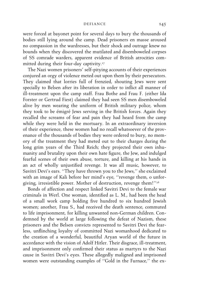were forced at bayonet point for several days to bury the thousands of bodies still lying around the camp. Dead prisoners en masse aroused no compassion in the wardresses, but their shock and outrage knew no bounds when they discovered the mutilated and disemboweled corpses of SS comrade warders, apparent evidence of British atrocities committed during their four-day captivity.27

The Nazi women prisoners' self-pitying accounts of their experiences conjured an orgy of violence meted out upon them by their persecutors. They claimed that lorries full of frenzied, shouting Jews were sent specially to Belsen after its liberation in order to inflict all manner of ill-treatment upon the camp staff. Frau Bothe and Frau F. (either Ida Forster or Gertrud Fiest) claimed they had seen SS men disemboweled alive by men wearing the uniform of British military police, whom they took to be émigré Jews serving in the British forces. Again they recalled the screams of fear and pain they had heard from the camp while they were held in the mortuary. In an extraordinary inversion of their experience, these women had no recall whatsoever of the provenance of the thousands of bodies they were ordered to bury, no memory of the treatment they had meted out to their charges during the long grim years of the Third Reich; they projected their own inhumanity and brutality upon their own hate figure, the Jew, and indulged fearful scenes of their own abuse, torture, and killing at his hands in an act of wholly unjustified revenge. It was all music, however, to Savitri Devi's ears. ''They have thrown you to the Jews,'' she exclaimed with an image of Kali before her mind's eye, ''revenge them, o unforgiving, irresistible power. Mother of destruction, revenge them!''28

Bonds of affection and respect linked Savitri Devi to the female war criminals in Werl. One woman, identified as L. M., had been the head of a small work camp holding five hundred to six hundred Jewish women; another, Frau S., had received the death sentence, commuted to life imprisonment, for killing unwanted non-German children. Condemned by the world at large following the defeat of Nazism, these prisoners and the Belsen convicts represented to Savitri Devi the fearless, unflinching loyalty of committed Nazi womanhood dedicated to the creation of a wonderful, beautiful Aryan world of the future in accordance with the vision of Adolf Hitler. Their disgrace, ill-treatment, and imprisonment only confirmed their status as martyrs to the Nazi cause in Savitri Devi's eyes. These allegedly maligned and imprisoned women were outstanding examples of ''Gold in the Furnace,'' the ex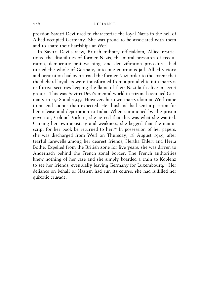pression Savitri Devi used to characterize the loyal Nazis in the hell of Allied-occupied Germany. She was proud to be associated with them and to share their hardships at Werl.

In Savitri Devi's view, British military officialdom, Allied restrictions, the disabilities of former Nazis, the moral pressures of reeducation, democratic brainwashing, and denazification procedures had turned the whole of Germany into one enormous jail. Allied victory and occupation had overturned the former Nazi order to the extent that the diehard loyalists were transformed from a proud elite into martyrs or furtive sectaries keeping the flame of their Nazi faith alive in secret groups. This was Savitri Devi's mental world in trizonal occupied Germany in 1948 and 1949. However, her own martyrdom at Werl came to an end sooner than expected. Her husband had sent a petition for her release and deportation to India. When summoned by the prison governor, Colonel Vickers, she agreed that this was what she wanted. Cursing her own apostasy and weakness, she begged that the manuscript for her book be returned to her.<sup>29</sup> In possession of her papers, she was discharged from Werl on Thursday, 18 August 1949, after tearful farewells among her dearest friends, Hertha Ehlert and Herta Bothe. Expelled from the British zone for five years, she was driven to Andernach behind the French zonal border. The French authorities knew nothing of her case and she simply boarded a train to Koblenz to see her friends, eventually leaving Germany for Luxembourg.30 Her defiance on behalf of Nazism had run its course, she had fulfilled her quixotic crusade.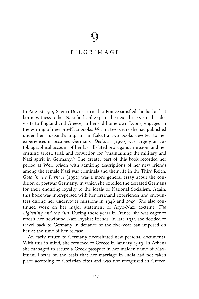## PILGRIMAGE

In August 1949 Savitri Devi returned to France satisfied she had at last borne witness to her Nazi faith. She spent the next three years, besides visits to England and Greece, in her old hometown Lyons, engaged in the writing of new pro-Nazi books. Within two years she had published under her husband's imprint in Calcutta two books devoted to her experiences in occupied Germany. *Defiance* (1950) was largely an autobiographical account of her last ill-fated propaganda mission, and her ensuing arrest, trial, and conviction for ''maintaining the military and Nazi spirit in Germany.'' The greater part of this book recorded her period at Werl prison with admiring descriptions of her new friends among the female Nazi war criminals and their life in the Third Reich. *Gold in the Furnace* (1952) was a more general essay about the condition of postwar Germany, in which she extolled the defeated Germans for their enduring loyalty to the ideals of National Socialism. Again, this book was interspersed with her firsthand experiences and encounters during her undercover missions in 1948 and 1949. She also continued work on her major statement of Aryo-Nazi doctrine, *The Lightning and the Sun*. During these years in France, she was eager to revisit her newfound Nazi loyalist friends. In late 1952 she decided to travel back to Germany in defiance of the five-year ban imposed on her at the time of her release.

An early return to Germany necessitated new personal documents. With this in mind, she returned to Greece in January 1953. In Athens she managed to secure a Greek passport in her maiden name of Maximiani Portas on the basis that her marriage in India had not taken place according to Christian rites and was not recognized in Greece.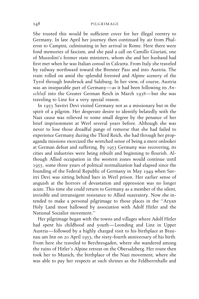She trusted this would be sufficient cover for her illegal reentry to Germany. In late April her journey then continued by air from Phaleron to Campini, culminating in her arrival in Rome. Here there were fond memories of fascism, and she paid a call on Camillo Giuriati, one of Mussolini's former state ministers, whom she and her husband had first met when he was Italian consul in Calcutta. From Italy she traveled by railway northward toward the Brenner Pass and into Austria. The train rolled on amid the splendid forested and Alpine scenery of the Tyrol through Innsbruck and Salzburg. In her view, of course, Austria was an inseparable part of Germany—as it had been following its *Anschluß* into the Greater German Reich in March 1938—but she was traveling to Linz for a very special reason.

In 1953 Savitri Devi visited Germany not as a missionary but in the spirit of a pilgrim. Her desperate desire to identify belatedly with the Nazi cause was relieved to some small degree by the penance of her brief imprisonment at Werl several years before. Although she was never to lose those dreadful pangs of remorse that she had failed to experience Germany during the Third Reich, she had through her propaganda missions exorcized the wretched sense of being a mere onlooker at German defeat and suffering. By 1953 Germany was recovering, its cities and industries were being rebuilt and beginning to flourish. Although Allied occupation in the western zones would continue until 1955, some three years of political normalization had elapsed since the founding of the Federal Republic of Germany in May 1949 when Savitri Devi was sitting behind bars in Werl prison. Her earlier sense of anguish at the horrors of devastation and oppression was no longer acute. This time she could return to Germany as a member of the silent, invisible and intransigent resistance to Allied suzerainty. Now she intended to make a personal pilgrimage to those places in the ''Aryan Holy Land most hallowed by association with Adolf Hitler and the National Socialist movement.''

Her pilgrimage began with the towns and villages where Adolf Hitler had spent his childhood and youth—Leonding and Linz in Upper Austria— followed by a highly charged visit to his birthplace at Braunau am Inn on 20 April 1953, the sixty-fourth anniversary of his birth. From here she traveled to Berchtesgaden, where she wandered among the ruins of Hitler's Alpine retreat on the Obersalzberg. Her route then took her to Munich, the birthplace of the Nazi movement, where she was able to pay her respects at such shrines as the Feldherrnhalle and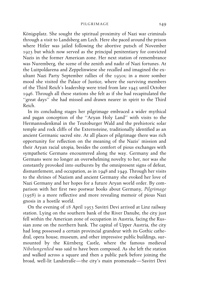Königsplatz. She sought the spiritual proximity of Nazi war criminals through a visit to Landsberg am Lech. Here she paced around the prison where Hitler was jailed following the abortive putsch of November 1923 but which now served as the principal penitentiary for convicted Nazis in the former American zone. Her next station of remembrance was Nuremberg, the scene of the zenith and nadir of Nazi fortunes. At the Luitpoldarena and Zeppelinwiese she recalled and imagined the exultant Nazi Party September rallies of the 1930s; in a more somber mood she visited the Palace of Justice, where the surviving members of the Third Reich's leadership were tried from late 1945 until October 1946. Through all these stations she felt as if she had recapitulated the ''great days'' she had missed and drawn nearer in spirit to the Third Reich.

In its concluding stages her pilgrimage embraced a wider mythical and pagan conception of the ''Aryan Holy Land'' with visits to the Hermannsdenkmal in the Teutoburger Wald and the prehistoric solar temple and rock cliffs of the Externsteine, traditionally identified as an ancient Germanic sacred site. At all places of pilgrimage there was rich opportunity for reflection on the meaning of the Nazis' mission and their Aryan racial utopia, besides the comfort of pious exchanges with sympathetic Germans encountered along the way. Germany and the Germans were no longer an overwhelming novelty to her, nor was she constantly provoked into outbursts by the omnipresent signs of defeat, dismantlement, and occupation, as in 1948 and 1949. Through her visits to the shrines of Nazism and ancient Germany she evoked her love of Nazi Germany and her hopes for a future Aryan world order. By comparison with her first two postwar books about Germany, *Pilgrimage* (1958) is a more reflective and more revealing memoir of pious Nazi gnosis in a hostile world.

On the evening of 18 April 1953 Savitri Devi arrived at Linz railway station. Lying on the southern bank of the River Danube, the city just fell within the American zone of occupation in Austria, facing the Russian zone on the northern bank. The capital of Upper Austria, the city had long possessed a certain provincial grandeur with its Gothic cathedral, opera house, museum, and other impressive public buildings, surmounted by the Kürnberg Castle, where the famous medieval *Nibelungenlied* was said to have been composed. As she left the station and walked across a square and then a public park before joining the broad, well-lit Landstraße— the city's main promenade—Savitri Devi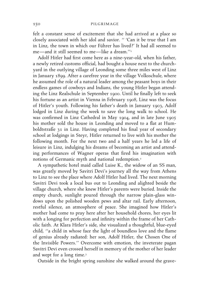felt a constant sense of excitement that she had arrived at a place so closely associated with her idol and savior. '' 'Can it be true that I am in Linz, the town in which our Führer has lived?' It had all seemed to me—and it still seemed to me—like a dream.''1

Adolf Hitler had first come here as a nine-year-old, when his father, a newly retired customs official, had bought a house next to the churchyard in the outlying village of Leonding some three miles west of Linz in January 1899. After a carefree year in the village Volksschule, where he assumed the role of a natural leader among the peasant boys in their endless games of cowboys and Indians, the young Hitler began attending the Linz Realschule in September 1900. Until he finally left to seek his fortune as an artist in Vienna in February 1908, Linz was the focus of Hitler's youth. Following his father's death in January 1903, Adolf lodged in Linz during the week to save the long walk to school. He was confirmed in Linz Cathedral in May 1904, and in late June 1905 his mother sold the house in Leonding and moved to a flat at Humboldtstraße 31 in Linz. Having completed his final year of secondary school at lodgings in Steyr, Hitler returned to live with his mother the following month. For the next two and a half years he led a life of leisure in Linz, indulging his dreams of becoming an artist and attending performances of Wagner operas that fired his imagination with notions of Germanic myth and national redemption.<sup>2</sup>

A sympathetic hotel maid called Luise K., the widow of an SS man, was greatly moved by Savitri Devi's journey all the way from Athens to Linz to see the place where Adolf Hitler had lived. The next morning Savitri Devi took a local bus out to Leonding and alighted beside the village church, where she knew Hitler's parents were buried. Inside the empty church, sunlight poured through the narrow plain-glass windows upon the polished wooden pews and altar rail. Early afternoon, restful silence, an atmosphere of peace. She imagined how Hitler's mother had come to pray here after her household chores, her eyes lit with a longing for perfection and infinity within the frame of her Catholic faith. At Klara Hitler's side, she visualized a thoughtful, blue-eyed child, ''a child in whose face the light of boundless love and the flame of genius already radiated: her son, Adolf Hitler, the Chosen One of the Invisible Powers.'' Overcome with emotion, the inveterate pagan Savitri Devi even crossed herself in memory of the mother of her leader and wept for a long time.<sup>3</sup>

Outside in the bright spring sunshine she walked around the grave-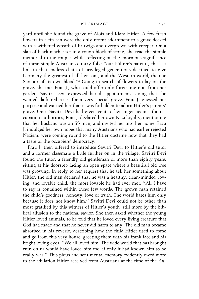yard until she found the grave of Alois and Klara Hitler. A few fresh flowers in a tin can were the only recent adornment to a grave decked with a withered wreath of fir twigs and overgrown with creeper. On a slab of black marble set in a rough block of stone, she read the simple memorial to the couple, while reflecting on the enormous significance of these simple Austrian country folk: "our Führer's parents; the last link in that endless chain of privileged generations destined to give Germany the greatest of all her sons, and the Western world, the one Saviour of its own blood.''4 Going in search of flowers to lay on the grave, she met Frau J., who could offer only forget-me-nots from her garden. Savitri Devi expressed her disappointment, saying that she wanted dark red roses for a very special grave. Frau J. guessed her purpose and warned her that it was forbidden to adorn Hitler's parents' grave. Once Savitri Devi had given vent to her anger against the occupation authorities, Frau J. declared her own Nazi loyalty, mentioning that her husband was an SS man, and invited her into her home. Frau J. indulged her own hopes that many Austrians who had earlier rejected Nazism, were coming round to the Hitler doctrine now that they had a taste of the occupiers' democracy.

Frau J. then offered to introduce Savitri Devi to Hitler's old tutor and a former classmate a little further on in the village. Savitri Devi found the tutor, a friendly old gentleman of more than eighty years, sitting at his doorstep facing an open space where a beautiful old tree was growing. In reply to her request that he tell her something about Hitler, the old man declared that he was a healthy, clean-minded, loving, and lovable child, the most lovable he had ever met. ''All I have to say is contained within these few words. The grown man retained the child's goodness, honesty, love of truth. The world hates him only because it does not know him.'' Savitri Devi could not be other than most gratified by this witness of Hitler's youth, still more by the biblical allusion to the national savior. She then asked whether the young Hitler loved animals, to be told that he loved every living creature that God had made and that he never did harm to any. The old man became absorbed in his reverie, describing how the child Hitler used to come and go from this very house, greeting them with his frank face and his bright loving eyes. ''We all loved him. The wide world that has brought ruin on us would have loved him too, if only it had known him as he really was.'' This pious and sentimental memory evidently owed more to the adulation Hitler received from Austrians at the time of the *An-*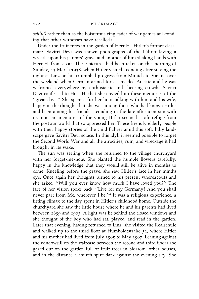*schluß* rather than as the boisterous ringleader of war games at Leonding that other witnesses have recalled.5

Under the fruit trees in the garden of Herr H., Hitler's former classmate, Savitri Devi was shown photographs of the Führer laying a wreath upon his parents' grave and another of him shaking hands with Herr H. from a car. These pictures had been taken on the morning of Sunday, 13 March 1938, when Hitler visited Leonding after staying the night at Linz on his triumphal progress from Munich to Vienna over the weekend when German armed forces invaded Austria and he was welcomed everywhere by enthusiastic and cheering crowds. Savitri Devi confessed to Herr H. that she envied him these memories of the ''great days.'' She spent a further hour talking with him and his wife, happy in the thought that she was among those who had known Hitler and been among his friends. Leonding in the late afternoon sun with its innocent memories of the young Hitler seemed a safe refuge from the postwar world that so oppressed her. These friendly elderly people with their happy stories of the child Führer amid this soft, hilly landscape gave Savitri Devi solace. In this idyll it seemed possible to forget the Second World War and all the atrocities, ruin, and wreckage it had brought in its wake.

The sun was setting when she returned to the village churchyard with her forget-me-nots. She planted the humble flowers carefully, happy in the knowledge that they would still be alive in months to come. Kneeling before the grave, she saw Hitler's face in her mind's eye. Once again her thoughts turned to his present whereabouts and she asked, ''Will you ever know how much I have loved you?'' The face of her vision spoke back: ''Live for my Germany! And you shall never part from Me, wherever I be.''6 It was a religious experience, a fitting climax to the day spent in Hitler's childhood home. Outside the churchyard she saw the little house where he and his parents had lived between 1899 and 1905. A light was lit behind the closed windows and she thought of the boy who had sat, played, and read in the garden. Later that evening, having returned to Linz, she visited the Realschule and walked up to the third floor at Humboldtstraße 31, where Hitler and his mother had lived from July 1905 to May 1907. Leaning against the windowsill on the staircase between the second and third floors she gazed out on the garden full of fruit trees in blossom, other houses, and in the distance a church spire dark against the evening sky. She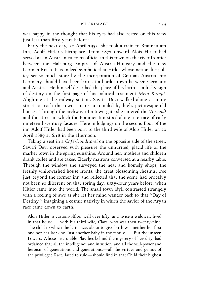was happy in the thought that his eyes had also rested on this view just less than fifty years before.<sup>7</sup>

Early the next day, 20 April 1953, she took a train to Braunau am Inn, Adolf Hitler's birthplace. From 1871 onward Alois Hitler had served as an Austrian customs official in this town on the river frontier between the Habsburg Empire of Austria-Hungary and the new German Reich. It is indeed symbolic that Hitler whose nationalist policy set so much store by the incorporation of German Austria into Germany should have been born at a border town between Germany and Austria. He himself described the place of his birth as a lucky sign of destiny on the first page of his political testament *Mein Kampf*. Alighting at the railway station, Savitri Devi walked along a sunny street to reach the town square surrounded by high, picturesque old houses. Through the archway of a town gate she entered the *Vorstadt* and the street in which the Pommer Inn stood along a terrace of early nineteenth-century facades. Here in lodgings on the second floor of the inn Adolf Hitler had been born to the third wife of Alois Hitler on 20 April 1889 at 6:18 in the afternoon.

Taking a seat in a *Cafe´-Konditorei* on the opposite side of the street, Savitri Devi observed with pleasure the unhurried, placid life of the market town in the spring sunshine. Around her, mothers and children drank coffee and ate cakes. Elderly matrons conversed at a nearby table. Through the window she surveyed the neat and homely shops, the freshly whitewashed house fronts, the great blossoming chestnut tree just beyond the former inn and reflected that the scene had probably not been so different on that spring day, sixty-four years before, when Hitler came into the world. The small town idyll contrasted strangely with a feeling of awe as she let her mind wander back to that ''Day of Destiny,'' imagining a cosmic nativity in which the savior of the Aryan race came down to earth.

Alois Hitler, a custom-officer well over fifty, and twice a widower, lived in that house . . . with his third wife, Clara, who was then twenty-nine. The child to which the latter was about to give birth was neither her first one nor her last one. Just another baby in the family. . . . But the unseen Powers, Whose inscrutable Play lies behind the mystery of heredity, had ordained that all the intelligence and intuition, and all the will-power and heroism of generations and generations,—all the virtues and genius of the privileged Race, fated to rule— should find in that Child their highest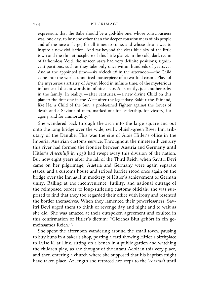expression; that the Babe should be a god-like one: whose consciousness was, one day, to be none other than the deeper consciousness of his people and of the race at large, for all times to come, and whose dream was to inspire a new civilisation. And far beyond the clear blue sky of the little town and the thin atmosphere of this little planet, in the cold, dark realm of fathomless Void, the unseen stars had very definite positions; significant positions, such as they take only once within hundreds of years.... And at the appointed time— six o'clock 18 in the afternoon— the Child came into the world, unnoticed masterpiece of a two-fold cosmic Play: of the mysterious artistry of Aryan blood in infinite time; of the mysterious influence of distant worlds in infinite space. Apparently, just another baby in the family. In reality,—after centuries,—a new divine Child on this planet; the first one in the West after the legendary Baldur-the-Fair and, like He, a Child of the Sun; a predestined Fighter against the forces of death and a Saviour of men, marked out for leadership, for victory, for agony and for immortality.<sup>8</sup>

She wandered back through the arch into the large square and out onto the long bridge over the wide, swift, bluish-green River Inn, tributary of the Danube. This was the site of Alois Hitler's office in the Imperial Austrian customs service. Throughout the nineteenth century this river had formed the frontier between Austria and Germany until Hitler's *Anschluß* in 1938 had swept away this division of the nation. But now eight years after the fall of the Third Reich, when Savitri Devi came on her pilgrimage, Austria and Germany were again separate states, and a customs house and striped barrier stood once again on the bridge over the Inn as if in mockery of Hitler's achievement of German unity. Railing at the inconvenience, futility, and national outrage of the reimposed border to long-suffering customs officials, she was surprised to find that they too regarded their office with irony and resented the border themselves. When they lamented their powerlessness, Savitri Devi urged them to think of revenge day and night and to wait as she did. She was amazed at their outspoken agreement and exulted in this confirmation of Hitler's dictum: "Gleiches Blut gehört in ein gemeinsames Reich.''9

She spent the afternoon wandering around the small town, pausing to buy buns in a baker's shop, posting a card showing Hitler's birthplace to Luise K. at Linz, sitting on a bench in a public garden and watching the children play, as she thought of the infant Adolf in this very place, and then entering a church where she supposed that his baptism might have taken place. At length she retraced her steps to the *Vorstadt* until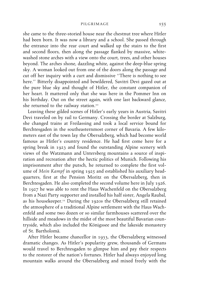she came to the three-storied house near the chestnut tree where Hitler had been born. It was now a library and a school. She passed through the entrance into the rear court and walked up the stairs to the first and second floors, then along the passage flanked by massive, whitewashed stone arches with a view onto the court, trees, and other houses beyond. The arches shone, dazzling white, against the deep-blue spring sky. A woman looked out from one of the doors along the passage and cut off her inquiry with a curt and dismissive ''There is nothing to see here.'' Bitterly disappointed and bewildered, Savitri Devi gazed out at the pure blue sky and thought of Hitler, the constant companion of her heart. It mattered only that she was here in the Pommer Inn on his birthday. Out on the street again, with one last backward glance, she returned to the railway station.<sup>10</sup>

Leaving these gilded scenes of Hitler's early years in Austria, Savitri Devi traveled on by rail to Germany. Crossing the border at Salzburg, she changed trains at Freilassing and took a local service bound for Berchtesgaden in the southeasternmost corner of Bavaria. A few kilometers east of the town lay the Obersalzberg, which had become world famous as Hitler's country residence. He had first come here for a spring break in 1923 and found the outstanding Alpine scenery with views of the Watzmann and Untersberg mountains a source of inspiration and recreation after the hectic politics of Munich. Following his imprisonment after the putsch, he returned to complete the first volume of *Mein Kampf* in spring 1925 and established his auxiliary headquarters, first at the Pension Moritz on the Obersalzberg, then in Berchtesgaden. He also completed the second volume here in July 1926. In 1927 he was able to rent the Haus Wachenfeld on the Obersalzberg from a Nazi Party supporter and installed his half sister, Angela Raubal, as his housekeeper.<sup>11</sup> During the 1920s the Obersalzberg still retained the atmosphere of a traditional Alpine settlement with the Haus Wachenfeld and some two dozen or so similar farmhouses scattered over the hillside and meadows in the midst of the most beautiful Bavarian countryside, which also included the Königssee and the lakeside monastery of St. Bartholoma¨.

After Hitler became chancellor in 1933, the Obersalzberg witnessed dramatic changes. As Hitler's popularity grew, thousands of Germans would travel to Berchtesgaden to glimpse him and pay their respects to the restorer of the nation's fortunes. Hitler had always enjoyed long mountain walks around the Obersalzberg and mixed freely with the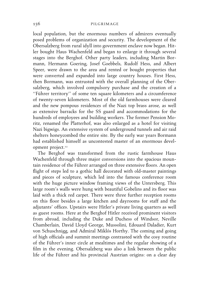local population, but the enormous numbers of admirers eventually posed problems of organization and security. The development of the Obersalzberg from rural idyll into government enclave now began. Hitler bought Haus Wachenfeld and began to enlarge it through several stages into the Berghof. Other party leaders, including Martin Bormann, Hermann Goering, Josef Goebbels, Rudolf Hess, and Albert Speer, were drawn to the area and rented or bought properties that were converted and expanded into large country houses. First Hess, then Bormann, was entrusted with the overall planning of the Obersalzberg, which involved compulsory purchase and the creation of a "Führer territory" of some ten square kilometers and a circumference of twenty-seven kilometers. Most of the old farmhouses were cleared and the new pompous residences of the Nazi top brass arose, as well as extensive barracks for the SS guard and accommodations for the hundreds of employees and building workers. The former Pension Moritz, renamed the Platterhof, was also enlarged as a hotel for visiting Nazi bigwigs. An extensive system of underground tunnels and air raid shelters honeycombed the entire site. By the early war years Bormann had established himself as uncontested master of an enormous development project.<sup>12</sup>

The Berghof was transformed from the rustic farmhouse Haus Wachenfeld through three major conversions into the spacious mountain residence of the Führer arranged on three extensive floors. An open flight of steps led to a gothic hall decorated with old-master paintings and pieces of sculpture, which led into the famous conference room with the huge picture window framing views of the Untersberg. This large room's walls were hung with beautiful Gobelins and its floor was laid with a thick red carpet. There were three further reception rooms on this floor besides a large kitchen and dayrooms for staff and the adjutants' offices. Upstairs were Hitler's private living quarters as well as guest rooms. Here at the Berghof Hitler received prominent visitors from abroad, including the Duke and Duchess of Windsor, Neville Chamberlain, David Lloyd George, Mussolini, Edouard Daladier, Kurt von Schuschnigg, and Admiral Miklós Horthy. The coming and going of high officials and summit meetings contrasted with the cosy routine of the Führer's inner circle at mealtimes and the regular showing of a film in the evening. Obersalzberg was also a link between the public life of the Führer and his provincial Austrian origins: on a clear day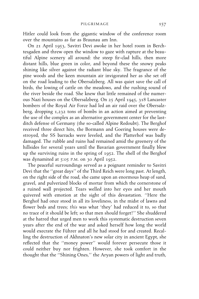Hitler could look from the gigantic window of the conference room over the mountains as far as Braunau am Inn.

On 21 April 1953, Savitri Devi awoke in her hotel room in Berchtesgaden and threw open the window to gaze with rapture at the beautiful Alpine scenery all around: the steep fir-clad hills, then more distant hills, blue green in color, and beyond these the snowy peaks shining like silver against the radiant blue sky. The fragrance of the pine woods and the keen mountain air invigorated her as she set off on the road leading to the Obersalzberg. All was quiet save the call of birds, the lowing of cattle on the meadows, and the rushing sound of the river beside the road. She knew that little remained of the numerous Nazi houses on the Obersalzberg. On 25 April 1945, 318 Lancaster bombers of the Royal Air Force had led an air raid over the Obersalzberg, dropping 1,232 tons of bombs in an action aimed at preventing the use of the complex as an alternative government center for the lastditch defense of Germany (the so-called Alpine Redoubt). The Berghof received three direct hits, the Bormann and Goering houses were destroyed, the SS barracks were leveled, and the Platterhof was badly damaged. The rubble and ruins had remained amid the greenery of the hillsides for several years until the Bavarian government finally blew up the surviving ruins in the spring of 1952. The shell of the Berghof was dynamited at 5:05 P.M. on 30 April 1952.

The peaceful surroundings served as a poignant reminder to Savitri Devi that the ''great days'' of the Third Reich were long past. At length, on the right side of the road, she came upon an enormous heap of sand, gravel, and pulverized blocks of mortar from which the cornerstone of a ruined wall projected. Tears welled into her eyes and her mouth quivered with emotion at the sight of this devastation. ''Here the Berghof had once stood in all its loveliness, in the midst of lawns and flower beds and trees; *this* was what 'they' had reduced it to, so that no trace of it should be left; so that men should forget!'' She shuddered at the hatred that urged men to work this systematic destruction seven years after the end of the war and asked herself how long the world would execrate the Führer and all he had stood for and created. Recalling the destruction of Akhnaton's new solar city in ancient Egypt, she reflected that the ''money power'' would forever persecute those it could neither buy nor frighten. However, she took comfort in the thought that the ''Shining Ones,'' the Aryan powers of light and truth,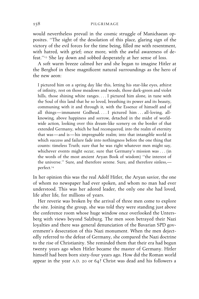would nevertheless prevail in the cosmic struggle of Manichaean opposites. ''The sight of the desolation of this place, glaring sign of the victory of the evil forces for the time being, filled me with resentment, with hatred, with grief; once more, with the awful awareness of defeat.<sup>''<sub>13</sub></sup> She lay down and sobbed desperately at her sense of loss.

A soft warm breeze calmed her and she began to imagine Hitler at the Berghof in these magnificent natural surroundings as the hero of the new aeon:

I pictured him on a spring day like this, letting his star-like eyes, athirst of infinity, rest on those meadows and woods, those dark-green and violet hills, those shining white ranges....I pictured him alone, in tune with the Soul of this land that he so loved, breathing its power and its beauty, communing with it and through it, with the Essence of himself and of all things—immanent Godhead....I pictured him... all-loving, allknowing, above happiness and sorrow, detached in the midst of worldwide action, looking over this dream-like scenery on the border of that extended Germany, which he had reconquered, into the realm of eternity that was—and is—his impregnable realm; into that intangible world in which success and failure fade into nothingness before the one thing that counts: timeless Truth; sure that he was right whatever men might say, whichever events might occur, sure that Germany's mission was . . . (in the words of the most ancient Aryan Book of wisdom) ''the interest of the universe.'' Sure, and therefore serene. Sure, and therefore sinless, perfect.<sup>14</sup>

In her opinion this was the real Adolf Hitler, the Aryan savior, the one of whom no newspaper had ever spoken, and whom no man had ever understood. This was her adored leader, the only one she had loved, life after life, for millions of years.

Her reverie was broken by the arrival of three men come to explore the site. Joining the group, she was told they were standing just above the conference room whose huge window once overlooked the Untersberg with views beyond Salzburg. The men soon betrayed their Nazi loyalties and there was general denunciation of the Bavarian SPD government's desecration of this Nazi monument. When the men dejectedly referred to the defeat of Germany, she compared the Nazi doctrine to the rise of Christianity. She reminded them that their era had begun twenty years ago when Hitler became the master of Germany. Hitler himself had been born sixty-four years ago. How did the Roman world appear in the year A.D. 20 or 64? Christ was dead and his followers a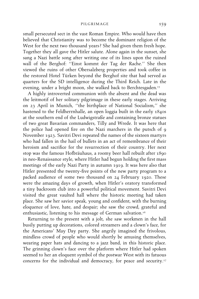small persecuted sect in the vast Roman Empire. Who would have then believed that Christianity was to become the dominant religion of the West for the next two thousand years? She had given them fresh hope. Together they all gave the Hitler salute. Alone again in the sunset, she sang a Nazi battle song after writing one of its lines upon the ruined wall of the Berghof: ''Einst kommt der Tag der Rache.'' She then viewed the ruins of other Obersalzberg properties and took coffee in the restored Hotel Türken beyond the Berghof site that had served as quarters for the SD intelligence during the Third Reich. Late in the evening, under a bright moon, she walked back to Berchtesgaden.<sup>15</sup>

A highly introverted communion with the absent and the dead was the leitmotif of her solitary pilgrimage in these early stages. Arriving on 23 April in Munich, ''the birthplace of National Socialism,'' she hastened to the Feldherrnhalle, an open loggia built in the early 1840s at the southern end of the Ludwigstraße and containing bronze statues of two great Bavarian commanders, Tilly and Wrede. It was here that the police had opened fire on the Nazi marchers in the putsch of 9 November 1923. Savitri Devi repeated the names of the sixteen martyrs who had fallen in the hail of bullets in an act of remembrance of their heroism and sacrifice for the resurrection of their country. Her next stop was the famous Hofbräuhaus, a roomy beer hall rebuilt after 1890 in neo-Renaissance style, where Hitler had begun holding the first mass meetings of the early Nazi Party in autumn 1919. It was here also that Hitler presented the twenty-five points of the new party program to a packed audience of some two thousand on 24 February 1920. These were the amazing days of growth, when Hitler's oratory transformed a tiny backroom club into a powerful political movement. Savitri Devi visited the great vaulted hall where the historic meeting had taken place. She saw her savior speak, young and confident, with the burning eloquence of love, hate, and despair; she saw the crowd, grateful and enthusiastic, listening to his message of German salvation.<sup>16</sup>

Returning to the present with a jolt, she saw workmen in the hall busily putting up decorations, colored streamers and a clown's face, for the Americans' May Day party. She angrily imagined the frivolous, mindless crowd of people who would shortly be amusing themselves, wearing paper hats and dancing to a jazz band, in this historic place. The grinning clown's face over the platform where Hitler had spoken seemed to her an eloquent symbol of the postwar West with its fatuous concerns for the individual and democracy, for peace and security.17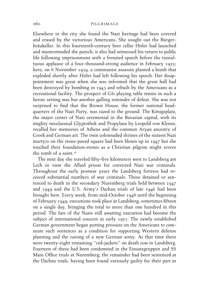Elsewhere in the city she found the Nazi heritage had been covered and erased by the victorious Americans. She sought out the Bürgerbräukeller. In this fourteenth-century beer cellar Hitler had launched and masterminded the putsch; it also had witnessed his return to public life following imprisonment with a frenzied speech before the tumultuous applause of a four-thousand-strong audience in February 1925; here, on 8 November 1939, a communist assassin planted a bomb that exploded shortly after Hitler had left following his speech. Her disappointment was great when she was informed that the great hall had been destroyed by bombing in 1943 and rebuilt by the Americans as a recreational facility. The prospect of GIs playing table tennis in such a heroic setting was but another galling reminder of defeat. She was not surprised to find that the Brown House, the former national headquarters of the Nazi Party, was razed to the ground. The Königsplatz, the major center of Nazi ceremonial in the Bavarian capital, with its mighty neoclassical Glyptothek and Propylaea by Leopold von Klenze, recalled her memories of Athens and the common Aryan ancestry of Greek and German art. The twin colonnaded shrines of the sixteen Nazi martyrs on the stone-paved square had been blown up in 1947 but she touched their foundation-stones as a Christian pilgrim might revere the tomb of a saint.<sup>18</sup>

The next day she traveled fifty-five kilometers west to Landsberg am Lech to view the Allied prison for convicted Nazi war criminals. Throughout the early postwar years the Landsberg fortress had received substantial numbers of war criminals. Those detained or sentenced to death in the secondary Nuremberg trials held between 1947 and 1949 and the U.S. Army's Dachau trials of late 1946 had been brought here. Every week, from mid-October 1948 until the beginning of February 1949, executions took place at Landsberg, sometimes fifteen on a single day, bringing the total to more than one hundred in this period. The fate of the Nazis still awaiting execution had become the subject of international concern in early 1951. The newly established German government began putting pressure on the Americans to commute such sentences as a condition for supporting Western defense planning and the raising of a new German army. At that time there were twenty-eight remaining ''red-jackets'' on death row in Landsberg. Fourteen of these had been condemned in the Einsatzgruppen and SS Main Office trials at Nuremberg; the remainder had been sentenced at the Dachau trials, having been found variously guilty for their part in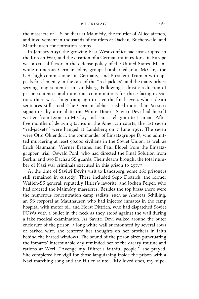the massacre of U.S. soldiers at Malmédy, the murder of Allied airmen, and involvement in thousands of murders at Dachau, Buchenwald, and Mauthausen concentration camps.

In January 1951 the growing East-West conflict had just erupted in the Korean War, and the creation of a German military force in Europe was a crucial factor in the defense policy of the United States. Meanwhile numerous German lobby groups bombarded John McCloy, the U.S. high commissioner in Germany, and President Truman with appeals for clemency in the case of the ''red-jackets'' and the many others serving long sentences in Landsberg. Following a drastic reduction of prison sentences and numerous commutations for those facing execution, there was a huge campaign to save the final seven, whose death sentences still stood. The German lobbies rushed more than 600,000 signatures by airmail to the White House. Savitri Devi had herself written from Lyons to McCloy and sent a telegram to Truman. After five months of delaying tactics in the American courts, the last seven ''red-jackets'' were hanged at Landsberg on 7 June 1951. The seven were Otto Ohlendorf, the commander of Einsatzgruppe D, who admitted murdering at least 90,000 civilians in the Soviet Union, as well as Erich Naumann, Werner Braune, and Paul Blobel from the Einsatzgruppen trial; Oswald Pohl, who had directed the Final Solution from Berlin; and two Dachau SS guards. Their deaths brought the total number of Nazi war criminals executed in this prison to 257.<sup>19</sup>

At the time of Savitri Devi's visit to Landsberg, some 160 prisoners still remained in custody. These included Sepp Dietrich, the former Waffen-SS general, reputedly Hitler's favorite, and Jochen Peiper, who had ordered the Malmédy massacres. Besides the top brass there were the numerous concentration camp sadists, such as Andreas Schilling, an SS corporal at Mauthausen who had injected inmates in the camp hospital with motor oil, and Horst Dittrich, who had dispatched Soviet POWs with a bullet in the neck as they stood against the wall during a fake medical examination. As Savitri Devi walked around the outer enclosure of the prison, a long white wall surmounted by several rows of barbed wire, she centered her thoughts on her brothers in faith behind the barred windows. The sound of the prison siren punctuating the inmates' interminable day reminded her of the dreary routine and rations at Werl. "Avenge my Führer's faithful people," she prayed. She completed her vigil for those languishing inside the prison with a Nazi marching song and the Hitler salute. ''My loved ones, my supe-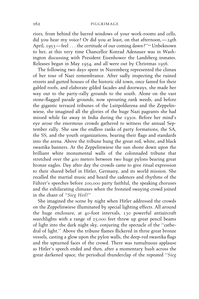riors, from behind the barred windows of your work-rooms and cells, did you hear my voice? Or did you at least, on that afternoon,—24th April, 1953-feel . . . the certitude of our coming dawn?"<sup>20</sup> Unbeknown to her, at this very time Chancellor Konrad Adenauer was in Washington discussing with President Eisenhower the Landsberg inmates. Releases began in May 1954, and all were out by Christmas 1956.

The following two days spent in Nuremberg represented the climax of her tour of Nazi remembrance. After sadly inspecting the ruined streets and gutted houses of the historic old town, once famed for their gabled roofs, and elaborate gilded facades and doorways, she made her way out to the party-rally grounds to the south. Alone on the vast stone-flagged parade grounds, now sprouting rank weeds, and before the gigantic terraced tribunes of the Luitpoldarena and the Zeppelinwiese, she imagined all the glories of the huge Nazi pageants she had missed while far away in India during the 1930s. Before her mind's eye arose the enormous crowds gathered to witness the annual September rally. She saw the endless ranks of party formations, the SA, the SS, and the youth organizations, bearing their flags and standards into the arena. Above the tribune hung the great red, white, and black swastika banners. At the Zeppelinwiese the sun shone down upon the brilliant white monumental walls of the colonnaded tribune that stretched over the 400 meters between two huge pylons bearing great bronze eagles. Day after day the crowds came to give ritual expression to their shared belief in Hitler, Germany, and its world mission. She recalled the martial music and heard the cadences and rhythms of the Führer's speeches before 200,000 party faithful, the speaking choruses and the exhilarating climaxes when the frenzied swaying crowd joined in the chant of ''*Sieg Heil!*''

She imagined the scene by night when Hitler addressed the crowds on the Zeppelinwiese illuminated by special lighting effects. All around the huge enclosure, at 40-foot intervals, 130 powerful antiaircraft searchlights with a range of 25,000 feet threw up great pencil beams of light into the dark night sky, conjuring the spectacle of the ''cathedral of light.'' Above the tribune flames flickered in three great bronze vessels, casting a glow upon the pylon walls, the deep-red swastika flags and the upturned faces of the crowd. There was tumultuous applause as Hitler's speech ended and then, after a momentary hush across the great darkened space, the periodical thunderclap of the repeated ''*Sieg*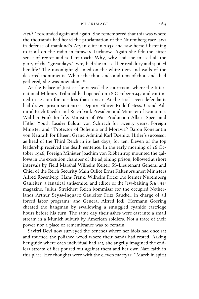*Heil!*'' resounded again and again. She remembered that this was where the thousands had heard the proclamation of the Nuremberg race laws in defense of mankind's Aryan elite in 1935 and saw herself listening to it all on the radio in faraway Lucknow. Again she felt the bitter sense of regret and self-reproach: Why, why had she missed all the glory of the ''great days,'' why had she missed her real duty and spoiled her life? The moonlight gleamed on the white tiers and walls of the deserted monuments. Where the thousands and tens of thousands had gathered, she was now alone.<sup>21</sup>

At the Palace of Justice she viewed the courtroom where the International Military Tribunal had opened on 18 October 1945 and continued in session for just less than a year. At the trial seven defendants had drawn prison sentences: Deputy Führer Rudolf Hess, Grand Admiral Erich Raeder and Reich bank President and Minister of Economics Walther Funk for life; Minister of War Production Albert Speer and Hitler Youth Leader Baldur von Schirach for twenty years; Foreign Minister and ''Protector of Bohemia and Moravia'' Baron Konstantin von Neurath for fifteen; Grand Admiral Karl Doenitz, Hitler's successor as head of the Third Reich in its last days, for ten. Eleven of the top leadership received the death sentence. In the early morning of 16 October 1946, Foreign Minister Joachim von Ribbentrop mounted the gallows in the execution chamber of the adjoining prison, followed at short intervals by Field Marshal Wilhelm Keitel; SS-Lieutenant General and Chief of the Reich Security Main Office Ernst Kaltenbrunner; Ministers Alfred Rosenberg, Hans Frank, Wilhelm Frick; the former Nuremberg Gauleiter, a fanatical antisemite, and editor of the Jew-baiting *Stürmer* magazine, Julius Streicher; Reich kommisar for the occupied Netherlands Arthur Seyss-Inquart; Gauleiter Fritz Sauckel, in charge of all forced labor programs; and General Alfred Jodl. Hermann Goering cheated the hangman by swallowing a smuggled cyanide cartridge hours before his turn. The same day their ashes were cast into a small stream in a Munich suburb by American soldiers. Not a trace of their power nor a place of remembrance was to remain.

Savitri Devi now surveyed the benches where her idols had once sat and touched the polished wood where their hands had rested. Asking her guide where each individual had sat, she angrily imagined the endless stream of lies poured out against them and her own Nazi faith in this place. Her thoughts were with the eleven martyrs: ''March in spirit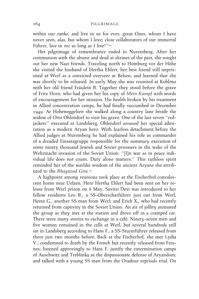within our ranks, and live in us for ever, great Ones, whom I have never seen, alas, but whom I love; close collaborators of our immortal Führer, live in *me* as long as I live!"<sup>22</sup>

Her pilgrimage of remembrance ended in Nuremberg. After her communion with the absent and dead at shrines of the past, she sought out her new Nazi friends. Traveling north to Homburg vor der Höhe she visited the husband of Hertha Ehlert, her best friend still imprisoned at Werl as a convicted overseer at Belsen, and learned that she was shortly to be released. In early May she was reunited at Koblenz with her old friend Fräulein B. Together they stood before the grave of Fritz Horn, who had given her his copy of *Mein Kampf* with words of encouragement for her mission. His health broken by his treatment in Allied concentration camps, he had finally succumbed in December 1949. At Hoheneggelsen she walked along a country lane beside the widow of Otto Ohlendorf to visit his grave. One of the last seven ''redjackets'' executed at Landsberg, Ohlendorf aroused her special admiration as a modern Aryan hero. With fearless detachment before the Allied judges at Nuremberg he had explained his role as commander of a dreaded Einsatzgruppe responsible for the summary execution of some ninety thousand Jewish and Soviet prisoners in the wake of the Wehrmacht invasion of the Soviet Union: ''[I]n war as in peace individual life does not count. Duty alone matters.'' This ruthless spirit reminded her of the warlike wisdom of the ancient Aryans she attributed to the *Bhagavad Gita*. 23

A highpoint among reunions took place at the Fischerhof convalescent home near Uelzen. Here Hertha Ehlert had been sent on her release from Werl prison on 8 May. Savitri Devi was introduced to her fellow residents Leo B., a SS-Oberscharführer just out from Werl; Heinz G., another SS man from Werl; and Erich X., who had recently returned from captivity in the Soviet Union. An air of jollity animated the group as they met at the station and drove off in a cramped car. There were many stories to exchange in a café. Ninety-seven men and five women remained in the cells at Werl, but several hundreds still sat in Landsberg according to Hans F., a SS-Sturmführer released from there just two months before. Back at the Fischerhof, she met Lydia V., condemned to death by the French but recently released from Fresnes; listened approvingly to Hans F. justify the extermination camps of Auschwitz and Treblinka as the dispassionate defense of Aryandom; and talked with a young SS man from the Oradour reprisals trial. On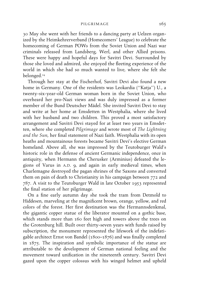30 May she went with her friends to a dancing party at Uelzen organized by the Heimkehrerverband (Homecomers' League) to celebrate the homecoming of German POWs from the Soviet Union and Nazi war criminals released from Landsberg, Werl, and other Allied prisons. These were happy and hopeful days for Savitri Devi. Surrounded by those she loved and admired, she enjoyed the fleeting experience of the world in which she had so much wanted to live, where she felt she belonged.24

Through her stay at the Fischerhof, Savitri Devi also found a new home in Germany. One of the residents was Leokardia (''Katja'') U., a twenty-six-year-old German woman born in the Soviet Union, who overheard her pro-Nazi views and was duly impressed as a former member of the Bund Deutscher Mädel. She invited Savitri Devi to stav and write at her home at Emsdetten in Westphalia, where she lived with her husband and two children. This proved a most satisfactory arrangement and Savitri Devi stayed for at least two years in Emsdetten, where she completed *Pilgrimage* and wrote most of *The Lightning and the Sun*, her final statement of Nazi faith. Westphalia with its open heaths and mountainous forests became Savitri Devi's elective German homeland. Above all, she was impressed by the Teutoburger Wald's historic role in the defense of ancient Germanic independence, once in antiquity, when Hermann the Cherusker (Arminius) defeated the legions of Varus in A.D. 9, and again in early medieval times, when Charlemagne destroyed the pagan shrines of the Saxons and converted them on pain of death to Christianity in his campaign between 772 and 787. A visit to the Teutoburger Wald in late October 1953 represented the final station of her pilgrimage.

On a fine early autumn day she took the tram from Detmold to Hiddesen, marveling at the magnificent brown, orange, yellow, and red colors of the forest. Her first destination was the Hermannsdenkmal, the gigantic copper statue of the liberator mounted on a gothic base, which stands more than 160 feet high and towers above the trees on the Grotenburg hill. Built over thirty-seven years with funds raised by subscription, the monument represented the lifework of the indefatigable architect Ernst von Bandel (1800–1876) and was finally completed in 1875. The inspiration and symbolic importance of the statue are attributable to the development of German national feeling and the movement toward unification in the nineteenth century. Savitri Devi gazed upon the copper colossus with his winged helmet and upheld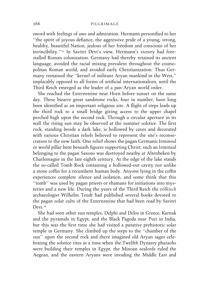sword with feelings of awe and admiration. Hermann personified to her ''the spirit of joyous defiance, the aggressive pride of a young, strong, healthy, beautiful Nation, jealous of her freedom and conscious of her invincibility.''25 In Savitri Devi's view, Hermann's victory had forestalled Roman colonization. Germany had thereby retained its ancient language, avoided the racial mixing prevalent throughout the cosmopolitan Roman world, and avoided early Christianization. Thus Germany remained the ''kernel of militant Aryan mankind in the West,'' implacably opposed to all forms of artificial internationalism, until the Third Reich emerged as the leader of a pan-Aryan world order.

She reached the Externsteine near Horn before sunset on the same day. These bizarre great sandstone rocks, four in number, have long been identified as an important religious site. A flight of steps leads up the third rock to a small bridge giving access to the upper chapel perched high upon the second rock. Through a circular aperture in its wall the rising sun may be observed at the summer solstice. The first rock, standing beside a dark lake, is hollowed by caves and decorated with various Christian reliefs believed to represent the site's reconsecration to the new faith. One relief shows the pagan Germanic Irminsul or world pillar bent beneath figures supporting Christ; such an Irminsul belonging to the pagan Saxons was destroyed nearby at Altenbeken by Charlemagne in the late eighth century. At the edge of the lake stands the so-called Tomb Rock containing a hollowed-out cavity not unlike a stone coffin for a recumbent human body. Anyone lying in the coffin experiences complete silence and isolation, and some think that this ''tomb'' was used by pagan priests or shamans for initiations into mysteries and a new life. During the years of the Third Reich the *völkisch* archaeologist Wilhelm Teudt had published several books devoted to the pagan solar cults of the Externsteine that had been read by Savitri Devi.<sup>26</sup>

She had seen other sun temples, Delphi and Delos in Greece, Karnak and the pyramids in Egypt, and the Black Pagoda near Puri in India, but this was the first time she had visited a putative prehistoric solar temple in Germany. She climbed up the steps to the ''chamber of the sun'' upon the second rock and there imagined old Aryan sages celebrating the solstice rites at a time when the Twelfth Dynasty pharaohs were building their temples in Egypt, the Minoan sealords ruled the Aegean, and the eastern Aryans were invading the Middle East and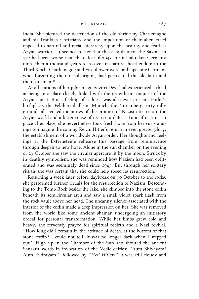India. She pictured the destruction of the old shrine by Charlemagne and his Frankish Christians, and the imposition of their alien creed opposed to natural and racial hierarchy upon the healthy and fearless Aryan warriors. It seemed to her that this assault upon the Saxons in 772 had been worse than the defeat of 1945, for it had taken Germany more than a thousand years to recover its natural heathendom in the Third Reich. Charlemagne and Eisenhower were both apostate Germans who, forgetting their racial origins, had persecuted the old faith and their kinsmen.27

At all stations of her pilgrimage Savitri Devi had experienced a thrill at being in a place closely linked with the growth or conquest of the Aryan spirit. But a feeling of sadness was also ever-present. Hitler's birthplace, the Feldherrnhalle in Munich, the Nuremberg party-rally grounds all evoked memories of the promise of Nazism to restore the Aryan world and a bitter sense of its recent defeat. Time after time, in place after place, she nevertheless took fresh hope from her surroundings to imagine the coming Reich, Hitler's return in even greater glory, the establishment of a worldwide Aryan order. Her thoughts and feelings at the Externsteine rehearse this passage from reminiscence through despair to new hope. Alone in the sun chamber on the evening of 23 October she saw the circular aperture lit by the moon. Struck by its deathly symbolism, she was reminded how Nazism had been obliterated and was seemingly dead since 1945. But through her solitary rituals she was certain that she could help speed its resurrection.

Returning a week later before daybreak on 30 October to the rocks, she performed further rituals for the resurrection of Nazism. Descending to the Tomb Rock beside the lake, she climbed into the stone coffin beneath its semicircular arch and saw a small violet spark flash from the rock vault above her head. The uncanny silence associated with the interior of the coffin made a deep impression on her. She was removed from the world like some ancient shaman undergoing an initiatory ordeal for personal transformation. While her limbs grew cold and heavy, she fervently prayed for spiritual rebirth and a Nazi revival. ''How long did I remain in the attitude of death, at the bottom of that stone coffin? I could not tell. It was no longer dark when I stepped out.'' High up in the Chamber of the Sun she shouted the ancient Sanskrit words in invocation of the Vedic deities: ''Aum Shivayam! Aum Rudrayam!'' followed by ''*Heil Hitler!*'' It was still cloudy and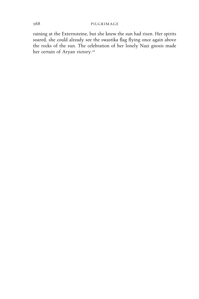## 168 PILGRIMAGE

raining at the Externsteine, but she knew the sun had risen. Her spirits soared, she could already see the swastika flag flying once again above the rocks of the sun. The celebration of her lonely Nazi gnosis made her certain of Aryan victory.<sup>28</sup>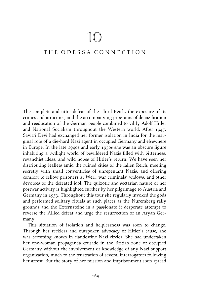# 10

## THE ODESSA CONNECTION

The complete and utter defeat of the Third Reich, the exposure of its crimes and atrocities, and the accompanying programs of denazification and reeducation of the German people combined to vilify Adolf Hitler and National Socialism throughout the Western world. After 1945, Savitri Devi had exchanged her former isolation in India for the marginal role of a die-hard Nazi agent in occupied Germany and elsewhere in Europe. In the late 1940s and early 1950s she was an obscure figure inhabiting a twilight world of bewildered Nazis filled with bitterness, revanchist ideas, and wild hopes of Hitler's return. We have seen her distributing leaflets amid the ruined cities of the fallen Reich, meeting secretly with small conventicles of unrepentant Nazis, and offering comfort to fellow prisoners at Werl, war criminals' widows, and other devotees of the defeated idol. The quixotic and sectarian nature of her postwar activity is highlighted further by her pilgrimage to Austria and Germany in 1953. Throughout this tour she regularly invoked the gods and performed solitary rituals at such places as the Nuremberg rally grounds and the Externsteine in a passionate if desperate attempt to reverse the Allied defeat and urge the resurrection of an Aryan Germany.

This situation of isolation and helplessness was soon to change. Through her reckless and outspoken advocacy of Hitler's cause, she was becoming known in clandestine Nazi circles. She had undertaken her one-woman propaganda crusade in the British zone of occupied Germany without the involvement or knowledge of any Nazi support organization, much to the frustration of several interrogators following her arrest. But the story of her mission and imprisonment soon spread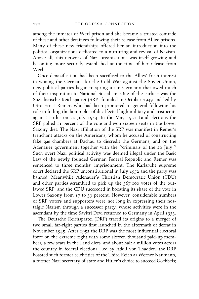among the inmates of Werl prison and she became a trusted comrade of these and other detainees following their release from Allied prisons. Many of these new friendships offered her an introduction into the political organizations dedicated to a nurturing and revival of Nazism. Above all, this network of Nazi organizations was itself growing and becoming more securely established at the time of her release from Werl.

Once denazification had been sacrificed to the Allies' fresh interest in wooing the Germans for the Cold War against the Soviet Union, new political parties began to spring up in Germany that owed much of their inspiration to National Socialism. One of the earliest was the Sozialistische Reichspartei (SRP) founded in October 1949 and led by Otto Ernst Remer, who had been promoted to general following his role in foiling the bomb plot of disaffected high military and aristocrats against Hitler on 20 July 1944. In the May 1951 Land elections the SRP polled 11 percent of the vote and won sixteen seats in the Lower Saxony diet. The Nazi affiliation of the SRP was manifest in Remer's trenchant attacks on the Americans, whom he accused of constructing fake gas chambers at Dachau to discredit the Germans, and on the Adenauer government together with the ''criminals of the 20 July.'' Such overt Nazi political activity was deemed illegal under the Basic Law of the newly founded German Federal Republic and Remer was sentenced to three months' imprisonment. The Karlsruhe supreme court declared the SRP unconstitutional in July 1952 and the party was banned. Meanwhile Adenauer's Christian Democratic Union (CDU) and other parties scrambled to pick up the 367,000 votes of the outlawed SRP, and the CDU succeeded in boosting its share of the vote in Lower Saxony from 17 to 33 percent. However, considerable numbers of SRP voters and supporters were not long in expressing their nostalgic Nazism through a successor party, whose activities were in the ascendant by the time Savitri Devi returned to Germany in April 1953.

The Deutsche Reichspartei (DRP) traced its origins to a merger of two small far-right parties first launched in the aftermath of defeat in November 1945. After 1952 the DRP was the most influential electoral force on the extreme right with some sixteen thousand paid-up members, a few seats in the Land diets, and about half a million votes across the country in federal elections. Led by Adolf von Thadden, the DRP boasted such former celebrities of the Third Reich as Werner Naumann, a former Nazi secretary of state and Hitler's choice to succeed Goebbels;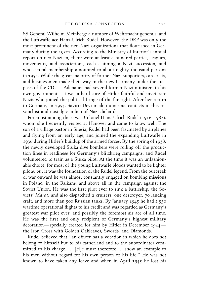SS General Wilhelm Meinberg; a number of Wehrmacht generals; and the Luftwaffe ace Hans-Ulrich Rudel. However, the DRP was only the most prominent of the neo-Nazi organizations that flourished in Germany during the 1950s. According to the Ministry of Interior's annual report on neo-Nazism, there were at least a hundred parties, leagues, movements, and associations, each claiming a Nazi succession, and whose total membership amounted to about eighty thousand persons in 1954. While the great majority of former Nazi supporters, careerists, and businessmen made their way in the new Germany under the auspices of the CDU—Adenauer had several former Nazi ministers in his own government—it was a hard core of Hitler faithful and inveterate Nazis who joined the political fringe of the far right. After her return to Germany in 1953, Savitri Devi made numerous contacts in this revanchist and nostalgic milieu of Nazi diehards.

Foremost among these was Colonel Hans-Ulrich Rudel (1916–1982), whom she frequently visited at Hanover and came to know well. The son of a village pastor in Silesia, Rudel had been fascinated by airplanes and flying from an early age, and joined the expanding Luftwaffe in 1936 during Hitler's buildup of the armed forces. By the spring of 1938, the newly developed Stuka dive bombers were rolling off the production lines in readiness for Germany's blitzkrieg campaigns, and Rudel volunteered to train as a Stuka pilot. At the time it was an unfashionable choice, for most of the young Luftwaffe bloods wanted to be fighter pilots, but it was the foundation of the Rudel legend. From the outbreak of war onward he was almost constantly engaged on bombing missions in Poland, in the Balkans, and above all in the campaign against the Soviet Union. He was the first pilot ever to sink a battleship, the Soviets' *Marat*, and also dispatched 2 cruisers, one destroyer, 70 landing craft, and more than 500 Russian tanks. By January 1945 he had 2,530 wartime operational flights to his credit and was regarded as Germany's greatest war pilot ever, and possibly the foremost air ace of all time. He was the first and only recipient of Germany's highest military decoration—specially created for him by Hitler in December 1944 the Iron Cross with Golden Oakleaves, Swords, and Diamonds.

Rudel believed that ''an officer has a vocation in which he does not belong to himself but to his fatherland and to the subordinates committed to his charge.... [H]e must therefore... show an example to his men without regard for his own person or his life.'' He was not known to have taken any leave and when in April 1945 he lost his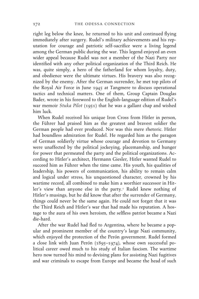right leg below the knee, he returned to his unit and continued flying immediately after surgery. Rudel's military achievements and his reputation for courage and patriotic self-sacrifice were a living legend among the German public during the war. This legend enjoyed an even wider appeal because Rudel was not a member of the Nazi Party nor identified with any other political organization of the Third Reich. He was, quite simply, a hero of the fatherland for whom loyalty, duty, and obedience were the ultimate virtues. His bravery was also recognized by the enemy. After the German surrender, he met top pilots of the Royal Air Force in June 1945 at Tangmere to discuss operational tactics and technical matters. One of them, Group Captain Douglas Bader, wrote in his foreword to the English-language edition of Rudel's war memoir *Stuka Pilot* (1951) that he was a gallant chap and wished him luck.

When Rudel received his unique Iron Cross from Hitler in person, the Führer had praised him as the greatest and bravest soldier the German people had ever produced. Nor was this mere rhetoric. Hitler had boundless admiration for Rudel. He regarded him as the paragon of German soldierly virtue whose courage and devotion to Germany were unaffected by the political jockeying, placemanship, and hunger for power that permeated the party and the political organizations. According to Hitler's architect, Hermann Giesler, Hitler wanted Rudel to succeed him as Führer when the time came. His youth, his qualities of leadership, his powers of communication, his ability to remain calm and logical under stress, his unquestioned character, crowned by his wartime record, all combined to make him a worthier successor in Hitler's view than anyone else in the party.<sup>1</sup> Rudel knew nothing of Hitler's musings, but he did know that after the surrender of Germany, things could never be the same again. He could not forget that it was the Third Reich and Hitler's war that had made his reputation. A hostage to the aura of his own heroism, the selfless patriot became a Nazi die-hard.

After the war Rudel had fled to Argentina, where he became a popular and prominent member of the country's large Nazi community, which enjoyed the protection of the Perón government. Rudel formed a close link with Juan Perón (1895–1974), whose own successful political career owed much to his study of Italian fascism. The wartime hero now turned his mind to devising plans for assisting Nazi fugitives and war criminals to escape from Europe and became the head of such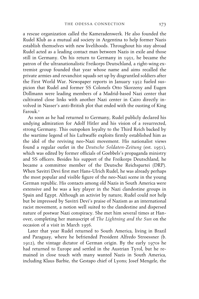a rescue organization called the Kameradenwerk. He also founded the Rudel Klub as a mutual aid society in Argentina to help former Nazis establish themselves with new livelihoods. Throughout his stay abroad Rudel acted as a leading contact man between Nazis in exile and those still in Germany. On his return to Germany in 1951, he became the patron of the ultranationalistic Freikorps Deutschland, a right-wing extremist group founded that year whose name and aims recalled the private armies and revanchist squads set up by disgruntled soldiers after the First World War. Newspaper reports in January 1952 fueled suspicion that Rudel and former SS Colonels Otto Skorzeny and Eugen Dollmann were leading members of a Madrid-based Nazi center that cultivated close links with another Nazi center in Cairo directly involved in Nasser's anti-British plot that ended with the ousting of King Farouk.<sup>2</sup>

As soon as he had returned to Germany, Rudel publicly declared his undying admiration for Adolf Hitler and his vision of a resurrected, strong Germany. This outspoken loyalty to the Third Reich backed by the wartime legend of his Luftwaffe exploits firmly established him as the idol of the reviving neo-Nazi movement. His nationalist views found a regular outlet in the *Deutsche Soldaten-Zeitung* (est. 1951), which was edited by former officials of Goebbels's propaganda ministry and SS officers. Besides his support of the Freikorps Deutschland, he became a committee member of the Deutsche Reichspartei (DRP). When Savitri Devi first met Hans-Ulrich Rudel, he was already perhaps the most popular and visible figure of the neo-Nazi scene in the young German republic. His contacts among old Nazis in South America were extensive and he was a key player in the Nazi clandestine groups in Spain and Egypt. Although an activist by nature, Rudel could not help but be impressed by Savitri Devi's praise of Nazism as an international racist movement, a notion well suited to the clandestine and dispersed nature of postwar Nazi conspiracy. She met him several times at Hanover, completing her manuscript of *The Lightning and the Sun* on the occasion of a visit in March 1956.

Later that year Rudel returned to South America, living in Brazil and Paraguay, where he befriended President Alfredo Stroessner (b. 1912), the vintage dictator of German origin. By the early 1970s he had returned to Europe and settled in the Austrian Tyrol, but he remained in close touch with many wanted Nazis in South America, including Klaus Barbie, the Gestapo chief of Lyons; Josef Mengele, the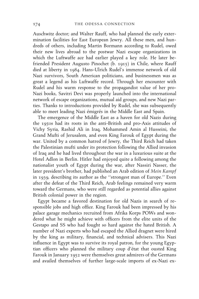Auschwitz doctor; and Walter Rauff, who had planned the early extermination facilities for East European Jewry. All these men, and hundreds of others, including Martin Bormann according to Rudel, owed their new lives abroad to the postwar Nazi escape organizations in which the Luftwaffe ace had earlier played a key role. He later befriended President Augusto Pinochet (b. 1915) in Chile, where Rauff died at liberty in 1984. Hans-Ulrich Rudel's immense network of old Nazi survivors, South American politicians, and businessmen was as great a legend as his Luftwaffe record. Through her encounter with Rudel and his warm response to the propagandist value of her pro-Nazi books, Savitri Devi was properly launched into the international network of escape organizations, mutual aid groups, and new Nazi parties. Thanks to introductions provided by Rudel, she was subsequently able to meet leading Nazi émigrés in the Middle East and Spain.

The emergence of the Middle East as a haven for old Nazis during the 1950s had its roots in the anti-British and pro-Axis attitudes of Vichy Syria, Rashid Ali in Iraq, Mohammed Amin al Husseini, the Grand Mufti of Jerusalem, and even King Farouk of Egypt during the war. United by a common hatred of Jewry, the Third Reich had taken the Palestinian mufti under its protection following the Allied invasion of Iraq and he had lived throughout the war in a luxurious suite at the Hotel Adlon in Berlin. Hitler had enjoyed quite a following among the nationalist youth of Egypt during the war, after Nassiri Nasser, the later president's brother, had published an Arab edition of *Mein Kampf* in 1939, describing its author as the ''strongest man of Europe.'' Even after the defeat of the Third Reich, Arab feelings remained very warm toward the Germans, who were still regarded as potential allies against British colonial power in the region.

Egypt became a favored destination for old Nazis in search of responsible jobs and high office. King Farouk had been impressed by his palace garage mechanics recruited from Afrika Korps POWs and wondered what he might achieve with officers from the elite units of the Gestapo and SS who had fought so hard against the hated British. A number of Nazi experts who had escaped the Allied dragnet were hired by the king as military, financial, and technical advisers. This Nazi influence in Egypt was to survive its royal patron, for the young Egyptian officers who planned the military coup d'état that ousted King Farouk in January 1952 were themselves great admirers of the Germans and availed themselves of further large-scale imports of ex-Nazi ex-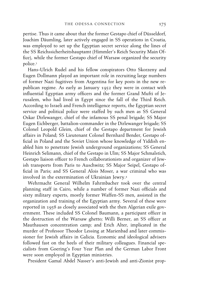pertise. Thus it came about that the former Gestapo chief of Düsseldorf, Joachim Däumling, later actively engaged in SS operations in Croatia, was employed to set up the Egyptian secret service along the lines of the SS Reichssicherheitshauptamt (Himmler's Reich Security Main Office), while the former Gestapo chief of Warsaw organized the security police.3

Hans-Ulrich Rudel and his fellow conspirators Otto Skorzeny and Eugen Dollmann played an important role in recruiting large numbers of former Nazi fugitives from Argentina for key posts in the new republican regime. As early as January 1952 they were in contact with influential Egyptian army officers and the former Grand Mufti of Jerusalem, who had lived in Egypt since the fall of the Third Reich. According to Israeli and French intelligence reports, the Egyptian secret service and political police were staffed by such men as SS General Oskar Dirlewanger, chief of the infamous SS penal brigade; SS Major Eugen Eichberger, battalion-commander in the Dirlewanger brigade; SS Colonel Leopold Gleim, chief of the Gestapo department for Jewish affairs in Poland; SS Lieutenant Colonel Bernhard Bender, Gestapo official in Poland and the Soviet Union whose knowledge of Yiddish enabled him to penetrate Jewish underground organizations; SS General Heinrich Selimann, chief of the Gestapo in Ulm; SS Major Schmalstich, Gestapo liaison officer to French collaborationists and organizer of Jewish transports from Paris to Auschwitz; SS Major Seipel, Gestapo official in Paris; and SS General Alois Moser, a war criminal who was involved in the extermination of Ukrainian Jewry.4

Wehrmacht General Wilhelm Fahrmbacher took over the central planning staff in Cairo, while a number of former Nazi officials and sixty military experts, mostly former Waffen-SS men, assisted in the organization and training of the Egyptian army. Several of these were reported in 1958 as closely associated with the then Algerian exile government. These included SS Colonel Baumann, a participant officer in the destruction of the Warsaw ghetto; Willi Berner, an SS officer at Mauthausen concentration camp; and Erich Alter, implicated in the murder of Professor Theodor Lessing at Marienbad and later commissioner for Jewish affairs in Galicia. Economic and ideological advisers followed fast on the heels of their military colleagues. Financial specialists from Goering's Four Year Plan and the German Labor Front were soon employed in Egyptian ministries.

President Gamal Abdel Nasser's anti-Jewish and anti-Zionist prop-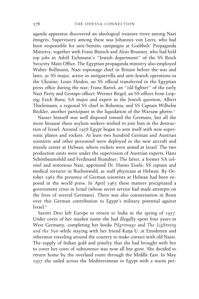aganda apparatus discovered an ideological treasure trove among Nazi émigrés. Supervisory among these was Johannes von Leers, who had been responsible for anti-Semitic campaigns at Goebbels' Propaganda Ministry, together with Franz Bünsch and Alois Brunner, who had held top jobs in Adolf Eichmann's ''Jewish department'' of the SS Reich Security Main Office. The Egyptian propaganda ministry also employed Walter Bollmann, Nazi espionage chief in Britain before the war and later, as SS major, active in antiguerrilla and anti-Jewish operations in the Ukraine; Louis Heiden, an SS official transferred to the Egyptian press office during the war; Franz Bartel, an ''old fighter'' of the early Nazi Party and Gestapo officer; Werner Birgel, an SS officer from Leipzig; Erich Bunz, SA major and expert in the Jewish question; Albert Thielemann, a regional SS chief in Bohemia; and SS Captain Wilhelm Böckler, another participant in the liquidation of the Warsaw ghetto.<sup>5</sup>

Nasser himself was well disposed toward the Germans, but all the more because these asylum seekers wished to join him in the destruction of Israel. Around 1958 Egypt began to arm itself with new supersonic planes and rockets. At least two hundred German and Austrian scientists and other personnel were deployed in the new aircraft and missile center at Helwan, where rockets were aimed at Israel. The two production units were under the supervision of Austrian experts, Hans Schönbaumsfeld and Ferdinand Brandner. The latter, a former SA colonel and notorious Nazi, appointed Dr. Hanns Eisele, SS captain and medical torturer in Buchenwald, as staff physician at Helwan. By October 1962 the presence of German scientists at Helwan had been exposed in the world press. In April 1963 these matters precipitated a government crisis in Israel (whose secret service had made attempts on the lives of several Germans). There was also consternation in Bonn over this German contribution to Egypt's military potential against Israel.6

Savitri Devi left Europe to return to India in the spring of 1957. Under cover of her maiden name she had illegally spent four years in West Germany, completing her books *Pilgrimage* and *The Lightning and the Sun* while staying with her friend Katja U. at Emsdetten and otherwise traveling around the country to make contact with old Nazis. The supply of Indian gold and jewelry that she had brought with her to cover her costs of subsistence was now all but gone. She decided to return home by the overland route through the Middle East. In May 1957 she sailed across the Mediterranean to Egypt with a warm per-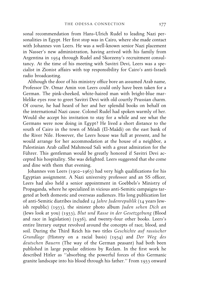sonal recommendation from Hans-Ulrich Rudel to leading Nazi personalities in Egypt. Her first stop was in Cairo, where she made contact with Johannes von Leers. He was a well-known senior Nazi placement in Nasser's new administration, having arrived with his family from Argentina in 1954 through Rudel and Skorzeny's recruitment consultancy. At the time of his meeting with Savitri Devi, Leers was a specialist in Zionist affairs with top responsibility for Cairo's anti-Israeli radio broadcasting.

Although the door of his ministry office bore an assumed Arab name, Professor Dr. Omar Amin von Leers could only have been taken for a German. The pink-cheeked, white-haired man with bright-blue marblelike eyes rose to greet Savitri Devi with old courtly Prussian charm. Of course, he had heard of her and her splendid books on behalf on the international Nazi cause. Colonel Rudel had spoken warmly of her. Would she accept his invitation to stay for a while and see what the Germans were now doing in Egypt? He lived a short distance to the south of Cairo in the town of Méadi (El-Maâdi) on the east bank of the River Nile. However, the Leers house was full at present, and he would arrange for her accommodation at the house of a neighbor, a Palestinian Arab called Mahmoud Sali with a great admiration for the Führer. This gentleman would be greatly honored if Savitri Devi accepted his hospitality. She was delighted. Leers suggested that she come and dine with them that evening.

Johannes von Leers (1902–1963) had very high qualifications for his Egyptian assignment. A Nazi university professor and an SS officer, Leers had also held a senior appointment in Goebbels's Ministry of Propaganda, where he specialized in vicious anti-Semitic campaigns targeted at both domestic and overseas audiences. His long publication list of anti-Semitic diatribes included *14 Jahre Judenrepublik* (14 years Jewish republic) (1933), the sinister photo album *Juden sehen Dich an* (Jews look at you) (1933), *Blut und Rasse in der Gesetzgebung* (Blood and race in legislation) (1936), and twenty-four other books. Leers's entire literary output revolved around the concepts of race, blood, and soil. During the Third Reich his two titles *Geschichte auf rassischer Grundlage* (History on a racial basis) (1934) and *Der Weg des deutschen Bauern* (The way of the German peasant) had both been published in large popular editions by Reclam. In the first work he described Hitler as ''absorbing the powerful forces of this Germanic granite landscape into his blood through his father.'' From 1933 onward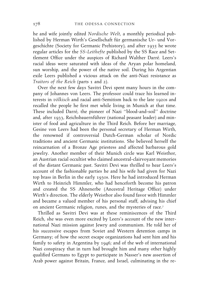he and wife jointly edited *Nordische Welt*, a monthly periodical published by Herman Wirth's Gesellschaft für germanische Ur- und Vorgeschichte (Society for Germanic Prehistory), and after 1935 he wrote regular articles for the *SS-Leithefte* published by the SS Race and Settlement Office under the auspices of Richard Walther Darré. Leers's racial ideas were saturated with ideas of the Aryan polar homeland, sun worship, and the power of the native soil. During his Argentian exile Leers published a vicious attack on the anti-Nazi resistance as *Traitors of the Reich* (parts 1 and 2).

Over the next few days Savitri Devi spent many hours in the company of Johannes von Leers. The professor could trace his learned interests in *völkisch* and racial anti-Semitism back to the late 1920s and recalled the people he first met while living in Munich at that time. These included Darré, the pioneer of Nazi "blood-and-soil" doctrine and, after 1933, Reichsbauernführer (national peasant leader) and minister of food and agriculture in the Third Reich. Before her marriage, Gesine von Leers had been the personal secretary of Herman Wirth, the renowned if controversial Dutch-German scholar of Nordic traditions and ancient Germanic institutions. She believed herself the reincarnation of a Bronze Age priestess and affected barbarous gold jewelry. Another member of their Munich circle was Karl Weisthor, an Austrian racial occultist who claimed ancestral-clairvoyant memories of the distant Germanic past. Savitri Devi was thrilled to hear Leers's account of the fashionable parties he and his wife had given for Nazi top brass in Berlin in the early 1930s. Here he had introduced Herman Wirth to Heinrich Himmler, who had henceforth become his patron and created the SS Ahnenerbe (Ancestral Heritage Office) under Wirth's direction. The elderly Weisthor also found favor with Himmler and became a valued member of his personal staff, advising his chief on ancient Germanic religion, runes, and the mysteries of race.7

Thrilled as Savitri Devi was at these reminiscences of the Third Reich, she was even more excited by Leers's account of the new international Nazi mission against Jewry and communism. He told her of his successive escapes from Soviet and Western detention camps in Germany; of how the secret escape organizations had sent him and his family to safety in Argentina by 1946; and of the web of international Nazi conspiracy that in turn had brought him and many other highly qualified Germans to Egypt to participate in Nasser's new assertion of Arab power against Britain, France, and Israel, culminating in the re-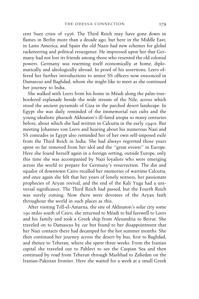cent Suez crisis of 1956. The Third Reich may have gone down in flames in Berlin more than a decade ago, but here in the Middle East, in Latin America, and Spain the old Nazis had new schemes for global racketeering and political resurgence. He impressed upon her that Germany had not lost its friends among those who resented the old colonial powers. Germany was rearming itself economically at home, diplomatically and ideologically abroad. In proof of his assertions, Leers offered her further introductions to senior SS officers now ensconced in Damascus and Baghdad, whom she might like to meet as she continued her journey to India.

She walked with Leers from his home in Méadi along the palm-treebordered esplanade beside the wide stream of the Nile, across which stood the ancient pyramids of Giza in the parched desert landscape. In Egypt she was daily reminded of the immemorial sun cults and the young idealistic pharaoh Akhnaton's ill-fated utopia so many centuries before, about which she had written in Calcutta in the early 1940s. But meeting Johannes von Leers and hearing about his numerous Nazi and SS comrades in Egypt also reminded her of her own self-imposed exile from the Third Reich in India. She had always regretted those years spent so far removed from her idol and the ''great events'' in Europe. Here she found herself again in a foreign setting, outside Europe, only this time she was accompanied by Nazi loyalists who were emerging across the world to prepare for Germany's resurrection. The din and squalor of downtown Cairo recalled her memories of wartime Calcutta, and once again she felt that her years of lonely witness, her passionate prophecies of Aryan revival, and the end of the Kali Yuga had a universal significance. The Third Reich had passed, but the Fourth Reich was surely coming. Now there were devotees of the Aryan faith throughout the world in such places as this.

After visiting Tell-el-Amarna, the site of Akhnaton's solar city some 190 miles south of Cairo, she returned to Méadi to bid farewell to Leers and his family and took a Greek ship from Alexandria to Beirut. She traveled on to Damascus by car but found to her disappointment that her Nazi contacts there had decamped for the hot summer months. She then continued her journey across the desert by bus, first to Baghdad, and thence to Teheran, where she spent three weeks. From the Iranian capital she traveled out to Pahlevi to see the Caspian Sea and then continued by road from Teheran through Mashhad to Zahedan on the Iranian-Pakistan frontier. Here she waited for a week at a small Greek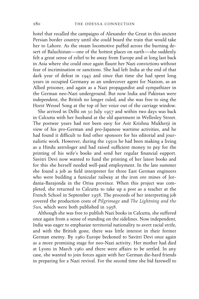hotel that recalled the campaigns of Alexander the Great in this ancient Persian border country until she could board the train that would take her to Lahore. As the steam locomotive puffed across the burning desert of Baluchistan—one of the hottest places on earth—she suddenly felt a great sense of relief to be away from Europe and at long last back in Asia where she could once again flaunt her Nazi convictions without fear of incrimination or sanctions. She had left India at the end of that dark year of defeat in 1945 and since that time she had spent long years in occupied Germany as an undercover agent for Nazism, as an Allied prisoner, and again as a Nazi propagandist and sympathizer in the German neo-Nazi underground. But now India and Pakistan were independent, the British no longer ruled, and she was free to sing the Horst Wessel Song at the top of her voice out of the carriage window.

She arrived in Delhi on 30 July 1957 and within two days was back in Calcutta with her husband at the old apartment in Wellesley Street. The postwar years had not been easy for Asit Krishna Mukherji in view of his pro-German and pro-Japanese wartime activities, and he had found it difficult to find other sponsors for his editorial and journalistic work. However, during the 1950s he had been making a living as a Hindu astrologer and had raised sufficient money to pay for the printing of his wife's books and send her regular financial support. Savitri Devi now wanted to fund the printing of her latest books and for this she herself needed well-paid employment. In the late summer she found a job as field interpreter for three East German engineers who were building a funicular railway at the iron ore mines of Jordania-Barajonda in the Orisa province. When this project was completed, she returned to Calcutta to take up a post as a teacher at the French School in September 1958. The proceeds of her interpreting job covered the production costs of *Pilgrimage* and *The Lightning and the Sun*, which were both published in 1958.

Although she was free to publish Nazi books in Calcutta, she suffered once again from a sense of standing on the sidelines. Now independent, India was eager to emphasize territorial nationality to avert racial strife, and with the British gone, there was little interest in their former German enemy. By 1960 Europe beckoned to Savitri Devi once again as a more promising stage for neo-Nazi activity. Her mother had died at Lyons in March 1960 and there were affairs to be settled. In any case, she wanted to join forces again with her German die-hard friends in preparing for a Nazi revival. For the second time she bid farewell to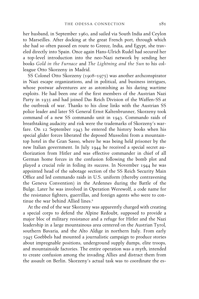her husband, in September 1960, and sailed via South India and Ceylon to Marseilles. After docking at the great French port, through which she had so often passed en route to Greece, India, and Egypt, she traveled directly into Spain. Once again Hans-Ulrich Rudel had secured her a top-level introduction into the neo-Nazi network by sending her books *Gold in the Furnace* and *The Lightning and the Sun* to his colleague Otto Skorzeny in Madrid.

SS Colonel Otto Skorzeny (1908–1975) was another archconspirator in Nazi escape organizations, and in political, and business intrigues, whose postwar adventures are as astonishing as his daring wartime exploits. He had been one of the first members of the Austrian Nazi Party in 1935 and had joined Das Reich Division of the Waffen-SS at the outbreak of war. Thanks to his close links with the Austrian SS police leader and later SS General Ernst Kaltenbrunner, Skorzeny took command of a new SS commando unit in 1943. Commando raids of breathtaking audacity and risk were the trademarks of Skorzeny's warfare. On 12 September 1943 he entered the history books when his special glider forces liberated the deposed Mussolini from a mountaintop hotel in the Gran Sasso, where he was being held prisoner by the new Italian government. In July 1944 he received a special secret authorization from Hitler and was effective commander in chief of all German home forces in the confusion following the bomb plot and played a crucial role in foiling its success. In November 1944 he was appointed head of the sabotage section of the SS Reich Security Main Office and led commando raids in U.S. uniform (thereby contravening the Geneva Convention) in the Ardennes during the Battle of the Bulge. Later he was involved in Operation Werewolf, a code name for the resistance fighters, guerrillas, and foreign agents who were to continue the war behind Allied lines.<sup>8</sup>

At the end of the war Skorzeny was apparently charged with creating a special corps to defend the Alpine Redoubt, supposed to provide a major bloc of military resistance and a refuge for Hitler and the Nazi leadership in a large mountainous area centered on the Austrian Tyrol, southern Bavaria, and the Alto Aldige in northern Italy. From early 1945 Goebbels had mounted a journalistic campaign to produce stories about impregnable positions, underground supply dumps, elite troops, and mountainside factories. The entire operation was a myth, intended to create confusion among the invading Allies and distract them from the assault on Berlin. Skorzeny's actual task was to coordinate the es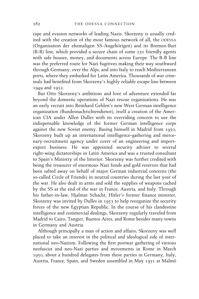cape and evasion networks of leading Nazis. Skorzeny is usually credited with the creation of the most famous network of all, the ODESSA (Organisation der ehemaligen SS-Angehörigen) and its Bremen-Bari (B-B) line, which provided a secure chain of some 250 friendly agents with safe houses, money, and documents across Europe. The B-B line was the preferred route for Nazi fugitives making their way southward through Germany, over the Alps, and into Italy to reach Mediterranean ports, where they embarked for Latin America. Thousands of war criminals had benefited from Skorzeny's highly reliable escape line between 1949 and 1952.

But Otto Skorzeny's ambitions and love of adventure extended far beyond the domestic operations of Nazi rescue organizations. He was an early recruit into Reinhard Gehlen's new West German intelligence organization (Bundesnachrichtendienst), itself a creation of the American CIA under Allen Dulles with its overriding concern to use the indispensable knowledge of the former German intelligence corps against the new Soviet enemy. Basing himself in Madrid from 1950, Skorzeny built up an international intelligence-gathering and mercenary-recruitment agency under cover of an engineering and importexport business. He was appointed security adviser to several right-wing dictatorships in Latin America and was a trusted consultant to Spain's Ministry of the Interior. Skorzeny was further credited with being the treasurer of enormous Nazi funds and gold reserves that had been salted away on behalf of major German industrial concerns (the so-called Circle of Friends) in neutral countries during the last year of the war. He also dealt in arms and sold the supplies of weapons cached by the SS at the end of the war in France, Austria, and Italy. Through his father-in-law, Hjalmar Schacht, Hitler's former finance minister, Skorzeny was invited by Dulles in 1953 to help reorganize the security forces of the new Egyptian Republic. In the course of his clandestine intelligence and commercial dealings, Skorzeny regularly traveled from Madrid to Cairo, Tangier, Buenos Aires, and Rome besides many towns in Germany and Austria.

Although principally a man of action and affairs, Skorzeny was well placed to take an interest in the political and ideological side of international neo-Nazism. Following the first postwar gathering of various neofascist and neo-Nazi parties and movements in Rome in March 1950, about a hundred delegates from these parties in Germany, Italy, Austria, France, Spain, and Sweden assembled in May 1951 at Malmö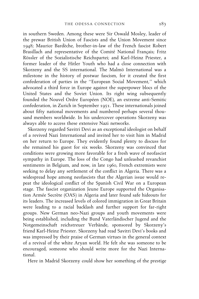in southern Sweden. Among these were Sir Oswald Mosley, leader of the prewar British Union of Fascists and the Union Movement since 1948; Maurice Bardèche, brother-in-law of the French fascist Robert Brasillach and representative of the Comité National Français; Fritz Rössler of the Sozialistische Reichspartei; and Karl-Heinz Priester, a former leader of the Hitler Youth who had a close connection with Skorzeny and the SS international. The Malmö International was a milestone in the history of postwar fascism, for it created the first confederation of parties in the ''European Social Movement,'' which advocated a third force in Europe against the superpower blocs of the United States and the Soviet Union. Its right wing subsequently founded the Nouvel Ordre Européen (NOE), an extreme anti-Semitic confederation, in Zurich in September 1951. These internationals joined about fifty national movements and numbered perhaps several thousand members worldwide. In his undercover operations Skorzeny was always able to access these extensive Nazi networks.

Skorzeny regarded Savitri Devi as an exceptional ideologist on behalf of a revived Nazi International and invited her to visit him in Madrid on her return to Europe. They evidently found plenty to discuss for she remained his guest for six weeks. Skorzeny was convinced that conditions were growing more favorable for a fresh wave of neofascist sympathy in Europe. The loss of the Congo had unleashed revanchist sentiments in Belgium, and now, in late 1960, French extremists were seeking to delay any settlement of the conflict in Algeria. There was a widespread hope among neofascists that the Algerian issue would repeat the ideological conflict of the Spanish Civil War on a European stage. The fascist organization Jeune Europe supported the Organisation Armée Secrète (OAS) in Algeria and later found safe hideouts for its leaders. The increased levels of colored immigration in Great Britain were leading to a racial backlash and further support for far-right groups. New German neo-Nazi groups and youth movements were being established, including the Bund Vaterländischer Jugend and the Notgemeinschaft reichstreuer Verbände, sponsored by Skorzeny's friend Karl-Heinz Priester. Skorzeny had read Savitri Devi's books and was impressed by their praise of German virtues in the general context of a revival of the white Aryan world. He felt she was someone to be encouraged, someone who should write more for the Nazi International.

Here in Madrid Skorzeny could show her something of the prestige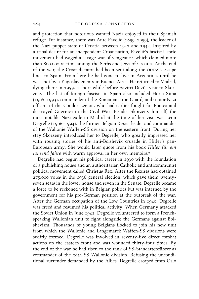and protection that notorious wanted Nazis enjoyed in their Spanish refuge. For instance, there was Ante Pavelić (1899–1959), the leader of the Nazi puppet state of Croatia between 1941 and 1944. Inspired by a tribal desire for an independent Croat nation, Pavelić's fascist Ustaše movement had waged a savage war of vengeance, which claimed more than 800,000 victims among the Serbs and Jews of Croatia. At the end of the war, the Croat dictator had been sent along the ODESSA escape lines to Spain. From here he had gone to live in Argentina, until he was shot by a Yugoslav enemy in Buenos Aires. He returned to Madrid, dying there in 1959, a short while before Savitri Devi's visit to Skorzeny. The list of foreign fascists in Spain also included Horia Sima (1906–1993), commander of the Romanian Iron Guard, and senior Nazi officers of the Condor Legion, who had earlier fought for Franco and destroyed Guernica in the Civil War. Besides Skorzeny himself, the most notable Nazi exile in Madrid at the time of her visit was Léon Degrelle (1906–1994), the former Belgian Rexist leader and commander of the Wallonie Waffen-SS division on the eastern front. During her stay Skorzeny introduced her to Degrelle, who greatly impressed her with rousing stories of his anti-Bolshevik crusade in Hitler's pan-European army. She would later quote from his book *Hitler für ein tausend Jahre* with warm approval in her own memoirs.9

Degrelle had begun his political career in 1930 with the foundation of a publishing house and an authoritarian Catholic and anticommunist political movement called Christus Rex. After the Rexists had obtained 275,000 votes in the 1936 general election, which gave them twentyseven seats in the lower house and seven in the Senate, Degrelle became a force to be reckoned with in Belgian politics but was interned by the government for his pro-German position at the outbreak of the war. After the German occupation of the Low Countries in 1940, Degrelle was freed and resumed his political activity. When Germany attacked the Soviet Union in June 1941, Degrelle volunteered to form a Frenchspeaking Wallonian unit to fight alongside the Germans against Bolshevism. Thousands of young Belgians flocked to join his new unit from which the Wallonie and Langemarck Waffen-SS divisions were swiftly formed. Degrelle was involved in seventy-five direct combat actions on the eastern front and was wounded thirty-four times. By the end of the war he had risen to the rank of SS-Standartenführer as commander of the 28th SS Wallonie division. Refusing the unconditional surrender demanded by the Allies, Degrelle escaped from Oslo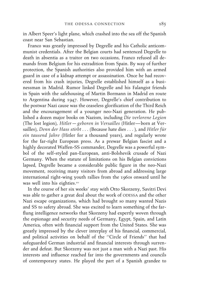in Albert Speer's light plane, which crashed into the sea off the Spanish coast near San Sebastian.

Franco was greatly impressed by Degrelle and his Catholic anticommunist credentials. After the Belgian courts had sentenced Degrelle to death in absentia as a traitor on two occasions, Franco refused all demands from Belgium for his extradition from Spain. By way of further protection, the Spanish authorities also provided him with an armed guard in case of a kidnap attempt or assassination. Once he had recovered from his crash injuries, Degrelle established himself as a businessman in Madrid. Rumor linked Degrelle and his Falangist friends in Spain with the safehousing of Martin Bormann in Madrid en route to Argentina during 1947. However, Degrelle's chief contribution to the postwar Nazi cause was the ceaseless glorification of the Third Reich and the encouragement of a younger neo-Nazi generation. He published a dozen major books on Nazism, including *Die verlorene Legion* (The lost legion), *Hitler—geboren in Versailles* (Hitler—born at Versailles), *Denn der Hass stirbt* . . . (Because hate dies . . . ), and *Hitler für ein tausend Jahre* (Hitler for a thousand years), and regularly wrote for the far-right European press. As a prewar Belgian fascist and a highly decorated Waffen-SS commander, Degrelle was a powerful symbol of the self-styled pan-European, anti-Bolshevik crusade of Nazi Germany. When the statute of limitations on his Belgian convictions lapsed, Degrelle became a considerable public figure in the neo-Nazi movement, receiving many visitors from abroad and addressing large international right-wing youth rallies from the 1960s onward until he was well into his eighties.<sup>10</sup>

In the course of her six weeks' stay with Otto Skorzeny, Savitri Devi was able to gather a great deal about the work of ODESSA and the other Nazi escape organizations, which had brought so many wanted Nazis and SS to safety abroad. She was excited to learn something of the farflung intelligence networks that Skorzeny had expertly woven through the espionage and security needs of Germany, Egypt, Spain, and Latin America, often with financial support from the United States. She was greatly impressed by the clever interplay of his financial, commercial, and political activities on behalf of the ''Circle of Friends'' that had safeguarded German industrial and financial interests through surrender and defeat. But Skorzeny was not just a man with a Nazi past. His interests and influence reached far into the governments and councils of contemporary states. He played the part of a Spanish grandee to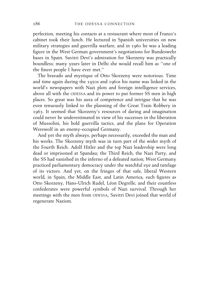perfection, meeting his contacts at a restaurant where most of Franco's cabinet took their lunch. He lectured in Spanish universities on new military strategies and guerrilla warfare, and in 1960 he was a leading figure in the West German government's negotiations for Bundeswehr bases in Spain. Savitri Devi's admiration for Skorzeny was practically boundless; many years later in Delhi she would recall him as ''one of the finest people I have ever met.''

The bravado and mystique of Otto Skorzeny were notorious. Time and time again during the 1950s and 1960s his name was linked in the world's newspapers with Nazi plots and foreign intelligence services, above all with the ODESSA and its power to put former SS men in high places. So great was his aura of competence and intrigue that he was even tenuously linked to the planning of the Great Train Robbery in 1963. It seemed that Skorzeny's resources of daring and imagination could never be underestimated in view of his successes in the liberation of Mussolini, his bold guerrilla tactics, and the plans for Operation Werewolf in an enemy-occupied Germany.

And yet the myth always, perhaps necessarily, exceeded the man and his works. The Skorzeny myth was in turn part of the wider myth of the Fourth Reich. Adolf Hitler and the top Nazi leadership were long dead or imprisoned at Spandau; the Third Reich, the Nazi Party, and the SS had vanished in the inferno of a defeated nation; West Germany practiced parliamentary democracy under the watchful eye and tutelage of its victors. And yet, on the fringes of that safe, liberal Western world, in Spain, the Middle East, and Latin America, such figures as Otto Skorzeny, Hans-Ulrich Rudel, Léon Degrelle, and their countless confederates were powerful symbols of Nazi survival. Through her meetings with the men from ODESSA, Savitri Devi joined that world of regenerate Nazism.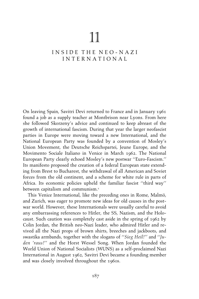## 11

## INSIDE THE NEO-NAZI INTERNATIONAL

On leaving Spain, Savitri Devi returned to France and in January 1961 found a job as a supply teacher at Montbrison near Lyons. From here she followed Skorzeny's advice and continued to keep abreast of the growth of international fascism. During that year the larger neofascist parties in Europe were moving toward a new International, and the National European Party was founded by a convention of Mosley's Union Movement, the Deutsche Reichspartei, Jeune Europe, and the Movimento Sociale Italiano in Venice in March 1962. The National European Party clearly echoed Mosley's new postwar ''Euro-Fascism.'' Its manifesto proposed the creation of a federal European state extending from Brest to Bucharest, the withdrawal of all American and Soviet forces from the old continent, and a scheme for white rule in parts of Africa. Its economic policies upheld the familiar fascist ''third way'' between capitalism and communism.<sup>1</sup>

This Venice International, like the preceding ones in Rome, Malmö, and Zurich, was eager to promote new ideas for old causes in the postwar world. However, these Internationals were usually careful to avoid any embarrassing references to Hitler, the SS, Nazism, and the Holocaust. Such caution was completely cast aside in the spring of 1962 by Colin Jordan, the British neo-Nazi leader, who admired Hitler and revived all the Nazi props of brown shirts, breeches and jackboots, and swastika armbands, together with the slogans of ''*Sieg Heil!*'' and ''*Juden 'raus!*'' and the Horst Wessel Song. When Jordan founded the World Union of National Socialists (WUNS) as a self-proclaimed Nazi International in August 1962, Savitri Devi became a founding member and was closely involved throughout the 1960s.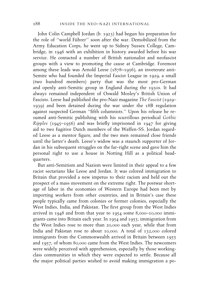John Colin Campbell Jordan (b. 1923) had begun his preparation for the role of "world Führer" soon after the war. Demobilized from the Army Education Corps, he went up to Sidney Sussex College, Cambridge, in 1946 with an exhibition in history awarded before his war service. He contacted a number of British nationalist and neofascist groups with a view to promoting the cause at Cambridge. Foremost among these leads was Arnold Leese (1878–1956), an inveterate anti-Semite who had founded the Imperial Fascist League in 1929, a small (two hundred members) party that was the most pro-German and openly anti-Semitic group in England during the 1930s. It had always remained independent of Oswald Mosley's British Union of Fascists. Leese had published the pro-Nazi magazine *The Fascist* (1929– 1939) and been detained during the war under the 18B regulation against suspected German ''fifth columnists.'' Upon his release he resumed anti-Semitic publishing with his scurrillous periodical *Gothic Ripples* (1945–1956) and was briefly imprisoned in 1947 for giving aid to two fugitive Dutch members of the Waffen-SS. Jordan regarded Leese as a mentor figure, and the two men remained close friends until the latter's death. Leese's widow was a staunch supporter of Jordan in his subsequent struggles on the far-right scene and gave him the personal right to use a house in Notting Hill as a political headquarters.

But anti-Semitism and Nazism were limited in their appeal to a few racist sectarians like Leese and Jordan. It was colored immigration to Britain that provided a new impetus to their racism and held out the prospect of a mass movement on the extreme right. The postwar shortage of labor in the economies of Western Europe had been met by importing workers from other countries, and in Britain's case these people typically came from colonies or former colonies, especially the West Indies, India, and Pakistan. The first group from the West Indies arrived in 1948 and from that year to 1954 some 8,000–10,000 immigrants came into Britain each year. In 1954 and 1955, immigration from the West Indies rose to more than 20,000 each year, while that from India and Pakistan rose to about 10,000. A total of 132,000 colored immigrants from the Commonwealth arrived in Britain between 1955 and 1957, of whom 80,000 came from the West Indies. The newcomers were widely perceived with apprehension, especially by those workingclass communities in which they were expected to settle. Because all the major political parties wished to avoid making immigration a po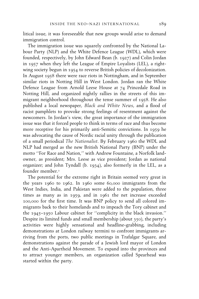litical issue, it was foreseeable that new groups would arise to demand immigration control.

The immigration issue was squarely confronted by the National Labour Party (NLP) and the White Defence League (WDL), which were founded, respectively, by John Edward Bean (b. 1927) and Colin Jordan in 1957 when they left the League of Empire Loyalists (LEL), a rightwing society begun in 1954 to reverse British policies of decolonization. In August 1958 there were race riots in Nottingham, and in September similar riots in Notting Hill in West London. Jordan ran the White Defence League from Arnold Leese House at 74 Princedale Road in Notting Hill, and organized nightly rallies in the streets of this immigrant neighborhood throughout the tense summer of 1958. He also published a local newspaper, *Black and White News*, and a flood of racist pamphlets to provoke strong feelings of resentment against the newcomers. In Jordan's view, the great importance of the immigration issue was that it forced people to think in terms of race and thus become more receptive for his primarily anti-Semitic convictions. In 1959 he was advocating the cause of Nordic racial unity through the publication of a small periodical *The Nationalist*. By February 1960 the WDL and NLP had merged as the new British National Party (BNP) under the motto ''For Race and Nation,'' with Andrew Fountaine, a Norfolk landowner, as president; Mrs. Leese as vice president; Jordan as national organizer; and John Tyndall (b. 1934), also formerly in the LEL, as a founder member.<sup>2</sup>

The potential for the extreme right in Britain seemed very great in the years 1960 to 1962. In 1960 some 60,000 immigrants from the West Indies, India, and Pakistan were added to the population, three times as many as in 1959, and in 1961 the net increase exceeded 100,000 for the first time. It was BNP policy to send all colored immigrants back to their homelands and to impeach the Tory cabinet and the 1945–1950 Labour cabinet for ''complicity in the black invasion.'' Despite its limited funds and small membership (about 350), the party's activities were highly sensational and headline-grabbing, including demonstrations at London railway termini to confront immigrants arriving from the ports, two public meetings in Trafalgar Square, and demonstrations against the parade of a Jewish lord mayor of London and the Anti-Apartheid Movement. To expand into the provinces and to attract younger members, an organization called Spearhead was started within the party.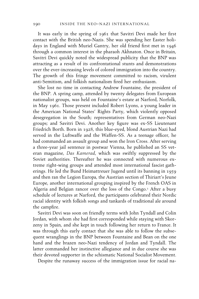It was early in the spring of 1961 that Savitri Devi made her first contact with the British neo-Nazis. She was spending her Easter holidays in England with Muriel Gantry, her old friend first met in 1946 through a common interest in the pharaoh Akhnaton. Once in Britain, Savitri Devi quickly noted the widespread publicity that the BNP was attracting as a result of its confrontational stunts and demonstrations over the ever-increasing levels of colored immigration into the country. The growth of this fringe movement committed to racism, virulent anti-Semitism, and folkish nationalism fired her enthusiasm.

She lost no time in contacting Andrew Fountaine, the president of the BNP. A spring camp, attended by twenty delegates from European nationalist groups, was held on Fountaine's estate at Narford, Norfolk, in May 1961. Those present included Robert Lyons, a young leader in the American National States' Rights Party, which violently opposed desegregation in the South; representatives from German neo-Nazi groups; and Savitri Devi. Another key figure was ex-SS Lieutenant Friedrich Borth. Born in 1928, this blue-eyed, blond Austrian Nazi had served in the Luftwaffe and the Waffen-SS. As a teenage officer, he had commanded an assault group and won the Iron Cross. After serving a three-year jail sentence in postwar Vienna, he published an SS veteran magazine, *Das Kamerad*, which was swiftly suppressed by the Soviet authorities. Thereafter he was connected with numerous extreme right-wing groups and attended most international fascist gatherings. He led the Bund Heimattreuer Jugend until its banning in 1959 and then ran the Legion Europa, the Austrian section of Thiriart's Jeune Europe, another international grouping inspired by the French OAS in Algeria and Belgian rancor over the loss of the Congo.3 After a busy schedule of lectures at Narford, the participants celebrated their Nordic racial identity with folkish songs and tankards of traditional ale around the campfire.

Savitri Devi was soon on friendly terms with John Tyndall and Colin Jordan, with whom she had first corresponded while staying with Skorzeny in Spain, and she kept in touch following her return to France. It was through this early contact that she was able to follow the subsequent wranglings in the BNP between Fountaine and Bean on the one hand and the brazen neo-Nazi tendency of Jordan and Tyndall. The latter commanded her instinctive allegiance and in due course she was their devoted supporter in the schismatic National Socialist Movement.

Despite the runaway success of the immigration issue for racial na-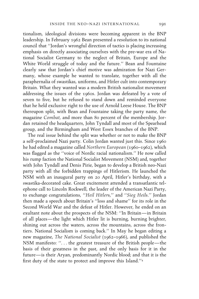tionalism, ideological divisions were becoming apparent in the BNP leadership. In February 1962 Bean presented a resolution to its national council that ''Jordan's wrongful direction of tactics is placing increasing emphasis on directly associating ourselves with the pre-war era of National Socialist Germany to the neglect of Britain, Europe and the White World struggle of today and the future.'' Bean and Fountaine clearly saw that Jordan's chief motive was admiration for Nazi Germany, whose example he wanted to translate, together with all the paraphernalia of swastikas, uniforms, and Hitler cult into contemporary Britain. What they wanted was a modern British nationalist movement addressing the issues of the 1960s. Jordan was defeated by a vote of seven to five, but he refused to stand down and reminded everyone that he held exclusive right to the use of Arnold Leese House. The BNP thereupon split, with Bean and Fountaine taking the party name, the magazine *Combat*, and more than 80 percent of the membership. Jordan retained the headquarters, John Tyndall and most of the Spearhead group, and the Birmingham and West Essex branches of the BNP.

The real issue behind the split was whether or not to make the BNP a self-proclaimed Nazi party. Colin Jordan wanted just this. Since 1960 he had edited a magazine called *Northern European* (1960–1962), which was flagged as the ''voice of Nordic racial nationalism.'' He now called his rump faction the National Socialist Movement (NSM) and, together with John Tyndall and Denis Pirie, began to develop a British neo-Nazi party with all the forbidden trappings of Hitlerism. He launched the NSM with an inaugural party on 20 April, Hitler's birthday, with a swastika-decorated cake. Great excitement attended a transatlantic telephone call to Lincoln Rockwell, the leader of the American Nazi Party, to exchange congratulations, ''*Heil Hitler*s,'' and ''*Sieg Heil*s.'' Jordan then made a speech about Britain's ''loss and shame'' for its role in the Second World War and the defeat of Hitler. However, he ended on an exultant note about the prospects of the NSM: ''In Britain—in Britain of all places— the light which Hitler lit is burning, burning brighter, shining out across the waters, across the mountains, across the frontiers. National Socialism is coming back.'' In May he began editing a new magazine, *The National Socialist* (1962–1966), and published the NSM manifesto: ''. . . the greatest treasure of the British people— the basis of their greatness in the past, and the only basis for it in the future—is their Aryan, predominantly Nordic blood; and that it is the first duty of the state to protect and improve this Island.''4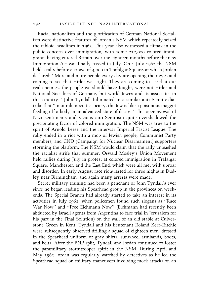Racial nationalism and the glorification of German National Socialism were distinctive features of Jordan's NSM which repeatedly seized the tabloid headlines in 1962. This year also witnessed a climax in the public concern over immigration, with some 212,000 colored immigrants having entered Britain over the eighteen months before the new Immigration Act was finally passed in July. On 1 July 1962 the NSM held a rally before a crowd of 4,000 in Trafalgar Square, at which Jordan declared: ''More and more people every day are opening their eyes and coming to see that Hitler was right. They are coming to see that our real enemies, the people we should have fought, were not Hitler and National Socialists of Germany but world Jewry and its associates in this country.'' John Tyndall fulminated in a similar anti-Semitic diatribe that ''in our democratic society, the Jew is like a poisonous maggot feeding off a body in an advanced state of decay.'' This open avowal of Nazi sentiments and vicious anti-Semitism quite overshadowed the precipitating factor of colored immigration. The NSM was true to the spirit of Arnold Leese and the interwar Imperial Fascist League. The rally ended in a riot with a mob of Jewish people, Communist Party members, and CND (Campaign for Nuclear Disarmament) supporters storming the platform. The NSM would claim that the rally unleashed the racialist strife that summer. Oswald Mosley's Union Movement held rallies during July in protest at colored immigration in Trafalgar Square, Manchester, and the East End, which were all met with uproar and disorder. In early August race riots lasted for three nights in Dudley near Birmingham, and again many arrests were made.

Secret military training had been a penchant of John Tyndall's ever since he began leading his Spearhead group in the provinces on weekends. The Special Branch had already started to take an interest in its activities in July 1961, when policemen found such slogans as ''Race War Now'' and ''Free Eichmann Now'' (Eichmann had recently been abducted by Israeli agents from Argentina to face trial in Jerusalem for his part in the Final Solution) on the wall of an old stable at Culverstone Green in Kent. Tyndall and his lieutenant Roland Kerr-Ritchie were subsequently observed drilling a squad of eighteen men, dressed in the Spearhead uniform of gray shirts, sunwheel armbands, boots, and belts. After the BNP split, Tyndall and Jordan continued to foster the paramilitary stormtrooper spirit in the NSM. During April and May 1962 Jordan was regularly watched by detectives as he led the Spearhead squad on military maneuvers involving mock attacks on an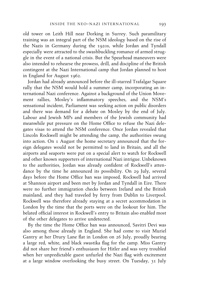old tower on Leith Hill near Dorking in Surrey. Such paramilitary training was an integral part of the NSM ideology based on the rise of the Nazis in Germany during the 1920s, while Jordan and Tyndall especially were attracted to the swashbuckling romance of armed struggle in the event of a national crisis. But the Spearhead maneuvers were also intended to rehearse the prowess, drill, and discipline of the British contingent at the Nazi International camp that Jordan planned to host in England for August 1962.

Jordan had already announced before the ill-starred Trafalgar Square rally that the NSM would hold a summer camp, incorporating an international Nazi conference. Against a background of the Union Movement rallies, Mosley's inflammatory speeches, and the NSM's sensational incident, Parliament was seeking action on public disorders and there was demand for a debate on Mosley by the end of July. Labour and Jewish MPs and members of the Jewish community had meanwhile put pressure on the Home Office to refuse the Nazi delegates visas to attend the NSM conference. Once Jordan revealed that Lincoln Rockwell might be attending the camp, the authorities swung into action. On 1 August the home secretary announced that the foreign delegates would not be permitted to land in Britain, and all the airports and seaports were put on a special alert to watch for Rockwell and other known supporters of international Nazi intrigue. Unbeknown to the authorities, Jordan was already confident of Rockwell's attendance by the time he announced its possibility. On 29 July, several days before the Home Office ban was imposed, Rockwell had arrived at Shannon airport and been met by Jordan and Tyndall in Eire. There were no further immigration checks between Ireland and the British mainland, and they had traveled by ferry from Dublin to Liverpool. Rockwell was therefore already staying at a secret accommodation in London by the time that the ports were on the lookout for him. The belated official interest in Rockwell's entry to Britain also enabled most of the other delegates to arrive undetected.

By the time the Home Office ban was announced, Savitri Devi was also among those already in England. She had come to visit Muriel Gantry at her Drury Lane flat in London on 26 July, proudly bearing a large red, white, and black swastika flag for the camp. Miss Gantry did not share her friend's enthusiasm for Hitler and was very troubled when her unpredictable guest unfurled the Nazi flag with excitement at a large window overlooking the busy street. On Tuesday, 31 July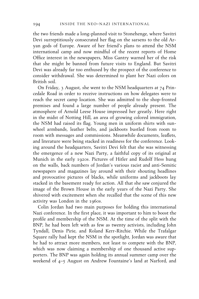the two friends made a long-planned visit to Stonehenge, where Savitri Devi surreptitiously consecrated her flag on the sarsens to the old Aryan gods of Europe. Aware of her friend's plans to attend the NSM international camp and now mindful of the recent reports of Home Office interest in the newspapers, Miss Gantry warned her of the risk that she might be banned from future visits to England. But Savitri Devi was already far too enthused by the prospect of the conference to consider withdrawal. She was determined to plant her Nazi colors on British soil.

On Friday, 3 August, she went to the NSM headquarters at 74 Princedale Road in order to receive instructions on how delegates were to reach the secret camp location. She was admitted to the shop-fronted premises and found a large number of people already present. The atmosphere of Arnold Leese House impressed her greatly. Here right in the midst of Notting Hill, an area of growing colored immigration, the NSM had raised its flag. Young men in uniform shirts with sunwheel armbands, leather belts, and jackboots bustled from room to room with messages and commissions. Meanwhile documents, leaflets, and literature were being stacked in readiness for the conference. Looking around the headquarters, Savitri Devi felt that she was witnessing the emergence of a new Nazi Party, a faithful copy of its original at Munich in the early 1920s. Pictures of Hitler and Rudolf Hess hung on the walls, back numbers of Jordan's various racist and anti-Semitic newspapers and magazines lay around with their shouting headlines and provocative pictures of blacks, while uniforms and jackboots lay stacked in the basement ready for action. All that she saw conjured the image of the Brown House in the early years of the Nazi Party. She shivered with excitement when she recalled that the scene of this new activity was London in the 1960s.

Colin Jordan had two main purposes for holding this international Nazi conference. In the first place, it was important to him to boost the profile and membership of the NSM. At the time of the split with the BNP, he had been left with as few as twenty activists, including John Tyndall, Denis Pirie, and Roland Kerr-Ritchie. While the Trafalgar Square rally had kept the NSM in the spotlight, Jordan was aware that he had to attract more members, not least to compete with the BNP, which was now claiming a membership of one thousand active supporters. The BNP was again holding its annual summer camp over the weekend of 4–5 August on Andrew Fountaine's land at Narford, and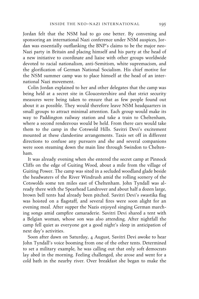Jordan felt that the NSM had to go one better. By convening and sponsoring an international Nazi conference under NSM auspices, Jordan was essentially outflanking the BNP's claims to be the major neo-Nazi party in Britain and placing himself and his party at the head of a new initiative to coordinate and liaise with other groups worldwide devoted to racial nationalism, anti-Semitism, white supremacism, and the glorification of German National Socialism. His chief motive for the NSM summer camp was to place himself at the head of an international Nazi movement.

Colin Jordan explained to her and other delegates that the camp was being held at a secret site in Gloucestershire and that strict security measures were being taken to ensure that as few people found out about it as possible. They would therefore leave NSM headquarters in small groups to attract minimal attention. Each group would make its way to Paddington railway station and take a train to Cheltenham, where a second rendezvous would be held. From there cars would take them to the camp in the Cotswold Hills. Savitri Devi's excitement mounted at these clandestine arrangements. Taxis set off in different directions to confuse any pursuers and she and several companions were soon steaming down the main line through Swindon to Cheltenham.

It was already evening when she entered the secret camp at Pinnock Cliffs on the edge of Guiting Wood, about a mile from the village of Guiting Power. The camp was sited in a secluded woodland glade beside the headwaters of the River Windrush amid the rolling scenery of the Cotswolds some ten miles east of Cheltenham. John Tyndall was already there with the Spearhead Landrover and about half a dozen large, brown bell tents had already been pitched. Savitri Devi's swastika flag was hoisted on a flagstaff, and several fires were soon alight for an evening meal. After supper the Nazis enjoyed singing German marching songs amid campfire camaraderie. Savitri Devi shared a tent with a Belgian woman, whose son was also attending. After nightfall the camp fell quiet as everyone got a good night's sleep in anticipation of next day's activities.

Soon after dawn on Saturday, 4 August, Savitri Devi awoke to hear John Tyndall's voice booming from one of the other tents. Determined to set a military example, he was calling out that only soft democrats lay abed in the morning. Feeling challenged, she arose and went for a cold bath in the nearby river. Over breakfast she began to make the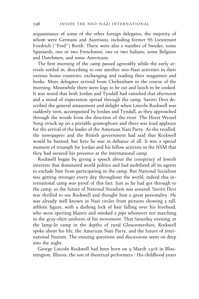acquaintance of some of the other foreign delegates, the majority of whom were Germans and Austrians, including former SS Lieutenant Friedrich (''Fred'') Borth. There were also a number of Swedes, some Spaniards, one or two Frenchmen, one or two Italians, some Belgians and Dutchmen, and some Americans.

The first morning of the camp passed agreeably while the early arrivals settled in, describing to one another neo-Nazi activities in their various home countries, exchanging and reading their magazines and books. More delegates arrived from Cheltenham in the course of the morning. Meanwhile there were logs to be cut and lunch to be cooked. It was noted that both Jordan and Tyndall had vanished that afternoon and a mood of expectation spread through the camp. Savitri Devi described the general amazement and delight when Lincoln Rockwell was suddenly seen, accompanied by Jordan and Tyndall, as they approached through the woods from the direction of the river. The Horst Wessel Song struck up on a portable gramophone and there was loud applause for the arrival of the leader of the American Nazi Party. As she recalled, the newspapers and the British government had said that Rockwell would be banned, but here he was in defiance of all. It was a special moment of triumph for Jordan and his fellow activists in the NSM that they had secured his presence at the international camp.

Rockwell began by giving a speech about the conspiracy of Jewish interests that dominated world politics and had mobilized all its agents to exclude him from participating in the camp. But National Socialism was getting stronger every day throughout the world, indeed this international camp was proof of this fact. Just as he had got through to the camp, so the future of National Socialism was assured. Savitri Devi was thrilled to see Rockwell and thought him a great personality. He was already well known in Nazi circles from pictures showing a tall, athletic figure, with a dashing lock of hair falling over his forehead, who wore sporting blazers and smoked a pipe whenever not marching in the gray-shirt uniform of his movement. That Saturday evening, at the lamp-lit camp in the depths of rural Gloucestershire, Rockwell spoke about his life, the American Nazi Party, and the future of international Nazism. The ensuing questions and discussions went on deep into the night.

George Lincoln Rockwell had been born on 9 March 1918 in Bloomington, Illinois, the son of theatrical performers.<sup>5</sup> His childhood years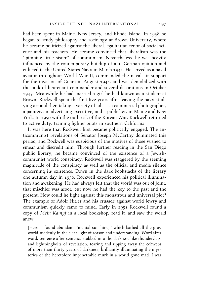had been spent in Maine, New Jersey, and Rhode Island. In 1938 he began to study philosophy and sociology at Brown University, where he became politicized against the liberal, egalitarian tenor of social science and his teachers. He became convinced that liberalism was the ''pimping little sister'' of communism. Nevertheless, he was heavily influenced by the contemporary buildup of anti-German opinion and enlisted in the United States Navy in March 1941. He served as a naval aviator throughout World War II, commanded the naval air support for the invasion of Guam in August 1944, and was demobilized with the rank of lieutenant commander and several decorations in October 1945. Meanwhile he had married a girl he had known as a student at Brown. Rockwell spent the first five years after leaving the navy studying art and then taking a variety of jobs as a commercial photographer, a painter, an advertising executive, and a publisher, in Maine and New York. In 1950 with the outbreak of the Korean War, Rockwell returned to active duty, training fighter pilots in southern California.

It was here that Rockwell first became politically engaged. The anticommunist revelations of Senator Joseph McCarthy dominated this period, and Rockwell was suspicious of the motives of those wished to smear and discredit him. Through further reading in the San Diego public library, he became convinced of the existence of a Jewishcommunist world conspiracy. Rockwell was staggered by the seeming magnitude of the conspiracy as well as the official and media silence concerning its existence. Down in the dark bookstacks of the library one autumn day in 1950, Rockwell experienced his political illumination and awakening. He had always felt that the world was out of joint, that mischief was afoot, but now he had the key to the past and the present. How could he fight against this monstrous and universal plot? The example of Adolf Hitler and his crusade against world Jewry and communism quickly came to mind. Early in 1951 Rockwell found a copy of *Mein Kampf* in a local bookshop, read it, and saw the world anew:

[Here] I found abundant "mental sunshine," which bathed all the gray world suddenly in the clear light of reason and understanding. Word after word, sentence after sentence stabbed into the darkness like thunderclaps and lightningbolts of revelation, tearing and ripping away the cobwebs of more than thirty years of darkness, brilliantly illuminating the mysteries of the heretofore impenetrable murk in a world gone mad. I was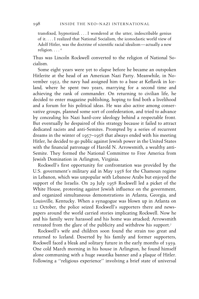transfixed, hypnotized....I wondered at the utter, indescribable genius of it. . . . I realized that National Socialism, the iconoclastic world view of Adolf Hitler, was the doctrine of scientific racial idealism—actually a new religion.... <sup>6</sup>

Thus was Lincoln Rockwell converted to the religion of National Socialism.

Some eight years were yet to elapse before he became an outspoken Hitlerite at the head of an American Nazi Party. Meanwhile, in November 1952, the navy had assigned him to a base at Keflavik in Iceland, where he spent two years, marrying for a second time and achieving the rank of commander. On returning to civilian life, he decided to enter magazine publishing, hoping to find both a livelihood and a forum for his political ideas. He was also active among conservative groups, planned some sort of confederation, and tried to advance by concealing his Nazi hard-core ideology behind a respectable front. But eventually he despaired of this strategy because it failed to attract dedicated racists and anti-Semites. Prompted by a series of recurrent dreams in the winter of 1957–1958 that always ended with his meeting Hitler, he decided to go public against Jewish power in the United States with the financial patronage of Harold N. Arrowsmith, a wealthy anti-Semite. They formed the National Committee to Free America from Jewish Domination in Arlington, Virginia.

Rockwell's first opportunity for confrontation was provided by the U.S. government's military aid in May 1958 for the Chamoun regime in Lebanon, which was unpopular with Lebanese Arabs but enjoyed the support of the Israelis. On 29 July 1958 Rockwell led a picket of the White House, protesting against Jewish influence on the government, and organized simultaneous demonstrations in Atlanta, Georgia, and Louisville, Kentucky. When a synagogue was blown up in Atlanta on 12 October, the police seized Rockwell's supporters there and newspapers around the world carried stories implicating Rockwell. Now he and his family were harassed and his home was attacked; Arrowsmith retreated from the glare of the publicity and withdrew his support.7

Rockwell's wife and children soon found the strain too great and returned to Iceland. Deserted by his family and former supporters, Rockwell faced a bleak and solitary future in the early months of 1959. One cold March morning in his house in Arlington, he found himself alone communing with a huge swastika banner and a plaque of Hitler. Following a ''religious experience'' involving a brief state of universal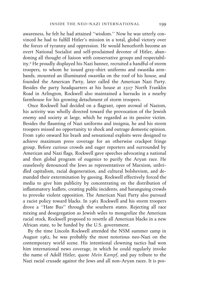awareness, he felt he had attained ''wisdom.'' Now he was utterly convinced he had to fulfill Hitler's mission in a total, global victory over the forces of tyranny and oppression. He would henceforth become an overt National Socialist and self-proclaimed devotee of Hitler, abandoning all thought of liaison with conservative groups and respectability.8 He proudly displayed his Nazi banner, recruited a handful of storm troopers, to whom he issued gray-shirt uniforms and swastika armbands, mounted an illuminated swastika on the roof of his house, and founded the American Party, later called the American Nazi Party. Besides the party headquarters at his house at 2507 North Franklin Road in Arlington, Rockwell also maintained a barracks in a nearby farmhouse for his growing detachment of storm troopers.

Once Rockwell had decided on a flagrant, open avowal of Nazism, his activity was wholly directed toward the provocation of the Jewish enemy and society at large, which he regarded as its passive victim. Besides the flaunting of Nazi uniforms and insignia, he and his storm troopers missed no opportunity to shock and outrage domestic opinion. From 1960 onward his brash and sensational exploits were designed to achieve maximum press coverage for an otherwise crackpot fringe group. Before curious crowds and eager reporters and surrounded by American and Nazi flags, Rockwell gave speeches advocating a national and then global program of eugenics to purify the Aryan race. He ceaselessly denounced the Jews as representatives of Marxism, unbridled capitalism, racial degeneration, and cultural bolshevism, and demanded their extermination by gassing. Rockwell effectively forced the media to give him publicity by concentrating on the distribution of inflammatory leaflets, creating public incidents, and haranguing crowds to provoke violent opposition. The American Nazi Party also pursued a racist policy toward blacks. In 1961 Rockwell and his storm troopers drove a ''Hate Bus'' through the southern states. Rejecting all race mixing and desegregation as Jewish wiles to mongrelize the American racial stock, Rockwell proposed to resettle all American blacks in a new African state, to be funded by the U.S. government.

By the time Lincoln Rockwell attended the NSM summer camp in August 1962, he was probably the most notorious neo-Nazi on the contemporary world scene. His intentional clowning tactics had won him international news coverage, in which he could regularly invoke the name of Adolf Hitler, quote *Mein Kampf*, and pay tribute to the Nazi racial crusade against the Jews and all non-Aryan races. It is pos-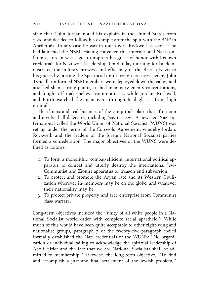sible that Colin Jordan noted his exploits in the United States from 1960 and decided to follow his example after the split with the BNP in April 1962. In any case he was in touch with Rockwell as soon as he had launched the NSM. Having convened this international Nazi conference, Jordan was eager to impress his guest of honor with his own credentials for Nazi world leadership. On Sunday morning Jordan demonstrated the military prowess and efficiency of the British Nazis to his guests by putting the Spearhead unit through its paces. Led by John Tyndall, uniformed NSM members were deployed down the valley and attacked sham strong points, rushed imaginary enemy concentrations, and fought off make-believe counterattacks, while Jordan, Rockwell, and Borth watched the maneuvers through field glasses from high ground.

The climax and real business of the camp took place that afternoon and involved all delegates, including Savitri Devi. A new neo-Nazi International called the World Union of National Socialist (WUNS) was set up under the terms of the Cotswold Agreement, whereby Jordan, Rockwell, and the leaders of the foreign National Socialist parties formed a confederation. The major objectives of the WUNS were defined as follows:

- 1. To form a monolithic, combat-efficient, international political apparatus to combat and utterly destroy the international Jew-Communist and Zionist apparatus of treason and subversion.
- 2. To protect and promote the Aryan race and its Western Civilization wherever its members may be on the globe, and whatever their nationality may be.
- 3. To protect private property and free enterprise from Communist class warfare.

Long-term objectives included the ''unity of all white people in a National Socialist world order with complete racial apartheid.'' While much of this would have been quite acceptable to other right-wing and nationalist groups, paragraph 7 of the twenty-five-paragraph codicil formally established the Nazi credentials of the WUNS: ''No organization or individual failing to acknowledge the spiritual leadership of Adolf Hitler and the fact that we are National Socialists shall be admitted to membership.'' Likewise, the long-term objective, ''To find and accomplish a just and final settlement of the Jewish problem,''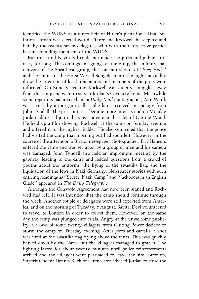identified the WUNS as a direct heir of Hitler's plans for a Final Solution. Jordan was elected world Führer and Rockwell his deputy and heir by the twenty-seven delegates, who with their respective parties became founding members of the WUNS.

But this rural Nazi idyll could not elude the press and public curiosity for long. The comings and goings at the camp, the military maneuvers of the Spearhead group, the constant shouts of ''*Sieg Heil!*'' and the strains of the Horst Wessel Song deep into the night inevitably drew the attention of local inhabitants and members of the press were informed. On Sunday evening Rockwell was quietly smuggled away from the camp and went to stay at Jordan's Coventry home. Meanwhile some reporters had arrived and a *Daily Mail* photographer, Ann Ward, was struck by an air-gun pellet. She later received an apology from John Tyndall. The press interest became more intense, and on Monday Jordan addressed journalists over a gate at the edge of Guiting Wood. He held up a film showing Rockwell at the camp on Sunday evening and offered it to the highest bidder. He also confirmed that the police had visited the camp that morning but had soon left. However, in the course of the afternoon a Bristol newspaper photographer, Eric Hanson, entered the camp and was set upon by a group of men and his camera was damaged. John Tyndall also held an impromptu meeting by the gateway leading to the camp and fielded questions from a crowd of youths about the uniforms, the flying of the swastika flag, and the liquidation of the Jews in Nazi Germany. Newspaper stories with such enticing headings as ''Secret 'Nazi' Camp'' and ''Jackboots in an English Glade'' appeared in *The Daily Telegraph*. 9

Although the Cotswold Agreement had now been signed and Rockwell had left, it was intended that the camp should continue through the week. Another couple of delegates were still expected from America, and on the morning of Tuesday, 7 August, Savitri Devi volunteered to travel to London in order to collect them. However, on the same day the camp was plunged into crisis. Angry at the unwelcome publicity, a crowd of some twenty villagers from Guiting Power decided to storm the camp on Tuesday evening. After jeers and catcalls, a shot was fired at the swastika flag flying above the tents. This was quickly hauled down by the Nazis, but the villagers managed to grab it. The fighting lasted for about twenty minutes until police reinforcements arrived and the villagers were persuaded to leave the site. Later on, Superintendent Dennis Blick of Cirencester advised Jordan to close the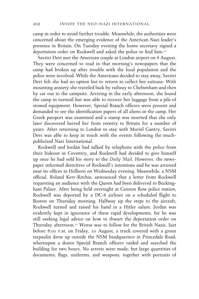camp in order to avoid further trouble. Meanwhile, the authorities were concerned about the emerging evidence of the American Nazi leader's presence in Britain. On Tuesday evening the home secretary signed a deportation order on Rockwell and asked the police to find him.<sup>10</sup>

Savitri Devi met the American couple at London airport on 8 August. They were concerned to read in that morning's newspapers that the camp had broken up after trouble with the local population and the police were involved. While the Americans decided to stay away, Savitri Devi felt she had no option but to return to collect her suitcase. With mounting anxiety she traveled back by railway to Cheltenham and then by car out to the campsite. Arriving in the early afternoon, she found the camp in turmoil but was able to recover her luggage from a pile of stowed equipment. However, Special Branch officers were present and demanded to see the identification papers of all aliens in the camp. Her Greek passport was examined and a stamp was inserted that she only later discovered barred her from reentry to Britain for a number of years. After returning to London to stay with Muriel Gantry, Savitri Devi was able to keep in touch with the events following the muchpublicized Nazi International.

Rockwell and Jordan had talked by telephone with the police from their hideout in Coventry, and Rockwell had decided to give himself up once he had sold his story to the *Daily Mail*. However, the newspaper informed detectives of Rockwell's intentions and he was arrested near its offices in Holborn on Wednesday evening. Meanwhile, a NSM official, Roland Kerr-Ritchie, announced that a letter from Rockwell requesting an audience with the Queen had been delivered to Buckingham Palace. After being held overnight at Cannon Row police station, Rockwell was deported by a DC-8 airliner on a scheduled flight to Boston on Thursday morning. Halfway up the steps to the aircraft, Rockwell turned and raised his hand in a Hitler salute. Jordan was evidently kept in ignorance of these rapid developments, for he was still seeking legal advice on how to thwart the deportation order on Thursday afternoon.11 Worse was to follow for the British Nazis. Just before 8:00 P.M. on Friday, 10 August, a truck covered with a green tarpaulin drew up outside the NSM headquarters in Princedale Road, whereupon a dozen Special Branch officers raided and searched the building for two hours. No arrests were made, but large quantities of documents, flags, uniforms, and weapons, together with portraits of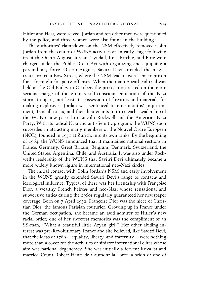Hitler and Hess, were seized. Jordan and ten other men were questioned by the police, and three women were also found in the building.<sup>12</sup>

The authorities' clampdown on the NSM effectively removed Colin Jordan from the center of WUNS activities at an early stage following its birth. On 16 August, Jordan, Tyndall, Kerr-Ritchie, and Pirie were charged under the Public Order Act with organizing and equipping a paramilitary force. On 20 August, Savitri Devi attended the magistrates' court at Bow Street, where the NSM leaders were sent to prison for a fortnight for petty offenses. When the main Spearhead trial was held at the Old Bailey in October, the prosecution rested on the more serious charge of the group's self-conscious emulation of the Nazi storm troopers, not least its possession of firearms and materials for making explosives. Jordan was sentenced to nine months' imprisonment, Tyndall to six, and their lieutenants to three each. Leadership of the WUNS now passed to Lincoln Rockwell and the American Nazi Party. With its radical Nazi and anti-Semitic program, the WUNS soon succeeded in attracting many members of the Nouvel Ordre Européen (NOE), founded in 1951 at Zurich, into its own ranks. By the beginning of 1964, the WUNS announced that it maintained national sections in France, Germany, Great Britain, Belgium, Denmark, Switzerland, the United States, Argentina, Chile, and Australia. It was also under Rockwell's leadership of the WUNS that Savitri Devi ultimately became a more widely known figure in international neo-Nazi circles.

The initial contact with Colin Jordan's NSM and early involvement in the WUNS greatly extended Savitri Devi's range of contacts and ideological influence. Typical of these was her friendship with Françoise Dior, a wealthy French heiress and neo-Nazi whose sensational and subversive antics during the 1960s regularly guaranteed her newspaper coverage. Born on 7 April 1932, Françoise Dior was the niece of Christian Dior, the famous Parisian couturier. Growing up in France under the German occupation, she became an avid admirer of Hitler's new racial order; one of her sweetest memories was the compliment of an SS-man, ''What a beautiful little Aryan girl.'' Her other abiding interest was pre-Revolutionary France and she believed, like Savitri Devi, that the ideas of 1789—equality, liberty, and fraternity—were nothing more than a cover for the activities of sinister international elites whose aim was national degeneracy. She was initially a fervent Royalist and married Count Robert-Henri de Caumont-la-Force, a scion of one of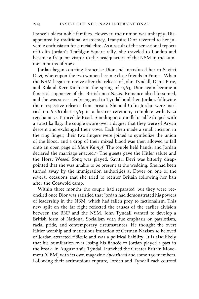France's oldest noble families. However, their union was unhappy. Disappointed by traditional aristocracy, Françoise Dior reverted to her juvenile enthusiasm for a racial elite. As a result of the sensational reports of Colin Jordan's Trafalgar Square rally, she traveled to London and became a frequent visitor to the headquarters of the NSM in the summer months of 1962.

Jordan began courting Françoise Dior and introduced her to Savitri Devi, whereupon the two women became close friends in France. When the NSM began to revive after the release of John Tyndall, Denis Pirie, and Roland Kerr-Ritchie in the spring of 1963, Dior again became a fanatical supporter of the British neo-Nazis. Romance also blossomed, and she was successively engaged to Tyndall and then Jordan, following their respective releases from prison. She and Colin Jordan were married on 6 October 1963 in a bizarre ceremony complete with Nazi regalia at 74 Princedale Road. Standing at a candlelit table draped with a swastika flag, the couple swore over a dagger that they were of Aryan descent and exchanged their vows. Each then made a small incision in the ring finger, their two fingers were joined to symbolize the union of the blood, and a drop of their mixed blood was then allowed to fall onto an open page of *Mein Kampf*. The couple held hands, and Jordan declared the marriage enacted.<sup>13</sup> The guests gave the Hitler salute and the Horst Wessel Song was played. Savitri Devi was bitterly disappointed that she was unable to be present at the wedding. She had been turned away by the immigration authorities at Dover on one of the several occasions that she tried to reenter Britain following her ban after the Cotswold camp.

Within three months the couple had separated, but they were reconciled once Dior was satisfied that Jordan had demonstrated his powers of leadership in the NSM, which had fallen prey to factionalism. This new split on the far right reflected the causes of the earlier division between the BNP and the NSM. John Tyndall wanted to develop a British form of National Socialism with due emphasis on patriotism, racial pride, and contemporary circumstances. He thought the overt Hitler worship and meticulous imitation of German Nazism so beloved of Jordan attracted ridicule and was a political liability. It is also likely that his humiliation over losing his fiancée to Jordan played a part in the break. In August 1964 Tyndall launched the Greater Britain Movement (GBM) with its own magazine *Spearhead* and some 130 members. Following their acrimonious rupture, Jordan and Tyndall each courted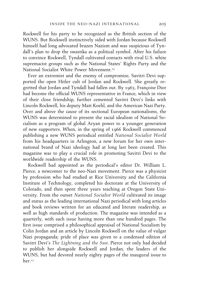Rockwell for his party to be recognized as the British section of the WUNS. But Rockwell instinctively sided with Jordan because Rockwell himself had long advocated brazen Nazism and was suspicious of Tyndall's plan to drop the swastika as a political symbol. After his failure to convince Rockwell, Tyndall cultivated contacts with rival U.S. white supremacist groups such as the National States' Rights Party and the National Socialist White Power Movement.14

Ever an extremist and the enemy of compromise, Savitri Devi supported the open Hitler cult of Jordan and Rockwell. She greatly regretted that Jordan and Tyndall had fallen out. By 1965, Françoise Dior had become the official WUNS representative in France, which in view of their close friendship, further cemented Savitri Devi's links with Lincoln Rockwell, his deputy Matt Koehl, and the American Nazi Party. Over and above the cause of its sectional European nationalisms, the WUNS was determined to present the racial idealism of National Socialism as a program of global Aryan power to a younger generation of new supporters. When, in the spring of 1966 Rockwell commenced publishing a new WUNS periodical entitled *National Socialist World* from his headquarters in Arlington, a new forum for her own international brand of Nazi ideology had at long last been created. This magazine was to play a crucial role in promoting Savitri Devi to the worldwide readership of the WUNS.

Rockwell had appointed as the periodical's editor Dr. William L. Pierce, a newcomer to the neo-Nazi movement. Pierce was a physicist by profession who had studied at Rice University and the California Institute of Technology, completed his doctorate at the University of Colorado, and then spent three years teaching at Oregon State University. From the outset *National Socialist World* cultivated its image and status as the leading international Nazi periodical with long articles and book reviews written for an educated and literate readership, as well as high standards of production. The magazine was intended as a quarterly, with each issue having more than one hundred pages. The first issue comprised a philosophical appraisal of National Socialism by Colin Jordan and an article by Lincoln Rockwell on the value of vulgar Nazi propaganda; pride of place was given to a condensed edition of Savitri Devi's *The Lightning and the Sun*. Pierce not only had decided to publish her alongside Rockwell and Jordan, the leaders of the WUNS, but had devoted nearly eighty pages of the inaugural issue to her.<sup>15</sup>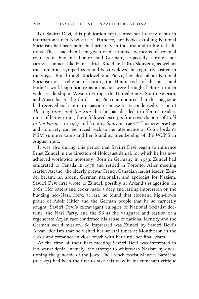For Savitri Devi, this publication represented her literary debut in international neo-Nazi circles. Hitherto, her books extolling National Socialism had been published privately in Calcutta and in limited editions. These had then been given or distributed by means of personal contacts in England, France, and Germany, especially through her ODESSA contacts like Hans-Ulrich Rudel and Otto Skorzeny, as well as the numerous sympathizers and Nazi widows she regularly visited in the 1950s. But through Rockwell and Pierce, her ideas about National Socialism as a religion of nature, the Hindu cycle of the ages, and Hitler's world significance as an avatar were brought before a much wider readership in Western Europe, the United States, South America, and Australia. In the third issue, Pierce announced that the magazine had received such an enthusiastic response to its condensed version of *The Lightning and the Sun* that he had decided to offer its readers more of her writings; there followed excerpts from two chapters of *Gold in the Furnace* in 1967 and from *Defiance* in 1968.16 This new prestige and notoriety can be traced back to her attendance at Colin Jordan's NSM summer camp and her founding membership of the WUNS in August 1962.

It was also during this period that Savitri Devi began to influence Ernst Zündel in the direction of Holocaust denial, for which he has now achieved worldwide notoriety. Born in Germany in 1939, Zündel had emigrated to Canada in 1958 and settled in Toronto. After meeting Adrien Arcand, the elderly prewar French Canadian fascist leader, Zündel became an ardent German nationalist and apologist for Nazism. Savitri Devi first wrote to Zündel, possibly at Arcand's suggestion, in 1961. Her letters and books made a deep and lasting impression on the budding neo-Nazi. Here, at last, he found that eloquent, high-flown praise of Adolf Hitler and the German people that he so earnestly sought. Savitri Devi's extravagant eulogies of National Socialist doctrine, the Nazi Party, and the SS as the vanguard and bastion of a regenerate Aryan race confirmed his sense of national identity and the German world mission. So impressed was Zündel by Savitri Devi's Aryan idealism that he visited her several times at Montbrison in the 1960s and remained in close touch with her until her final years.

At the time of their first meeting Savitri Devi was interested in Holocaust denial, namely, the attempt to whitewash Nazism by questioning the genocide of the Jews. The French fascist Maurice Bardèche (b. 1907) had been the first to take this view in his trenchant critique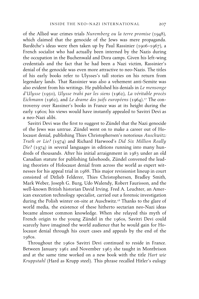of the Allied war crimes trials *Nuremberg ou la terre promise* (1948), which claimed that the genocide of the Jews was mere propaganda. Bardèche's ideas were then taken up by Paul Rassinier (1906–1967), a French socialist who had actually been interned by the Nazis during the occupation in the Buchenwald and Dora camps. Given his left-wing credentials and the fact that he had been a Nazi victim, Rassinier's denial of the genocide was even more attractive to neo-Nazis. The titles of his early books refer to Ulysses's tall stories on his return from legendary lands. That Rassinier was also a vehement anti-Semite was also evident from his writings. He published his denials in *Le mensonge d'Ulysse* (1950), *Ulysse trahi par les siens* (1962), *La ve´ritable proce`s Eichmann* (1962), and *Le drame des juifs européens* (1964).<sup>17</sup> The controversy over Rassiner's books in France was at its height during the early 1960s; his views would have instantly appealed to Savitri Devi as a neo-Nazi alibi.

Savitri Devi was the first to suggest to Zündel that the Nazi genocide of the Jews was untrue. Zündel went on to make a career out of Holocaust denial, publishing Thies Christophersen's notorious *Auschwitz: Truth or Lie?* (1974) and Richard Harwood's *Did Six Million Really Die?* (1974) in several languages in editions running into many hundreds of thousands. After his initial arraignment in 1983 under an old Canadian statute for publishing falsehoods, Zündel convened the leading theorists of Holocaust denial from across the world as expert witnesses for his appeal trial in 1988. This major revisionist lineup in court consisted of Ditlieb Felderer, Thies Christophersen, Bradley Smith, Mark Weber, Joseph G. Burg, Udo Walendy, Robert Faurisson, and the well-known British historian David Irving. Fred A. Leuchter, an American execution technology specialist, carried out a forensic investigation during the Polish winter on-site at Auschwitz.<sup>18</sup> Thanks to the glare of world media, the existence of these hitherto sectarian neo-Nazi ideas became almost common knowledge. When she relayed this myth of French origin to the young Zündel in the 1960s, Savitri Devi could scarcely have imagined the world audience that he would gain for Holocaust denial through his court cases and appeals by the end of the 1980s.

Throughout the 1960s Savitri Devi continued to reside in France. Between January 1961 and November 1963 she taught in Montbrison and at the same time worked on a new book with the title *Hart wie Kruppstahl* (Hard as Krupp steel). This phrase recalled Hitler's eulogy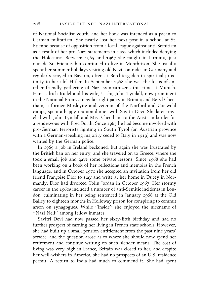of National Socialist youth, and her book was intended as a paean to German militarism. She nearly lost her next post in a school at St. Etienne because of opposition from a local league against anti-Semitism as a result of her pro-Nazi statements in class, which included denying the Holocaust. Between 1965 and 1967 she taught in Firminy, just outside St. Etienne, but continued to live in Montbrison. She usually spent her summer holidays visiting old Nazi comrades in Germany and regularly stayed in Bavaria, often at Berchtesgaden in spiritual proximity to her idol Hitler. In September 1968 she was the focus of another friendly gathering of Nazi sympathizers, this time at Munich. Hans-Ulrich Rudel and his wife, Uschi; John Tyndall, now prominent in the National Front, a new far right party in Britain; and Beryl Cheetham, a former Mosleyite and veteran of the Narford and Cotswold camps, spent a happy reunion dinner with Savitri Devi. She later traveled with John Tyndall and Miss Cheetham to the Austrian border for a rendezvous with Fred Borth. Since 1963 he had become involved with pro-German terrorists fighting in South Tyrol (an Austrian province with a German-speaking majority ceded to Italy in 1919) and was now wanted by the German police.

In 1969 a job in Ireland beckoned, but again she was frustrated by the British ban on her entry, and she traveled on to Greece, where she took a small job and gave some private lessons. Since 1968 she had been working on a book of her reflections and memoirs in the French language, and in October 1970 she accepted an invitation from her old friend Françoise Dior to stay and write at her home in Ducey in Normandy. Dior had divorced Colin Jordan in October 1967. Her stormy career in the 1960s included a number of anti-Semitic incidents in London, culminating in her being sentenced in January 1968 at the Old Bailey to eighteen months in Holloway prison for conspiring to commit arson on synagogues. While ''inside'' she enjoyed the nickname of ''Nazi Nell'' among fellow inmates.

Savitri Devi had now passed her sixty-fifth birthday and had no further prospect of earning her living in French state schools. However, she had built up a small pension entitlement from the past nine years' service, and the question arose as to where she should now spend her retirement and continue writing on such slender means. The cost of living was very high in France, Britain was closed to her, and despite her well-wishers in America, she had no prospects of an U.S. residence permit. A return to India had much to commend it. She had spent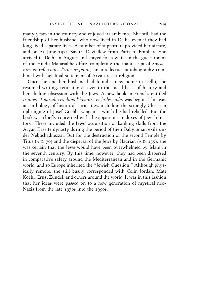many years in the country and enjoyed its ambience. She still had the friendship of her husband, who now lived in Delhi, even if they had long lived separate lives. A number of supporters provided her airfare, and on 23 June 1971 Savitri Devi flew from Paris to Bombay. She arrived in Delhi in August and stayed for a while in the guest rooms of the Hindu Mahasabha office, completing the manuscript of *Souvenirs et re´flexions d'une aryenne*, an intellectual autobiography combined with her final statement of Aryan racist religion.

Once she and her husband had found a new home in Delhi, she resumed writing, returning as ever to the racial basis of history and her abiding obsession with the Jews. A new book in French, entitled *Ironies et paradoxes dans l'histoire et la le´gende*, was begun. This was an anthology of historical curiosities, including the strongly Christian upbringing of Josef Goebbels, against which he had rebelled. But the book was chiefly concerned with the apparent paradoxes of Jewish history. These included the Jews' acquisition of banking skills from the Aryan Kassite dynasty during the period of their Babylonian exile under Nebuchadnezzar. But for the destruction of the second Temple by Titus (A.D. 70) and the dispersal of the Jews by Hadrian (A.D. 135), she was certain that the Jews would have been overwhelmed by Islam in the seventh century. By this time, however, they had been dispersed in comparative safety around the Mediterranean and in the Germanic world, and so Europe inherited the ''Jewish Question.'' Although physically remote, she still busily corresponded with Colin Jordan, Matt Koehl, Ernst Zündel, and others around the world. It was in this fashion that her ideas were passed on to a new generation of mystical neo-Nazis from the late 1970s into the 1990s.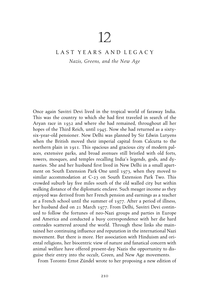# 12

# LAST YEARS AND LEGACY

*Nazis, Greens, and the New Age*

Once again Savitri Devi lived in the tropical world of faraway India. This was the country to which she had first traveled in search of the Aryan race in 1932 and where she had remained, throughout all her hopes of the Third Reich, until 1945. Now she had returned as a sixtysix-year-old pensioner. New Delhi was planned by Sir Edwin Lutyens when the British moved their imperial capital from Calcutta to the northern plain in 1911. This spacious and gracious city of modern palaces, extensive parks, and broad avenues still bristled with old forts, towers, mosques, and temples recalling India's legends, gods, and dynasties. She and her husband first lived in New Delhi in a small apartment on South Extension Park One until 1973, when they moved to similar accommodation at C-23 on South Extension Park Two. This crowded suburb lay five miles south of the old walled city but within walking distance of the diplomatic enclave. Such meager income as they enjoyed was derived from her French pension and earnings as a teacher at a French school until the summer of 1977. After a period of illness, her husband died on 21 March 1977. From Delhi, Savitri Devi continued to follow the fortunes of neo-Nazi groups and parties in Europe and America and conducted a busy correspondence with her die hard comrades scattered around the world. Through these links she maintained her continuing influence and reputation in the international Nazi movement. But there is more. Her association with Hinduism and oriental religions, her biocentric view of nature and fanatical concern with animal welfare have offered present-day Nazis the opportunity to disguise their entry into the occult, Green, and New Age movements.

From Toronto Ernst Zündel wrote to her proposing a new edition of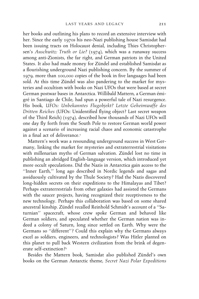her books and outlining his plans to record an extensive interview with her. Since the early 1970s his neo-Nazi publishing house Samisdat had been issuing tracts on Holocaust denial, including Thies Christophersen's *Auschwitz: Truth or Lie?* (1974), which was a runaway success among anti-Zionists, the far right, and German patriots in the United States. It also had made money for Zündel and established Samisdat as a flourishing underground Nazi publishing concern. By the summer of 1979, more than 100,000 copies of the book in five languages had been sold. At this time Zündel was also pandering to the market for mysteries and occultism with books on Nazi UFOs that were based at secret German postwar bases in Antarctica. Willibald Mattern, a German émigré in Santiago de Chile, had spun a powerful tale of Nazi resurgence. His book, *UFOs: Unbekanntes Flugobjekt? Letzte Geheimwaffe des Dritten Reiches* (UFOs: Unidentified flying object? Last secret weapon of the Third Reich) (1974), described how thousands of Nazi UFOs will one day fly forth from the South Pole to restore German world power against a scenario of increasing racial chaos and economic catastrophe in a final act of deliverance.<sup>1</sup>

Mattern's work was a resounding underground success in West Germany, linking the market for mysteries and extraterrestrial visitations with millenarian myths of German salvation. Zündel lost no time in publishing an abridged English-language version, which introduced yet more occult speculations. Did the Nazis in Antarctica gain access to the ''Inner Earth,'' long ago described in Nordic legends and sagas and assiduously cultivated by the Thule Society? Had the Nazis discovered long-hidden secrets on their expeditions to the Himalayas and Tibet? Perhaps extraterrestrials from other galaxies had assisted the Germans with the saucer projects, having recognized their receptiveness to the new technology. Perhaps this collaboration was based on some shared ancestral kinship. Zündel recalled Reinhold Schmidt's account of a "Saturnian'' spacecraft, whose crew spoke German and behaved like German soldiers, and speculated whether the German nation was indeed a colony of Saturn, long since settled on Earth. Why were the Germans so ''different''? Could this explain why the Germans always excel as soldiers, engineers, and technologists? Was Hitler planted on this planet to pull back Western civilization from the brink of degenerate self-extinction?<sup>2</sup>

Besides the Mattern book, Samisdat also published Zündel's own books on the German Antarctic theme, *Secret Nazi Polar Expeditions*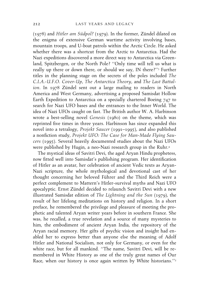(1978) and *Hitler am Südpol?* (1979). In the former, Zündel dilated on the enigma of extensive German wartime activity involving bases, mountain troops, and U-boat patrols within the Arctic Circle. He asked whether there was a shortcut from the Arctic to Antarctica. Had the Nazi expeditions discovered a more direct way to Antarctica via Greenland, Spitzbergen, or the North Pole? ''Only time will tell us what is really up there or down there, or should we say, IN there?''3 Further titles in the planning stage on the secrets of the poles included *The C.I.A.-U.F.O. Cover-Up*, *The Antarctica Theory*, and *The Last Battalion*. In 1978 Zündel sent out a large mailing to readers in North America and West Germany, advertising a proposed Samisdat Hollow Earth Expedition to Antarctica on a specially chartered Boeing 747 to search for Nazi UFO bases and the entrances to the Inner World. The idea of Nazi UFOs caught on fast. The British author W. A. Harbinson wrote a best-selling novel *Genesis* (1980) on the theme, which was reprinted five times in three years. Harbinson has since expanded this novel into a tetralogy, *Projekt Saucer* (1991–1995), and also published a nonfiction study, *Projekt UFO: The Case for Man-Made Flying Saucers* (1995). Several heavily documented studies about the Nazi UFOs were published by Hugin, a neo-Nazi research group in the Ruhr.4

The mystical ideas of Savitri Devi, the aged Aryan Hindu prophetess, now fitted well into Samisdat's publishing program. Her identification of Hitler as an avatar, her celebration of ancient Vedic texts as Aryan-Nazi scripture, the whole mythological and devotional cast of her thought concerning her beloved Führer and the Third Reich were a perfect complement to Mattern's Hitler-survival myths and Nazi UFO apocalyptic. Ernst Zündel decided to relaunch Savitri Devi with a new illustrated Samisdat edition of *The Lightning and the Sun* (1979), the result of her lifelong meditations on history and religion. In a short preface, he remembered the privilege and pleasure of meeting the prophetic and talented Aryan writer years before in southern France. She was, he recalled, a true revelation and a source of many mysteries to him, the embodiment of ancient Aryan India, the repository of the Aryan racial memory. Her gifts of psychic vision and insight had enabled her to express better than anyone else the meaning of Adolf Hitler and National Socialism, not only for Germany, or even for the white race, but for all mankind. ''The name, Savitri Devi, will be remembered in White History as one of the truly great names of Our Race, when our history is once again written by White historians.''5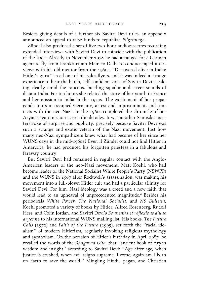Besides giving details of a further six Savitri Devi titles, an appendix announced an appeal to raise funds to republish *Pilgrimage*.

Zündel also produced a set of five two-hour audiocassettes recording extended interviews with Savitri Devi to coincide with the publication of the book. Already in November 1978 he had arranged for a German agent to fly from Frankfurt am Main to Delhi to conduct taped interviews with his old mentor from the 1960s. ''Discovered alive in India: Hitler's guru!'' read one of his sales flyers, and it was indeed a strange experience to hear the harsh, self-confident voice of Savitri Devi speaking clearly amid the raucous, bustling squalor and street sounds of distant India. For ten hours she related the story of her youth in France and her mission to India in the 1930s. The excitement of her propaganda tours in occupied Germany, arrest and imprisonment, and contacts with the neo-Nazis in the 1960s completed the chronicle of her Aryan pagan mission across the decades. It was another Samisdat masterstroke of surprise and publicity, precisely because Savitri Devi was such a strange and exotic veteran of the Nazi movement. Just how many neo-Nazi sympathizers knew what had become of her since her WUNS days in the mid-1960s? Even if Zündel could not find Hitler in Antarctica, he had produced his forgotten priestess in a fabulous and faraway country.

But Savitri Devi had remained in regular contact with the Anglo-American leaders of the neo-Nazi movement. Matt Koehl, who had become leader of the National Socialist White People's Party (NSWPP) and the WUNS in 1967 after Rockwell's assassination, was making his movement into a full-blown Hitler cult and had a particular affinity for Savitri Devi. For him, Nazi ideology was a creed and a new faith that would lead to an upheaval of unprecedented magnitude.<sup>6</sup> Besides his periodicals *White Power*, *The National Socialist*, and *NS Bulletin*, Koehl promoted a variety of books by Hitler, Alfred Rosenberg, Rudolf Hess, and Colin Jordan, and Savitri Devi's Souvenirs et réflexions d'une *aryenne* to his international WUNS mailing list. His books, *The Future Calls* (1972) and *Faith of the Future* (1995), set forth the ''racial idealism'' of modern Hitlerism, regularly invoking religious mythology and symbolism. On the occasion of Hitler's birthday in April 1987, he recalled the words of the *Bhagavad Gita*, that ''ancient book of Aryan wisdom and insight'' according to Savitri Devi: ''Age after age, when justice is crushed, when evil reigns supreme, I come; again am I born on Earth to save the world.'' Mingling Hindu, pagan, and Christian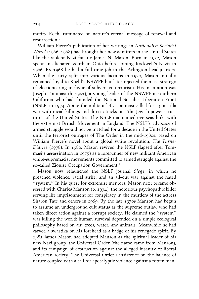motifs, Koehl ruminated on nature's eternal message of renewal and resurrection.7

William Pierce's publication of her writings in *Nationalist Socialist World* (1966–1968) had brought her new admirers in the United States like the violent Nazi fanatic James N. Mason. Born in 1952, Mason spent an alienated youth in Ohio before joining Rockwell's Nazis in 1966. By 1968 he had a full-time job in the Arlington headquarters. When the party split into various factions in 1970, Mason initially remained loyal to Koehl's NSWPP but later rejected the mass strategy of electioneering in favor of subversive terrorism. His inspiration was Joseph Tommasi (b. 1951), a young leader of the NSWPP in southern California who had founded the National Socialist Liberation Front (NSLF) in 1974. Aping the militant left, Tommasi called for a guerrilla war with racial killings and direct attacks on ''the Jewish power structure'' of the United States. The NSLF maintained overseas links with the extremist British Movement in England. The NSLF's advocacy of armed struggle would not be matched for a decade in the United States until the terrorist outrages of The Order in the mid-1980s, based on William Pierce's novel about a global white revolution, *The Turner Diaries* (1978). In 1980, Mason revived the NSLF (lapsed after Tommasi's assassination in 1975) as a forerunner of new militant American white-supremacist movements committed to armed struggle against the so-called Zionist Occupation Government.<sup>8</sup>

Mason now relaunched the NSLF journal *Siege*, in which he preached violence, racial strife, and an all-out war against the hated ''system.'' In his quest for extremist mentors, Mason next became obsessed with Charles Manson (b. 1934), the notorious psychopathic killer serving life imprisonment for conspiracy in the murders of the actress Sharon Tate and others in 1969. By the late 1970s Manson had begun to assume an underground cult status as the supreme outlaw who had taken direct action against a corrupt society. He claimed the ''system'' was killing the world: human survival depended on a simple ecological philosophy based on air, trees, water, and animals. Meanwhile he had carved a swastika on his forehead as a badge of his renegade spirit. By 1982 James Mason had adopted Manson as the spiritual leader of his new Nazi group, the Universal Order (the name came from Manson), and its campaign of destruction against the alleged insanity of liberal American society. The Universal Order's insistence on the balance of nature coupled with a call for apocalyptic violence against a rotten man-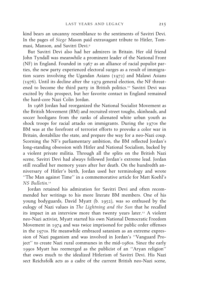kind bears an uncanny resemblance to the sentiments of Savitri Devi. In the pages of *Siege* Mason paid extravagant tribute to Hitler, Tommasi, Manson, and Savitri Devi.9

But Savitri Devi also had her admirers in Britain. Her old friend John Tyndall was meanwhile a prominent leader of the National Front (NF) in England. Founded in 1967 as an alliance of racial populist parties, the new party experienced electoral surges as a result of immigration scares involving the Ugandan Asians (1972) and Malawi Asians (1976). Until its decline after the 1979 general election, the NF threatened to become the third party in British politics.<sup>10</sup> Savitri Devi was excited by this prospect, but her favorite contact in England remained the hard-core Nazi Colin Jordan.

In 1968 Jordan had reorganized the National Socialist Movement as the British Movement (BM) and recruited street toughs, skinheads, and soccer hooligans from the ranks of alienated white urban youth as shock troops for racial attacks on immigrants. During the 1970s the BM was at the forefront of terrorist efforts to provoke a color war in Britain, destabilize the state, and prepare the way for a neo-Nazi coup. Scorning the NF's parliamentary ambition, the BM reflected Jordan's long-standing obsession with Hitler and National Socialism, backed by a violent private militia. Through all the splits on the British Nazi scene, Savitri Devi had always followed Jordan's extreme lead. Jordan still recalled her memory years after her death. On the hundredth anniversary of Hitler's birth, Jordan used her terminology and wrote ''The Man against Time'' in a commemorative article for Matt Koehl's *NS Bulletin*. 11

Jordan retained his admiration for Savitri Devi and often recommended her writings to his more literate BM members. One of his young bodyguards, David Myatt (b. 1952), was so enthused by the eulogy of Nazi values in *The Lightning and the Sun* that he recalled its impact in an interview more than twenty years later.<sup>12</sup> A violent neo-Nazi activist, Myatt started his own National Democratic Freedom Movement in 1974 and was twice imprisoned for public order offenses in the 1970s. He meanwhile embraced satanism as an extreme expression of Nazi paganism and was involved in Jordan's ''Vanguard Project'' to create Nazi rural communes in the mid-1980s. Since the early 1990s Myatt has reemerged as the publicist of an ''Aryan religion'' that owes much to the idealized Hitlerism of Savitri Devi. His Nazi sect Reichsfolk acts as a cadre of the current British neo-Nazi scene,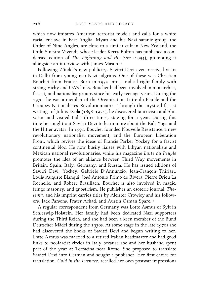which now imitates American terrorist models and calls for a white racial enclave in East Anglia. Myatt and his Nazi satanic group, the Order of Nine Angles, are close to a similar cult in New Zealand, the Ordo Sinistra Vivendi, whose leader Kerry Bolton has published a condensed edition of *The Lightning and the Sun* (1994), promoting it alongside an interview with James Mason.<sup>13</sup>

Following Zündel's new publicity, Savitri Devi even received visits in Delhi from young neo-Nazi pilgrims. One of these was Christian Bouchet from France. Born in 1955 into a radical-right family with strong Vichy and OAS links, Bouchet had been involved in monarchist, fascist, and nationalist groups since his early teenage years. During the 1970s he was a member of the Organization Lutte du Peuple and the Groupes Nationalistes Révolutionnaires. Through the mystical fascist writings of Julius Evola (1898–1974), he discovered tantricism and Shivaism and visited India three times, staying for a year. During this time he sought out Savitri Devi to learn more about the Kali Yuga and the Hitler avatar. In 1991, Bouchet founded Nouvelle Résistance, a new revolutionary nationalist movement, and the European Liberation Front, which revives the ideas of Francis Parker Yockey for a fascist continental bloc. He now busily liaises with Libyan nationalists and Mexican national revolutionaries, while his magazine *Lutte du Peuple* promotes the idea of an alliance between Third Way movements in Britain, Spain, Italy, Germany, and Russia. He has issued editions of Savitri Devi, Yockey, Gabriele D'Annunzio, Jean-François Thiriart, Louis Auguste Blanqui, José Antonio Primo de Rivera, Pierre Drieu La Rochelle, and Robert Brasillach. Bouchet is also involved in magic, fringe masonry, and gnosticism. He publishes an esoteric journal, *Thelema*, and his imprint carries titles by Aleister Crowley and his followers, Jack Parsons, Frater Achad, and Austin Osman Spare.14

A regular correspondent from Germany was Lotte Asmus of Sylt in Schleswig-Holstein. Her family had been dedicated Nazi supporters during the Third Reich, and she had been a keen member of the Bund Deutscher Mädel during the 1930s. At some stage in the late 1970s she had discovered the books of Savitri Devi and begun writing to her. Lotte Asmus was married to a retired Italian headmaster and had good links to neofascist circles in Italy because she and her husband spent part of the year at Terracina near Rome. She proposed to translate Savitri Devi into German and sought a publisher. Her first choice for translation, *Gold in the Furnace*, recalled her own postwar impressions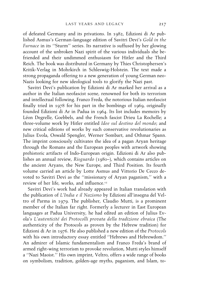of defeated Germany and its privations. In 1982, Edizioni di Ar published Asmus's German-language edition of Savitri Devi's *Gold in the Furnace* in its ''Sturm'' series. Its narrative is suffused by her glowing account of the unbroken Nazi spirit of the various individuals she befriended and their undimmed enthusiasm for Hitler and the Third Reich. The book was distributed in Germany by Thies Christophersen's Kritik-Verlag in Mohrkirch in Schleswig-Holstein. The text made a strong propaganda offering to a new generation of young German neo-Nazis looking for new ideological tools to glorify the Nazi past.

Savitri Devi's publication by Edizioni di Ar marked her arrival as a author in the Italian neofascist scene, renowned for both its terrorism and intellectual following. Franco Freda, the notorious Italian neofascist finally tried in 1978 for his part in the bombings of 1969, originally founded Edizioni di Ar in Padua in 1964. Its list includes memoirs by Léon Degrelle, Goebbels, and the French fascist Drieu La Rochelle; a three-volume work by Hitler entitled *Idee sul destino del mondo*; and new critical editions of works by such conservative revolutionaries as Julius Evola, Oswald Spengler, Werner Sombart, and Othmar Spann. The imprint consciously cultivates the idea of a pagan Aryan heritage through the Romans and the European peoples with artwork showing prehistoric artifacts of Indo-European origin. Edizioni di Ar also publishes an annual review, *Risguardo* (1980–), which contains articles on the ancient Aryans, the New Europe, and Third Position. Its fourth volume carried an article by Lotte Asmus and Vittorio De Cecco devoted to Savitri Devi as the ''missionary of Aryan paganism,'' with a review of her life, works, and influence.<sup>15</sup>

Savitri Devi's work had already appeared in Italian translation with the publication of *L'India e il Nazismo* by Edizioni all'insegna del Veltro of Parma in 1979. The publisher, Claudio Mutti, is a prominent member of the Italian far right. Formerly a lecturer in East European languages at Padua University, he had edited an edition of Julius Evola's *L'autenticite´ dei Protocolli provata della tradizione ebraica* (The authenticity of the Protocols as proven by the Hebrew tradition) for Edizioni di Ar in 1976. He also published a new edition of the *Protocols* with his own introductory essay entitled ''Hebrews and Hebrewdom.'' An admirer of Islamic fundamentalism and Franco Freda's brand of armed right-wing terrorism to provoke revolution, Mutti styles himself a ''Nazi Maoist.'' His own imprint, Veltro, offers a wide range of books on symbolism, tradition, golden-age myths, paganism, and Islam, to-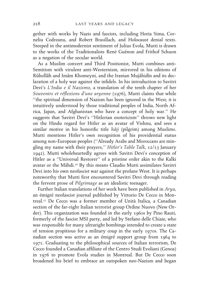gether with works by Nazis and fascists, including Horia Sima, Corneliu Codreanu, and Robert Brasillach, and Holocaust denial texts. Steeped in the antimodernist sentiment of Julius Evola, Mutti is drawn to the works of the Traditionalists René Guénon and Frithof Schuon as a negation of the secular world.

As a Muslim convert and Third Positionist, Mutti combines anti-Semitism with virulent anti-Westernism, mirrored in his editions of Rûhollâh and Imâm Khomeyni, and the Iranian Mujâhidîn and its declaration of a holy war against the infidels. In his introduction to Savitri Devi's *L'India e il Nazismo*, a translation of the tenth chapter of her Souvenirs et réflexions d'une aryenne (1976), Mutti claims that while ''the spiritual dimension of Nazism has been ignored in the West, it is intuitively understood by those traditional peoples of India, North Africa, Japan, and Afghanistan who have a concept of holy war.'' He suggests that Savitri Devi's ''Hitlerian esotericism'' throws new light on the Hindu regard for Hitler as an avatar of Vishnu, and sees a similar motive in his honorific title *hâjj* (pilgrim) among Muslims. Mutti mentions Hitler's own recognition of his providential status among non-European peoples (''Already Arabs and Moroccans are mingling my name with their prayers,'' *Hitler's Table Talk*, 12/13 January 1942). Mutti wholeheartedly agrees with Savitri Devi's conception of Hitler as a ''Universal Restorer'' of a pristine order akin to the Kalki avatar or the Mâhdi.<sup>16</sup> By this means Claudio Mutti assimilates Savitri Devi into his own neofascist war against the profane West. It is perhaps noteworthy that Mutti first encountered Savitri Devi through reading the fervent prose of *Pilgrimage* as an idealistic teenager.

Further Italian translations of her work have been published in *Arya*, an émigré neofascist journal published by Vittorio De Cecco in Montreal.17 De Cecco was a former member of Unita` Italica, a Canadian section of the far-right Italian terrorist group Ordine Nuovo (New Order). This organization was founded in the early 1960s by Pino Rauti, formerly of the fascist MSI party, and led by Stefano delle Chiaie, who was responsible for many ultraright bombings intended to create a state of tension propitious for a military coup in the early 1970s. The Canadian section was active as an émigré support group from 1964 to 1971. Graduating to the philosophical sources of Italian terrorism, De Cecco founded a Canadian affiliate of the Centro Studi Evoliani (Genoa) in 1976 to promote Evola studies in Montreal. But De Cecco soon broadened his brief to embrace an outspoken neo-Nazism and began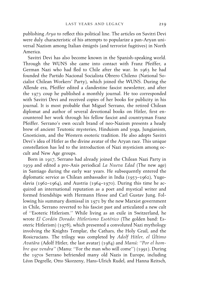publishing *Arya* to reflect this political line. The articles on Savitri Devi were duly characteristic of his attempts to popularize a pan-Aryan universal Nazism among Italian émigrés (and terrorist fugitives) in North America.

Savitri Devi has also become known in the Spanish-speaking world. Through the WUNS she came into contact with Franz Pfeiffer, a German Nazi who had fled to Chile after the war. In 1963 he had founded the Partido Nacional Socialista Obrero Chileno (National Socialist Chilean Workers' Party), which joined the WUNS. During the Allende era, Pfeiffer edited a clandestine fascist newsletter, and after the 1973 coup he published a monthly journal. He too corresponded with Savitri Devi and received copies of her books for publicity in his journal. It is most probable that Miguel Serrano, the retired Chilean diplomat and author of several devotional books on Hitler, first encountered her work through his fellow fascist and countryman Franz Pfeiffer. Serrano's own occult brand of neo-Nazism presents a heady brew of ancient Teutonic mysteries, Hinduism and yoga, Jungianism, Gnosticism, and the Western esoteric tradition. He also adopts Savitri Devi's idea of Hitler as the divine avatar of the Aryan race. This unique constellation has led to the introduction of Nazi mysticism among occult and New Age groups.

Born in 1917, Serrano had already joined the Chilean Nazi Party in 1939 and edited a pro-Axis periodical *La Nueva Edad* (The new age) in Santiago during the early war years. He subsequently entered the diplomatic service as Chilean ambassador in India (1953–1962), Yugoslavia (1962–1964), and Austria (1964–1970). During this time he acquired an international reputation as a poet and mystical writer and formed friendships with Hermann Hesse and Carl Gustav Jung. Following his summary dismissal in 1971 by the new Marxist government in Chile, Serrano reverted to his fascist past and articulated a new cult of ''Esoteric Hitlerism.'' While living as an exile in Switzerland, he wrote *El Cordo´n Dorado: Hitlerismo Esote´rico* (The golden band: Esoteric Hitlerism) (1978), which presented a convoluted Nazi mythology involving the Knights Templar, the Cathars, the Holy Grail, and the Rosicrucians. The trilogy was completed by *Adolf Hitler, el U´ ltimo* Avatãra (Adolf Hitler, the last avatar) (1984) and *Manú: "Por el hombre que vendra''* (Manu: ''For the man who will come'') (1991). During the 1970s Serrano befriended many old Nazis in Europe, including Léon Degrelle, Otto Skorzeny, Hans-Ulrich Rudel, and Hanna Reitsch,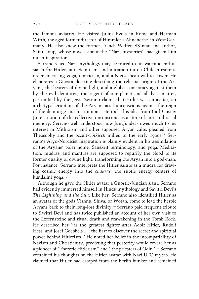the famous aviatrix. He visited Julius Evola in Rome and Herman Wirth, the aged former director of Himmler's Ahnenerbe, in West Germany. He also knew the former French Waffen-SS man and author, Saint Loup, whose novels about the ''Nazi mysteries'' had given him much inspiration.

Serrano's neo-Nazi mythology may be traced to his wartime enthusiasm for Hitler, anti-Semitism, and initiation into a Chilean esoteric order practicing yoga, tantricism, and a Nietzschean will to power. He elaborates a Gnostic doctrine describing the celestial origin of the Aryans, the bearers of divine light, and a global conspiracy against them by the evil demiurge, the regent of our planet and all base matter, personified by the Jews. Serrano claims that Hitler was an avatar, an archetypal eruption of the Aryan racial unconscious against the reign of the demiurge and his minions. He took this idea from Carl Gustav Jung's notion of the collective unconscious as a store of ancestral racial memory. Serrano well understood how Jung's ideas owed much to his interest in Mithraism and other supposed Aryan cults, gleaned from Theosophy and the occult-völkisch milieu of the early 1900s.<sup>18</sup> Serrano's Aryo-Nordicist inspiration is plainly evident in his assimilation of the Aryans' polar home, Sanskrit terminology, and yoga. Meditation, mudras, and mantras are supposed to repurify the blood to its former quality of divine light, transforming the Aryan into a god-man. For instance, Serrano interprets the Hitler salute as a mudra for drawing cosmic energy into the *chakras*, the subtle energy centers of kundalini yoga.19

Although he gave the Hitler avatar a Gnostic-Jungian slant, Serrano had evidently immersed himself in Hindu mythology and Savitri Devi's *The Lightning and the Sun*. Like her, Serrano also identified Hitler as an avatar of the gods Vishnu, Shiva, or Wotan, come to lead the heroic Aryans back to their long-lost divinity.<sup>20</sup> Serrano paid frequent tribute to Savitri Devi and has twice published an account of her own visit to the Externsteine and ritual death and reawakening in the Tomb Rock. He described her ''as the greatest fighter after Adolf Hitler, Rudolf Hess, and Josef Goebbels . . . the first to discover the secret and spiritual power behind Hitlerism.'' He noted her belief in the incompatibility of Nazism and Christianity, predicting that posterity would revere her as a pioneer of "Esoteric Hitlerism" and "the priestess of Odin."<sup>21</sup> Serrano combined his thoughts on the Hitler avatar with Nazi UFO myths. He claimed that Hitler had escaped from the Berlin bunker and remained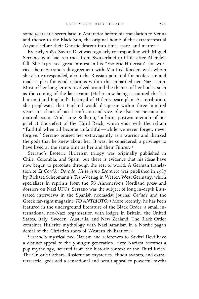some years at a secret base in Antarctica before his translation to Venus and thence to the Black Sun, the original home of the extraterrestrial Aryans before their Gnostic descent into time, space, and matter.<sup>22</sup>

By early 1980, Savitri Devi was regularly corresponding with Miguel Serrano, who had returned from Switzerland to Chile after Allende's fall. She expressed great interest in his ''Esoteric Hitlerism'' but worried about Serrano's disagreement with Manfred Roeder, with whom she also corresponded, about the Russian potential for neofascism and made a plea for good relations within the embattled neo-Nazi camp. Most of her long letters revolved around the themes of her books, such as the coming of the last avatar (Hitler now being accounted the last but one) and England's betrayal of Hitler's peace plan. As retribution, she prophesied that England would disappear within three hundred years in a chaos of racial confusion and vice. She also sent Serrano her martial poem ''And Time Rolls on,'' a bitter postwar memoir of her grief at the defeat of the Third Reich, which ends with the refrain ''Faithful when all become unfaithful—while we never forget, never forgive.'' Serrano praised her extravagantly as a warrior and thanked the gods that he knew about her. It was, he considered, a privilege to have lived at the same time as her and their Führer.<sup>23</sup>

Serrano's Esoteric Hitlerism trilogy was originally published in Chile, Colombia, and Spain, but there is evidence that his ideas have now begun to percolate through the rest of world. A German translation of *El Cordón Dorado; Hitlerismo Esotérico* was published in 1987 by Richard Schepmann's Teut-Verlag in Wetter, West Germany, which specializes in reprints from the SS Ahnenerbe's Nordland press and dossiers on Nazi UFOs. Serrano was the subject of long in-depth illustrated interviews in the Spanish neofascist journal *Cedade* and the Greek far-right magazine ΤΟ ΑΝΤΙ∆ΟΤΟ. <sup>24</sup> More recently, he has been featured in the underground literature of the Black Order, a small international neo-Nazi organization with lodges in Britain, the United States, Italy, Sweden, Australia, and New Zealand. The Black Order combines Hitlerite mythology with Nazi satanism in a Nordic pagan denial of the Christian roots of Western civilization.25

Serrano's mystical neo-Nazism and references to Savitri Devi have a distinct appeal to the younger generation. Here Nazism becomes a pop mythology, severed from the historic context of the Third Reich. The Gnostic Cathars, Rosicrucian mysteries, Hindu avatars, and extraterrestrial gods add a sensational and occult appeal to powerful myths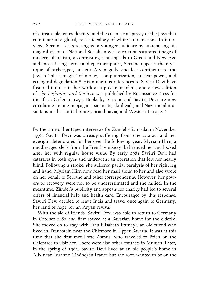of elitism, planetary destiny, and the cosmic conspiracy of the Jews that culminate in a global, racist ideology of white supremacism. In interviews Serrano seeks to engage a younger audience by juxtaposing his magical vision of National Socialism with a corrupt, saturated image of modern liberalism, a contrasting that appeals to Green and New Age audiences. Using heroic and epic metaphors, Serrano opposes the mystique of archetypes, ancient Aryan gods, and lost continents to the Jewish ''black magic'' of money, computerization, nuclear power, and ecological degradation.26 His numerous references to Savitri Devi have fostered interest in her work as a precursor of his, and a new edition of *The Lightning and the Sun* was published by Renaissance Press for the Black Order in 1994. Books by Serrano and Savitri Devi are now circulating among neopagans, satanists, skinheads, and Nazi metal music fans in the United States, Scandinavia, and Western Europe.<sup>27</sup>

By the time of her taped interviews for Zündel's Samisdat in November 1978, Savitri Devi was already suffering from one cataract and her eyesight deteriorated further over the following year. Myriam Hirn, a middle-aged clerk from the French embassy, befriended her and looked after her with regular house visits. By early 1981 Savitri Devi had cataracts in both eyes and underwent an operation that left her nearly blind. Following a stroke, she suffered partial paralysis of her right leg and hand. Myriam Hirn now read her mail aloud to her and also wrote on her behalf to Serrano and other correspondents. However, her powers of recovery were not to be underestimated and she rallied. In the meantime, Zündel's publicity and appeals for charity had led to several offers of financial help and health care. Encouraged by this response, Savitri Devi decided to leave India and travel once again to Germany, her land of hope for an Aryan revival.

With the aid of friends, Savitri Devi was able to return to Germany in October 1981 and first stayed at a Bavarian home for the elderly. She moved on to stay with Frau Elisabeth Ettmayr, an old friend who lived in Traunstein near the Chiemsee in Upper Bavaria. It was at this time that she first met Lotte Asmus, who traveled to Prien on the Chiemsee to visit her. There were also other contacts in Munich. Later, in the spring of 1982, Savitri Devi lived at an old people's home in Alix near Lozanne (Rhône) in France but she soon wanted to be on the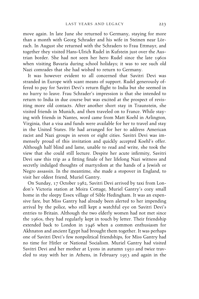move again. In late June she returned to Germany, staying for more than a month with Georg Schrader and his wife in Steinen near Lörrach. In August she returned with the Schraders to Frau Ettmayr, and together they visited Hans-Ulrich Rudel in Kufstein just over the Austrian border. She had not seen her hero Rudel since the late 1960s when visiting Bavaria during school holidays; it was to see such old Nazi comrades that she had wished to return to Germany.

It was however evident to all concerned that Savitri Devi was stranded in Europe with scant means of support. Rudel generously offered to pay for Savitri Devi's return flight to India but she seemed in no hurry to leave. Frau Schrader's impression is that she intended to return to India in due course but was excited at the prospect of revisiting more old contacts. After another short stay in Traunstein, she visited friends in Munich, and then traveled on to France. While staying with friends in Nantes, word came from Matt Koehl in Arlington, Virginia, that a visa and funds were available for her to travel and stay in the United States. He had arranged for her to address American racist and Nazi groups in seven or eight cities. Savitri Devi was immensely proud of this invitation and quickly accepted Koehl's offer. Although half blind and lame, unable to read and write, she took the view that she could still lecture. Despite her acute infirmity, Savitri Devi saw this trip as a fitting finale of her lifelong Nazi witness and secretly indulged thoughts of martyrdom at the hands of a Jewish or Negro assassin. In the meantime, she made a stopover in England, to visit her oldest friend, Muriel Gantry.

On Sunday, 17 October 1982, Savitri Devi arrived by taxi from London's Victoria station at Moira Cottage, Muriel Gantry's cozy small home in the sleepy Essex village of Sible Hedingham. It was an expensive fare, but Miss Gantry had already been alerted to her impending arrival by the police, who still kept a watchful eye on Savitri Devi's entries to Britain. Although the two elderly women had not met since the 1960s, they had regularly kept in touch by letter. Their friendship extended back to London in 1946 when a common enthusiasm for Akhnaton and ancient Egypt had brought them together. It was perhaps one of Savitri Devi's few nonpolitical friendships, for Miss Gantry had no time for Hitler or National Socialism. Muriel Gantry had visited Savitri Devi and her mother at Lyons in autumn 1950 and twice traveled to stay with her in Athens, in February 1953 and again in the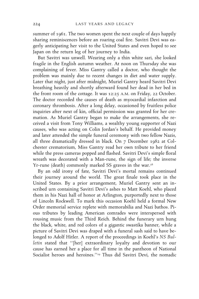summer of 1961. The two women spent the next couple of days happily sharing reminiscences before an roaring coal fire. Savitri Devi was eagerly anticipating her visit to the United States and even hoped to see Japan on the return leg of her journey to India.

But Savitri was unwell. Wearing only a thin white sari, she looked fragile in the English autumn weather. At noon on Thursday she was complaining of fever. Miss Gantry called a doctor, who thought the problem was mainly due to recent changes in diet and water supply. Later that night, just after midnight, Muriel Gantry heard Savitri Devi breathing heavily and shortly afterward found her dead in her bed in the front room of the cottage. It was 12:25 A.M. on Friday, 22 October. The doctor recorded the causes of death as myocardial infarction and coronary thrombosis. After a long delay, occasioned by fruitless police inquiries after next of kin, official permission was granted for her cremation. As Muriel Gantry began to make the arrangements, she received a visit from Tony Williams, a wealthy young supporter of Nazi causes, who was acting on Colin Jordan's behalf. He provided money and later attended the simple funeral ceremony with two fellow Nazis, all three dramatically dressed in black. On 7 December 1982 at Colchester crematorium, Miss Gantry read her own tribute to her friend while the press cameras popped and flashed. Savitri Devi's simple floral wreath was decorated with a Man-rune, the sign of life; the inverse Yr-rune (death) commonly marked SS graves in the war.<sup>28</sup>

By an odd irony of fate, Savitri Devi's mortal remains continued their journey around the world. The great finale took place in the United States. By a prior arrangement, Muriel Gantry sent an inscribed urn containing Savitri Devi's ashes to Matt Koehl, who placed them in his Nazi hall of honor at Arlington, purportedly next to those of Lincoln Rockwell. To mark this occasion Koehl held a formal New Order memorial service replete with memorabilia and Nazi bathos. Pious tributes by leading American comrades were interspersed with rousing music from the Third Reich. Behind the funerary urn hung the black, white, and red colors of a gigantic swastika banner, while a picture of Savitri Devi was draped with a funeral sash said to have belonged to Adolf Hitler. A report of the proceedings in Koehl's *NS Bulletin* stated that ''[her] extraordinary loyalty and devotion to our cause has earned her a place for all time in the pantheon of National Socialist heroes and heroines.''29 Thus did Savitri Devi, the nomadic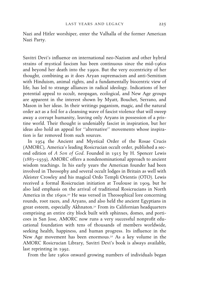Nazi and Hitler worshiper, enter the Valhalla of the former American Nazi Party.

Savitri Devi's influence on international neo-Nazism and other hybrid strains of mystical fascism has been continuous since the mid-1960s and beyond her death into the 1990s. But the very eccentricity of her thought, combining as it does Aryan supremacism and anti-Semitism with Hinduism, animal rights, and a fundamentally biocentric view of life, has led to strange alliances in radical ideology. Indications of her potential appeal to occult, neopagan, ecological, and New Age groups are apparent in the interest shown by Myatt, Bouchet, Serrano, and Mason in her ideas. In their writings paganism, magic, and the natural order act as a foil for a cleansing wave of fascist violence that will sweep away a corrupt humanity, leaving only Aryans in possession of a pristine world. Their thought is undeniably fascist in inspiration, but her ideas also hold an appeal for ''alternative'' movements whose inspiration is far removed from such sources.

In 1954 the Ancient and Mystical Order of the Rosae Crucis (AMORC), America's leading Rosicrucian occult order, published a second edition of *A Son of God*. Founded in 1915 by H. Spencer Lewis (1883–1939), AMORC offers a nondenominational approach to ancient wisdom teachings. In his early years the American founder had been involved in Theosophy and several occult lodges in Britain as well with Aleister Crowley and his magical Ordo Templi Orientis (OTO). Lewis received a formal Rosicrucian initiation at Toulouse in 1909, but he also laid emphasis on the arrival of traditional Rosicrucians in North America in the  $1690s$ .<sup>30</sup> He was versed in Theosophical lore concerning rounds, root races, and Aryans, and also held the ancient Egyptians in great esteem, especially Akhnaton.31 From its Californian headquarters comprising an entire city block built with sphinxes, domes, and porticoes in San Jose, AMORC now runs a very successful nonprofit educational foundation with tens of thousands of members worldwide, seeking health, happiness, and human progress. Its influence in the New Age movement has been enormous.<sup>32</sup> As a key volume in the AMORC Rosicrucian Library, Savitri Devi's book is always available, last reprinting in 1992.

From the late 1960s onward growing numbers of individuals began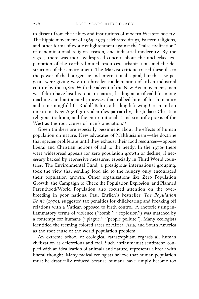to dissent from the values and institutions of modern Western society. The hippie movement of 1965–1973 celebrated drugs, Eastern religions, and other forms of exotic enlightenment against the ''false civilization'' of denominational religion, reason, and industrial modernity. By the 1970s, there was more widespread concern about the unchecked exploitation of the earth's limited resources, urbanization, and the destruction of the environment. The Marxist critique traced these ills to the power of the bourgeoisie and international capital, but these scapegoats were giving way to a broader condemnation of urban-industrial culture by the 1980s. With the advent of the New Age movement, man was felt to have lost his roots in nature, leading an artificial life among machines and automated processes that robbed him of his humanity and a meaningful life. Rudolf Bahro, a leading left-wing Green and an important New Age figure, identifies patriarchy, the Judaeo-Christian religious tradition, and the entire rationalist and scientific praxis of the West as the root causes of man's alienation.33

Green thinkers are especially pessimistic about the effects of human population on nature. New advocates of Malthusianism— the doctrine that species proliferate until they exhaust their food resources—oppose liberal and Christian notions of aid to the needy. In the 1970s there were widespread appeals for zero population growth or decline, if necessary backed by repressive measures, especially in Third World countries. The Environmental Fund, a prestigious international grouping, took the view that sending food aid to the hungry only encouraged their population growth. Other organizations like Zero Population Growth, the Campaign to Check the Population Explosion, and Planned Parenthood/World Population also focused attention on the overbreeding in poor nations. Paul Ehrlich's bestseller, *The Population Bomb* (1970), suggested tax penalties for childbearing and breaking off relations with a Vatican opposed to birth control. A rhetoric using inflammatory terms of violence (''bomb,'' ''explosion'') was matched by a contempt for humans (''plague,'' ''people pollute''). Many ecologists identified the teeming colored races of Africa, Asia, and South America as the root cause of the world population problem.

An extreme school of ecological catastrophism regards all human civilization as deleterious and evil. Such antihumanist sentiment, coupled with an idealization of animals and nature, represents a break with liberal thought. Many radical ecologists believe that human population must be drastically reduced because humans have simply become too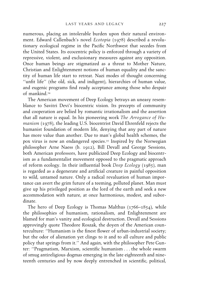numerous, placing an intolerable burden upon their natural environment. Edward Callenbach's novel *Ecotopia* (1978) described a revolutionary ecological regime in the Pacific Northwest that secedes from the United States. Its ecocentric policy is enforced through a variety of repressive, violent, and exclusionary measures against any opposition. Once human beings are stigmatized as a threat to Mother Nature, Christian and Enlightenment notions of human equality and the sanctity of human life start to retreat. Nazi modes of thought concerning ''unfit life'' (the old, sick, and indigent), hierarchies of human value, and eugenic programs find ready acceptance among those who despair of mankind.34

The American movement of Deep Ecology betrays an uneasy resemblance to Savitri Devi's biocentric vision. Its precepts of community and cooperation are belied by romantic irrationalism and the assertion that all nature is equal. In his pioneering work *The Arrogance of Humanism* (1978), the leading U.S. biocentrist David Ehrenfeld rejects the humanist foundation of modern life, denying that any part of nature has more value than another. Due to man's global health schemes, the pox virus is now an endangered species.35 Inspired by the Norwegian philosopher Arne Naess (b. 1912), Bill Devall and George Sessions, both American professors, have publicized Deep Ecology and biocentrism as a fundamentalist movement opposed to the pragmatic approach of reform ecology. In their influential book *Deep Ecology* (1985), man is regarded as a degenerate and artificial creature in painful opposition to wild, untamed nature. Only a radical revaluation of human importance can avert the grim future of a teeming, polluted planet. Man must give up his privileged position as the lord of the earth and seek a new accommodation with nature, at once harmonious, modest, and subordinate.

The hero of Deep Ecology is Thomas Malthus (1766–1854), while the philosophies of humanism, rationalism, and Enlightenment are blamed for man's vanity and ecological destruction. Devall and Sessions approvingly quote Theodore Roszak, the doyen of the American counterculture: ''Humanism is the finest flower of urban-industrial society; but the odor of alienation yet clings to it and to all culture and public policy that springs from it.'' And again, with the philosopher Pete Gunter: ''Pragmatism, Marxism, scientific humanism . . . the whole swarm of smug antireligious dogmas emerging in the late eighteenth and nineteenth centuries and by now deeply entrenched in scientific, political,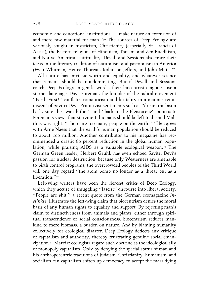economic, and educational institutions... make nature an extension of and mere raw material for man.''36 The sources of Deep Ecology are variously sought in mysticism, Christianity (especially St. Francis of Assisi), the Eastern religions of Hinduism, Taoism, and Zen Buddhism, and Native American spirituality. Devall and Sessions also trace their ideas in the literary tradition of naturalism and pastoralism in America (Walt Whitman, Henry Thoreau, Robinson Jeffers, and John Muir).37

All nature has intrinsic worth and equality, and whatever science that remains should be nondominating. But if Devall and Sessions couch Deep Ecology in gentle words, their biocentrist epigones use a sterner language. Dave Foreman, the founder of the radical movement ''Earth First!'' conflates romanticism and brutality in a manner reminiscent of Savitri Devi. Primitivist sentiments such as ''dream the bison back, sing the swan hither'' and ''back to the Pleistocene'' punctuate Foreman's views that starving Ethiopians should be left to die and Malthus was right: ''There are too many people on the earth.''38 He agrees with Arne Naess that the earth's human population should be reduced to about 100 million. Another contributor to his magazine has recommended a drastic 80 percent reduction in the global human population, while praising AIDS as a valuable ecological weapon.39 The German Green leader, Herbert Gruhl, has even echoed Savitri Devi's passion for nuclear destruction: because only Westerners are amenable to birth control programs, the overcrowded peoples of the Third World will one day regard ''the atom bomb no longer as a threat but as a liberation.''40

Left-wing writers have been the fiercest critics of Deep Ecology, which they accuse of smuggling "fascist" discourse into liberal society. ''People are shit,'' a recent quote from the German ecomagazine *Instinkte*, illustrates the left-wing claim that biocentrism denies the moral basis of any human rights to equality and support. By rejecting man's claim to distinctiveness from animals and plants, either through spiritual transcendence or social consciousness, biocentrism reduces mankind to mere biomass, a burden on nature. And by blaming humanity collectively for ecological disaster, Deep Ecology deflects any critique of capitalism and authority, thereby frustrating genuine social emancipation.41 Marxist ecologists regard such doctrine as the ideological ally of monopoly capitalism. Only by denying the special status of man and his anthropocentric traditions of Judaism, Christianity, humanism, and socialism can capitalism soften up democracy to accept the mass dying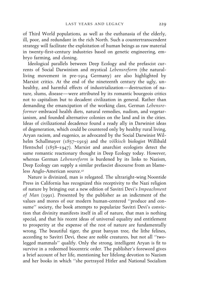of Third World populations, as well as the euthanasia of the elderly, ill, poor, and redundant in the rich North. Such a countertranscendent strategy will facilitate the exploitation of human beings as raw material in twenty-first-century industries based on genetic engineering, embryo farming, and cloning.

Ideological parallels between Deep Ecology and the prefascist currents of Social Darwinism and mystical *Lebensreform* (the naturalliving movement in pre-1914 Germany) are also highlighted by Marxist critics. At the end of the nineteenth century the ugly, unhealthy, and harmful effects of industrialization—destruction of nature, slums, disease—were attributed by its romantic bourgeois critics not to capitalism but to decadent civilization in general. Rather than demanding the emancipation of the working class, German *Lebensreformer* embraced health diets, natural remedies, nudism, and vegetarianism, and founded alternative colonies on the land and in the cities. Ideas of civilizational decadence found a ready ally in Darwinist ideas of degeneration, which could be countered only by healthy rural living, Aryan racism, and eugenics, as advocated by the Social Darwinist Wilhelm Schallmayer (1857–1919) and the *völkisch* biologist Willibald Hentschel (1858–1947). Marxist and anarchist ecologists detect the same romantic reactionary thought in Deep Ecology today. However, whereas German *Lebensreform* is burdened by its links to Nazism, Deep Ecology can supply a similar prefascist discourse from an blameless Anglo-American source.42

Nature is divinized, man is relegated. The ultraright-wing Noontide Press in California has recognized this receptivity to the Nazi religion of nature by bringing out a new edition of Savitri Devi's *Impeachment of Man* (1991). Presented by the publisher as an indictment of the values and mores of our modern human-centered ''produce and consume'' society, the book attempts to popularize Savitri Devi's conviction that divinity manifests itself in all of nature, that man is nothing special, and that his recent ideas of universal equality and entitlement to prosperity at the expense of the rest of nature are fundamentally wrong. The beautiful tiger, the great banyan tree, the lithe felines, according to Savitri Devi, these are noble creatures, but not all ''twolegged mammals'' qualify. Only the strong, intelligent Aryan is fit to survive in a redeemed biocentric order. The publisher's foreword gives a brief account of her life, mentioning her lifelong devotion to Nazism and her books in which ''she portrayed Hitler and National Socialism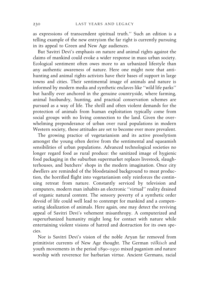as expressions of transcendent spiritual truth.'' Such an edition is a telling example of the new entryism the far right is currently pursuing in its appeal to Green and New Age audiences.

But Savitri Devi's emphasis on nature and animal rights against the claims of mankind could evoke a wider response in mass urban society. Ecological sentiment often owes more to an urbanized lifestyle than any authentic awareness of nature. Here one might note that antihunting and animal rights activists have their bases of support in large towns and cities. Their sentimental image of animals and nature is informed by modern media and synthetic enclaves like ''wild life parks'' but hardly ever anchored in the genuine countryside, where farming, animal husbandry, hunting, and practical conservation schemes are pursued as a way of life. The shrill and often violent demands for the protection of animals from human exploitation typically come from social groups with no living connection to the land. Given the overwhelming preponderance of urban over rural populations in modern Western society, these attitudes are set to become ever more prevalent.

The growing practice of vegetarianism and its active proselytism amongst the young often derive from the sentimental and squeamish sensibilities of urban populations. Advanced technological societies no longer regard food as rural produce: the sanitized image of hygienic food packaging in the suburban supermarket replaces livestock, slaughterhouses, and butchers' shops in the modern imagination. Once city dwellers are reminded of the bloodstained background to meat production, the horrified flight into vegetarianism only reinforces the continuing retreat from nature. Constantly serviced by television and computers, modern man inhabits an electronic ''virtual'' reality drained of organic natural content. The sensory poverty of a synthetic order devoid of life could well lead to contempt for mankind and a compensating idealization of animals. Here again, one may detect the reviving appeal of Savitri Devi's vehement misanthropy. A computerized and superurbanized humanity might long for contact with nature while entertaining violent visions of hatred and destruction for its own species.

Nor is Savitri Devi's vision of the noble Aryan far removed from primitivist currents of New Age thought. The German *völkisch* and youth movements in the period 1890–1930 mixed paganism and nature worship with reverence for barbarian virtue. Ancient Germans, racial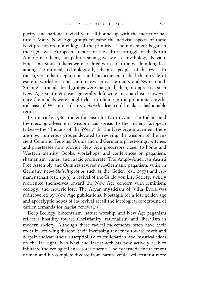purity, and national revival were all bound up with the merits of nature.43 Many New Age groups rehearse the nativist aspects of these Nazi precursors in a eulogy of the primitive. The movement began in the 1970s with European support for the cultural struggle of the North American Indians, but politics soon gave way to mythology. Navajo, Hopi, and Sioux Indians were credited with a natural wisdom long lost among the rational, technologically advanced peoples of the West. In the 1980s Indian deputations and medicine men plied their trade of esoteric workshops and conferences across Germany and Switzerland. So long as the idealized groups were marginal, alien, or oppressed, such New Age sentiment was generally left-wing or anarchist. However once the models were sought closer to home in the prerational, mythical past of Western culture, *völkisch* ideas could make a fashionable return.

By the early 1980s the enthusiasm for North American Indians and their ecological-esoteric wisdom had spread to the ancient European tribes— the ''Indians of the West.'' In the New Age movement there are now numerous groups devoted to reviving the wisdom of the ancient Celts and Teutons. Druids and old Germanic priest-kings, witches, and priestesses now provide New Age precursors closer to home and Western identity. Books, workshops, and conferences on paganism, shamanism, runes, and magic proliferate. The Anglo-American Ásatrú Free Assembly and Odinists revived neo-Germanic paganism, while in Germany neo-*völkisch* groups such as the Goden (est. 1957) and Armanenschaft (est. 1969), a revival of the Guido von List Society, swiftly reoriented themselves toward the New Age concern with feminism, ecology, and esoteric lore. The Aryan mysticism of Julius Evola was rediscovered by New Age publications. Nostalgia for a lost golden age and apocalyptic hopes of its revival recall the ideological foreground of earlier demands for fascist renewal.44

Deep Ecology, biocentrism, nature worship, and New Age paganism reflect a hostility toward Christianity, rationalism, and liberalism in modern society. Although these radical movements often have their roots in left-wing dissent, their increasing tendency toward myth and despair indicate their susceptibility to millenarian and mystical ideas on the far right. Neo-Nazi and fascist activists now actively seek to infiltrate the ecological and esoteric scene. The cybernetic encirclement of man and his complete divorce from nature could well foster a more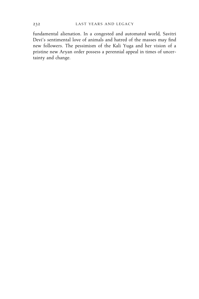fundamental alienation. In a congested and automated world, Savitri Devi's sentimental love of animals and hatred of the masses may find new followers. The pessimism of the Kali Yuga and her vision of a pristine new Aryan order possess a perennial appeal in times of uncertainty and change.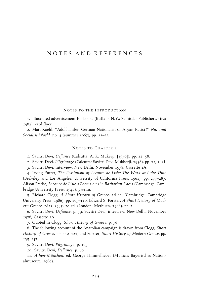# NOTES AND REFERENCES

#### NOTES TO THE INTRODUCTION

1. Illustrated advertisement for books (Buffalo, N.Y.: Samisdat Publishers, circa 1982), card flyer.

2. Matt Koehl, ''Adolf Hitler: German Nationalist or Aryan Racist?'' *National Socialist World*, no. 4 (summer 1967), pp. 13–22.

#### NOTES TO CHAPTER 1

1. Savitri Devi, *Defiance* (Calcutta: A. K. Mukerji, [1950]), pp. 12, 58.

2. Savitri Devi, *Pilgrimage* (Calcutta: Savitri Devi Mukherji, 1958), pp. 12, 142f.

3. Savitri Devi, interview, New Delhi, November 1978, Cassette 1A.

4. Irving Putter, *The Pessimism of Leconte de Lisle: The Work and the Time* (Berkeley and Los Angeles: University of California Press, 1961), pp. 277–287; Alison Fairlie, *Leconte de Lisle's Poems on the Barbarian Races* (Cambridge: Cambridge University Press, 1947), passim.

5. Richard Clogg, *A Short History of Greece*, 2d ed. (Cambridge: Cambridge University Press, 1986), pp. 105–110; Edward S. Forster, *A Short History of Modern Greece, 1821–1945*, 2d ed. (London: Methuen, 1946), pt. 2.

6. Savitri Devi, *Defiance*, p. 59; Savitri Devi, interview, New Delhi, November 1978, Cassette 1A.

7. Quoted in Clogg, *Short History of Greece*, p. 76.

8. The following account of the Anatolian campaign is drawn from Clogg, *Short History of Greece*, pp. 112–121, and Forster, *Short History of Modern Greece*, pp. 135–147.

9. Savitri Devi, *Pilgrimage*, p. 105.

10. Savitri Devi, *Defiance*, p. 60.

11. Athen-München, ed. George Himmelheber (Munich: Bayerisches Nationalmuseum, 1980).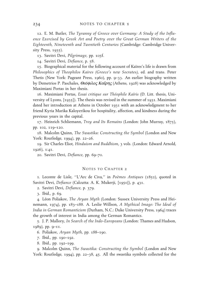12. E. M. Butler, *The Tyranny of Greece over Germany: A Study of the Influence Exercised by Greek Art and Poetry over the Great German Writers of the Eighteenth, Nineteenth and Twentieth Centuries* (Cambridge: Cambridge University Press, 1935).

13. Savitri Devi, *Pilgrimage*, pp. 105f.

14. Savitri Devi, *Defiance*, p. 58.

15. Biographical material for the following account of Kaı¨res's life is drawn from *Philosophics of Theophilos Kaires (Greece's new Socrates)*, ed. and trans. Peter Thetis (New York: Pageant Press, 1960), pp. 9–33. An earlier biography written by Demetrios P. Paschales, Θεόφιλος Καΐρης (Athens, 1928) was acknowledged by Maximiani Portas in her thesis.

16. Maximiani Portas, *Essai critique sur The´ophile Kaı¨ris* (D. Litt. thesis, University of Lyons, [1935]). The thesis was revised in the summer of 1931. Maximiani dated her introduction at Athens in October 1931 with an acknowledgment to her friend Kyria Marika Kaloyerikou for hospitality, affection, and kindness during the previous years in the capital.

17. Heinrich Schliemann, *Troy and Its Remains* (London: John Murray, 1875), pp. 102, 119–120.

18. Malcolm Quinn, *The Swastika: Constructing the Symbol* (London and New York: Routledge, 1994), pp. 22–26.

19. Sir Charles Eliot, *Hinduism and Buddhism*, 3 vols. (London: Edward Arnold, 1926), 1:41.

20. Savitri Devi, *Defiance*, pp. 69–70.

#### NOTES TO CHAPTER 2

1. Leconte de Lisle, ''L'Arc de Civa,'' in *Poe`mes Antiques* (1852), quoted in Savitri Devi, *Defiance* (Calcutta: A. K. Mukerji, [1950]), p. 431.

2. Savitri Devi, *Defiance*, p. 379.

3. Ibid., p. 69.

4. Léon Poliakov, *The Aryan Myth* (London: Sussex University Press and Heinemann, 1974), pp. 183–188. A. Leslie Willson, *A Mythical Image: The Ideal of India in German Romanticism* (Durham, N.C.: Duke University Press, 1964) traces the growth of interest in India among the German Romantics.

5. J. P. Mallory, *In Search of the Indo-Europeans* (London: Thames and Hudson, 1989), pp. 9–11.

6. Poliakov, *Aryan Myth*, pp. 188–190.

7. Ibid., pp. 190–192.

8. Ibid., pp. 192–199.

9. Malcolm Quinn, *The Swastika: Constructing the Symbol* (London and New York: Routledge, 1994), pp. 22–38, 45. All the swastika symbols collected for the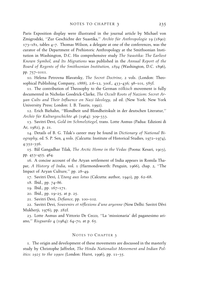Paris Exposition display were illustrated in the journal article by Michael von Zmigrodzki, "Zur Geschichte der Suastika," Archiv für Anthropologie 19 (1890): 173–181, tables 4–7. Thomas Wilson, a delegate at one of the conferences, was the curator of the Department of Prehistoric Anthropology at the Smithsonian Institution in Washington, D.C. His comprehensive study *The Swastika: The Earliest Known Symbol, and Its Migrations* was published in the *Annual Report of the Board of Regents of the Smithsonian Institution, 1894* (Washington, D.C. 1896), pp. 757–1011.

10. Helena Petrovna Blavatsky, *The Secret Doctrine*, 2 vols. (London: Theosophical Publishing Company, 1888), 2:6–12, 300f., 433–436; 98–101, 585f.

11. The contribution of Theosophy to the German *vo¨lkisch* movement is fully documented in Nicholas Goodrick-Clarke, *The Occult Roots of Nazism: Secret Aryan Cults and Their Influence on Nazi Ideology*, 2d ed. (New York: New York University Press; London: I. B. Tauris, 1992).

12. Erich Biehahn, ''Blondheit und Blondheitskult in der deutschen Literatur,'' *Archiv fu¨ r Kulturgeschichte* 46 (1964): 309–333.

13. Savitri Devi, *Gold im Schmelztiegel*, trans. Lotte Asmus (Padua: Edizioni di Ar, 1982), p. 21.

14. Details of B. G. Tilak's career may be found in *Dictionary of National Biography*, ed. S. P. Sen, 4 vols. (Calcutta: Institute of Historical Studies, 1972–1974), 4:352–356.

15. Baˆl Gangadhar Tilak, *The Arctic Home in the Vedas* (Poona: Kesari, 1903), pp. 453–455, 464.

16. A concise account of the Aryan settlement of India appears in Romila Thapar, *A History of India*, vol. 1 (Harmondsworth: Penguin, 1966), chap. 2, ''The Impact of Aryan Culture,'' pp. 28–49.

17. Savitri Devi, *L'Etang aux lotus* (Calcutta: author, 1940), pp. 62–68.

18. Ibid., pp. 74–86.

- 19. Ibid., pp. 167–171.
- 20. Ibid., pp. 19–25, at p. 25.

21. Savitri Devi, *Defiance*, pp. 100–102.

22. Savitri Devi, *Souvenirs et réflexions d'une aryenne* (New Delhi: Savitri Dêvi Mukherji, 1976), pp. 282f.

23. Lotte Asmus and Vittorio De Cecco, ''La 'missionaria' del paganesimo ariano,'' *Risguardo* 4 (1984): 64–70, at p. 65.

#### NOTES TO CHAPTER 3

1. The origin and development of these movements are discussed in the masterly study by Christophe Jaffrelot, *The Hindu Nationalist Movement and Indian Politics: 1925 to the 1990s* (London: Hurst, 1996), pp. 11–35.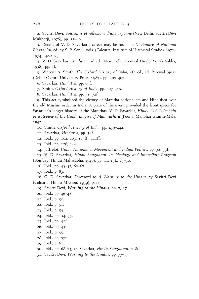2. Savitri Devi, *Souvenirs et réflexions d'une aryenne* (New Delhi: Savitri Dêvi Mukherji, 1976), pp. 35–40.

3. Details of V. D. Savarkar's career may be found in *Dictionary of National Biography*, ed. by S. P. Sen, 4 vols. (Calcutta: Institute of Historical Studies, 1972– 1974), 4:92–95.

4. V. D. Savarkar, *Hindutva*, 2d ed. (New Delhi: Central Hindu Yuvak Sabha, 1938), pp. 7f.

5. Vincent A. Smith, *The Oxford History of India*, 4th ed., ed. Percival Spear (Delhi: Oxford University Press, 1981), pp. 405–407.

6. Savarkar, *Hindutva*, pp. 69f.

7. Smith, *Oxford History of India*, pp. 407–415.

8. Savarkar, *Hindutva*, pp. 71, 72f.

9. This act symbolized the victory of Maratha nationalism and Hinduism over the old Muslim order in India. A plate of the event provided the frontispiece for Savarkar's longer history of the Marathas. V. D. Savarkar, *Hindu-Pad-Padashahi or a Review of the Hindu Empire of Maharashtra* (Poona: Manohar Granth-Mala, 1942).

10. Smith, *Oxford History of India*, pp. 439–442.

11. Savarkar, *Hindutva*, pp. 56f.

- 12. Ibid., pp. 102, 103, 105ff., 111ff.
- 13. Ibid., pp. 126, 144.
- 14. Jaffrelot, *Hindu Nationalist Movement and Indian Politics*, pp. 32, 53f.

15. V. D. Savarkar, *Hindu Sanghatan: Its Ideology and Immediate Program* (Bombay: Hindu Mahasabha, 1940), pp. 11, 13f., 23–30.

16. Ibid., pp. 43–47, 60–67.

17. Ibid., p. 83.

18. G. D. Savarkar, Foreword to *A Warning to the Hindus* by Savitri Devi (Calcutta: Hindu Mission, 1939), p. ix.

19. Savitri Devi, *Warning to the Hindus*, pp. 7, 17.

20. Ibid., pp. 46–48.

- 21. Ibid., p. 50.
- 22. Ibid., p. 51.
- 23. Ibid., p. 54.
- 24. Ibid., pp. 34, 35.
- 25. Ibid., pp. 41f.
- 26. Ibid., pp. 43f.
- 27. Ibid., p. 55.
- 28. Ibid., pp. 57f.
- 29. Ibid., p. 61.
- 30. Ibid., pp. 68–73; cf. Savarkar, *Hindu Sanghatan*, p. 80.
- 31. Savitri Devi, *Warning to the Hindus*, pp. 73–75.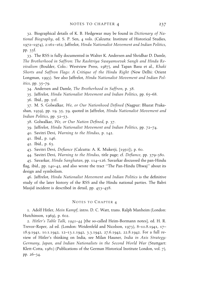32. Biographical details of K. B. Hedgewar may be found in *Dictionary of National Biography*, ed. S. P. Sen, 4 vols. (Calcutta: Institute of Historical Studies, 1972–1974), 2:161–162; Jaffrelot, *Hindu Nationalist Movement and Indian Politics*, pp. 33f.

33. The RSS is fully documented in Walter K. Andersen and Shridhar D. Damle, *The Brotherhood in Saffron: The Rashtriya Swayamsevak Sangh and Hindu Revivalism* (Boulder, Colo.: Westview Press, 1987), and Tapan Basu et al., *Khaki Shorts and Saffron Flags: A Critique of the Hindu Right* (New Delhi: Orient Longman, 1993). See also Jaffrelot, *Hindu Nationalist Movement and Indian Politics*, pp. 35–79.

34. Andersen and Damle, *The Brotherhood in Saffron*, p. 38.

35. Jaffrelot, *Hindu Nationalist Movement and Indian Politics*, pp. 65–68.

36. Ibid., pp. 51f.

37. M. S. Golwalkar, *We, or Our Nationhood Defined* (Nagpur: Bharat Prakashan, 1939), pp. 19, 35, 59, quoted in Jaffrelot, *Hindu Nationalist Movement and Indian Politics*, pp. 52–53.

38. Golwalkar, *We, or Our Nation Defined*, p. 37.

39. Jaffrelot, *Hindu Nationalist Movement and Indian Politics*, pp. 72–74.

40. Savitri Devi, *Warning to the Hindus*, p. 142.

41. Ibid., p. 146.

42. Ibid., p. 63.

43. Savitri Devi, *Defiance* (Calcutta: A. K. Mukerji, [1950]), p. 60.

44. Savitri Devi, *Warning to the Hindus*, title page; cf. *Defiance*, pp. 379–380.

45. Savarkar, *Hindu Sanghatan*, pp. 114–126. Savarkar discussed the pan-Hindu flag, ibid., pp. 140–42, and also wrote the tract ''The Pan-Hindu Dhwaj'' about its design and symbolism.

46. Jaffrelot, *Hindu Nationalist Movement and Indian Politics* is the definitive study of the later history of the RSS and the Hindu national parties. The Babri Masjid incident is described in detail, pp. 453–458.

#### NOTES TO CHAPTER 4

1. Adolf Hitler, *Mein Kampf*, intro. D. C. Watt, trans. Ralph Manheim (London: Hutchinson, 1969), p. 602.

2. *Hitler's Table Talk, 1941–44* [the so-called Heim-Bormann notes], ed. H. R. Trevor-Roper, 2d ed. (London: Weidenfeld and Nicolson, 1973), 8–10.8.1941, 17– 18.9.1941, 10.1.1942, 12–13.1.1942, 3.3.1942, 27.6.1942, 22.8.1942. For a full review of Hitler's thinking on India, see Milan Hauner, *India in Axis Strategy: Germany, Japan, and Indian Nationalists in the Second World War* (Stuttgart: Klett-Cotta, 1981) (Publications of the German Historical Institute London, vol. 7), pp. 26–34.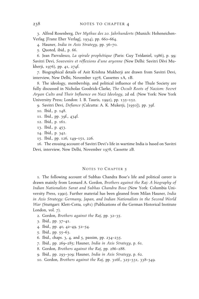3. Alfred Rosenberg, *Der Mythus des 20. Jahrhunderts* (Munich: Hoheneichen-Verlag [Franz Eher Verlag], 1934), pp. 660–664.

- 4. Hauner, *India in Axis Strategy*, pp. 56–70.
- 5. Quoted, ibid., p. 66.

6. Jean Parvulesco, *La spirale prophétique* (Paris: Guy Trédaniel, 1986), p. 99; Savitri Devi, *Souvenirs et réflexions d'une aryenne* (New Delhi: Savitri Dêvi Mukherji, 1976), pp. 41, 274f.

7. Biographical details of Asit Krishna Mukherji are drawn from Savitri Devi, interview, New Delhi, November 1978, Cassettes 1A, 1B.

8. The ideology, membership, and political influence of the Thule Society are fully discussed in Nicholas Goodrick-Clarke, *The Occult Roots of Nazism: Secret Aryan Cults and Their Influence on Nazi Ideology*, 2d ed. (New York: New York University Press; London: I. B. Tauris, 1992), pp. 135–152.

9. Savitri Devi, *Defiance* (Calcutta: A. K. Mukerji, [1950]), pp. 39f.

- 11. Ibid., pp. 39f., 434f.
- 12. Ibid., p. 161.
- 13. Ibid., p. 453.
- 14. Ibid., p. 342.
- 15. Ibid., pp. 126, 149–151, 226.

16. The ensuing account of Savitri Devi's life in wartime India is based on Savitri Devi, interview, New Delhi, November 1978, Cassette 2B.

#### NOTES TO CHAPTER 5

1. The following account of Subhas Chandra Bose's life and political career is drawn mainly from Leonard A. Gordon, *Brothers against the Raj: A biography of Indian Nationalists Sarat and Subhas Chandra Bose* (New York: Columbia University Press, 1990). Further material has been gleaned from Milan Hauner, *India in Axis Strategy: Germany, Japan, and Indian Nationalists in the Second World War* (Stuttgart: Klett-Cotta, 1981) (Publications of the German Historical Institute London, vol. 7).

- 2. Gordon, *Brothers against the Raj*, pp. 32–35.
- 3. Ibid., pp. 37–41.
- 4. Ibid., pp. 40, 42–49, 52–54.
- 5. Ibid., pp. 55–63.
- 6. Ibid., chaps. 3, 4, and 5, passim, pp. 234–235.
- 7. Ibid., pp. 269–285; Hauner, *India in Axis Strategy*, p. 61.
- 8. Gordon, *Brothers against the Raj*, pp. 286–288.
- 9. Ibid., pp. 293–309; Hauner, *India in Axis Strategy*, p. 62.
- 10. Gordon, *Brothers against the Raj*, pp. 316f., 325–331, 338–349.

<sup>10.</sup> Ibid., p. 148.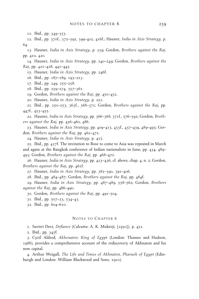11. Ibid., pp. 349–353.

12. Ibid., pp. 370f., 372–392, 399–402, 416f.; Hauner, *India in Axis Strategy*, p. 64.

13. Hauner, *India in Axis Strategy*, p. 239; Gordon, *Brothers against the Raj*, pp. 410, 420.

14. Hauner, *India in Axis Strategy*, pp. 240–249; Gordon, *Brothers against the Raj*, pp. 421–428, 441–445.

15. Hauner, *India in Axis Strategy*, pp. 246f.

16. Ibid., pp. 187–189, 193–213.

17. Ibid., pp. 249, 255–258.

18. Ibid., pp. 259–274, 357–361.

19. Gordon, *Brothers against the Raj*, pp. 450–452.

20. Hauner, *India in Axis Strategy*, p. 251.

21. Ibid., pp. 250–253, 363f., 368–371; Gordon, *Brothers against the Raj*, pp. 447f., 453–455.

22. Hauner, *India in Axis Strategy*, pp. 366–368, 371f., 576–592; Gordon, *Brothers against the Raj*, pp. 456–460, 486.

23. Hauner, *India in Axis Strategy*, pp. 409–413, 433f., 437–439, 489–493; Gordon, *Brothers against the Raj*, pp. 462–472.

24. Hauner, *India in Axis Strategy*, p. 415.

25. Ibid., pp. 417f. The invitation to Bose to come to Asia was repeated in March and again at the Bangkok conference of Indian nationalists in June, pp. 434, 489– 493; Gordon, *Brothers against the Raj*, pp. 468–470.

26. Hauner, *India in Axis Strategy*, pp. 423–436, cf. above, chap. 4, n. 2; Gordon, *Brothers against the Raj*, pp. 461f.

27. Hauner, *India in Axis Strategy*, pp. 382–390, 391–406.

28. Ibid., pp. 484–487; Gordon, *Brothers against the Raj*, pp. 484f.

29. Hauner, *India in Axis Strategy*, pp. 487–489, 558–562; Gordon, *Brothers against the Raj*, pp. 486–490.

30. Gordon, *Brothers against the Raj*, pp. 491–504.

31. Ibid., pp. 507–23, 534–43.

32. Ibid., pp. 604–610.

#### NOTES TO CHAPTER 6

1. Savitri Devi, *Defiance* (Calcutta: A. K. Mukerji, [1950]), p. 451.

2. Ibid., pp. 345f.

3. Cyril Aldred, *Akhenaten: King of Egypt* (London: Thames and Hudson, 1988), provides a comprehensive account of the rediscovery of Akhnaton and his new capital.

4. Arthur Weigall, *The Life and Times of Akhnaton, Pharaoh of Egypt* (Edinburgh and London: William Blackwood and Sons, 1910).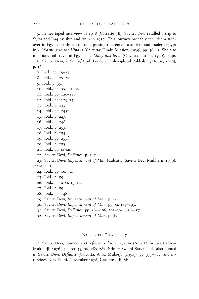5. In her taped interview of 1978 (Cassette 5B), Savitri Devi recalled a trip to Syria and Iraq by ship and train in 1937. This journey probably included a stopover in Egypt, for there are some passing references to ancient and modern Egypt in *A Warning to the Hindus* (Calcutta: Hindu Mission, 1939), pp. 58–61. She also mentions rail travel in Egypt in *L'Etang aux lotus* (Calcutta: author, 1940), p. 46.

6. Savitri Devi, *A Son of God* (London: Philosophical Publishing House, 1946), p. 16.

- 7. Ibid., pp. 19–25.
- 8. Ibid., pp. 25–27.
- 9. Ibid., p. 35.
- 10. Ibid., pp. 35, 40–42.
- 11. Ibid., pp. 126–128.
- 12. Ibid., pp. 129–130.
- 13. Ibid., p. 243.
- 14. Ibid., pp. 245f.
- 15. Ibid., p. 247.
- 16. Ibid., p. 248.
- 17. Ibid., p. 253.
- 18. Ibid., p. 254.
- 19. Ibid., pp. 255f.
- 20. Ibid., p. 253.
- 21. Ibid., pp. ix-xiii.
- 22. Savitri Devi, *Defiance*, p. 347.

23. Savitri Devi, *Impeachment of Man* (Calcutta: Savitri Devi Mukherji, 1959), chaps. 1, 2.

- 24. Ibid., pp. 16, 52.
- 25. Ibid., p. 59.
- 26. Ibid., pp. x-xi, 13–14.
- 27. Ibid., p. 59.
- 28. Ibid., pp. 148f.
- 29. Savitri Devi, *Impeachment of Man*, p. 141.
- 30. Savitri Devi, *Impeachment of Man*, pp. xi, 189–193.
- 31. Savitri Devi, *Defiance*, pp. 184–186, 203–204, 456–457.
- 32. Savitri Devi, *Impeachment of Man*, p. [iv].

### NOTES TO CHAPTER 7

1. Savitri Devi*, Souvenirs et réflexions d'une aryenne* (New Delhi: Savitri Dêvi Mukherji, 1976), pp. 33–35, 39, 285–287. Srimat Swami Satyananda also quoted in Savitri Devi, *Defiance* (Calcutta: A. K. Mukerji, [1950]), pp. 375–377, and interview, New Delhi, November 1978, Cassettes 4B, 5B.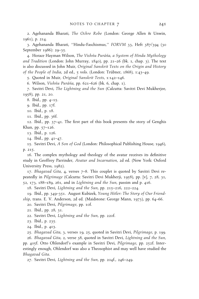2. Agehananda Bharati, *The Ochre Robe* (London: George Allen & Unwin, 1961), p. 214.

3. Agehananda Bharati, ''Hindu-Faschismus,'' *FORVM* 33, Heft 387/394 (30 September 1986): 29–35.

4. Horace Hayman Wilson, *The Vishn´u Pura´na*, a System of Hindu Mythology *and Tradition* (London: John Murray, 1840), pp. 21–26 (bk. 1, chap. 3). The text is also discussed in John Muir, *Original Sanskrit Texts on the Origin and History of the People of India, 2d ed., 5 vols.* (London: Trübner, 1868), 1:43-49.

5. Quoted in Muir, *Original Sanskrit Texts*, 1:142–146.

6. Wilson, *Vishńu Puráńa*, pp. 621–626 (bk. 6, chap. 1).

7. Savitri Devi, *The Lightning and the Sun* (Calcutta: Savitri Devi Mukherjee, 1958), pp. 21, 20.

8. Ibid., pp. 4–15.

9. Ibid., pp. 17f.

10. Ibid., p. 18.

11. Ibid., pp. 36f.

12. Ibid., pp. 37–41. The first part of this book presents the story of Genghis Khan, pp. 57–126.

13. Ibid., p. 126.

14. Ibid., pp. 41–47.

15. Savitri Devi, *A Son of God* (London: Philosophical Publishing House, 1946), p. 215.

16. The complex mythology and theology of the avatar receives its definitive study in Geoffrey Parrinder, *Avatar and Incarnation*, 2d ed. (New York: Oxford University Press, 1982).

17. *Bhagavad Gita*, 4, verses 7–8. This couplet is quoted by Savitri Devi repeatedly in *Pilgrimage* (Calcutta: Savitri Devi Mukherji, 1958), pp. [v], 7, 28, 31, 52, 173, 188–189, 261, and in *Lightning and the Sun*, passim and p. 416.

18. Savitri Devi, *Lightning and the Sun*, pp. 215–216, 222–224.

19. Ibid., pp. 349–351. August Kubizek, *Young Hitler: The Story of Our Friendship*, trans. E. V. Anderson, 2d ed. (Maidstone: George Mann, 1973), pp. 64–66.

20. Savitri Devi, *Pilgrimage*, pp. 10f.

21. Ibid., pp. 28, 31.

22. Savitri Devi, *Lightning and the Sun*, pp. 220f.

23. Ibid., p. 235.

24. Ibid., p. 403.

25. *Bhagavad Gita*, 3, verses 19, 25, quoted in Savitri Devi, *Pilgrimage*, p. 199.

26. *Bhagavad Gita*, 2, verse 38, quoted in Savitri Devi, *Lightning and the Sun*, pp. 405f. Otto Ohlendorf's example in Savitri Devi, *Pilgrimage*, pp. 252f. Interestingly enough, Ohlendorf was also a Theosophist and may well have studied the *Bhagavad Gita*.

27. Savitri Devi, *Lightning and the Sun*, pp. 204f., 246–249.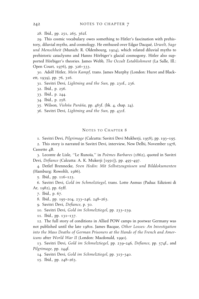28. Ibid., pp. 251, 265, 362f.

29. This cosmic vocabulary owes something to Hitler's fascination with prehistory, diluvial myths, and cosmology. He enthused over Edgar Dacqué, *Urwelt*, *Sage und Menschheit* (Munich: R. Oldenbourg, 1924), which related diluvial myths to prehistoric cataclysms and Hanns Hörbiger's glacial cosmogony. Hitler also supported Hörbiger's theories. James Webb, *The Occult Establishment* (La Salle, Ill.: Open Court, 1976), pp. 326–333.

30. Adolf Hitler, *Mein Kampf*, trans. James Murphy (London: Hurst and Blackett, 1939), pp. 76, 316.

31. Savitri Devi, *Lightning and the Sun*, pp. 230f., 236.

32. Ibid., p. 256.

33. Ibid., p. 244.

34. Ibid., p. 258.

35. Wilson, *Vishńu Puráńa*, pp. 483f. (bk. 4, chap. 24).

36. Savitri Devi, *Lightning and the Sun*, pp. 431f.

## NOTES TO CHAPTER 8

1. Savitri Devi, *Pilgrimage* (Calcutta: Savitri Devi Mukherji, 1958), pp. 193–195.

2. This story is narrated in Savitri Devi, interview, New Delhi, November 1978, Cassette 4B.

3. Leconte de Lisle, "Le Runoïa," in *Poèmes Barbares* (1862), quoted in Savitri Devi, *Defiance* (Calcutta: A. K. Mukerji [1950]), pp. 495–497.

4. Detlef Brennecke, *Sven Hedin: Mit Selbstzeugnissen und Bilddokumenten* (Hamburg: Rowohlt, 1986).

5. Ibid., pp. 116–123.

6. Savitri Devi, *Gold im Schmelztiegel*, trans. Lotte Asmus (Padua: Edizioni di Ar, 1982), pp. 65ff.

7. Ibid., p. 67.

8. Ibid., pp. 195–204, 233–246, 248–263.

9. Savitri Devi, *Defiance*, p. 50.

10. Savitri Devi, *Gold im Schmelztiegel*, pp. 233–239.

11. Ibid., pp. 131–137.

12. The full story of conditions in Allied POW camps in postwar Germany was not published until the late 1980s. James Bacque, *Other Losses: An Investigation into the Mass Deaths of German Prisoners at the Hands of the French and Americans* after *World War II* (London: Macdonald, 1990).

13. Savitri Devi, *Gold im Schmelztiegel*, pp. 239–246, *Defiance*, pp. 574f., and *Pilgrimage*, pp. 244f.

14. Savitri Devi, *Gold im Schmelztiegel*, pp. 315–340.

15. Ibid., pp. 248–263.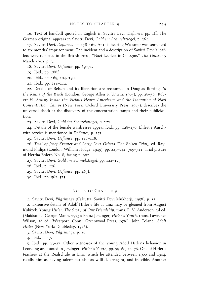16. Text of handbill quoted in English in Savitri Devi, *Defiance*, pp. 1ff. The German original appears in Savitri Devi, *Gold im Schmelztiegel*, p. 261.

17. Savitri Devi, *Defiance*, pp. 158–161. At this hearing Wassmer was sentenced to six months' imprisonment. The incident and a description of Savitri Devi's leaflets were reported in the British press, ''Nazi Leaflets in Cologne,'' *The Times*, 15 March 1949, p. 3.

18. Savitri Devi, *Defiance*, pp. 69–71.

19. Ibid., pp. 188f.

20. Ibid., pp. 169, 104, 190.

21. Ibid., pp. 211–212.

22. Details of Belsen and its liberation are recounted in Douglas Botting, *In the Ruins of the Reich* (London: George Allen & Unwin, 1985), pp. 28–36. Robert H. Abzug, *Inside the Vicious Heart: Americans and the Liberation of Nazi Concentration Camps* (New York: Oxford University Press, 1985), describes the universal shock at the discovery of the concentration camps and their publicization.

23. Savitri Devi, *Gold im Schmelztiegel*, p. 121.

24. Details of the female wardresses appear ibid., pp. 128–130. Ehlert's Auschwitz service is mentioned in *Defiance*, p. 273.

25. Savitri Devi, *Defiance*, pp. 117–118.

26. *Trial of Josef Kramer and Forty-Four Others (The Belsen Trial)*, ed. Raymond Philips (London: William Hodge, 1949), pp. 227–241, 709–711. Trial picture of Hertha Ehlert, No. 8, facing p. 352.

27. Savitri Devi, *Gold im Schmelztiegel*, pp. 122–125.

28. Ibid., p. 126.

29. Savitri Devi, *Defiance*, pp. 463f.

30. Ibid., pp. 562–575.

#### NOTES TO CHAPTER 9

1. Savitri Devi, *Pilgrimage* (Calcutta: Savitri Devi Mukherji, 1958), p. 13.

2. Extensive details of Adolf Hitler's life at Linz may be gleaned from August Kubizek, *Young Hitler: The Story of Our Friendship*, trans. E. V. Anderson, 2d ed. (Maidstone: George Mann, 1973); Franz Jetzinger, *Hitler's Youth*, trans. Lawrence Wilson, 2d ed. (Westport, Conn.: Greenwood Press, 1976); John Toland, *Adolf Hitler* (New York: Doubleday, 1976).

3. Savitri Devi, *Pilgrimage*, p. 16.

4. Ibid., p. 17.

5. Ibid., pp. 23–27. Other witnesses of the young Adolf Hitler's behavior in Leonding are quoted in Jetzinger, *Hitler's Youth*, pp. 59–60, 74–76. One of Hitler's teachers at the Realschule in Linz, which he attended between 1900 and 1904, recalls him as having talent but also as willful, arrogant, and irascible. Another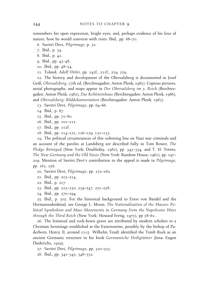remembers his open expression, bright eyes, and, perhaps evidence of his love of nature, how he would converse with trees. Ibid., pp. 68–70.

6. Savitri Devi, *Pilgrimage*, p. 32.

7. Ibid., p. 34.

8. Ibid., p. 42.

9. Ibid., pp. 43–48.

10. Ibid., pp. 48–54.

11. Toland, *Adolf Hitler*, pp. 142f., 211f., 219, 229.

12. The history and development of the Obersalzberg is documented in Josef Geiß, *Obersalzberg*, 17th ed. (Berchtesgaden: Anton Plenk, 1985). Copious pictures, aerial photographs, and maps appear in *Der Obersalzberg im 3. Reich* (Berchtesgaden: Anton Plenk, 1982), *Das Kehlsteinhaus* (Berchtesgaden: Anton Plenk, 1986), and *Obersalzberg: Bilddokumentation* (Berchtesgaden: Anton Plenk, 1983).

13. Savitri Devi, *Pilgrimage*, pp. 64–66.

14. Ibid., p. 67.

15. Ibid., pp. 71–80.

16. Ibid., pp. 101–111.

17. Ibid., pp. 112f.

18. Ibid., pp. 114–121, 126–129, 131–133.

19. The political circumstances of this softening line on Nazi war criminals and an account of the paroles at Landsberg are described fully in Tom Bower, *The Pledge Betrayed* (New York: Doubleday, 1982), pp. 343–354, and T. H. Tetens, *The New Germany and the Old Nazis* (New York: Random House, 1961), pp. 197– 209. Mention of Savitri Devi's contribution to the appeal is made in *Pilgrimage*, pp. 161, 256.

20. Savitri Devi, *Pilgrimage*, pp. 152–162.

21. Ibid., pp. 203–214.

22. Ibid., p. 217.

23. Ibid., pp. 223–230, 239–247, 251–258.

24. Ibid., pp. 270–294.

25. Ibid., p. 302. For the historical background to Ernst von Bandel and the Hermannsdenkmal, see George L. Mosse, *The Nationalization of the Masses: Political Symbolism and Mass Movements in Germany from the Napoleonic Wars through the Third Reich* (New York: Howard Fertig, 1975), pp 58–61.

26. The Irminsul and rock-hewn grave are attributed by modern scholars to a Christian hermitage established at the Externsteine, possibly by the bishop of Paderborn, Henry II, around 1115. Wilhelm Teudt identified the Tomb Rock as an ancient Germanic structure in his book *Germanische Heiligtu¨ mer* (Jena: Eugen Diederichs, 1929).

27. Savitri Devi, *Pilgrimage*, pp. 320–323.

28. Ibid., pp. 341–345, 348–352.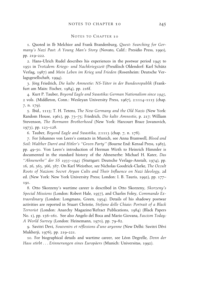### NOTES TO CHAPTER 10

1. Quoted in Ib Melchior and Frank Brandenburg, *Quest: Searching for Germany's Nazi Past: A Young Man's Story* (Novato, Calif.: Presidio Press, 1990), pp. 219–222.

2. Hans-Ulrich Rudel describes his experiences in the postwar period 1945 to 1951 in *Trotzdem: Kriegs- und Nachkriegszeit* (Preußisch Oldendorf: Karl Schütz Verlag, 1987) and *Mein Leben im Krieg und Frieden* (Rosenheim: Deutsche Verlagsgesellschaft, 1994).

3. Jörg Friedrich, *Die kalte Amnestie: NS-Täter in der Bundesrepublik* (Frankfurt am Main: Fischer, 1984), pp. 216f.

4. Kurt P. Tauber, *Beyond Eagle and Swastika: German Nationalism since 1945*, 2 vols. (Middleton, Conn.: Wesleyan University Press, 1967), 2:1114–1115 (chap. 7, n. 179).

5. Ibid., 1115; T. H. Tetens, *The New Germany and the Old Nazis* (New York: Random House, 1961), pp. 73–75; Friedrich, *Die kalte Amnestie*, p. 217; William Stevenson, *The Bormann Brotherhood* (New York: Harcourt Brace Jovanovich, 1973), pp. 123–128.

6. Tauber, *Beyond Eagle and Swastika*, 2:1113 (chap. 7, n. 178).

7. For Johannes von Leers's contacts in Munich, see Anna Bramwell, *Blood and Soil: Walther Darre´ and Hitler's ''Green Party''* (Bourne End: Kensal Press, 1985), pp. 49–50. Von Leers's introduction of Herman Wirth to Heinrich Himmler is documented in the standard history of the Ahnenerbe: Michael H. Kater, *Das ''Ahnenerbe'' der SS 1935–1945* (Stuttgart: Deutsche Verlags-Anstalt, 1974), pp. 16, 26, 363, 366, 387. On Karl Weisthor, see Nicholas Goodrick-Clarke, *The Occult Roots of Nazism: Secret Aryan Cults and Their Influence on Nazi Ideology*, 2d ed. (New York: New York University Press; London: I. B. Tauris, 1992), pp. 177– 191.

8. Otto Skorzeny's wartime career is described in Otto Skorzeny, *Skorzeny's Special Missions* (London: Robert Hale, 1957), and Charles Foley, *Commando Extraordinary* (London: Longmans, Green, 1954). Details of his shadowy postwar activities are reported in Stuart Christie, *Stefano delle Chiaie: Portrait of a Black Terrorist* (London: Anarchy Magazine/Refract Publications, 1984) (Black Papers No. 1), pp. 156–161. See also Angelo del Boca and Mario Giovana, *Fascism Today: A World Survey* (London: Heinemann, 1970), pp. 79–82.

9. Savitri Devi*, Souvenirs et réflexions d'une aryenne* (New Delhi: Savitri Dêvi Mukherji, 1976), pp. 219–221.

10. For biographical details and wartime career, see Le´on Degrelle, *Denn der Hass stirbt . . . Erinnerungen eines Europäers* (Munich: Universitas, 1992).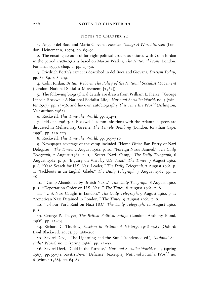### NOTES TO CHAPTER 11

1. Angelo del Boca and Mario Giovana, *Fascism Today: A World Survey* (London: Heinemann, 1970), pp. 89–90.

2. The ensuing account of far-right political groups associated with Colin Jordan in the period 1958–1962 is based on Martin Walker, *The National Front* (London: Fontana, 1977), chap. 2, pp. 25–50.

3. Friedrich Borth's career is described in del Boca and Giovana, *Fascism Today*, pp. 87–89, 208–209.

4. Colin Jordan, *Britain Reborn: The Policy of the National Socialist Movement* (London: National Socialist Movement, [1962]).

5. The following biographical details are drawn from William L. Pierce, ''George Lincoln Rockwell: A National Socialist Life,'' *National Socialist World*, no. 5 (winter 1967), pp. 13–36, and his own autobiography *This Time the World* (Arlington, Va.: author, 1962).

6. Rockwell, *This Time the World*, pp. 154–155.

7. Ibid., pp. 296–302. Rockwell's communications with the Atlanta suspects are discussed in Melissa Fay Greene, *The Temple Bombing* (London, Jonathan Cape, 1996), pp. 219–223.

8. Rockwell, *This Time the World*, pp. 309–310.

9. Newspaper coverage of the camp included ''Home Office Ban Entry of Nazi Delegates,'' *The Times*, 2 August 1962, p. 10; ''Foreign Nazis Banned,'' *The Daily Telegraph*, 2 August 1962, p. 1; ''Secret 'Nazi' Camp,'' *The Daily Telegraph*, 6 August 1962, p. 9; ''Inquiry on Visit by U.S. Nazi,'' *The Times*, 7 August 1962, p. 8; ''Yard Search for U.S. Nazi Leader,'' *The Daily Telegraph*, 7 August 1962, p. 1; ''Jackboots in an English Glade,'' *The Daily Telegraph*, 7 August 1962, pp. 1, 16.

10. ''Camp Abandoned by British Nazis,'' *The Daily Telegraph*, 8 August 1962, p. 1; ''Deportation Order on U.S. Nazi,'' *The Times*, 8 August 1962, p. 8.

11. ''U.S. Nazi Caught in London,'' *The Daily Telegraph*, 9 August 1962, p. 1; ''American Nazi Detained in London,'' The *Times*, 9 August 1962, p. 8.

12. ''2-hour Yard Raid on Nazi HQ,'' *The Daily Telegraph*, 11 August 1962, p. 1.

13. George P. Thayer, *The British Political Fringe* (London: Anthony Blond, 1968), pp. 13–14.

14. Richard C. Thurlow, *Fascism in Britain: A History, 1918–1985* (Oxford: Basil Blackwell, 1987), pp. 268–269.

15. Savitri Devi, ''The Lightning and the Sun'' (condensed ed.), *National Socialist World*, no. 1 (spring 1966), pp. 13–90.

16. Savitri Devi, ''Gold in the Furnace,'' *National Socialist World*, no. 3 (spring 1967), pp. 59–71; Savitri Devi, ''Defiance'' (excerpts), *National Socialist World*, no. 6 (winter 1968), pp. 64–87.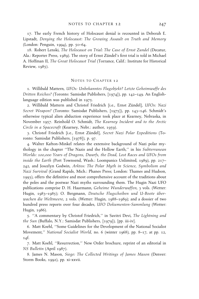17. The early French history of Holocaust denial is recounted in Deborah E. Lipstadt, *Denying the Holocaust: The Growing Assault on Truth and Memory* (London: Penguin, 1994), pp. 50–64.

18. Robert Lenski, *The Holocaust on Trial: The Case of Ernst Zundel* (Decatur, Ala.: Reporter Press, 1989). The story of Ernst Zündel's first trial is told in Michael A. Hoffman II, *The Great Holocaust Trial* (Torrance, Calif.: Institute for Historical Review, 1985).

### NOTES TO CHAPTER 1 2

1. Willibald Mattern, *UFOs: Unbekanntes Flugobjekt? Letzte Geheimwaffe des Dritten Reiches?* (Toronto: Samisdat Publishers, [1974]), pp. 142–149. An Englishlanguage edition was published in 1975.

2. Willibald Mattern and Christof Friedrich [i.e., Ernst Zündel], *UFOs: Nazi Secret Weapon?* (Toronto: Samisdat Publishers, [1975]), pp. 143–146. Schmidt's otherwise typical alien abduction experience took place at Kearney, Nebraska, in November 1957. Reinhold O. Schmidt, *The Kearney Incident and to the Arctic Circle in a Spacecraft* (Kearney, Nebr.: author, 1959).

3. Christof Friedrich [i.e., Ernst Zu¨ ndel], *Secret Nazi Polar Expeditions* (Toronto: Samisdat Publishers, [1978]), p. 97.

4. Walter Kafton-Minkel relates the extensive background of Nazi polar mythology in the chapter ''The Nazis and the Hollow Earth,'' in his *Subterranean Worlds: 100,000 Years of Dragons, Dwarfs, the Dead, Lost Races and UFOs from inside the Earth* (Port Townsend, Wash.: Loompanics Unlimited, 1989), pp. 217– 242, and Joscelyn Godwin, *Arktos: The Polar Myth in Science, Symbolism and Nazi Survival* (Grand Rapids, Mich.: Phanes Press; London: Thames and Hudson, 1993), offers the definitive and most comprehensive account of the traditions about the poles and the postwar Nazi myths surrounding them. The Hugin Nazi UFO publications comprise D. H. Haarmann, *Geheime Wunderwaffen*, 3 vols. (Wetter: Hugin, 1983-1985); O. Bergmann, Deutsche Flugscheiben und U-Boote über*wachen die Weltmeere*, 2 vols. (Wetter: Hugin, 1988–1989); and a dossier of two hundred press reports over four decades, *UFO Dokumenten-Sammlung* (Wetter: Hugin, 1986).

5. ''A commentary by Christof Friedrich,'' in Savitri Devi, *The Lightning and the Sun* (Buffalo, N.Y.: Samisdat Publishers, [1979]), [pp. iii-iv].

6. Matt Koehl, ''Some Guidelines for the Development of the National Socialist Movement,'' *National Socialist World,* no. 6 (winter 1968), pp. 8–17, at pp. 12, 14f.

7. Matt Koehl, ''Resurrection,'' New Order brochure, reprint of an editorial in *NS Bulletin* (April 1987).

8. James N. Mason, *Siege: The Collected Writings of James Mason* (Denver: Storm Books, 1992), pp. xi-xxvii.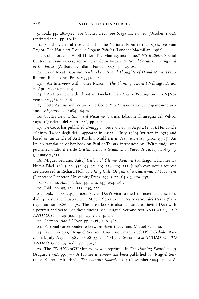9. Ibid., pp. 281–322. For Savitri Devi, see *Siege* 11, no. 10 (October 1982), reprinted ibid., pp. 304ff.

10. For the electoral rise and fall of the National Front in the 1970s, see Stan Taylor, *The National Front in English Politics* (London: Macmillan, 1982).

11. Colin Jordan, ''Adolf Hitler: The Man against Time,'' *NS Bulletin* Special Centennial Issue (1989), reprinted in Colin Jordan, *National Socialism: Vanguard of the Future* (Aalborg: Nordland Forlag, 1993), pp. 25–29.

12. David Myatt, *Cosmic Reich: The Life and Thoughts of David Myatt* (Wellington: Renaissance Press, 1995), p. 1.

13. ''An Interview with James Mason,'' *The Flaming Sword* (Wellington), no. 2 (April 1994), pp. 2–4.

14. ''An Interview with Christian Bouchet,'' *The Nexus* (Wellington), no. 6 (November 1996), pp. 1–6.

15. Lotte Asmus and Vittorio De Cecco, ''La 'missionaria' del paganesimo ariano,'' *Risguardo* 4 (1984): 64–70.

16. Savitri Devi, *L'India e il Nazismo* (Parma: Edizioni all'insegna del Veltro, 1979) (Quaderni del Veltro 11), pp. 5–7.

17. De Cecco has published *Omaggio a Savitri Devi* as *Arya* 2 (1978). Her article ''Shinto (La via degli dei)'' appeared in *Arya* 4 (July 1980) (written in 1979 and based on an article of Asit Krishna Mukherji in *New Mercury* [circa 1936]). An Italian translation of her book on Paul of Tarsus, introduced by ''Wittekind,'' was published under the title *Cristianesimo e Giudaismo (Paolo di Tarso)* in *Arya* 5 (January 1981).

18. Miguel Serrano, *Adolf Hitler, el U´ ltimo Avata˜ ra* (Santiago: Ediciones La Nueva Edad, 1984), pp. 33f., 94–97, 119–124, 129–132. Jung's own occult sources are discussed in Richard Noll, *The Jung Cult: Origins of a Charismatic Movement* (Princeton: Princeton University Press, 1994), pp. 64–69, 109–137.

19. Serrano, *Adolf Hitler*, pp. 210, 243, 254, 281.

20. Ibid., pp. 95, 124, 131, 139, 232.

21. Ibid., pp. 481, 497f., 620. Savitri Devi's visit to the Externsteine is described ibid., p. 497, and illustrated in Miguel Serrano, *La Resurrección del Heroe* (Santiago: author, 1986), p. 79. The latter book is also dedicated to Savitri Devi with a portrait and verse. For these quotes, see ''Miguel Serrano  $\sigma$ το ΑΝΤΙΔΟΤΟ,'' ΤΟ ΑΝΤΙ∆ΟΤΟ no. 29 (n.d.), pp. 23–31, at p. 27.

22. Serrano, *Adolf Hitler*, pp. 145f., 149, 487.

23. Personal correspondence between Savitri Devi and Miguel Serrano.

24. Javier Nicolás, "Miguel Serrano: Una visión mágica del NS," *Cedade* (Barcelona), July-August 1985, pp. 28–33, and ''Miguel Serrano στο ΑΝΤΙ∆ΟΤΟ,'' ΤΟ ΑΝΤΙ∆ΟΤΟ no. 29 (n.d.), pp. 23–31.

25. The ΤΟ ΑΝΤΙ∆ΟΤΟ interview was reprinted in *The Flaming Sword*, no. 3 (August 1994), pp. 5–9. A further interview has been published as ''Miguel Serrano: 'Esoteric Hitlerist,' '' *The Flaming Sword*, no. 4 (November 1994), pp. 4–8,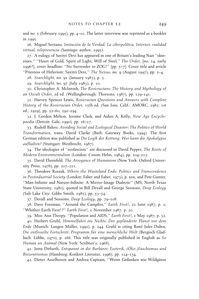and no. 5 (February 1995), pp. 4–10. The latter interview was reprinted as a booklet in 1995.

26. Miguel Serrano, *Imitacio´ n de la Verdad: La ciberpolı´tica, Internet, realidad virtual, telepresencia* (Santiago: author, 1995).

27. A eulogy of Savitri Devi has appeared in one of Britain's leading Nazi ''skinzines.'' ''Heart of Gold, Spirit of Light, Will of Steel,'' *The Order*, [no. 14, early 1996?], cover headline: ''No Surrender to ZOG!'' [pp. 5–7]. Cover title and article ''Priestess of Hitlerism: Savitri Devi,'' *The Nexus*, no. 9 (August 1997), pp. 1–4.

28. *Searchlight*, no. 91 (January 1983), p. 3.

29. *Searchlight*, no. 97 (July 1983), p. 10.

30. Christopher A. McIntosh, *The Rosicrucians: The History and Mythology of an Occult Order*, 2d ed. (Wellingborough: Thorsons, 1987), pp. 129–141.

31. Harvey Spencer Lewis, *Rosicrucian Questions and Answers with Complete History of the Rosicrucian Order*, 15th ed. (San Jose, Calif.: AMORC, 1981; 1st ed., 1929), pp. 52–60, 292–294.

32. J. Gordon Melton, Jerome Clark, and Aidan A. Kelly, *New Age Encyclopaedia* (Detroit: Gale, 1990), pp. 16–17.

33. Rudolf Bahro, *Avoiding Social and Ecological Disaster: The Politics of World Transformation*, trans. David Clarke (Bath: Gateway Books, 1994). The first German edition was published as *Die Logik der Rettung: Wer kann die Apokalypse aufhalten?* (Stuttgart: Weitbrecht, 1987).

34. The ideologies of ''ecofascism'' are discussed in David Pepper, *The Roots of Modern Environmentalism* (London: Croom Helm, 1984), pp. 204–213.

35. David Ehrenfeld, *The Arrogance of Humanism* (New York: Oxford University Press, 1978), pp. 207–211.

36. Theodore Roszak, *Where the Wasteland Ends: Politics and Transcendence in Postindustrial Society* (London: Faber and Faber, 1973), p. xxx, and Pete Gunter, ''Man-Infinite and Nature-Infinite: A Mirror-Image Dialectic'' (MS, North Texas State University, 1980), quoted in Bill Devall and George Sessions, *Deep Ecology* (Salt Lake City: Gibbs Smith, 1985), pp. 53–54.

37. Devall and Sessions, *Deep Ecology*, pp. 79–108.

38. Dave Foreman, ''Around the Campfire,'' *Earth First!*, 21 June 1987, p. 2; ''Whither Earth First!?'' *Earth First!*, 1 November 1987, p. 20.

39. Miss Ann Thropy, ''Population and AIDS,'' *Earth First!*, 1 May 1987, p. 32.

40. Herbert Gruhl, *Himmelfahrt ins Nichts: Der geplünderte Planet vor dem Ende* (Munich: Langen Müller, 1992), p. 244. Gruhl is citing René Jules Dubos, *Die entfesselte Fortschritt: Programm fu¨ r eine menschliche Welt* (Bergisch Gladbach: Lübbe, 1970), p. 166. This title was originally published in English as *So Human an Animal* (New York: Scribner's, 1968).

41. Jutta Ditfurth, *Entspannt in die Barbarei: Esoterik, (O¨ ko-)Faschismus und Biozentrismus* (Hamburg: Konkret Literatur, 1996), pp. 124–134.

42. Dieter Asselhoven and Andrea Capitain, "Wenn Gedanken wie Wildgänse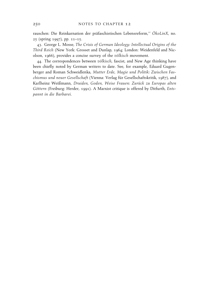rauschen: Die Reinkarnation der präfaschistischen Lebensreform," ÖkoLinX, no. 25 (spring 1997), pp. 11–15.

43. George L. Mosse, *The Crisis of German Ideology: Intellectual Origins of the Third Reich* (New York: Grosset and Dunlap, 1964; London: Weidenfeld and Nicolson, 1966), provides a concise survey of the *völkisch* movement.

44. The correspondences between *völkisch*, fascist, and New Age thinking have been chiefly noted by German writers to date. See, for example, Eduard Gugenberger and Roman Schweidlenka, *Mutter Erde, Magie und Politik: Zwischen Faschismus und neuer Gesellschaft* (Vienna: Verlag fu¨ r Gesellschaftskritik, 1987), and Karlheinz Weißmann, *Druiden, Goden, Weise Frauen: Zuru¨ ck zu Europas alten* Göttern (Freiburg: Herder, 1991). A Marxist critique is offered by Ditfurth, *Entspannt in die Barbarei*.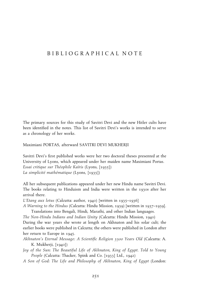## BIBLIOGRAPHICAL NOTE

The primary sources for this study of Savitri Devi and the new Hitler cults have been identified in the notes. This list of Savitri Devi's works is intended to serve as a chronology of her works.

Maximiani PORTAS, afterward SAVITRI DEVI MUKHERJI

Savitri Devi's first published works were her two doctoral theses presented at the University of Lyons, which appeared under her maiden name Maximiani Portas. *Essai critique sur The´ophile Kaı¨ris* (Lyons, [1935]) *La simplicite´ mathe´matique* (Lyons, [1935])

All her subsequent publications appeared under her new Hindu name Savitri Devi. The books relating to Hinduism and India were written in the 1930s after her arrival there.

*L'Etang aux lotus* (Calcutta: author, 1940) [written in 1935–1936]

*A Warning to the Hindus* (Calcutta: Hindu Mission, 1939) [written in 1937–1939]. Translations into Bengali, Hindi, Marathi, and other Indian languages.

*The Non-Hindu Indians and Indian Unity* (Calcutta: Hindu Mission, 1940) During the war years she wrote at length on Akhnaton and his solar cult; the earlier books were published in Calcutta; the others were published in London after her return to Europe in 1945.

*Akhnaton's Eternal Message: A Scientific Religion 3300 Years Old* (Calcutta: A. K. Mukherji, [1940])

*Joy of the Sun: The Beautiful Life of Akhnaton, King of Egypt. Told to Young People* (Calcutta: Thacker, Spink and Co. [1933] Ltd., 1942)

*A Son of God: The Life and Philosophy of Akhnaton, King of Egypt* (London: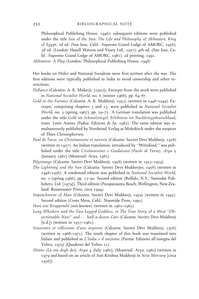Philosophical Publishing House, 1946); subsequent editions were published under the title *Son of the Sun: The Life and Philosophy of Akhnaton, King of Egypt*, 2d ed. (San Jose, Calif.: Supreme Grand Lodge of AMORC, 1956); 3d ed. (London: Hazell Watson and Viney Ltd., 1957); 4th ed. (San Jose, Calif.: Supreme Grand Lodge of AMORC, 1981); 2d printing, 1992.

*Akhnaton: A Play* (London: Philosophical Publishing House, 1948)

Her books on Hitler and National Socialism were first written after the war. The first editions were typically published in India to avoid censorship and other restrictions.

- *Defiance* (Calcutta: A. K. Mukerji, [1950]). Excerpts from the work were published in *National Socialist World*, no. 6 (winter 1968), pp. 64–87.
- *Gold in the Furnace* (Calcutta: A. K. Mukherji, 1953) (written in 1948–1949). Excerpts, comprising chapters 3 and 13, were published in *National Socialist World*, no. 3 (spring 1967), pp. 59–71. A German translation was published under the title *Gold im Schmelztiegel: Erlebnisse im Nachkriegsdeutschland*, trans. Lotte Asmus (Padua: Edizioni di Ar, 1982). The same edition was simultaneously published by Nordwind Verlag at Mohrkirch under the auspices of Thies Christophersen.
- *Paul de Tarse, ou Christianisme et juiverie* (Calcutta: Savitri Devi Mukherji, 1958) (written in 1957). An Italian translation, introduced by ''Wittekind,'' was published under the title *Cristianesimo e Giudaismo (Paolo di Tarso)*, *Arya* 5 (January 1981) (Montreal: Arya, 1981)
- *Pilgrimage* (Calcutta: Savitri Devi Mukherji, 1958) (written in 1953–1954)
- *The Lightning and the Sun* (Calcutta: Savitri Devi Mukherjee, 1958) (written in 1948–1956). A condensed edition was published in *National Socialist World*, no. 1 (spring 1966), pp. 13–90. Second edition (Buffalo, N.Y.: Samisdat Publishers, Ltd. [1979]). Third edition (Paraparaumu Beach, Wellington, New Zealand: Renaissance Press, circa 1994).
- *Impeachment of Man* (Calcutta: Savitri Devi Mukherji, 1959) (written in 1945). Second edition (Costa Mesa, Calif.: Noontide Press, 1991)
- *Hart wie Kruppstahl* (not known) (written in 1961–1963)
- *Long Whiskers and the Two-Legged Goddess, or The True Story of a Most ''Objectionable Nazi'' and... half-a-dozen Cats* (Calcutta: Savitri Devi Mukherji [n.d.]) (written in 1957–1961)
- *Souvenirs et re´flexions d'une aryenne* (Calcutta: Savitri Deˆvi Mukherji, 1976) (written in 1968–1971). The tenth chapter of this book was translated into Italian and published as *L'India e il nazismo* (Parma: Edizioni all'insegna del Veltro, 1979) (Quaderni del Veltro 11).
- *Shinto (La via degli dei)*, *Arya* 4 (July 1980), (Montreal: Arya, 1980) (written in 1979 and based on an article of Asit Krishna Mukherji in *New Mercury* [circa 1936]).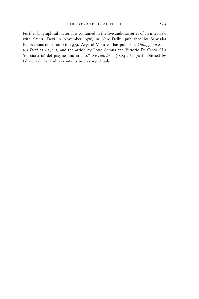Further biographical material is contained in the five audiocassettes of an interview with Savitri Devi in November 1978, in New Delhi, published by Samisdat Publications of Toronto in 1979. Arya of Montreal has published *Omaggio a Savitri Devi* as *Arya* 2, and the article by Lotte Asmus and Vittorio De Cecco, ''La 'missionaria' del paganesimo ariano,'' *Risguardo* 4 (1984): 64–70 (published by Edizioni di Ar, Padua) contains interesting details.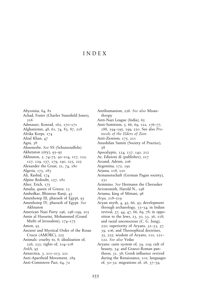## INDEX

Abyssinia, 64, 81 Achad, Frater (Charles Stansfield Jones), 216 Adenauer, Konrad, 162, 170–171 Afghanistan, 48, 61, 74, 83, 87, 218 Afrika Korps, 174 Afzal Khan, 47 Agni, 38 Ahnenerbe. *See* SS (Schutzstaffeln) Akhetaton (city), 93–95 Akhnaton, 2, 74–75, 92–104, 117, 122, 127, 129, 157, 179, 190, 223, 225 Alexander the Great, 21, 74, 180 Algeria, 175, 183 Ali, Rashid, 174 Alpine Redoubt, 157, 181 Alter, Erich, 175 Amalia, queen of Greece, 13 Ambedkar, Bhimrao Ranji, 43 Amenhotep III, pharaoh of Egypt, 93 Amenhotep IV, pharaoh of Egypt. *See* Akhnaton American Nazi Party 196, 198–199, 203 Amin al Husseini, Mohammed (Grand Mufti of Jerusalem), 174–175 Amon, 93 Ancient and Mystical Order of the Rosae Crucis (AMORC), 225 Animals: cruelty to, 8; idealization of, 226, 232; rights of, 104–108 *Ankh*, 95 Antarctica, 3, 211–213, 221 Anti-Apartheid Movement, 189 Anti-Comintern Pact, 64, 72

Antihumanism, 226. *See also* Misanthropy Anti-Nazi League (India), 65 Anti-Semitism, 5, 66, 69, 122, 176–77, 188, 194–195, 199, 220. See also *Protocols of the Elders of Zion* Anti-Zionism, 175, 211 Anushilan Samiti (Society of Practice), 58 Apocalyptic, 124, 137, 140, 212 Ar, Edizioni di (publisher), 217 Arcand, Adrien, 206 Argentina, 172, 192 Arjuna, 118, 120 Armanenschaft (German Pagan society), 231 Arminius. *See* Hermann the Cherusker Arrowsmith, Harold N., 198 Artama, king of Mittani, 98 *Arya*, 218–219 Aryan myth, 4, 45, 66, 93; development through archaeology, 33–34; in Indian revival, 37, 44, 47, 66, 69, 78; in opposition to the Jews, 23, 30, 33, 36, 118; and racial unconscious (C. G. Jung), 220; superiority of Aryans, 32–33, 37, 39, 106; and Theosophical doctrines, 35, 225; wisdom of Aryans, 110, 121– 122. *See also* Vedas Aryans: caste system of, 39, 109; cult of beauty, 54; and Graeco-Roman pantheon, 31, 38; Greek influence revived during the Renaissance, 101; languages

of, 30–32; migrations of, 28, 37–39,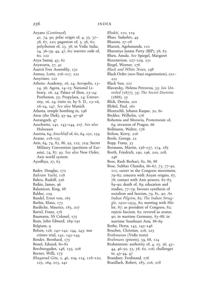Aryans (*Continued*) 41, 74, 90; polar origin of, 4, 35, 37– 38, 67, 220; paganism of, 5, 56, 61; polytheism of, 23, 38; in Vedic India, 24, 36–39, 44, 47, 60; warrior code of, 60, 122 Arya Samaj, 43, 62 Aryavarta, 27, 41 Ásatrú Free Assembly, 231 Asmus, Lotte, 216–217, 222 Assyrians, 122 Athens: Academy, 16, 24; Acropolis, 13– 14, 56; Agora, 14–15; National Library, 16, 24; Palace of Ilion, 23–24; Parthenon, 55; Propylaea, 14; University, 16, 24; visits to, by S. D., 13–16, 16–24, 147. *See also* Munich Atlanta, temple bombing in, 198 Aton (the Disk), 93–94, 97–98 Aurangzeb, 47 Auschwitz, 141, 143–144, 207. *See also* Holocaust Austria, 64; *Anschluß* of, 60, 64, 151, 154 Avatar, 118–125 Axis, 64, 74, 83, 86, 93, 125, 219; Secret Military Convention (partition of Eurasia), 74, 87, 93. *See also* New Order, Axis world system Ayodhya, 27, 63 Bader, Douglas, 172 *Bahram Yasht*, 118 Bahro, Rudolf, 226 Baikie, James, 96 Balamicen, King, 68 Baldur, 129 Bandel, Ernst von, 165 Barbie, Klaus, 173 Bardèche, Maurice, 183, 207 Bartel, Franz, 176 Baumann, SS Colonel, 175 Bean, John Edward, 189–191 Belgium, 9 Belsen, 126, 141–142, 144, 243; war crimes trial, 141, 143–144 Bender, Bernhard, 175 Beneš, Eduard, 80–81 Berchtesgaden, 148, 155, 208 Berner, Willi, 175 *Bhagavad Gita*, 2, 46, 109, 114, 118–120,

125, 164, 213, 241

*Bhakti*, 110, 119 Bhao, Sadashiv, 49 Bharata, 27–28 Bharati, Agehananda, 110 Bharatiya Janata Party (BJP), 58, 63 Bhen, Amala. *See* Spiegel, Margaret Biocentrism, 227–229, 231 Birgel, Werner, 176 *Black and White News*, 198 Black Order (neo-Nazi organization), 221– 222 Black Sun, 221 Blavatsky, Helena Petrovna, 35; *Isis Unveiled* (1877), 35; *The Secret Doctrine* (1888), 35 Blick, Dennis, 201 Blobel, Paul, 161 Bluntschli, Johann Kaspar, 50, 60 Böckler, Wilhelm, 176 Bohemia and Moravia, Protectorate of, 64; invasion of Prague, 66 Bollmann, Walter, 176 Bolton, Kerry, 216 Boole, George, 22 Bopp, Franz, 33 Bormann, Martin, 156–157, 174, 185 Borth, Friedrich, 190, 196, 200, 208, 246 Bose, Rash Beshari, 82, 86, 88 Bose, Subhas Chandra, 66–67, 73, 77–91, 111; career in the Congress movement, 79–82; concern with Aryan origins, 67, 78; contact with Axis powers, 82–83, 89–90; death of, 89; education and studies, 77–79; favours synthesis of socialism and fascism, 79, 81, 90; *An Indian Pilgrim*, 82; *The Indian Struggle, 1920–1934*, 80; meeting with Hitler, 87; as president of Congress, 82; rejects fascism, 82; revered as avatar, 90; in wartime Germany, 83–88; in wartime Southeast Asia, 88–89 Bothe, Herta, 143, 145–146 Bouchet, Christian, 216, 225 *Brahmanas* (Vedic texts) *Brahmans* (priests), 39, 68, 124 Brahminism: authority of, 4, 25, 26, 43– 44, 46–50, 53, 58, 62, 116; challenges to, 43–44, 47 Brandner, Ferdinand, 176 Brasillach, Robert, 183, 216, 218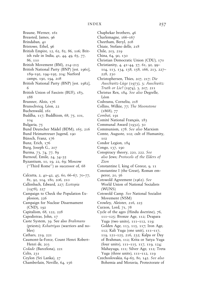Braune, Werner, 161 Breasted, James, 96 Brindaban, 40 Bristowe, Ethel, 96 British Empire, 12, 62, 82, 86, 106; British rule in India, 41, 44, 49, 65, 77, 86, 110 British Movement (BM), 214–215 British National Party (BNP) [est. 1960], 189–192, 194–195, 204; Narford camps, 190, 194, 208 British National Party (BNP) [est. 1982], 6 British Union of Fascists (BUF), 183, 188 Brunner, Alois, 176 Brunschvicq, Léon, 22 Buchenwald, 161 Buddha, 117; Buddhism, 68, 75, 101, 104 Bulgaria, 75 Bund Deutscher Mädel (BDM), 165, 216 Bund Heimattreuer Jugend, 190 Bünsch, Franz, 176 Bunz, Erich, 176 Burg, Joseph G., 207 Burma, 73, 74, 77, 89 Burnouf, Emile, 24, 34–35 Byzantium, 10, 19, 22, 69; Moscow (''Third Rome'') as successor of, 68 Calcutta, 2, 40–42, 45, 60, 66–67, 70–77, 81, 92, 104, 180, 206, 210 Callenbach, Edward, 227; *Ecotopia* (1978), 227 Campaign to Check the Population Explosion, 226 Campaign for Nuclear Disarmament (CND), 192 Capitalism, 68, 122, 228 Capodistras, John, 17 Caste System, 39. See also *Brahmans* (priests); *Kshatriyas* (warriors and nobles) Cathars, 219, 221 Caumont-la-Force, Count Henri Robert-Henri de, 203 *Cedade* (Barcelona), 221 Celts, 231 Ceylon (Sri Lanka), 27 Chamberlain, Neville, 64, 156

Chaphekar brothers, 46 Charlemagne, 166–167 Cheetham, Beryl, 208 Chiaie, Stefano delle, 218 Chile, 203, 219 China, 64, 90, 130 Christian Democratic Union (CDU), 170 Christianity, 4, 41–44, 57, 61, 92, 99– 104, 113, 134, 138, 158, 166, 213, 227– 228, 230 Christophersen, Thies, 207, 217; *Die Auschwitz-Lu¨ ge* (1973), 3; *Auschwitz: Truth or Lie?* (1974), 3, 207, 211 Christus Rex, 184. *See also* Degrelle, Léon Codreanu, Corneliu, 218 Collins, Wilkie, 77; *The Moonstone* (1868), 77 *Combat*, 191 Comité National Français, 183 Communal Award (1932), 50 Communism, 178. *See also* Marxism Comte, Auguste, 102; cult of Humanity, 102 Condor Legion, 184 Congo, 137, 190 Conspiracy theory, 220, 222. *See also* Jews; *Protocols of the Elders of Zion* Constantine I, king of Greece, 9, 11 Constantine I (the Great), Roman emperor, 20, 56 Cotswold Agreement (1962). *See* World Union of National Socialists (WUNS) Cotswold Camp. *See* National Socialist Movement (NSM) Crowley, Aleister, 216, 225 Curzon, Lord, 71, 78 Cycle of the ages (Hindu doctrine), 76, 111–125; Bronze Age, 112; Dvapara Yuga (two units), 111–112, 119; Golden Age, 113, 115, 117; Iron Age, 112; Kali Yuga (one unit), 111–117, 119, 121–125, 216, 232; Kalpa or Day of Brahman, 112; Krita or Satya Yuga (four units), 111–115, 117, 119, 124; Mahayuga, 111; Silver Age, 112; Treta Yuga (three units), 111–112, 119 Czechoslovakia, 64–65, 80, 142. *See also* Bohemia and Moravia, Protectorate of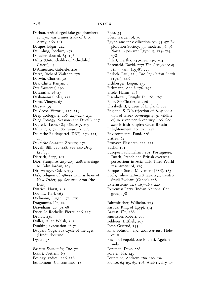Dachau, 126; alleged fake gas chambers at, 170; war crimes trials of U.S. Army, 160–161 Dacqué, Edgar, 242 Däumling, Joachim, 175 Daladier, douard, 64, 156 Dalits (Untouchables or Scheduled Castes), 43 D'Annunzio, Gabriele, 216 Darré, Richard Walther, 178 Darwin, Charles, 30 Das, Chitta Ranjan, 79 *Das Kamerad*, 190 Dasaratha, 26–27 Dashanami Order, 111 Datta, Vinaya, 67 Daysus, 39 De Cecco, Vittorio, 217–219 Deep Ecology, 4, 106, 227–229, 231 *Deep Ecology* (Sessions and Devall), 227 Degrelle, Léon, 184-186, 217, 219 Delhi, 1, 2, 74, 180, 209–210, 213 Deutsche Reichspartei (DRP), 170–171, 173 *Deutsche Soldaten-Zeitung*, 173 Devall, Bill, 227–228. See also *Deep Ecology* Dietrich, Sepp, 161 Dior, Françoise, 203-205, 208; marriage to Colin Jordan, 204 Dirlewanger, Oskar, 175 Disk, religion of, 98–99, 104; as basis of New Order, 99. *See also* Aton (the Disk) Dittrich, Horst, 161 Doenitz, Karl, 163 Dollmann, Eugen, 173, 175 Dragoumis, Iôn, 22 Dravidians, 28, 39, 68 Drieu La Rochelle, Pierre, 216–217 Druids, 231 Dulles, Allen Welsh, 182 Dunkirk, evacuation of, 71 Dvapara Yuga. *See* Cycle of the ages (Hindu doctrine) Dyaus, 38 *Eastern Economist*, *The,* 72 Eckart, Dietrich, 69

Ecology, radical, 226–228 Economous, Constantinos, 18

Edda, 34 Eden, Garden of, 30 Egypt, ancient civilization, 31, 93–97; Exploration Society, 95; modern, 56, 96; Nazis in postwar Egypt, 5, 173–174, 178 Ehlert, Hertha, 143–144, 146, 164 Ehrenfeld, David, 227; *The Arrogance of Humanism* (1978), 227 Ehrlich, Paul, 226; *The Population Bomb* (1970), 226 Eichberger, Eugen, 175 Eichmann, Adolf, 176, 192 Eisele, Hanns, 176 Eisenhower, Dwight D., 162, 167 Eliot, Sir Charles, 24, 26 Elizabeth II, Queen of England, 202 England: S. D.'s rejection of, 8, 9; violation of Greek sovereignty, 9; wildlife of, in seventeenth century, 106. *See also* British Empire; Great Britain Enlightenment, 30, 101, 227 Environmental Fund, 226 Eritrea, 64 Ettmayr, Elisabeth, 222–223 Euclid, 101 European colonialism, 101; Portuguese, Dutch, French and British overseas possessions in Asia, 116; Third World resentment of, 179 European Social Movement (ESB), 183 Evola, Julius, 216–218, 220, 231; Centro Studi Evoliani (Genoa), 218 Externsteine, 149, 167–169, 220 Extremist Party (Indian National Congress), 78 Fahrmbacher, Wilhelm, 175 Farouk, King of Egypt, 174 *Fascist*, *The*, 188 Faurisson, Robert, 207 Felderer, Dittlieb, 207 Fiest, Gertrud, 145 Final Solution, 192, 201. *See also* Holocaust Fischer, Leopold. *See* Bharati, Agehananda Foreman, Dave, 228 Forster, Ida, 145 Fountaine, Andrew, 189–190, 194

France, 64–65, 69, 106; Arab rivalry to-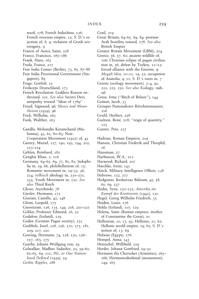- ward, 178; French Indochina, 136;
- French overseas empire, 12; S. D.'s rejection of, 8, 9; violation of Greek sovereignty, 9
- Francis of Assisi, Saint, 228
- Franco, Francisco, 185–186

Frank, Hans, 163

- Freda, Franco, 217
- Free India Center (Berlin), 73, 85, 87–88
- Free India Provisional Government (Singapore), 89
- Frege, Gottlob, 22
- Freikorps Deutschland, 173
- French Revolution: Goddess Reason enthroned, 101. *See also* Savitri Devi, antipathy toward ''Ideas of 1789''
- Freud, Sigmund, 96; *Moses and Monotheism* (1939), 96
- Frick, Wilhelm, 163
- Funk, Walther, 163
- Gandhi, Mohandaˆs Karamchand (Mahatma), 43, 62, 80–83; Non-Cooperation Movement (1922) of, 43
- Gantry, Muriel, 127, 190, 193, 194, 202, 223–224
- Gehlen, Reinhard, 182
- Genghis Khan, 2, 116
- Germany, 64–65, 69, 77, 80, 83; Indophilia in, 29, 66; philohellenism of, 15; Romantic movement in, 29–33, 36, 234; *vo¨lkisch* ideology in, 230–231, 235; Youth Movement in, 230. *See also* Third Reich
- Ghose, Aurobindo, 78
- Giesler, Hermann, 172
- Giuriati, Camillo, 42, 148
- Gleim, Leopold, 175
- Gnosticism, 126, 135, 149, 216, 220–221
- Goblot, Professor Edmond, 16, 22
- Godafoss (Iceland), 129
- Goden (German Pagan society), 231
- Goebbels, Josef, 108, 156, 170, 173, 181, 209, 217, 220
- Goering, Hermann, 74, 128, 130, 156– 157, 163, 175
- Goethe, Johann Wolfgang von, 29
- Golwalkar, Madhav Sadashiv, 50, 59–60, 62–63, 69, 111; *We, or Our Nationhood Defined* (1939), 59 *Gothic Ripples*, 188
- Grail, 219
- Great Britain, 64–65, 69, 84; postwar Arab hostility toward, 178. *See also* British Empire
- Greater Britain Movement (GBM), 204
- Greece, 56, 57, 60; ancient wildlife of, 106; Christian eclipse of pagan civilization in, 56; defeat by Turkey, 11–12; forced alliance with the Entente, 9; *Megali Idea*, 10–11, 19, 22; occupation of Anatolia, 9, 11; S. D.'s roots in, 7
- Greens (ecology movement), 3–4, 92, 210, 225, 230. *See also* Ecology, radical
- Grese, Irma (''Bitch of Belsen''), 144
- Grimm, Jacob, 33
- Groupes Nationalistes Révolutionnaires, 216
- Gruhl, Herbert, 228
- Guénon, René, 218; "reign of quantity," 123
- Gunter, Pete, 227
- Hadrian, Roman Emperor, 209
- Hansen, Christian Frederik and Theophil, 16
- Hanuman, 27
- Harbinson, W.A., 212
- Harwood, Richard, 207
- Haschke, Irene, 143
- Hatch, Military Intelligence Officer, 138
- Hebrews, 122, 217
- Hedgewar, Keshavrao Baliram, 45, 58, 60, 69, 237
- Hedin, Sven, 130–131; *Amerika im Kampf der Kontinente* (1942), 130
- Hegel, Georg Wilhelm Friedrich, 33
- Heiden, Louis, 176
- 
- Hekla (Iceland), 107, 129 Helena, Saint (Roman empress, mother
- of Constantine the Great), 20
- Hellenism, 10, 13, 93; Hellenes, 21, 62; Hellenic world empire, 19, 62; S. D.'s notion of, 13, 69
- Helwan (Egypt), 176
- Hempel, Anna, 143
- Hentschel, Willibald, 229
- Herder, Johann Gottfried, 29–30
- Hermann the Cherusker (Arminius), 165– 166; Hermannsdenkmal (monument), 149, 165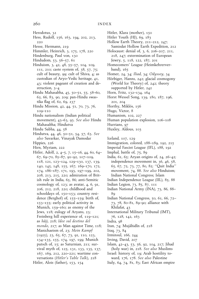Hess, Rudolf, 156, 163, 194, 202, 213, 220 Hesse, Hermann, 219 Himmler, Heinrich, 3, 175, 178, 220 Hindenburg, Paul von, 130 Hindudom, 53, 56–57, 61 Hinduism, 3, 42, 48, 55–57, 104, 109, 111, 210; caste system of, 38, 57, 75; cult of beauty, 99; cult of Shiva, 4; as custodian of Aryo-Vedic heritage, 41, 43; violent pageant of creation and destruction, 3–4 Hindu Mahasabha, 45, 50–51, 55, 58–60, 62, 66, 83, 90, 209; pan-Hindu swastika flag of, 62, 69, 237 Hindu Mission, 42, 44, 51, 70, 73, 76, 109–110 Hindu nationalism (Indian political movement), 43–63, 93. *See also* Hindu Mahasabha; Hindutva Hindu Sabha, 44, 58 Hindutva, 44, 46, 50–51, 54, 57, 63. *See also* Savarkar, Vinayak Damodar Hippies, 226 Hirn, Myriam, 222 Hitler, Adolf, 2, 4–5, 7, 15–16, 44, 60, 64– 67, 69–70, 85–87, 91–92, 107–109, 118, 121, 123–124, 129–130, 137, 139, 140, 145, 148, 155, 167, 169–170, 172, 174, 186–187, 171, 193, 197–199, 202, 208, 213, 215, 220; admiration of British rule in India, 65, 86; anti-Semitic cosmology of, 123; as avatar, 4, 6, 91, 206, 212, 218, 220; childhood and schooldays of, 150–153; country residence (Berghof) of, 155–159; birth of, 153–155; early political activity in Munich, 159–160; as enemy of the Jews, 118; eulogy of Aryans, 23; Freinberg hill experience of, 119–121; as *haˆjj*, 218; *Idee sul destino del mondo*, 217; as Man against Time, 118; Manichaeism of, 23; *Mein Kampf* (1925), 23, 65, 67, 73, 91, 110, 123, 134–135, 155, 174, 197, 199; Munich putsch of, 15; as Saturnian, 211; survival myth of, 125, 131, 133, 135, 137, 167, 169, 212, 220–221; wartime conversations (*Hitler's Table Talk*), 218 Hitler, Alois (father), 153, 154

Hitler, Klara (mother), 150

- Hitler Youth (HJ), 69, 183
- Hollow Earth Theory, 211–212, 247; Samisdat Hollow Earth Expedition, 212
- Holocaust: denial of, 3, 6, 206–207, 211, 218, 247; extermination of European Jewry, 5, 118, 122, 187, 201
- Homecomers' League (Heimkehrerverband), 165
- Homer, 24, 34; *Iliad*, 34; *Odyssey*, 34

Hörbiger, Hanns, 242; glacial cosmogony (World Ice Theory) of, 242; theory supported by Hitler, 242

- Horn, Fritz, 132–134, 164
- Horst Wessel Song, 139, 180, 187, 196, 201, 204
- Horthy, Miklós, 156
- Hugo, Victor, 8
- Humanism, 102, 227

Human population explosion, 106–108

Hurrians, 97

- Huxley, Aldous, 103
- Iceland, 107, 129
- Immigration, colored, 188–189, 192, 215
- Imperial Fascist League (IFL), 188, 192
- Imphal, battle of, 75, 89
- India, 61, 65; Aryan origins of, 24, 26–42; independence movement in, 36, 46, 58, 65, 67, 72, 73, 77, 80, 82; ''Quit India'' movement, 74, 88. *See also* Hinduism; Indian National Congress; Islam
- Indian Independence League (IIL), 85, 88
- Indian Legion, 73, 85, 87, 111
- Indian National Army (INA), 73, 86, 88– 89
- Indian National Congress, 50, 61, 66, 72– 73, 78, 80–81, 89–90; alliance with Khilafat, 43
- International Military Tribunal (IMT), 76, 128, 142, 163

Indra, 98

- Iran, 74; Mujâhidîn of, 218
- Iraq, 73, 84
- Irminsul, 166, 244
- Irving, David, 207
- Islam, 42–43, 53, 56, 92, 104, 217; Jihad (holy war) in, 218. *See also* Muslims
- Israel: history of, 19; Arab hostility toward, 176, 178. *See also* Palestine
- Italy, 64, 74, 81, 83; East African empire

Herodotus, 32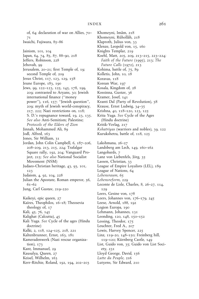of, 64; declaration of war on Allies, 70– 71 Iwaichi, Fujiwara, 85–86 Jainism, 101, 104 Japan, 64, 74, 85, 87, 88–90, 218 Jeffers, Robinson, 228 Jehovah, 99 Jerusalem, 20–21; first Temple of, 19; second Temple of, 209 Jesus Christ, 117, 123, 129, 158 Jeune Europe, 183, 190 Jews, 99, 122–123, 125, 145, 178, 199, 209; contrasted to Aryans, 30; Jewish international finance (''money power''), 116, 157; ''Jewish question'', 209; myth of Jewish world-conspiracy, 217, 222; Nazi restrictions on, 118; S. D.'s repugnance toward, 19, 23, 135. *See also* Anti-Semitism; Palestine; *Protocols of the Elders of Zion* Jinnah, Mohammed Ali, 89 Jodl, Alfred, 163 Jones, Sir William, 31 Jordan, John Colin Campbell, 6, 187–206, 208–209, 213, 215, 224; Trafalgar Square rally, 192, 204; Vanguard Project, 215; *See also* National Socialist Movement (NSM) Judaeo-Christian heritage, 43, 93, 101, 123 Judaism, 4, 92, 104, 228 Julian the Apostate, Roman emperor, 56, 61–62 Jung, Carl Gustav, 219–220 Kaikeyi, epic queen, 27 Kaïres, Theophilos, 16–18; Theosevia theology of, 17 Kali, 45, 76, 145 Kalighat (Calcutta), 45 Kali Yuga. *See* Cycle of the ages (Hindu doctrine) Kalki, 2, 118, 124–125, 218, 221 Kaltenbrunner, Ernst, 163, 181 Kameradenwerk (Nazi rescue organization), 173 Kant, Immanuel, 29 Kausalya, Queen, 27 Keisel, Wilhelm, 163 Kerr-Ritchie, Roland, 192, 194, 202–203

Khomeyni, Imâm, 218 Khomeyni, Rûhollâh, 218 Klaproth, Julius von, 33 Klenze, Leopold von, 15, 160 Knights Templar, 219 Koehl, Matt, 205, 209, 213–215, 223–224; *Faith of the Future* (1995), 213; *The Future Calls* (1972), 213 Kohima, battle of, 75, 89 Kolletis, John, 10, 18 Koravas, 118 Korean War, 197 Kosala, Kingdom of, 28 Kossinna, Gustav, 36 Kramer, Josef, 141 Kranti Dal (Party of Revolution), 58 Krause, Ernst Ludwig, 34–35 Krishna, 40, 118–120, 123, 125 Krita Yuga. *See* Cycle of the Ages (Hindu doctrine) Kritik-Verlag, 217 *Kshatriyas* (warriors and nobles), 39, 122 Kurukshetra, battle of, 118, 125 Lakshmana, 26–27 Landsberg am Lech, 149, 160–162 Langobards, 7 Lanz von Liebenfels, Jörg, 35 Lassen, Christian, 33 League of Empire Loyalists (LEL), 189 League of Nations, 64 *Lebensraum*, 65 *Lebensreform*, 229 Leconte de Lisle, Charles, 8, 26–27, 114, 129 Leers, Gesine von, 178 Leers, Johannes von, 176–179, 245 Leese, Arnold, 188, 192 Legion Europa, 190 Lehmann, Johannes, 131 Leonding, 120, 148, 150–152 Lessing, Theodor, 175 Leuchter, Fred A., 207 Lewis, Harvey Spencer, 225 Linz, 119–20, 148–150; Freinberg hill, 119–120; Kürnberg Castle, 149 List, Guido von, 35; Guido von List Society, 231 Lloyd George, David, 156 *Lutte du Peuple*, 216 Lutyens, Sir Edward, 210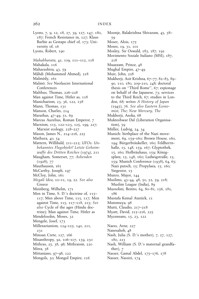Lyons, 7, 9, 12, 18, 27, 39, 127, 147, 180, 187; French Resistance in, 127; Klaus Barbie as Gestapo chief of, 173; University of, 16 Lyons, Robert, 190

- 
- *Mahabharata*, 41, 109, 111–112, 118
- Mahakala, 116
- Maharashtra, 43, 59
- Mâhdi (Mohammed Ahmed), 218
- Malmédy, 161
- Malmö. See Neofascist International Conferences
- Malthus, Thomas, 226–228
- Man against Time, Hitler as, 118
- Manichaeism, 23, 36, 122, 158
- Mann, Thomas, 131
- Manson, Charles, 214
- Marathas, 47–49, 51, 69
- Marcus Aurelius, Roman Emperor, 7
- Marxism, 115, 122–123, 125, 199, 227; Marxist ecology, 228–227
- Mason, James N., 214–216, 225
- Mathura, 40, 54
- Mattern, Willibald, 211–212; *UFOs: Unbekanntes Flugobjekt? Letzte Geheimwaffe des Dritten Reiches* (1974), 211
- Maugham, Somerset, 77; *Ashenden* (1928), 77
- Mauthausen, 161
- McCarthy, Joseph, 197
- McCloy, John, 161
- *Megali Idea*, 10–11, 19, 22. *See also* Greece
- Meinberg, Wilhelm, 171
- Men in Time, S. D.'s doctrine of, 115– 117; Men above Time, 115, 117; Men against Time, 115, 117–118, 215; *See also* Cycle of the ages (Hindu doctrine); Man against Time, Hitler as Mendelssohn, Moses, 32 Mengele, Josef, 173 Millenarianism, 124–125, 140, 211,
- 231
- Minoan Crete, 127, 166
- Misanthropy, 92, 106–107, 139, 230 Mithras, 25, 38, 98; Mithraism, 220
- Mitra, 38
- Mittanians, 97–98, 122
- Mongols, 30; Mongol Empire, 116

Moonje, Balakrishna Shivaram, 45, 58– 59 Moser, Alois, 175 Moses, 19, 31, 101 Mosley, Sir Oswald, 183, 187, 192 Movimento Sociale Italiano (MSI), 187, 218 Muazzam, Prince, 48 Mughal Empire, 47–49 Muir, John, 228 Mukherji, Asit Krishna, 67–77, 82–83, 89– 90, 110, 180, 209–210, 248; doctoral thesis on ''Third Rome'', 67; espionage on behalf of the Japanese, 73; services to the Third Reich, 67; studies in London, 68; writes *A History of Japan* (1945), 76. *See also Eastern Economist, The; New Mercury, The* Mukherji, Asoka, 68 Mukteshwar Dal (Liberation Organisation), 59 Müller, Ludvig, 24, 34 Munich: birthplace of the Nazi movement, 69, 159–160; Brown House, 160, 194; Bürgerbräukeller, 160; Feldherrnhalle, 15, 148, 159, 167; Glyptothek, 15, 160; Hofbräuhaus, 159; Königsplatz, 15, 148, 160; Ludwigstraße, 15, 159; Munich Conference (1938), 64, 65; Nazi putsch, 15; Propylaea, 15, 160; Siegestor, 15 Munro, Major, 144 Muslims, 43–44, 48, 50, 52, 59, 218; Muslim League (India), 89 Mussolini, Benito, 64, 80–81, 156, 181, 186 Mustafa Kemal Atatürk, 11 Mutemuya, 98 Mutti, Claudio, 217–218 Myatt, David, 215–216, 225 Myceneans, 15, 23, 122 Naess, Arne, 227

Nanesaheb, 48 Nash, Julia (S. D.'s mother), 7, 27, 127, 180, 223 Nash, William (S. D.'s maternal grandfather), 7 Nasser, Gamal Abdel, 175–176, 178 Nasser, Nassiri, 174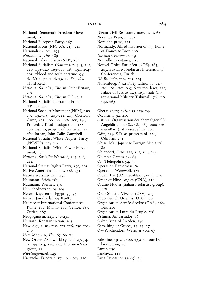National Democratic Freedom Movement, 215 National European Party, 187 National Front (NF), 208, 215, 248 Nationalism, 102, 195 *Nationalist*, *The,* 189 National Labour Party (NLP), 189 National Socialism (Nazism), 2, 4–5, 107, 110, 139–140, 169–170, 187, 191, 204– 205; ''blood and soil'' doctrine, 93; S. D.'s support of, 13, 27. *See also* Third Reich *National Socialist, The,* in Great Britain, 191 *National Socialist, The,* in U.S., 213 National Socialist Liberation Front (NSLF), 214 National Socialist Movement (NSM), 190– 192, 194–195, 203–214, 215; Cotswold Camp, 193, 199, 204, 206, 208, 246; Princedale Road headquarters, 188– 189, 191, 194–195; raid on, 202. *See also* Jordan, John Colin Campbell National Socialist White Peoples' Party (NSWPP), 213–214 National Socialist White Power Movement, 205 *National Socialist World*, 6, 205–206, 214 National States' Rights Party, 190, 205 Native American Indians, 228, 231 Nature worship, 104, 231 Naumann, Erich, 161 Naumann, Werner, 170 Nebuchadnezzar, 19, 209 Nefertiti, queen of Egypt, 93–94 Nehru, Jawaharlal, 59, 82–83 Neofascist International Conferences: Rome, 187; Malmö, 187; Venice, 187; Zurich, 187 Neopaganism, 225, 230–231 Neurath, Konstantin von, 163 New Age, 3, 92, 210, 225–226, 230–231, 250 *New Mercury*, *The,* 67, 69, 72 New Order: Axis world system, 27, 74, 93, 99, 104, 126, 146; U.S. neo-Nazi group, 224 *Nibelungenlied*, 149 Nietzsche, Friedrich, 57, 101, 103, 220

- Nizam Civil Resistance movement, 62
- Noontide Press, 4, 229
- Nordland press, 221
- Normandy: Allied invasion of, 75; home of Françoise Dior, 208
- *Northern European*, 191
- Nouvelle Résistance, 216
- Nouvel Ordre Européen (NOE), 183, 203. *See also* Neofascist International Conferences, Zurich
- *NS Bulletin*, 213, 215, 224
- Nuremberg: Nazi Party rallies, 70, 149, 162–163, 167, 169; Nazi race laws, 121; Palace of Justice, 149, 163; trials (International Military Tribunal), 76, 128, 142, 163
- Obersalzberg, 148, 155–159, 244
- Occultism, 92, 210
- ODESSA (Organisation der ehemaligen SS-Angehörigen), 182, 184-185, 206; Bremen-Bari (B-B) escape line, 182
- Odin, 129; S.D. as priestess of, 220; Odinism, 231
- Ohisa, Mr. (Japanese Foreign Ministry), 82
- Ohlendorf, Otto, 122, 161, 164, 241
- Olympic Games, 14, 69
- On (Heliopolis), 94, 97
- Operation Barbarossa, 84
- Operation Werewolf, 181
- Order, The (U.S. neo-Nazi group), 214
- Order of Nine Angles (ONA), 216
- Ordine Nuova (Italian neofascist group), 218
- Ordo Sinistra Vivendi (OSV), 215
- Ordo Templi Orientis (OTO), 225
- Organisation Armée Secrète (OAS), 183, 190, 216
- Organisation Lutte du Peuple, 216
- Oshima, Ambassador, 86
- Oskar, king of Sweden, 130
- Otto, king of Greece, 13, 15, 17
- Ow-Wachendorf, Wernher von, 67

Palestine, 19–21, 122, 135; Balfour Declaration on, 20 Pamir, 130 Pandavas, 118 Paris Exposition (1889), 34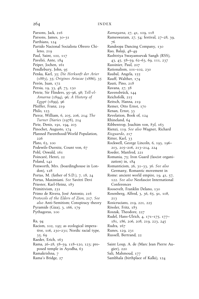### 264 INDEX

*Ramayana*, 27, 41, 109, 118

Parsons, Jack, 216 Parsons, James, 30-31 Parthians, 124 Partido Nacional Socialista Obrero Chileno, 219 Paul, Saint, 100, 117 Pavelió, Ante, 184 Peiper, Jochen, 161 Pendlebury, John, 95 Penka, Karl, 35; *Die Herkunft der Arier* (1883), 35; *Origines Ariacae* (1886), 35 Perón, Juan, 172 Persia, 19, 33, 48, 73, 130 Petrie, Sir Flinders, 95–96, 98; *Tell-el-Amarna* (1894), 96; *A History of Egypt* (1899), 96 Pfeiffer, Franz, 219 Philo, 123 Pierce, William, 6, 205, 206, 214; *The Turner Diaries* (1978), 214 Pirie, Denis, 191, 194, 203 Pinochet, Augusto, 174 Planned Parenthood/World Population, 226 Plato, 63, 100 Podewils-Durnitz, Count von, 67 Pohl, Oswald, 161 Poincaré, Henri, 22 Poland, 142 Ponworth, Mrs. (boardinghouse in London), 128 Portas, M. (father of S.D.), 7, 18, 24 Portas, Maximiani. *See* Savitri Devi Priester, Karl-Heinz, 183 Primitivism, 231 Primo de Rivera, Jose´ Antonio, 216 *Protocols of the Elders of Zion*, 217. *See also* Anti-Semitism; Conspiracy theory Pyramids (Giza), 3, 166, 179 Pythagoras, 100 Ra, 94 Racism, 102, 195; as ecological imperative, 106, 230–231; Nordic racial type,

Rama, 26–28, 58–59, 118–120, 123; proposed temple in Ayodha, 63

35, 69 Raeder, Erich, 163

Ramakrishna, 7 Rama's Bridge, 27

Rameswaram, 27, 54; festival, 27–28, 39, 76 Randoopa Dancing Company, 130 Rao, Balaji, 48–49 Rashtriya Swayamsevak Sangh (RSS), 43, 45, 58–59, 62–63, 69, 111, 237 Rassinier, Paul, 207 Rationalism, 101–102, 230 Raubal, Angela, 155 Rauff, Walther, 174 Rauti, Pino, 218 Ravana, 27, 58 Ravensbrück, 144 Reichsfolk, 215 Reitsch, Hanna, 219 Remer, Otto Ernst, 170 Renan, Ernst, 33 Revelation, Book of, 124 Rhineland, 64 Ribbentrop, Joachim von, 83f, 163 Rienzi, 119. *See also* Wagner, Richard *Risguardo*, 217 Ritter, Karl, 33 Rockwell, George Lincoln, 6, 193, 196– 203, 205–206, 213–214, 224 Roeder, Manfred, 221 Romania, 75; Iron Guard (fascist organization) in, 184 Romanticism, 26, 31–33, 36. *See also* Germany, Romantic movement in Rome: ancient world empire, 19, 41, 57, 122. *See also* Neofascist International Conferences Roosevelt, Franklin Delano, 130 Rosenberg, Alfred, 3, 36, 65, 91, 108, 213 Rosicrucians, 219, 221, 225 Rössler, Fritz, 183 Roszak, Theodore, 227 Rudel, Hans-Ulrich, 4, 171–175, 177– 181, 186, 206, 208, 219, 223, 245 Rudra, 167 Runes, 129, 231 Russell, Bertrand, 22 Saint Loup, A. de (Marc Jean Pierre Augier), 220 Sali, Mahmoud, 177 Sambhala (birthplace of Kalki), 124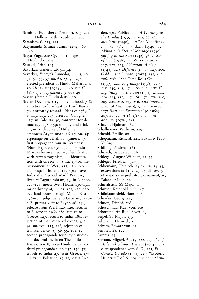- Samisdat Publishers (Toronto), 2, 3, 211, 222; Hollow Earth Expedition, 212
- Satanism, 6, 215, 221
- Satyananda, Srimat Swami, 44–45, 60, 110
- Satya Yuga. *See* Cycle of the ages (Hindu doctrine)
- Sauckel, Fritz, 163
- Savarkar, Ganesh, 46, 51, 54, 59
- Savarkar, Vinayak Damodar, 44–45, 49, 51, 54–55, 57–60, 62, 83, 90, 236; elected president of Hindu Mahasabha, 50; *Hindutva* (1923), 46, 49, 51; *The War of Independence* (1908), 46
- Savitri (female Hindu deity), 38
- Savitri Devi: ancestry and childhood, 7–8; ambition to broadcast in Third Reich, 70; antipathy toward ''Ideas of 1789,'' 8, 113, 115, 203; arrest in Cologne, 137; in Calcutta, 40; contempt for democracy, 138, 159; custody and trial, 137–141; devotee of Hitler, 44; embraces Aryan myth, 26–27, 39, 54; espionage on behalf of Japanese, 73; first propaganda tour in Germany (Nord-Express), 131–132; as Hindu Mission lecturer, 45, 70; identification with Aryan paganism, 44; identification with Greece, 7, 9, 12, 15–16; imprisonment at Werl, 132, 138, 140– 147, 169; in Iceland, 129–130; leaves India after Second World War, 76; lives at Tagore ashram, 39; in London, 127–128; meets Sven Hedin, 130–131; misanthropy of, 8, 105–107, 127, 230; overland route through Middle East, 176–177; pilgrimage to Germany, 148– 168; prewar visit to Egypt, 96, 240; release from Werl, 140, 146; returns to Europe in 1960, 181; return to Greece, 147; return to India, 180; rejection of man-centered creeds, 4, 28, 92, 99, 101, 113, 138; rejection of transcendence, 93, 96, 99, 101, 123; second propaganda tour, 132; studies and doctoral thesis on Theophilos Kaïres, 16–18; takes Hindu name, 40; third propaganda tour, 132, 136–37; travels to India, 27; visits Greece, 13– 16; visits Palestine, 19–21; visits Swe-

den, 130. Publications: *A Warning to the Hindus* (1939), 52–62, 66; *L'Etang aux lotus* (1940), 40f; *The Non-Hindu Indians and Indian Unity* (1940), 72; *Akhnaton's Eternal Message* (1940), 96; *Joy of the Sun* (1942), 96; *A Son of God* (1946), 92, 96, 99, 102–103, 117, 127, 225; *Akhnaton. A play* (1948), 129; *Defiance* (1950), 147, 206; *Gold in the Furnace* (1953), 132, 147, 206, 216; ''And Time Rolls On'' (1953), 221; *Pilgrimage* (1958), 119, 125, 149, 165, 176, 180, 213, 218; *The Lightning and the Sun* (1958), 2, 111, 119, 124, 130, 147, 165, 173, 176, 180, 205–206, 212, 215–216, 220; *Impeachment of Man* (1959), 3, 92, 104–108, 127; *Hart wie Kruppstahl* (c. 1963), 207; *Souvenirs et re´fexions d'une aryenne* (1976), 213 Schacht, Hjalmar, 182

- Schallmeyer, Wilhelm, 229
- Schenkl, Emilie, 90
- Schepmann, Richard, 221. *See also* Teut-Verlag
- Schilling, Andreas, 161
- Schirach, Baldur von, 163
- Schlegel, August Wilhelm, 31–33
- Schlegel, Friedrich, 31–33
- Schliemann, Heinrich, 23–24, 26, 34–35; excavations at Troy, 23–24; discovery of swastika as prehistoric ornament, 26; Palace of Ilion, 23
- Schmalstich, SS Major, 175
- Schmidt, Reinhold, 211, 247
- Schönbaumsfeld, Hans, 176
- Schrader, Georg, 223
- Schuon, Frithof, 218
- Schuschnigg, Kurt von, 156
- Sebottendorff, Rudolf von, 69
- Seipel, SS Major, 175
- Selimann, Heinrich, 175
- Selzam, Edwart von, 67
- Semites, 28, 122
- Sarapis, 25
- Serrano, Miguel, 6, 219–222, 225; *Adolf Hitler, el Ultimo Avatara* (1984), 219; correspondence with S. D., 221; *El Cordo´ n Dorado* (1978), 219; ''Esoteric Hitlerism" of, 6, 219, 220–221; Manú: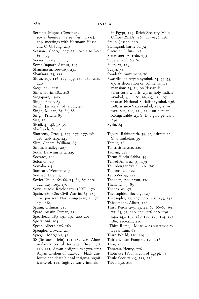### 266 INDEX

Serrano, Miguel (*Continued*) *por el hombre que vendra''* (1991), 219; meetings with Hermann Hesse and C. G. Jung, 219 Sessions, George, 227–228. See also *Deep Ecology* Sèvres Treaty, 11, 13 Seyss-Inquart, Arthur, 163 Shamanism, 166–167, 231 Shankara, 75, 111 Shiva, 107, 116, 129, 139–140, 167, 216, 220 *Siege*, 214, 215 Sima, Horia, 184, 218 Singapore, 85-86 Singh, Amar, 85 Singh, Jai, Rajah of Jaipur, 48 Singh, Mohan, 85–86, 88 Singh, Pritam, 85 Sita, 27 Sivaji, 47–48, 58–59 Skinheads, 6, 215 Skorzeny, Otto, 5, 173, 175, 177, 181– 187, 206, 219, 245 Slim, General William, 89 Smith, Bradley, 207 Social Darwinism, 4, 229 Socrates, 100 Solomon, 19 Somalia, 64 Sombart, Werner, 217 Souriau, Étienne, 22 Soviet Union, 65, 68, 74, 84, 87, 110, 122, 125, 165, 170 Sozialistische Reichspartei (SRP), 170 Spain, 181–186; Civil War in, 64, 183– 184; postwar, Nazi émigrés in, 5, 173, 174, 182 Spann, Othmar, 217 Spare, Austin Osman, 216 Spearhead, 189, 191–192, 200–201 *Spearhead*, 204 Speer, Albert, 156, 163 Spengler, Oswald, 217 Spiegel, Margaret, 42 SS (Schutzstaffeln), 121, 187, 206; Ahnenerbe (Ancestral Heritage Office), 178, 220–221; Aryan pedigree to 1750, 121; Aryan wisdom of, 122–123; black uniforms and death's head insignia, significance of, 121; fugitive war criminals

in Egypt, 175; Reich Security Main Office (RSHA), 163, 175–176, 181 Stalin, Joseph, 110 Stalingrad, battle of, 74 Streicher, Julius, 143 Stroessner, Alfredo, 173 Sudetenland, 60, 64 Suez, 27, 179 Surya, 38 Swadeshi movement, 78 Swastika: as Aryan symbol, 24, 34–35, 67; as decoration on Schliemann's mansion; 24, 26; on Hissarlik terra-cotta whorls, 23; as holy Indian symbol, 4, 44, 62, 66, 69, 85, 107, 110; as National Socialist symbol, 136, 168; as neo-Nazi symbol, 187, 193– 195, 201, 206, 214, 224; on pots at Königswalde, 23; S. D.'s gold pendant, 139 Syria, 84 Tagore, Rabindrath, 39, 42; ashram at Shantiniketan, 39 Tamils, 28 Tantricism, 216, 220 Taoism, 228 Tarun Hindu Sabha, 59 Tell-el-Amarna, 95, 179 Teutoburger Wald, 149, 165 Teutons, 24, 122 Teut-Verlag, 221 Thadden, Adolf von, 170 Thailand, 73, 85 Thebes, 93, 97 Theosophical Society, 127 Theosophy, 35, 127, 220, 225, 235, 241 Thielemann, Albert, 176 Third Reich, 4–5, 13, 42, 62, 66–67, 69, 75, 83, 92, 110, 121, 126–128, 139, 141, 145, 157, 169–170, 173–174, 178, 186, 210–211, 216 ''Third Rome,'' Moscow as successor to Byzantium, 68 Third World, 228–229 Thiriart, Jean-François, 190, 216 Thor, 129 Thoreau, Henry, 228 Thotmose IV, Pharaoh of Egypt, 98 Thule Society, 69, 211, 238 Tibet, 130, 211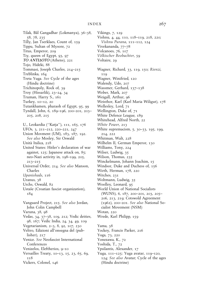Vikings, 7, 129

Vishnu, 4, 44, 110, 118–119, 218, 220;

Tilak, Bâl Gangadhar (Lokmanya), 36–38, 58, 78, 235 Tilly, Jan Tserklaes, Count of, 159 Tippu, Sultan of Mysore, 72 Titus, Emperor, 209 Tiy, queen of Egypt, 93, 97 ΤΟ ΑΝΤΙ∆ΟΤΟ (Athens), 221 Tojo, Hideki, 88 Tommasi, Joseph Charles, 214–215 Treblinka, 164 Treta Yuga. *See* Cycle of the ages (Hindu doctrine) Trichinopoly, Rock of, 39 Troy (Hissarlik), 23–24, 34 Truman, Harry S., 161 Turkey, 10–12, 20 Tutankhamen, pharaoh of Egypt, 95, 99 Tyndall, John, 6, 189–196, 200–201, 203– 205, 208, 215 U., Leokardia (''Katja''), 111, 165, 176 UFOs, 3, 211–212, 220–221, 247 Union Movment (UM), 183, 187, 192. *See also* Mosley, Sir Oswald Unità Italica, 218 United States: Hitler's declaration of war against, 125; Japanese attack on, 85; neo-Nazi activity in, 198–199, 205, 213–215 Universal Order, 214. *See also* Manson, Charles *Upanishads*, 116 Uranus, 38 Urchs, Oswald, 82 Ustaše (Croatian fascist organization), 184 Vanguard Project, 215. *See also* Jordan, John Colin Campbell Varuna, 38, 98 Vedas, 34, 37–38, 109, 212; Vedic deities, 98, 167; Vedic India, 24, 34, 49, 109 Vegetarianism, 2–3, 8, 92, 107, 230 Veltro, Edizioni all'onsegna del (publisher), 217 Venice. *See* Neofascist International Conferences Venizelos, Eleftherios, 9–10 Versailles Treaty, 10–13, 15, 23, 65, 69, 118 Vickers, Colonel, 146

*Vishnu Purana*, 111–112, 124 Vivekananda, 77–78 Volcanoes, 76, 107 *Vo¨lkischer Beobachter*, 59 Voltaire, 29 Wagner, Richard, 33, 119, 150; *Rienzi*, 119 Wagner, Winifried, 120 Walendy, Udo, 207 Wassmer, Gerhard, 137–138 Weber, Mark, 207 Weigall, Arthur, 96 Weisthor, Karl (Karl Maria Wiligut), 178 Wellesley, Lord, 71 Wellington, Duke of, 71 White Defence League, 189 Whitehead, Alfred North, 22 *White Power*, 213 White supremacism, 5, 30–33, 195, 199, 214, 222 Whitman, Walt, 228 Wilhelm II, German Emperor, 130 Williams, Tony, 224 Wilser, Ludwig, 35 Wilson, Thomas, 235 Winckelmann, Johann Joachim, 15 Windsor, Duke and Duchess of, 156 Wirth, Herman, 178, 220 Witches, 231 Woltmann, Ludwig, 35 Woolley, Leonard, 95 World Union of National Socialists (WUNS), 6, 187, 200–201, 203, 205– 206, 213, 219; Cotswold Agreement (1962), 200–201. *See also* National Socialist Movement (NSM) Wotan, 220 Wrede, Karl Philipp, 159 Yama, 38 Yockey, Francis Parker, 216 Yoga, 73, 220 Yonezawa, K., 72 Yoshida, T., 72 Ypsilantis, Alexander, 17

Yuga, 111–125; Yuga avatar, 119–120, 124; *See also* Avatar; Cycle of the ages (Hindu doctrine)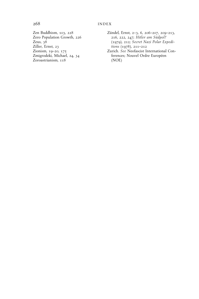Zen Buddhism, 103, 228 Zero Population Growth, 226 Zeus, 38 Ziller, Ernst, 23 Zionism, 19–20, 175 Zmigrodzki, Michael, 24, 34 Zoroastrianism, 118

Zündel, Ernst, 2-3, 6, 206-207, 209-213, 216, 222, 247; *Hitler am Südpol?* (1979), 212; *Secret Nazi Polar Expeditions* (1978), 211–212

Zurich. *See* Neofascist International Conferences; Nouvel Ordre Européen (NOE)